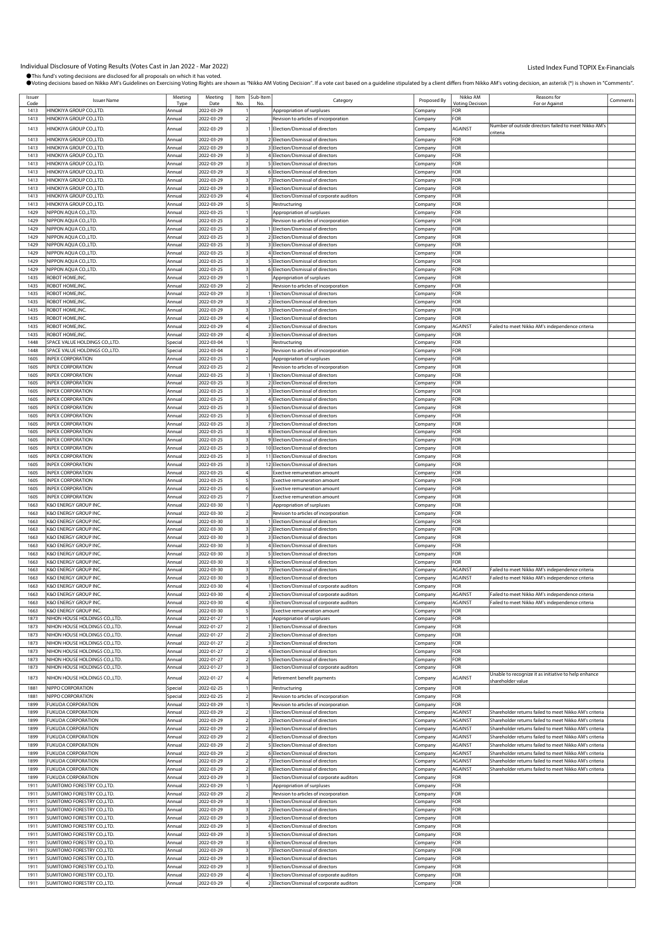| Issuer       | <b>Issuer Name</b>                                                  | Meeting            | Meeting                  | Item Sub-Item | Category                                                                 | Proposed By            | Nikko AM                             | Reasons for                                                                                                      | Comments |
|--------------|---------------------------------------------------------------------|--------------------|--------------------------|---------------|--------------------------------------------------------------------------|------------------------|--------------------------------------|------------------------------------------------------------------------------------------------------------------|----------|
| Code<br>1413 | HINOKIYA GROUP CO., LTD.                                            | Tyn<br>Annual      | Date<br>2022-03-29       | No            | Appropriation of surpluses                                               | Company                | <b><i>Votina Decision</i></b><br>FOR | For or Against                                                                                                   |          |
| 1413         | HINOKIYA GROUP CO.,LTD.                                             | Annual             | 2022-03-29               |               |                                                                          |                        | OR:                                  |                                                                                                                  |          |
|              |                                                                     |                    |                          |               | Revision to articles of incorporation                                    | Company                |                                      | Number of outside directors failed to meet Nikko AM's                                                            |          |
| 1413         | HINOKIYA GROUP CO.,LTD.                                             | Annual             | 2022-03-29               |               | 1 Election/Dismissal of directors                                        | Company                | AGAINST                              | criteria                                                                                                         |          |
| 1413         | HINOKIYA GROUP CO., LTD.                                            | Annual             | 2022-03-29               |               | 2 Election/Dismissal of directors                                        | Company                | FOR                                  |                                                                                                                  |          |
| 1413         | HINOKIYA GROUP CO.,LTD.                                             | Annual             | 2022-03-29               |               | 3 Election/Dismissal of directors                                        | Company                | FOR                                  |                                                                                                                  |          |
| 1413         | HINOKIYA GROUP CO.,LTD.                                             | Annual             | 2022-03-29               |               | 4 Election/Dismissal of directors                                        | Company                | FOR                                  |                                                                                                                  |          |
| 1413         | HINOKIYA GROUP CO., LTD.                                            | Annual             | 2022-03-29               |               | 5 Election/Dismissal of directors                                        | Company                | FOR                                  |                                                                                                                  |          |
| 1413         | HINOKIYA GROUP CO., LTD.                                            | Annual             | 2022-03-29               |               | 6 Election/Dismissal of directors                                        | ompany                 | FOR                                  |                                                                                                                  |          |
| 1413         | HINOKIYA GROUP CO., LTD.                                            | Annual             | 2022-03-29               |               | 7 Election/Dismissal of directors                                        | .ompany                | FOR                                  |                                                                                                                  |          |
| 1413         | HINOKIYA GROUP CO.,LTD.                                             | Annual             | 2022-03-29               |               | 8 Election/Dismissal of directors                                        | Company                | FOR                                  |                                                                                                                  |          |
| 1413<br>1413 | HINOKIYA GROUP CO.,LTD.<br>HINOKIYA GROUP CO., LTD.                 | Annual<br>Annual   | 2022-03-29<br>2022-03-29 |               | Election/Dismissal of corporate auditors<br>Restructuring                | Company<br>Company     | FOR<br>FOR                           |                                                                                                                  |          |
| 1429         | NIPPON AQUA CO.,LTD.                                                | Annual             | 2022-03-25               |               | Appropriation of surpluses                                               | :ompany                | <b>OR</b>                            |                                                                                                                  |          |
| 1429         | NIPPON AOUA CO.,LTD.                                                | Annual             | 2022-03-25               |               | Revision to articles of incorporation                                    | .ompany                | FOR                                  |                                                                                                                  |          |
| 1429         | NIPPON AQUA CO.,LTD.                                                | Annual             | 2022-03-25               |               | 1 Election/Dismissal of directors                                        | .<br>ompany            | FOR                                  |                                                                                                                  |          |
| 1429         | NIPPON AQUA CO.,LTD.                                                | Annual             | 2022-03-25               |               | 2 Election/Dismissal of directors                                        | .cmpany                | FOR                                  |                                                                                                                  |          |
| 1429         | NIPPON AQUA CO.,LTD.                                                | Annual             | 2022-03-25               |               | 3 Election/Dismissal of directors                                        | Company                | FOR                                  |                                                                                                                  |          |
| 1429         | NIPPON AQUA CO.,LTD.                                                | Annual             | 2022-03-25               |               | 4 Election/Dismissal of directors                                        | .ompany                | FOR                                  |                                                                                                                  |          |
| 1429         | NIPPON AQUA CO.,LTD.                                                | Annual             | 2022-03-25               |               | 5 Election/Dismissal of directors                                        | .ompany                | FOR                                  |                                                                                                                  |          |
| 1429         | NIPPON AQUA CO.,LTD.                                                | Annual             | 2022-03-25               |               | 6 Election/Dismissal of directors                                        | .<br>ompany            | FOR                                  |                                                                                                                  |          |
| 1435         | ROBOT HOME, INC.                                                    | Annual             | 2022-03-29               |               | Appropriation of surpluses                                               | Company                | FOR                                  |                                                                                                                  |          |
| 1435         | ROBOT HOME, INC.                                                    | Annual             | 2022-03-29               |               | Revision to articles of incorporation                                    | Company                | <b>OR</b>                            |                                                                                                                  |          |
| 1435         | ROBOT HOME, INC.                                                    | Annual             | 2022-03-29               |               | 1 Election/Dismissal of directors                                        | ompany                 | FOR                                  |                                                                                                                  |          |
| 1435         | ROBOT HOME, INC.                                                    | Annual             | 2022-03-29               |               | 2 Election/Dismissal of directors                                        | .ompany                | FOR                                  |                                                                                                                  |          |
| 1435         | ROBOT HOME, INC.                                                    | Annual             | 2022-03-29               |               | 3 Election/Dismissal of directors                                        | .ompany                | FOR                                  |                                                                                                                  |          |
| 1435         | ROBOT HOME, INC.                                                    | Annual             | 2022-03-29               |               | 1 Election/Dismissal of directors                                        | Company                | FOR                                  |                                                                                                                  |          |
| 1435         | ROBOT HOME, INC.<br>ROBOT HOME, INC.                                | Annual             | 2022-03-29               |               | 2 Election/Dismissal of directors                                        | Company                | AGAINST                              | Failed to meet Nikko AM's independence criteria                                                                  |          |
| 1435<br>1448 | SPACE VALUE HOLDINGS CO.,LTD.                                       | Annual             | 2022-03-29<br>2022-03-04 |               | 3 Election/Dismissal of directors                                        | ompany                 | FOR<br>FOR                           |                                                                                                                  |          |
| 1448         | SPACE VALUE HOLDINGS CO.,LTD.                                       | Special<br>Special | 2022-03-04               |               | Restructuring<br>Revision to articles of incorporation                   | .cmpany                | OR-                                  |                                                                                                                  |          |
| 1605         | <b>INPEX CORPORATION</b>                                            | Annual             | 2022-03-25               |               | Appropriation of surpluses                                               | .ompany<br>Company     | FOR                                  |                                                                                                                  |          |
| 1605         | <b>INPEX CORPORATION</b>                                            | Annual             | 2022-03-25               |               | Revision to articles of incorporation                                    | Company                | FOR                                  |                                                                                                                  |          |
| 1605         | INPEX CORPORATION                                                   | Annual             | 2022-03-25               |               | 1 Election/Dismissal of directors                                        | .ompany                | FOR                                  |                                                                                                                  |          |
| 1605         | <b>INPEX CORPORATION</b>                                            | Annual             | 2022-03-25               |               | 2 Election/Dismissal of directors                                        | .ompany                | FOR                                  |                                                                                                                  |          |
| 1605         | <b>INPEX CORPORATION</b>                                            | Annual             | 2022-03-25               |               | 3 Election/Dismissal of directors                                        | .ompany                | FOR                                  |                                                                                                                  |          |
| 1605         | <b>INPEX CORPORATION</b>                                            | Annual             | 2022-03-25               |               | 4 Election/Dismissal of directors                                        | Company                | FOR                                  |                                                                                                                  |          |
| 1605         | <b>INPEX CORPORATION</b>                                            | Annual             | 2022-03-25               |               | 5 Election/Dismissal of directors                                        | Company                | FOR                                  |                                                                                                                  |          |
| 1605         | <b>INPEX CORPORATION</b>                                            | Annual             | 2022-03-25               |               | 6 Election/Dismissal of directors                                        | ompany                 | FOR                                  |                                                                                                                  |          |
| 1605         | <b>INPEX CORPORATION</b>                                            | Annual             | 2022-03-25               |               | 7 Election/Dismissal of directors                                        | .ompany                | FOR                                  |                                                                                                                  |          |
| 1605         | <b>INPEX CORPORATION</b>                                            | Annual             | 2022-03-25               |               | 8 Election/Dismissal of directors                                        | .ompany                | FOR                                  |                                                                                                                  |          |
| 1605         | <b>INPEX CORPORATION</b>                                            | Annual             | 2022-03-25               |               | 9 Election/Dismissal of directors                                        | .cmpany                | <b>OR</b>                            |                                                                                                                  |          |
| 1605<br>1605 | <b>INPEX CORPORATION</b><br><b>INPEX CORPORATION</b>                | Annual<br>Annual   | 2022-03-25<br>2022-03-25 |               | 10 Election/Dismissal of directors<br>11 Election/Dismissal of directors | Company<br>ompany      | FOR<br>FOR                           |                                                                                                                  |          |
| 1605         | <b>INPEX CORPORATION</b>                                            | Annual             | 2022-03-25               |               | 12 Election/Dismissal of directors                                       | .ompany                | FOR                                  |                                                                                                                  |          |
| 1605         | <b>INPEX CORPORATION</b>                                            | Annual             | 2022-03-25               |               | Exective remuneration amount                                             | Company                | FOR                                  |                                                                                                                  |          |
| 1605         | <b>INPEX CORPORATION</b>                                            | Annual             | 2022-03-25               |               | <b>Exective remuneration amount</b>                                      | Company                | FOR                                  |                                                                                                                  |          |
| 1605         | <b>INPEX CORPORATION</b>                                            | Annual             | 2022-03-25               |               | Exective remuneration amount                                             | Company                | FOR                                  |                                                                                                                  |          |
| 1605         | <b>INPEX CORPORATION</b>                                            | Annual             | 2022-03-25               |               | <b>Exective remuneration amount</b>                                      | ompany.                | FOR                                  |                                                                                                                  |          |
| 1663         | <b>K&amp;O ENERGY GROUP INC</b>                                     | Annual             | 2022-03-30               |               | Appropriation of surpluses                                               | .ompany                | FOR                                  |                                                                                                                  |          |
| 1663         | <b>K&amp;O ENERGY GROUP INC</b>                                     | Annual             | 2022-03-30               |               | Revision to articles of incorporation                                    | .ompany                | FOR                                  |                                                                                                                  |          |
| 1663<br>1663 | <b>K&amp;O ENERGY GROUP INC.</b><br><b>K&amp;O ENERGY GROUP INC</b> | Annual             | 2022-03-30<br>2022-03-30 |               | 1 Election/Dismissal of directors<br>2 Election/Dismissal of directors   | .cmpany                | FOR<br>FOR                           |                                                                                                                  |          |
| 1663         | <b>K&amp;O ENERGY GROUP INC</b>                                     | Annual<br>Annual   | 2022-03-30               |               | 3 Election/Dismissal of directors                                        | Company<br>.ompany     | FOR                                  |                                                                                                                  |          |
| 1663         | K&O ENERGY GROUP INC.                                               | Annual             | 2022-03-30               |               | 4 Election/Dismissal of directors                                        | .ompany                | FOR                                  |                                                                                                                  |          |
| 1663         | <b>K&amp;O ENERGY GROUP INC</b>                                     | Annual             | 2022-03-30               |               | 5 Election/Dismissal of directors                                        | .ompany                | OR-                                  |                                                                                                                  |          |
| 1663         | K&O ENERGY GROUP INC.                                               | Annual             | 2022-03-30               |               | 6 Election/Dismissal of directors                                        | Company                | FOR                                  |                                                                                                                  |          |
| 1663         | <b>K&amp;O ENERGY GROUP INC</b>                                     | Annual             | 2022-03-30               |               | 7 Election/Dismissal of directors                                        | Company                | AGAINST                              | Failed to meet Nikko AM's independence criteria                                                                  |          |
| 1663         | K&O ENERGY GROUP INC.                                               | Annual             | 2022-03-30               |               | 8 Election/Dismissal of directors                                        | company                | AGAINST                              | Failed to meet Nikko AM's independence criteria                                                                  |          |
| 1663         | <b>K&amp;O ENERGY GROUP INC.</b>                                    | Annual             | 2022-03-30               |               | 1 Election/Dismissal of corporate auditors                               | Company                | FOR                                  |                                                                                                                  |          |
| 1663         | K&O ENERGY GROUP INC.                                               | Annual             | 2022-03-30               |               | 2 Election/Dismissal of corporate auditors                               | Company                | AGAINST                              | Failed to meet Nikko AM's independence criteria                                                                  |          |
| 1663<br>1663 | K&O ENERGY GROUP INC.                                               | Annual             | 2022-03-30               |               | 3 Election/Dismissal of corporate auditors                               | Company                | AGAINST                              | Failed to meet Nikko AM's independence criteria                                                                  |          |
| 1873         | K&O ENERGY GROUP INC.<br>NIHON HOUSE HOLDINGS CO., LTD.             | Annual<br>Annual   | 2022-03-30<br>2022-01-27 |               | Exective remuneration amount<br>Appropriation of surpluses               | Company<br>.<br>ompany | FOR<br>FOR                           |                                                                                                                  |          |
| 1873         | NIHON HOUSE HOLDINGS CO., LTD.                                      | Annual             | 2022-01-27               |               | 1 Election/Dismissal of directors                                        |                        | FOR                                  |                                                                                                                  |          |
| 1873         | NIHON HOUSE HOLDINGS CO., LTD.                                      | Annual             | 2022-01-27               |               | 2 Election/Dismissal of directors                                        | :ompany<br>Company     | FOR                                  |                                                                                                                  |          |
| 1873         | NIHON HOUSE HOLDINGS CO., LTD.                                      | Annual             | 2022-01-27               |               | 3 Election/Dismissal of directors                                        | Company                | FOR                                  |                                                                                                                  |          |
| 1873         | NIHON HOUSE HOLDINGS CO., LTD.                                      | Annual             | 2022-01-27               |               | 4 Election/Dismissal of directors                                        | Company                | FOR                                  |                                                                                                                  |          |
| 1873         | NIHON HOUSE HOLDINGS CO., LTD.                                      | Annual             | 2022-01-27               |               | 5 Election/Dismissal of directors                                        | company                | FOR                                  |                                                                                                                  |          |
| 1873         | NIHON HOUSE HOLDINGS CO., LTD.                                      | Annual             | 2022-01-27               |               | Election/Dismissal of corporate auditors                                 | Company                | FOR                                  |                                                                                                                  |          |
| 1873         | NIHON HOUSE HOLDINGS CO., LTD.                                      | Annual             | 2022-01-27               |               | Retirement benefit payments                                              | Company                | <b>AGAINST</b>                       | Unable to recognize it as initiative to help enhance                                                             |          |
| 1881         | NIPPO CORPORATION                                                   | Special            | 2022-02-25               |               | Restructuring                                                            | company                | FOR                                  | hareholder value                                                                                                 |          |
| 1881         | NIPPO CORPORATION                                                   | Special            | 2022-02-25               |               | Revision to articles of incorporation                                    | Company                | FOR                                  |                                                                                                                  |          |
| 1899         | <b>FUKUDA CORPORATION</b>                                           | Annual             | 2022-03-29               |               | Revision to articles of incorporation                                    | Company                | OR-                                  |                                                                                                                  |          |
| 1899         | <b>FUKUDA CORPORATION</b>                                           | Annual             | 2022-03-29               |               | 1 Election/Dismissal of directors                                        | Company                | AGAINST                              | Shareholder returns failed to meet Nikko AM's criteria                                                           |          |
| 1899         | <b>FUKUDA CORPORATION</b>                                           | Annual             | 2022-03-29               |               | 2 Election/Dismissal of directors                                        | Company                | AGAINST                              | Shareholder returns failed to meet Nikko AM's criteria                                                           |          |
| 1899         | <b>FUKUDA CORPORATION</b>                                           | Annual             | 2022-03-29               |               | 3 Election/Dismissal of directors                                        | Company                | AGAINST                              | Shareholder returns failed to meet Nikko AM's criteria                                                           |          |
| 1899         | <b>FUKUDA CORPORATION</b>                                           | Annual             | 2022-03-29               |               | 4 Election/Dismissal of directors                                        | Company                | AGAINST                              | Shareholder returns failed to meet Nikko AM's criteria                                                           |          |
| 1899         | <b>FUKUDA CORPORATION</b>                                           | Annual             | 2022-03-29               |               | 5 Election/Dismissal of directors                                        | Company                | AGAINST                              | Shareholder returns failed to meet Nikko AM's criteria                                                           |          |
| 1899<br>1899 | <b>FUKUDA CORPORATION</b><br><b>FUKUDA CORPORATION</b>              | Annual<br>Annual   | 2022-03-29<br>2022-03-29 |               | 6 Election/Dismissal of directors<br>7 Election/Dismissal of directors   | Company<br>Company     | AGAINST<br>AGAINST                   | Shareholder returns failed to meet Nikko AM's criteria<br>Shareholder returns failed to meet Nikko AM's criteria |          |
| 1899         | <b>FUKUDA CORPORATION</b>                                           | Annual             | 2022-03-29               |               | 8 Election/Dismissal of directors                                        | .<br>ompany            | AGAINST                              | Shareholder returns failed to meet Nikko AM's criteria                                                           |          |
| 1899         | <b>FUKUDA CORPORATION</b>                                           | Annual             | 2022-03-29               |               | Election/Dismissal of corporate auditors                                 | Company                | FOR                                  |                                                                                                                  |          |
| 1911         | SUMITOMO FORESTRY CO., LTD.                                         | Annual             | 2022-03-29               |               | Appropriation of surpluses                                               | Company                | OR-                                  |                                                                                                                  |          |
| 1911         | SUMITOMO FORESTRY CO.,LTD.                                          | Annual             | 2022-03-29               |               | Revision to articles of incorporation                                    | Company                | <b>OR</b>                            |                                                                                                                  |          |
| 1911         | SUMITOMO FORESTRY CO.,LTD.                                          | Annual             | 2022-03-29               |               | 1 Election/Dismissal of directors                                        | ompany.                | FOR                                  |                                                                                                                  |          |
| 1911         | SUMITOMO FORESTRY CO.,LTD.                                          | Annual             | 2022-03-29               |               | 2 Election/Dismissal of directors                                        | :ompany                | FOR                                  |                                                                                                                  |          |
| 1911         | SUMITOMO FORESTRY CO., LTD.                                         | Annual             | 2022-03-29               |               | 3 Election/Dismissal of directors                                        | Company                | FOR                                  |                                                                                                                  |          |
| 1911         | SUMITOMO FORESTRY CO., LTD.                                         | Annual             | 2022-03-29               |               | 4 Election/Dismissal of directors                                        | .ompany                | FOR                                  |                                                                                                                  |          |
| 1911<br>1911 | SUMITOMO FORESTRY CO.,LTD.<br>SUMITOMO FORESTRY CO.,LTD.            | Annual<br>Annual   | 2022-03-29<br>2022-03-29 |               | 5 Election/Dismissal of directors<br>6 Election/Dismissal of directors   | Company<br>ompany.     | FOR<br>FOR                           |                                                                                                                  |          |
| 1911         | SUMITOMO FORESTRY CO., LTD.                                         | Annual             | 2022-03-29               |               | 7 Election/Dismissal of directors                                        | :ompany                | FOR                                  |                                                                                                                  |          |
| 1911         | SUMITOMO FORESTRY CO., LTD.                                         | Annual             | 2022-03-29               |               | 8 Election/Dismissal of directors                                        | :ompany                | FOR                                  |                                                                                                                  |          |
| 1911         | SUMITOMO FORESTRY CO., LTD.                                         | Annual             | 2022-03-29               |               | 9 Election/Dismissal of directors                                        | Company                | FOR                                  |                                                                                                                  |          |
| 1911         | SUMITOMO FORESTRY CO., LTD.                                         | Annual             | 2022-03-29               |               | 1 Election/Dismissal of corporate auditors                               | Company                | FOR                                  |                                                                                                                  |          |
| 1911         | SUMITOMO FORESTRY CO., LTD.                                         | Annual             | 2022-03-29               |               | 2 Election/Dismissal of corporate auditors                               | Company                | FOR                                  |                                                                                                                  |          |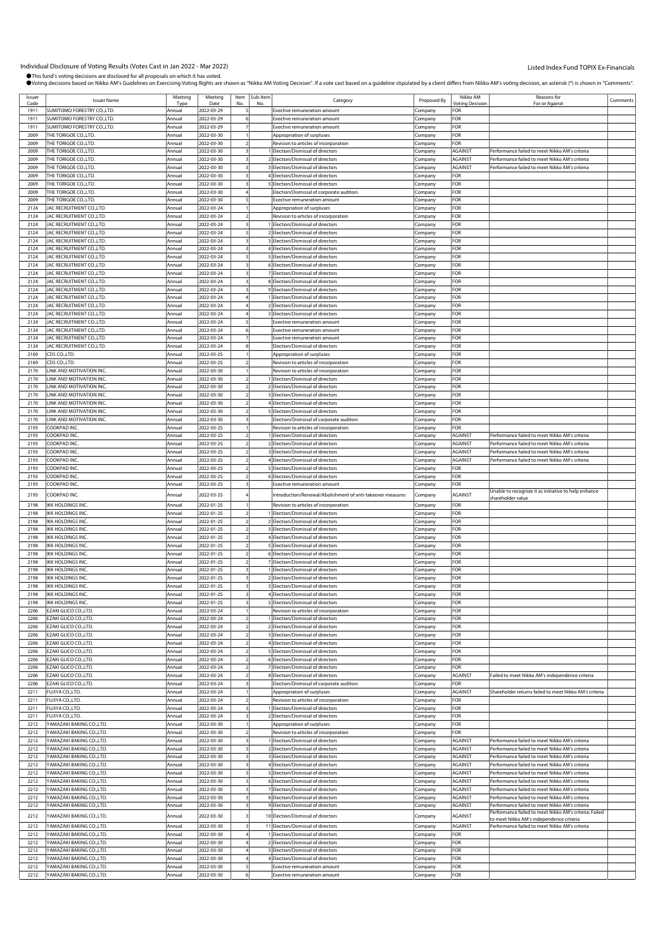| Issuer       | <b>Issuer Name</b>          | Meeting | Meeting    |                         | Item Sub-Item | Category                                                   | Proposed By        | Nikko AM               | Reasons for                                            | Comments |
|--------------|-----------------------------|---------|------------|-------------------------|---------------|------------------------------------------------------------|--------------------|------------------------|--------------------------------------------------------|----------|
| Code         | SUMITOMO FORESTRY CO., LTD. | Tvr     | Date       |                         |               |                                                            |                    | <b>Inting Decision</b> | For or Agains                                          |          |
| 1911         |                             | Annual  | 2022-03-29 |                         |               | <b>Exective remuneration amount</b>                        | Company            | FOR                    |                                                        |          |
| 1911         | SUMITOMO FORESTRY CO.,LTD.  | Annual  | 2022-03-29 |                         |               | <b>Exective remuneration amount</b>                        | Company            | FOR                    |                                                        |          |
| 1911         | SUMITOMO FORESTRY CO., LTD. | Annual  | 2022-03-29 |                         |               | Exective remuneration amount                               | Company            | FOR                    |                                                        |          |
| 2009         | THE TORIGOE CO., LTD.       | Annual  | 2022-03-30 |                         |               | Appropriation of surpluses                                 | :ompany            | FOR                    |                                                        |          |
| 2009         | THE TORIGOE CO., LTD.       | Annual  | 2022-03-30 |                         |               | Revision to articles of incorporation                      | Company            | FOR                    |                                                        |          |
| 2009         | THE TORIGOE CO.,LTD.        | Annual  | 2022-03-30 |                         |               | 1 Election/Dismissal of directors                          | Company            | <b>AGAINST</b>         | Performance failed to meet Nikko AM's criteria         |          |
| 2009         | THE TORIGOE CO., LTD.       | Annual  | 2022-03-30 |                         |               | 2 Election/Dismissal of directors                          | Company            | AGAINST                | Performance failed to meet Nikko AM's criteria         |          |
| 2009         | THE TORIGOE CO.,LTD.        | Annual  | 2022-03-30 |                         |               | 3 Election/Dismissal of directors                          | Company            | AGAINST                | Performance failed to meet Nikko AM's criteria         |          |
| 2009         | THE TORIGOE CO., LTD.       | Annual  | 2022-03-30 |                         |               | 4 Election/Dismissal of directors                          | :ompany            | FOR                    |                                                        |          |
| 2009         | THE TORIGOE CO., LTD.       | Annual  | 2022-03-30 |                         |               | 5 Election/Dismissal of directors                          | Company            | <b>FOR</b>             |                                                        |          |
| 2009         | THE TORIGOE CO., LTD.       | Annual  | 2022-03-30 |                         |               | Election/Dismissal of corporate auditors                   | Company            | FOR                    |                                                        |          |
| 2009         | THE TORIGOE CO., LTD.       | Annual  | 2022-03-30 |                         |               | <b>Exective remuneration amount</b>                        | Company            | FOR                    |                                                        |          |
| 2124         | JAC RECRUITMENT CO.,LTD.    | Annual  | 2022-03-24 |                         |               | Appropriation of surpluses                                 | Company            | FOR                    |                                                        |          |
| 2124         | JAC RECRUITMENT CO., LTD.   | Annual  | 2022-03-24 |                         |               | Revision to articles of incorporation                      | :ompany            | FOR                    |                                                        |          |
| 2124         | JAC RECRUITMENT CO., LTD.   | Annual  | 2022-03-24 |                         |               | 1 Election/Dismissal of directors                          | Company            | FOR                    |                                                        |          |
| 2124         | JAC RECRUITMENT CO., LTD.   | Annual  | 2022-03-24 |                         |               | 2 Election/Dismissal of directors                          | Company            | FOR                    |                                                        |          |
| 2124         | JAC RECRUITMENT CO., LTD.   | Annual  | 2022-03-24 |                         |               | 3 Election/Dismissal of directors                          | Company            | FOR                    |                                                        |          |
| 2124         | JAC RECRUITMENT CO.,LTD.    | Annual  | 2022-03-24 |                         |               | 4 Election/Dismissal of directors                          | Company            | FOR                    |                                                        |          |
| 2124         | JAC RECRUITMENT CO., LTD.   | Annual  | 2022-03-24 |                         |               | 5 Election/Dismissal of directors                          | :ompany            | FOR                    |                                                        |          |
| 2124         | JAC RECRUITMENT CO., LTD.   | Annual  | 2022-03-24 |                         |               | 6 Election/Dismissal of directors                          | Company            | FOR                    |                                                        |          |
| 2124         | JAC RECRUITMENT CO., LTD.   | Annual  | 2022-03-24 |                         |               | 7 Election/Dismissal of directors                          | Company            | FOR                    |                                                        |          |
| 2124         | JAC RECRUITMENT CO., LTD.   | Annual  | 2022-03-24 |                         |               | 8 Election/Dismissal of directors                          |                    | FOR                    |                                                        |          |
|              |                             |         |            |                         |               |                                                            | Company            |                        |                                                        |          |
| 2124         | JAC RECRUITMENT CO., LTD.   | Annual  | 2022-03-24 |                         |               | 9 Election/Dismissal of directors                          | Company            | FOR                    |                                                        |          |
| 2124         | JAC RECRUITMENT CO., LTD.   | Annual  | 2022-03-24 |                         |               | 1 Election/Dismissal of directors                          | :ompany            | FOR                    |                                                        |          |
| 2124         | JAC RECRUITMENT CO., LTD.   | Annual  | 2022-03-24 |                         |               | 2 Election/Dismissal of directors                          | Company            | FOR                    |                                                        |          |
| 2124         | JAC RECRUITMENT CO., LTD.   | Annual  | 2022-03-24 |                         |               | 3 Election/Dismissal of directors                          | Company            | FOR                    |                                                        |          |
| 2124         | JAC RECRUITMENT CO., LTD.   | Annual  | 2022-03-24 |                         |               | <b>Exective remuneration amount</b>                        | Company            | FOR                    |                                                        |          |
| 2124         | JAC RECRUITMENT CO., LTD    | Annual  | 2022-03-24 |                         |               | Exective remuneration amount                               | Company            | FOR                    |                                                        |          |
| 2124         | JAC RECRUITMENT CO., LTD.   | Annual  | 2022-03-24 |                         |               | Exective remuneration amount                               | .<br>ompany        | FOR                    |                                                        |          |
| 2124         | JAC RECRUITMENT CO., LTD.   | Annual  | 2022-03-24 |                         |               | Election/Dismissal of directors                            | Company            | FOR                    |                                                        |          |
| 2169         | CDS CO., LTD.               | Annual  | 2022-03-25 |                         |               | Appropriation of surpluses                                 | Company            | FOR                    |                                                        |          |
| 2169         | CDS CO.,LTD.                | Annual  | 2022-03-25 |                         |               | Revision to articles of incorporation                      | Company            | FOR                    |                                                        |          |
| 2170         | LINK AND MOTIVATION INC.    | Annual  | 2022-03-30 |                         |               | Revision to articles of incorporation                      | Company            | FOR                    |                                                        |          |
| 2170         | LINK AND MOTIVATION INC.    | Annual  | 2022-03-30 |                         |               | 1 Election/Dismissal of directors                          | :ompany            | FOR                    |                                                        |          |
| 2170         | LINK AND MOTIVATION INC.    | Annual  | 2022-03-30 |                         |               | 2 Election/Dismissal of directors                          | Company            | FOR                    |                                                        |          |
| 2170         | LINK AND MOTIVATION INC.    | Annual  | 2022-03-30 |                         |               | 3 Election/Dismissal of directors                          | Company            | FOR                    |                                                        |          |
| 2170         | LINK AND MOTIVATION INC.    | Annual  | 2022-03-30 | 2                       |               | 4 Election/Dismissal of directors                          | Company            | FOR                    |                                                        |          |
| 2170         | LINK AND MOTIVATION INC     | Annual  | 2022-03-30 |                         |               | 5 Election/Dismissal of directors                          | Company            | FOR                    |                                                        |          |
| 2170         | LINK AND MOTIVATION INC.    | Annual  | 2022-03-30 |                         |               | Election/Dismissal of corporate auditors                   | .<br>ompany        | FOR                    |                                                        |          |
| 2193         | COOKPAD INC.                | Annual  | 2022-03-25 |                         |               | Revision to articles of incorporation                      | Company            | FOR                    |                                                        |          |
| 2193         | COOKPAD INC                 | Annual  | 2022-03-25 |                         |               | 1 Election/Dismissal of directors                          |                    | <b>AGAINST</b>         | Performance failed to meet Nikko AM's criteria         |          |
| 2193         | COOKPAD INC                 | Annual  | 2022-03-25 | $\overline{2}$          |               | 2 Election/Dismissal of directors                          | Company            | AGAINST                | Performance failed to meet Nikko AM's criteria         |          |
| 2193         | COOKPAD INC                 |         |            |                         |               | 3 Election/Dismissal of directors                          | Company            | AGAINST                |                                                        |          |
|              |                             | Annual  | 2022-03-25 |                         |               |                                                            | Company            |                        | Performance failed to meet Nikko AM's criteria         |          |
| 2193         | COOKPAD INC                 | Annual  | 2022-03-25 |                         |               | 4 Election/Dismissal of directors                          | Company            | <b>AGAINST</b>         | Performance failed to meet Nikko AM's criteria         |          |
| 2193         | COOKPAD INC.                | Annual  | 2022-03-25 |                         |               | 5 Election/Dismissal of directors                          | Company            | <b>FOR</b>             |                                                        |          |
| 2193         | COOKPAD INC.                | Annual  | 2022-03-25 |                         |               | 6 Election/Dismissal of directors                          | Company            | FOR                    |                                                        |          |
| 2193         | COOKPAD INC.                | Annual  | 2022-03-25 |                         |               | <b>Exective remuneration amount</b>                        | Company            | <b>FOR</b>             |                                                        |          |
| 2193         | COOKPAD INC.                | Annual  | 2022-03-25 |                         |               | Introduction/Renewal/Abolishment of anti-takeover measures | Company            | AGAINST                | Unable to recognize it as initiative to help enhance   |          |
| 2198         | IKK HOLDINGS INC.           | Annual  | 2022-01-25 |                         |               | Revision to articles of incorporation                      | Company            | FOR                    | shareholder value                                      |          |
| 2198         | IKK HOLDINGS INC.           | Annual  | 2022-01-25 |                         |               | 1 Election/Dismissal of directors                          |                    | FOR                    |                                                        |          |
|              |                             |         |            |                         |               |                                                            | Company            |                        |                                                        |          |
| 2198         | IKK HOLDINGS INC.           | Annual  | 2022-01-25 |                         |               | 2 Election/Dismissal of directors                          | Company            | FOR                    |                                                        |          |
| 2198         | IKK HOLDINGS INC.           | Annual  | 2022-01-25 |                         |               | 3 Election/Dismissal of directors                          | Company            | FOR                    |                                                        |          |
| 2198         | IKK HOLDINGS INC.           | Annual  | 2022-01-25 |                         |               | 4 Election/Dismissal of directors                          | Company            | FOR                    |                                                        |          |
| 2198         | IKK HOLDINGS INC.           | Annual  | 2022-01-25 |                         |               | 5 Election/Dismissal of directors                          | Company            | FOR                    |                                                        |          |
| 2198         | IKK HOLDINGS INC.           | Annual  | 2022-01-25 |                         |               | 6 Election/Dismissal of directors                          | Company            | FOR                    |                                                        |          |
| 2198         | <b>IKK HOLDINGS INC.</b>    | Annual  | 2022-01-25 |                         |               | 7 Election/Dismissal of directors                          | Company            | FOR                    |                                                        |          |
| 2198         | IKK HOLDINGS INC.           | Annual  | 2022-01-25 |                         |               | 1 Election/Dismissal of directors                          | .cmpany            | FOR                    |                                                        |          |
| 2198         | <b>IKK HOLDINGS INC.</b>    | Annual  | 2022-01-25 |                         |               | 2 Election/Dismissal of directors                          | Company            | FOR                    |                                                        |          |
| 2198         | <b>IKK HOLDINGS INC.</b>    | Annual  | 2022-01-25 | 3                       |               | 3 Election/Dismissal of directors                          | Company            | FOR                    |                                                        |          |
| 2198         | IKK HOLDINGS INC.           | Annual  | 2022-01-25 |                         |               | 4 Election/Dismissal of directors                          | Company            | FOR                    |                                                        |          |
| 2198         | IKK HOLDINGS INC.           | Annual  | 2022-01-25 | 3                       |               | 5 Election/Dismissal of directors                          | Company            | FOR                    |                                                        |          |
| 2206         | EZAKI GLICO CO.,LTD.        | Annual  | 2022-03-24 |                         |               | Revision to articles of incorporation                      | Company            | FOR                    |                                                        |          |
| 2206         | EZAKI GLICO CO.,LTD.        | Annual  | 2022-03-24 |                         |               | 1 Election/Dismissal of directors                          | Company            | FOR                    |                                                        |          |
| 2206         | EZAKI GLICO CO.,LTD.        | Annual  | 2022-03-24 | $\overline{2}$          |               | 2 Election/Dismissal of directors                          | Company            | FOR                    |                                                        |          |
| 2206         | EZAKI GLICO CO.,LTD.        | Annual  | 2022-03-24 | $\overline{2}$          |               | 3 Election/Dismissal of directors                          | Company            | FOR                    |                                                        |          |
| 2206         | EZAKI GLICO CO.,LTD.        | Annual  | 2022-03-24 | $\overline{2}$          |               | 4 Election/Dismissal of directors                          | Company            | FOR                    |                                                        |          |
| 2206         | EZAKI GLICO CO.,LTD.        | Annual  | 2022-03-24 |                         |               | 5 Election/Dismissal of directors                          | Company            | FOR                    |                                                        |          |
| 2206         | EZAKI GLICO CO., LTD.       | Annual  | 2022-03-24 |                         |               | 6 Election/Dismissal of directors                          | Company            | FOR                    |                                                        |          |
| 2206         | EZAKI GLICO CO., LTD.       | Annual  | 2022-03-24 |                         |               | 7 Election/Dismissal of directors                          | Company            | FOR                    |                                                        |          |
| 2206         | EZAKI GLICO CO.,LTD.        | Annual  | 2022-03-24 | $\overline{2}$          |               | 8 Election/Dismissal of directors                          |                    | <b>AGAINST</b>         | Failed to meet Nikko AM's independence criteria        |          |
| 2206         | EZAKI GLICO CO.,LTD.        | Annual  | 2022-03-24 | 3                       |               | Election/Dismissal of corporate auditors                   | Company<br>Company | FOR                    |                                                        |          |
|              |                             |         |            |                         |               |                                                            |                    |                        |                                                        |          |
| 2211<br>2211 | FUJIYA CO.,LTD.             | Annual  | 2022-03-24 |                         |               | Appropriation of surpluses                                 | Company            | <b>AGAINST</b><br>FOR  | Shareholder returns failed to meet Nikko AM's criteria |          |
|              | FUJIYA CO., LTD.            | Annual  | 2022-03-24 |                         |               | Revision to articles of incorporation                      | Company            |                        |                                                        |          |
| 2211         | FUJIYA CO.,LTD.             | Annual  | 2022-03-24 | 3                       |               | 1 Election/Dismissal of directors                          | Company            | FOR                    |                                                        |          |
| 2211         | FUJIYA CO.,LTD.             | Annual  | 2022-03-24 | 3                       |               | 2 Election/Dismissal of directors                          | Company            | FOR                    |                                                        |          |
| 2212         | YAMAZAKI BAKING CO.,LTD.    | Annual  | 2022-03-30 |                         |               | Appropriation of surpluses                                 | Company            | FOR                    |                                                        |          |
| 2212         | YAMAZAKI BAKING CO.,LTD.    | Annual  | 2022-03-30 |                         |               | Revision to articles of incorporation                      | Company            | FOR                    |                                                        |          |
| 2212         | YAMAZAKI BAKING CO.,LTD.    | Annual  | 2022-03-30 |                         |               | 1 Election/Dismissal of directors                          | Company            | <b>AGAINST</b>         | Performance failed to meet Nikko AM's criteria         |          |
| 2212         | YAMAZAKI BAKING CO.,LTD.    | Annual  | 2022-03-30 | $\overline{\mathbf{3}}$ |               | 2 Election/Dismissal of directors                          | Company            | <b>AGAINST</b>         | Performance failed to meet Nikko AM's criteria         |          |
| 2212         | YAMAZAKI BAKING CO.,LTD.    | Annual  | 2022-03-30 | 3                       |               | 3 Election/Dismissal of directors                          | Company            | AGAINST                | Performance failed to meet Nikko AM's criteria         |          |
| 2212         | YAMAZAKI BAKING CO.,LTD.    | Annual  | 2022-03-30 | $\overline{\mathbf{3}}$ |               | 4 Election/Dismissal of directors                          | Company            | <b>AGAINST</b>         | Performance failed to meet Nikko AM's criteria         |          |
|              |                             | Annual  | 2022-03-30 |                         |               | 5 Election/Dismissal of directors                          | Company            | AGAINST                | Performance failed to meet Nikko AM's criteria         |          |
| 2212         | YAMAZAKI BAKING CO.,LTD.    |         |            |                         |               | 6 Election/Dismissal of directors                          | Company            | <b>AGAINST</b>         | Performance failed to meet Nikko AM's criteria         |          |
| 2212         | YAMAZAKI BAKING CO.,LTD.    | Annual  | 2022-03-30 |                         |               |                                                            |                    |                        |                                                        |          |
| 2212         | YAMAZAKI BAKING CO.,LTD.    | Annual  | 2022-03-30 | $\overline{\mathbf{3}}$ |               | 7 Election/Dismissal of directors                          | Company            | AGAINST                | Performance failed to meet Nikko AM's criteria         |          |
| 2212         | YAMAZAKI BAKING CO.,LTD.    | Annual  | 2022-03-30 | 3                       |               | 8 Election/Dismissal of directors                          | Company            | AGAINST                | Performance failed to meet Nikko AM's criteria         |          |
| 2212         | YAMAZAKI BAKING CO.,LTD.    | Annual  | 2022-03-30 | $\overline{\mathbf{3}}$ |               | 9 Election/Dismissal of directors                          | Company            | <b>AGAINST</b>         | Performance failed to meet Nikko AM's criteria         |          |
|              |                             |         |            |                         |               |                                                            |                    |                        | Performance failed to meet Nikko AM's criteria; Failed |          |
| 2212         | YAMAZAKI BAKING CO.,LTD.    | Annual  | 2022-03-30 |                         |               | 10 Election/Dismissal of directors                         | Company            | AGAINST                | o meet Nikko AM's independence criteria                |          |
| 2212         | YAMAZAKI BAKING CO.,LTD.    | Annual  | 2022-03-30 | 3                       |               | 11 Election/Dismissal of directors                         | Company            | <b>AGAINST</b>         | Performance failed to meet Nikko AM's criteria         |          |
| 2212         | YAMAZAKI BAKING CO.,LTD.    | Annual  | 2022-03-30 |                         |               | 1 Election/Dismissal of directors                          | Company            | FOR                    |                                                        |          |
| 2212         | YAMAZAKI BAKING CO.,LTD.    | Annual  | 2022-03-30 |                         |               | 2 Election/Dismissal of directors                          | Company            | FOR                    |                                                        |          |
| 2212         | YAMAZAKI BAKING CO.,LTD.    | Annual  | 2022-03-30 |                         |               | 3 Election/Dismissal of directors                          | Company            | <b>FOR</b>             |                                                        |          |
| 2212         | YAMAZAKI BAKING CO.,LTD.    | Annual  | 2022-03-30 |                         |               | 4 Election/Dismissal of directors                          | Company            | FOR                    |                                                        |          |
| 2212         | YAMAZAKI BAKING CO.,LTD.    | Annual  | 2022-03-30 | 5                       |               | <b>Exective remuneration amount</b>                        | Company            | FOR                    |                                                        |          |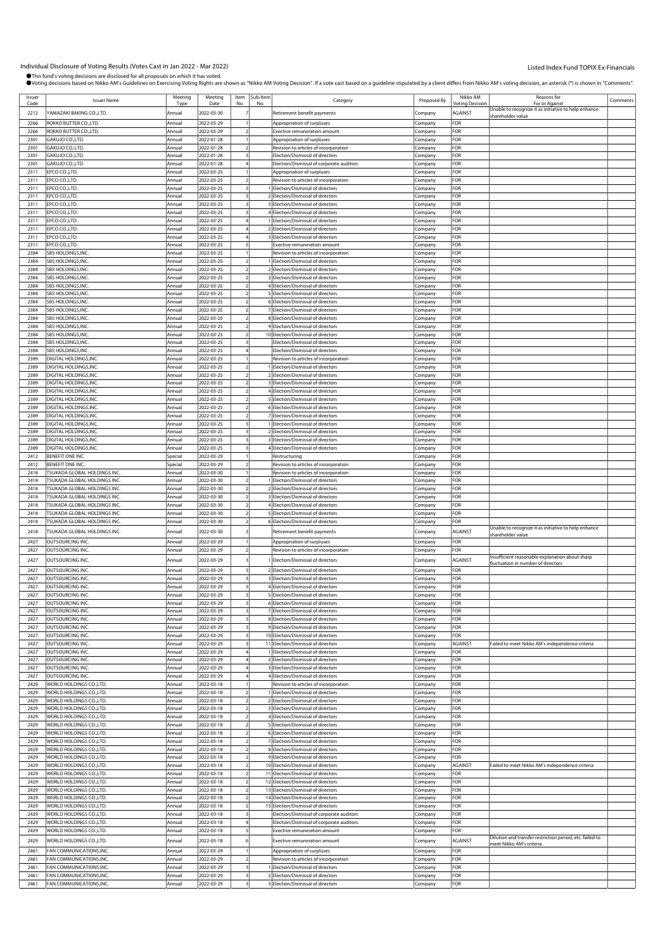| Issuer<br>Code | <b>Issuer Name</b>                                   | Meeting<br>Tvn     | Meeting<br>Date          | Item           | Sub-Item<br>No | Category                                                                   | Proposed By        | Nikko AM<br><b>Inting Decision</b> | <b>Reasons for</b><br>For or Against                                                  | Comments |
|----------------|------------------------------------------------------|--------------------|--------------------------|----------------|----------------|----------------------------------------------------------------------------|--------------------|------------------------------------|---------------------------------------------------------------------------------------|----------|
| 2212           | YAMAZAKI BAKING CO.,LTD.                             | Annual             | 2022-03-30               |                |                | Retirement benefit payments                                                | Company            | <b>AGAINST</b>                     | Jnable to recognize it as initiative to help enhance                                  |          |
|                |                                                      |                    |                          |                |                |                                                                            |                    |                                    | shareholder value                                                                     |          |
| 2266<br>2266   | ROKKO BUTTER CO.,LTD.<br>ROKKO BUTTER CO., LTD.      | Annual<br>Annual   | 2022-03-29<br>2022-03-29 |                |                | Appropriation of surpluses<br><b>Exective remuneration amount</b>          | Company            | FOR<br>FOR                         |                                                                                       |          |
| 2301           | GAKUJO CO.,LTD.                                      | Annual             | 2022-01-28               |                |                | Appropriation of surpluses                                                 | Company<br>Company | FOR                                |                                                                                       |          |
| 2301           | GAKUJO CO.,LTD.                                      | Annual             | 2022-01-28               |                |                | Revision to articles of incorporation                                      | Company            | FOR                                |                                                                                       |          |
| 2301           | GAKUJO CO.,LTD.                                      | Annual             | 2022-01-28               |                |                | Election/Dismissal of directors                                            | Company            | For                                |                                                                                       |          |
| 2301           | GAKUJO CO.,LTD.                                      | Annual             | 2022-01-28               |                |                | Election/Dismissal of corporate auditors                                   | Company            | FOR                                |                                                                                       |          |
| 2311           | EPCO CO., LTD.                                       | Annual             | 2022-03-25               |                |                | Appropriation of surpluses                                                 | Company            | FOR                                |                                                                                       |          |
| 2311           | EPCO CO.,LTD.                                        | Annual             | 2022-03-25               |                |                | Revision to articles of incorporation                                      | company.           | <b>OR</b>                          |                                                                                       |          |
| 2311           | EPCO CO., LTD.                                       | Annual             | 2022-03-25               |                |                | I Election/Dismissal of directors                                          | Company            | FOR                                |                                                                                       |          |
| 2311           | EPCO CO.,LTD.                                        | Annual             | 2022-03-25               |                |                | 2 Election/Dismissal of directors                                          | Company            | FOR                                |                                                                                       |          |
| 2311<br>2311   | EPCO CO., LTD.<br>EPCO CO., LTD.                     | Annual<br>Annual   | 2022-03-25<br>2022-03-25 |                |                | 3 Election/Dismissal of directors<br>4 Election/Dismissal of directors     | Company            | FOR<br>FOR                         |                                                                                       |          |
| 2311           | EPCO CO.,LTD.                                        | Annual             | 2022-03-25               |                |                | 1 Election/Dismissal of directors                                          | .cmpany<br>Company | FOR                                |                                                                                       |          |
| 2311           | EPCO CO.,LTD.                                        | Annual             | 2022-03-25               |                |                | 2 Election/Dismissal of directors                                          | Company            | FOR                                |                                                                                       |          |
| 2311           | EPCO CO.,LTD.                                        | Annual             | 2022-03-25               |                |                | 3 Election/Dismissal of directors                                          | Company            | FOR                                |                                                                                       |          |
| 2311           | EPCO CO.,LTD.                                        | Annual             | 2022-03-25               |                |                | <b>Exective remuneration amount</b>                                        | Company            | FOR                                |                                                                                       |          |
| 2384           | SBS HOLDINGS, INC.                                   | Annual             | 2022-03-25               |                |                | Revision to articles of incorporation                                      | Company            | FOR                                |                                                                                       |          |
| 2384           | SBS HOLDINGS, INC                                    | Annual             | 2022-03-25               |                |                | Election/Dismissal of directors                                            | ompany.            | FOR                                |                                                                                       |          |
| 2384           | SBS HOLDINGS, INC                                    | Annual             | 2022-03-25               |                |                | 2 Election/Dismissal of directors                                          | Company            | FOR                                |                                                                                       |          |
| 2384           | SBS HOLDINGS, INC.                                   | Annual             | 2022-03-25               |                |                | 3 Election/Dismissal of directors                                          | Company            | FOR                                |                                                                                       |          |
| 2384<br>2384   | SBS HOLDINGS, INC.<br>SBS HOLDINGS, INC              | Annual<br>Annual   | 2022-03-25<br>2022-03-25 |                |                | 4 Election/Dismissal of directors<br>5 Election/Dismissal of directors     | Company            | FOR<br>FOR                         |                                                                                       |          |
| 2384           | SBS HOLDINGS, INC.                                   | Annual             | 2022-03-25               |                |                | 6 Election/Dismissal of directors                                          | Company<br>:ompany | <b>OR</b>                          |                                                                                       |          |
| 2384           | SBS HOLDINGS, INC                                    | Annual             | 2022-03-25               | $\overline{2}$ |                | 7 Election/Dismissal of directors                                          | Company            | FOR                                |                                                                                       |          |
| 2384           | SBS HOLDINGS, INC.                                   | Annual             | 2022-03-25               |                |                | 8 Election/Dismissal of directors                                          | Company            | FOR                                |                                                                                       |          |
| 2384           | SBS HOLDINGS, INC.                                   | Annual             | 2022-03-25               |                |                | 9 Election/Dismissal of directors                                          | Company            | FOR                                |                                                                                       |          |
| 2384           | SBS HOLDINGS, INC                                    | Annual             | 2022-03-25               |                |                | 10 Election/Dismissal of directors                                         | Company            | FOR                                |                                                                                       |          |
| 2384           | SBS HOLDINGS, INC.                                   | Annual             | 2022-03-25               |                |                | Election/Dismissal of directors                                            | Company            | FOR                                |                                                                                       |          |
| 2384           | SBS HOLDINGS, INC.                                   | Annual             | 2022-03-25               |                |                | Election/Dismissal of directors                                            | .cmpany            | FOR                                |                                                                                       |          |
| 2389           | DIGITAL HOLDINGS, INC.                               | Annual             | 2022-03-25               |                |                | Revision to articles of incorporation                                      | Company            | FOR                                |                                                                                       |          |
| 2389<br>2389   | DIGITAL HOLDINGS, INC.<br>DIGITAL HOLDINGS, INC.     | Annual<br>Annual   | 2022-03-25               |                |                | Election/Dismissal of directors<br>2 Election/Dismissal of directors       | ompany:            | FOR<br>FOR                         |                                                                                       |          |
| 2389           | DIGITAL HOLDINGS, INC.                               | Annual             | 2022-03-25<br>2022-03-25 |                |                | 3 Election/Dismissal of directors                                          | Company<br>company | FOR                                |                                                                                       |          |
| 2389           | DIGITAL HOLDINGS, INC.                               | Annual             | 2022-03-25               |                |                | 4 Election/Dismissal of directors                                          | Company            | FOR                                |                                                                                       |          |
| 2389           | DIGITAL HOLDINGS, INC.                               | Annual             | 2022-03-25               |                |                | 5 Election/Dismissal of directors                                          | Company            | For                                |                                                                                       |          |
| 2389           | DIGITAL HOLDINGS, INC.                               | Annual             | 2022-03-25               |                |                | 6 Election/Dismissal of directors                                          | Company            | FOR                                |                                                                                       |          |
| 2389           | DIGITAL HOLDINGS, INC.                               | Annual             | 2022-03-25               |                |                | 7 Election/Dismissal of directors                                          | Company            | FOR                                |                                                                                       |          |
| 2389           | DIGITAL HOLDINGS, INC.                               | Annual             | 2022-03-25               |                |                | Election/Dismissal of directors                                            | company            | FOR                                |                                                                                       |          |
| 2389           | DIGITAL HOLDINGS, INC.                               | Annual             | 2022-03-25               |                |                | 2 Election/Dismissal of directors                                          | .ompany            | FOR                                |                                                                                       |          |
| 2389           | DIGITAL HOLDINGS, INC.                               | Annual             | 2022-03-25               |                |                | 3 Election/Dismissal of directors                                          | Company            | FOR                                |                                                                                       |          |
| 2389<br>2412   | DIGITAL HOLDINGS, INC.                               | Annual             | 2022-03-25               |                |                | 4 Election/Dismissal of directors                                          | Company            | FOR<br>FOR                         |                                                                                       |          |
| 2412           | BENEFIT ONE INC.<br>BENEFIT ONE INC.                 | Special<br>Special | 2022-03-29<br>2022-03-29 |                |                | Restructuring<br>Revision to articles of incorporation                     | Company<br>Company | FOR                                |                                                                                       |          |
| 2418           | TSUKADA GLOBAL HOLDINGS INC.                         | Annual             | 2022-03-30               |                |                | Revision to articles of incorporation                                      | .cmpany            | FOR                                |                                                                                       |          |
| 2418           | <b>FSUKADA GLOBAL HOLDINGS INC.</b>                  | Annual             | 2022-03-30               |                |                | Election/Dismissal of directors                                            | Company            | FOR                                |                                                                                       |          |
| 2418           | TSUKADA GLOBAL HOLDINGS INC.                         | Annual             | 2022-03-30               |                |                | 2 Election/Dismissal of directors                                          | :ompany            | FOR                                |                                                                                       |          |
| 2418           | TSUKADA GLOBAL HOLDINGS INC.                         | Annual             | 2022-03-30               |                |                | 3 Election/Dismissal of directors                                          | Company            | FOR                                |                                                                                       |          |
| 2418           | <b>FSUKADA GLOBAL HOLDINGS INC.</b>                  | Annual             | 2022-03-30               |                |                | 4 Election/Dismissal of directors                                          | company            | FOR                                |                                                                                       |          |
| 2418           | TSUKADA GLOBAL HOLDINGS INC.                         | Annual             | 2022-03-30               |                |                | 5 Election/Dismissal of directors                                          | .cmpany            | FOR                                |                                                                                       |          |
| 2418           | TSUKADA GLOBAL HOLDINGS INC.                         | Annual             | 2022-03-30               |                |                | 6 Election/Dismissal of directors                                          | Company            | FOR                                | Unable to recognize it as initiative to help enhance                                  |          |
| 2418           | TSUKADA GLOBAL HOLDINGS INC.                         | Annual             | 2022-03-30               |                |                | Retirement benefit payments                                                | Company            | <b>AGAINST</b>                     | hareholder value                                                                      |          |
| 2427           | OUTSOURCING INC.                                     | Annual             | 2022-03-29               |                |                | Appropriation of surpluses                                                 | Company            | FOR                                |                                                                                       |          |
| 2427           | OUTSOURCING INC.                                     | Annual             | 2022-03-29               |                |                | Revision to articles of incorporation                                      | Company            | FOR                                |                                                                                       |          |
| 2427           | OUTSOURCING INC.                                     | Annual             | 2022-03-29               |                |                | Election/Dismissal of directors                                            | Company            | AGAINST                            | Insufficient reasonable explanation about sharp<br>fluctuation in number of directors |          |
| 2427           | OUTSOURCING INC.                                     | Annual             | 2022-03-29               |                |                | 2 Election/Dismissal of directors                                          | Company            | FOR                                |                                                                                       |          |
| 2427           | OUTSOURCING INC                                      | Annual             | 2022-03-29               |                |                | 3 Election/Dismissal of directors                                          | Company            | FOR                                |                                                                                       |          |
| 2427           | OUTSOURCING INC.                                     | Annual             | 2022-03-29               |                |                | 4 Election/Dismissal of directors                                          | Company            | FOR                                |                                                                                       |          |
| 2427           | OUTSOURCING INC.                                     | Annual             | 2022-03-29               |                |                | 5 Election/Dismissal of directors                                          | Company            | FOR                                |                                                                                       |          |
| 2427           | OUTSOURCING INC.                                     | Annual             | 2022-03-29               |                |                | 6 Election/Dismissal of directors                                          | Company            | FOR                                |                                                                                       |          |
| 2427<br>2427   | OUTSOURCING INC.<br>OUTSOURCING INC.                 | Annual<br>Annual   | 2022-03-29<br>2022-03-29 | 3              |                | 7 Election/Dismissal of directors<br>8 Election/Dismissal of directors     | Company<br>Company | FOR<br>FOR                         |                                                                                       |          |
| 2427           | OUTSOURCING INC.                                     | Annual             | 2022-03-29               |                |                | 9 Election/Dismissal of directors                                          | Company            | FOR                                |                                                                                       |          |
| 2427           | OUTSOURCING INC.                                     | Annual             | 2022-03-29               |                |                | 10 Election/Dismissal of directors                                         | Company            | FOR                                |                                                                                       |          |
| 2427           | OUTSOURCING INC.                                     | Annual             | 2022-03-29               |                |                | 11 Election/Dismissal of directors                                         | Company            | AGAINST                            | ailed to meet Nikko AM's independence criteria                                        |          |
| 2427           | OUTSOURCING INC.                                     | Annual             | 2022-03-29               | $\overline{4}$ |                | 1 Election/Dismissal of directors                                          | Company            | FOR                                |                                                                                       |          |
| 2427           | OUTSOURCING INC.                                     | Annual             | 2022-03-29               |                |                | 2 Election/Dismissal of directors                                          | Company            | FOR                                |                                                                                       |          |
| 2427           | OUTSOURCING INC.                                     | Annual             | 2022-03-29               |                |                | 3 Election/Dismissal of directors                                          | Company            | FOR                                |                                                                                       |          |
| 2427<br>2429   | OUTSOURCING INC.<br>WORLD HOLDINGS CO., LTD.         | Annual<br>Annual   | 2022-03-29<br>2022-03-18 |                |                | 4 Election/Dismissal of directors<br>Revision to articles of incorporation | Company            | FOR<br>FOR                         |                                                                                       |          |
| 2429           | WORLD HOLDINGS CO., LTD.                             | Annual             | 2022-03-18               | $\overline{2}$ |                | 1 Election/Dismissal of directors                                          | Company<br>Company | FOR                                |                                                                                       |          |
| 2429           | WORLD HOLDINGS CO., LTD.                             | Annual             | 2022-03-18               |                |                | 2 Election/Dismissal of directors                                          | Company            | FOR                                |                                                                                       |          |
| 2429           | WORLD HOLDINGS CO., LTD.                             | Annual             | 2022-03-18               |                |                | 3 Election/Dismissal of directors                                          | company            | FOR                                |                                                                                       |          |
| 2429           | WORLD HOLDINGS CO., LTD.                             | Annual             | 2022-03-18               |                |                | 4 Election/Dismissal of directors                                          | Company            | FOR                                |                                                                                       |          |
| 2429           | WORLD HOLDINGS CO., LTD.                             | Annual             | 2022-03-18               |                |                | 5 Election/Dismissal of directors                                          | company            | FOR                                |                                                                                       |          |
| 2429           | WORLD HOLDINGS CO., LTD.                             | Annual             | 2022-03-18               | $\overline{2}$ |                | 6 Election/Dismissal of directors                                          | Company            | FOR                                |                                                                                       |          |
| 2429           | WORLD HOLDINGS CO., LTD.                             | Annual             | 2022-03-18               | $\overline{2}$ |                | 7 Election/Dismissal of directors                                          | Company            | FOR                                |                                                                                       |          |
| 2429           | WORLD HOLDINGS CO., LTD.                             | Annual             | 2022-03-18               |                |                | 8 Election/Dismissal of directors                                          | Company            | FOR<br>FOR                         |                                                                                       |          |
| 2429<br>2429   | WORLD HOLDINGS CO., LTD.<br>WORLD HOLDINGS CO., LTD. | Annual<br>Annual   | 2022-03-18<br>2022-03-18 |                |                | 9 Election/Dismissal of directors<br>10 Election/Dismissal of directors    | Company<br>Company | AGAINST                            | ailed to meet Nikko AM's independence criteria                                        |          |
| 2429           | WORLD HOLDINGS CO., LTD.                             | Annual             | 2022-03-18               | $\overline{2}$ |                | 11 Election/Dismissal of directors                                         | Company            | FOR                                |                                                                                       |          |
| 2429           | WORLD HOLDINGS CO., LTD.                             | Annual             | 2022-03-18               |                |                | 12 Election/Dismissal of directors                                         | Company            | FOR                                |                                                                                       |          |
| 2429           | WORLD HOLDINGS CO., LTD.                             | Annual             | 2022-03-18               |                |                | 13 Election/Dismissal of directors                                         | Company            | FOR                                |                                                                                       |          |
| 2429           | WORLD HOLDINGS CO., LTD.                             | Annual             | 2022-03-18               |                |                | 14 Election/Dismissal of directors                                         | Company            | FOR                                |                                                                                       |          |
| 2429           | WORLD HOLDINGS CO., LTD.                             | Annual             | 2022-03-18               |                |                | 15 Election/Dismissal of directors                                         | Company            | FOR                                |                                                                                       |          |
| 2429           | WORLD HOLDINGS CO., LTD.                             | Annual             | 2022-03-18               | 3              |                | Election/Dismissal of corporate auditors                                   | Company            | FOR                                |                                                                                       |          |
| 2429           | WORLD HOLDINGS CO.,LTD.                              | Annual             | 2022-03-18               |                |                | Election/Dismissal of corporate auditors                                   | Company            | FOR                                |                                                                                       |          |
| 2429           | WORLD HOLDINGS CO., LTD.                             | Annual             | 2022-03-18               |                |                | <b>Exective remuneration amount</b>                                        | Company            | FOR                                | Dilution and transfer restriction period, etc. failed to                              |          |
| 2429           | WORLD HOLDINGS CO., LTD.                             | Annual             | 2022-03-18               |                |                | <b>Exective remuneration amount</b>                                        | Company            | AGAINST                            | meet Nikko AM's criteria                                                              |          |
| 2461           | FAN COMMUNICATIONS, INC.                             | Annual             | 2022-03-29               |                |                | Appropriation of surpluses                                                 | Company            | FOR                                |                                                                                       |          |
| 2461           | FAN COMMUNICATIONS, INC.                             | Annual             | 2022-03-29               |                |                | Revision to articles of incorporation                                      | company.           | FOR                                |                                                                                       |          |
| 2461<br>2461   | FAN COMMUNICATIONS, INC.<br>FAN COMMUNICATIONS, INC. | Annual<br>Annual   | 2022-03-29<br>2022-03-29 |                |                | I Election/Dismissal of directors<br>2 Election/Dismissal of directors     | Company<br>Company | FOR<br>FOR                         |                                                                                       |          |
| 2461           | FAN COMMUNICATIONS, INC.                             | Annual             | 2022-03-29               |                |                | 3 Election/Dismissal of directors                                          | Company            | FOR                                |                                                                                       |          |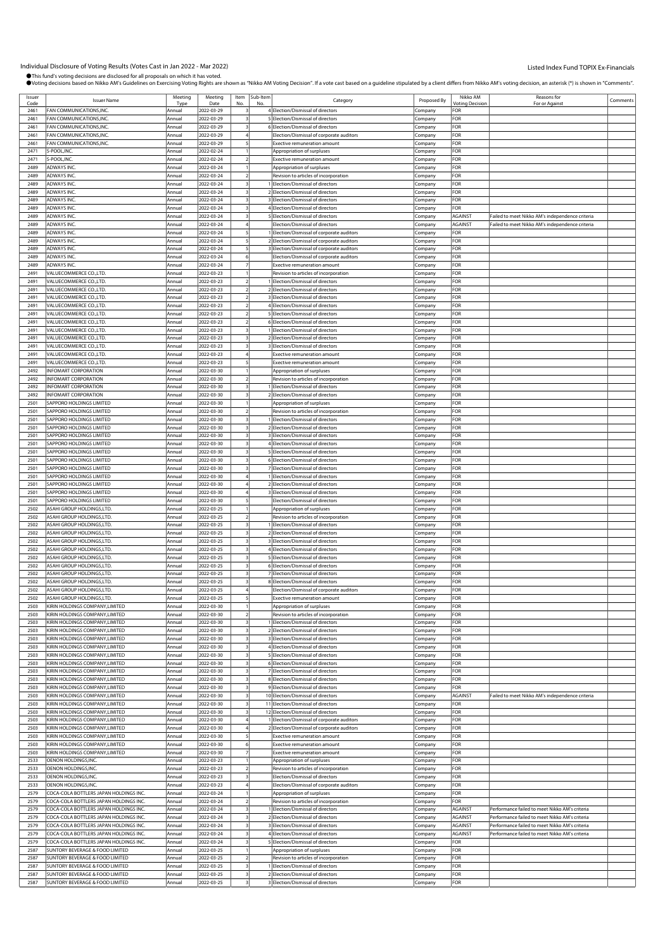| Issue<br>Code | <b>Issuer Name</b>                     | Meeting<br>Type | Meeting<br>Date | Item<br>No              | Sub-Item<br>No | Category                                   | Proposed By | Nikko AM<br><b>Voting Decision</b> | Reasons for<br>For or Against                   | Comments |
|---------------|----------------------------------------|-----------------|-----------------|-------------------------|----------------|--------------------------------------------|-------------|------------------------------------|-------------------------------------------------|----------|
| 2461          | FAN COMMUNICATIONS, INC.               | Annual          | 2022-03-29      |                         |                | 4 Election/Dismissal of directors          | Company     | FOR                                |                                                 |          |
|               |                                        |                 |                 |                         |                |                                            |             |                                    |                                                 |          |
| 2461          | FAN COMMUNICATIONS,INC                 | Annual          | 2022-03-29      |                         |                | 5 Election/Dismissal of directors          | :ompany     | FOR                                |                                                 |          |
| 2461          | FAN COMMUNICATIONS, INC.               | Annual          | 2022-03-29      |                         |                | 6 Election/Dismissal of directors          | Company     | FOR                                |                                                 |          |
| 2461          | FAN COMMUNICATIONS, INC.               | Annual          | 2022-03-29      |                         |                | Election/Dismissal of corporate auditors   | Company     | FOR                                |                                                 |          |
| 2461          | FAN COMMUNICATIONS, INC.               | Annual          | 2022-03-29      |                         |                | Exective remuneration amount               | Company     | FOR                                |                                                 |          |
| 2471          | S-POOL, INC.                           | Annual          | 2022-02-24      |                         |                | Appropriation of surpluses                 | .ompany     | FOR                                |                                                 |          |
| 2471          | S-POOL, INC.                           | Annual          | 2022-02-24      |                         |                | <b>Exective remuneration amount</b>        | .<br>ompany | FOR                                |                                                 |          |
|               |                                        |                 |                 |                         |                |                                            |             |                                    |                                                 |          |
| 2489          | ADWAYS INC.                            | Annual          | 2022-03-24      |                         |                | Appropriation of surpluses                 | Company     | FOR                                |                                                 |          |
| 2489          | ADWAYS INC.                            | Annual          | 2022-03-24      |                         |                | Revision to articles of incorporation      | Company     | FOR                                |                                                 |          |
| 2489          | ADWAYS INC.                            | Annual          | 2022-03-24      |                         |                | 1 Election/Dismissal of directors          | Company     | FOR                                |                                                 |          |
| 2489          | ADWAYS INC.                            | Annual          | 2022-03-24      |                         |                | 2 Election/Dismissal of directors          | .ompany     | FOR                                |                                                 |          |
| 2489          | ADWAYS INC.                            | Annual          | 2022-03-24      |                         |                | 3 Election/Dismissal of directors          | :ompany     | FOR                                |                                                 |          |
| 2489          | ADWAYS INC.                            | Annual          | 2022-03-24      |                         |                | 4 Election/Dismissal of directors          | Company     | FOR                                |                                                 |          |
|               |                                        |                 |                 |                         |                |                                            |             |                                    |                                                 |          |
| 2489          | ADWAYS INC.                            | Annual          | 2022-03-24      |                         |                | 5 Election/Dismissal of directors          | Company     | <b>AGAINST</b>                     | Failed to meet Nikko AM's independence criteria |          |
| 2489          | ADWAYS INC.                            | Annual          | 2022-03-24      |                         |                | Election/Dismissal of directors            | Company     | <b>AGAINST</b>                     | Failed to meet Nikko AM's independence criteria |          |
| 2489          | ADWAYS INC.                            | Annual          | 2022-03-24      |                         |                | I Election/Dismissal of corporate auditors | Company     | FOR                                |                                                 |          |
| 2489          | ADWAYS INC.                            | Annual          | 2022-03-24      |                         |                | 2 Election/Dismissal of corporate auditors | Company     | FOR                                |                                                 |          |
| 2489          | ADWAYS INC.                            | Annual          | 2022-03-24      |                         |                | 3 Election/Dismissal of corporate auditors | Company     | FOR                                |                                                 |          |
| 2489          | ADWAYS INC.                            | Annual          | 2022-03-24      |                         |                | Election/Dismissal of corporate auditors   | Company     | FOR                                |                                                 |          |
| 2489          | ADWAYS INC.                            | Annual          | 2022-03-24      |                         |                | Exective remuneration amount               | Company     | FOR                                |                                                 |          |
|               |                                        |                 |                 |                         |                |                                            |             |                                    |                                                 |          |
| 2491          | VALUECOMMERCE CO.,LTD.                 | Annual          | 2022-03-23      |                         |                | Revision to articles of incorporation      | .ompany     | FOR                                |                                                 |          |
| 2491          | VALUECOMMERCE CO., LTD.                | Annual          | 2022-03-23      |                         |                | 1 Election/Dismissal of directors          | .ompany     | FOR                                |                                                 |          |
| 2491          | VALUECOMMERCE CO.,LTD.                 | Annual          | 2022-03-23      |                         |                | 2 Election/Dismissal of directors          | Company     | FOR                                |                                                 |          |
| 2491          | VALUECOMMERCE CO.,LTD.                 | Annual          | 2022-03-23      |                         |                | 3 Election/Dismissal of directors          | Company     | FOR                                |                                                 |          |
| 2491          | VALUECOMMERCE CO.,LTD.                 | Annual          | 2022-03-23      |                         |                | 4 Election/Dismissal of directors          | Company     | FOR                                |                                                 |          |
| 2491          | VALUECOMMERCE CO., LTD.                | Annual          | 2022-03-23      |                         |                | 5 Election/Dismissal of directors          |             | FOR                                |                                                 |          |
|               |                                        |                 |                 |                         |                |                                            | .ompany     |                                    |                                                 |          |
| 249           | VALUECOMMERCE CO., LTD.                | Annual          | 2022-03-23      |                         |                | 6 Election/Dismissal of directors          | .<br>ompany | FOR                                |                                                 |          |
| 2491          | VALUECOMMERCE CO.,LTD.                 | Annual          | 2022-03-23      |                         |                | 1 Election/Dismissal of directors          | Company     | FOR                                |                                                 |          |
| 2491          | VALUECOMMERCE CO.,LTD.                 | Annual          | 2022-03-23      |                         |                | 2 Election/Dismissal of directors          | Company     | FOR                                |                                                 |          |
| 2491          | VALUECOMMERCE CO.,LTD.                 | Annual          | 2022-03-23      |                         |                | 3 Election/Dismissal of directors          | Company     | FOR                                |                                                 |          |
| 2491          | VALUECOMMERCE CO., LTD.                | Annual          | 2022-03-23      |                         |                | Exective remuneration amount               | .cmpany     | FOR                                |                                                 |          |
| 249           | VALUECOMMERCE CO., LTD.                |                 | 2022-03-23      |                         |                | Exective remuneration amount               |             | FOR                                |                                                 |          |
|               | <b>INFOMART CORPORATION</b>            | Annual          |                 |                         |                |                                            | .<br>ompany |                                    |                                                 |          |
| 2492          |                                        | Annual          | 2022-03-30      |                         |                | Appropriation of surpluses                 | Company     | FOR                                |                                                 |          |
| 2492          | <b>INFOMART CORPORATION</b>            | Annual          | 2022-03-30      |                         |                | Revision to articles of incorporation      | Company     | FOR                                |                                                 |          |
| 2492          | <b>INFOMART CORPORATION</b>            | Annual          | 2022-03-30      |                         |                | 1 Election/Dismissal of directors          | Company     | FOR                                |                                                 |          |
| 2492          | <b>INFOMART CORPORATION</b>            | Annual          | 2022-03-30      |                         |                | 2 Election/Dismissal of directors          | .ompany     | FOR                                |                                                 |          |
| 2501          | SAPPORO HOLDINGS LIMITED               | Annual          | 2022-03-30      |                         |                | Appropriation of surpluses                 | :ompany     | FOR                                |                                                 |          |
| 2501          | SAPPORO HOLDINGS LIMITED               | Annual          | 2022-03-30      |                         |                | Revision to articles of incorporation      | Company     | FOR                                |                                                 |          |
| 2501          | SAPPORO HOLDINGS LIMITED               | Annual          |                 |                         |                | 1 Election/Dismissal of directors          |             | FOR                                |                                                 |          |
|               |                                        |                 | 2022-03-30      |                         |                |                                            | Company     |                                    |                                                 |          |
| 2501          | SAPPORO HOLDINGS LIMITED               | Annual          | 2022-03-30      |                         |                | 2 Election/Dismissal of directors          | Company     | FOR                                |                                                 |          |
| 2501          | SAPPORO HOLDINGS LIMITED               | Annual          | 2022-03-30      |                         |                | 3 Election/Dismissal of directors          | Company     | FOR                                |                                                 |          |
| 250           | SAPPORO HOLDINGS LIMITED               | Annual          | 2022-03-30      |                         |                | 4 Election/Dismissal of directors          | .ompany     | FOR                                |                                                 |          |
| 2501          | SAPPORO HOLDINGS LIMITED               | Annual          | 2022-03-30      |                         |                | 5 Election/Dismissal of directors          | Company     | FOR                                |                                                 |          |
| 2501          | SAPPORO HOLDINGS LIMITED               | Annual          | 2022-03-30      |                         |                | 6 Election/Dismissal of directors          | Company     | FOR                                |                                                 |          |
| 2501          | SAPPORO HOLDINGS LIMITED               | Annual          | 2022-03-30      |                         |                | 7 Election/Dismissal of directors          | Company     | FOR                                |                                                 |          |
|               |                                        |                 |                 |                         |                |                                            |             |                                    |                                                 |          |
| 2501          | SAPPORO HOLDINGS LIMITED               | Annual          | 2022-03-30      |                         |                | 1 Election/Dismissal of directors          | Company     | FOR                                |                                                 |          |
| 250           | SAPPORO HOLDINGS LIMITED               | Annual          | 2022-03-30      |                         |                | 2 Election/Dismissal of directors          | .ompany     | FOR                                |                                                 |          |
| 2501          | SAPPORO HOLDINGS LIMITED               | Annual          | 2022-03-30      |                         |                | 3 Election/Dismissal of directors          | Company     | FOR                                |                                                 |          |
| 2501          | SAPPORO HOLDINGS LIMITED               | Annual          | 2022-03-30      |                         |                | Election/Dismissal of directors            | Company     | FOR                                |                                                 |          |
| 2502          | ASAHI GROUP HOLDINGS,LTD.              | Annual          | 2022-03-25      |                         |                | Appropriation of surpluses                 | Company     | FOR                                |                                                 |          |
| 2502          | ASAHI GROUP HOLDINGS,LTD               |                 | 2022-03-25      |                         |                | Revision to articles of incorporation      |             | FOR                                |                                                 |          |
|               |                                        | Annual          |                 |                         |                |                                            | Company     |                                    |                                                 |          |
| 2502          | ASAHI GROUP HOLDINGS,LTD.              | Annual          | 2022-03-25      |                         |                | 1 Election/Dismissal of directors          | .ompany     | FOR                                |                                                 |          |
| 2502          | ASAHI GROUP HOLDINGS,LTD.              | Annual          | 2022-03-25      |                         |                | 2 Election/Dismissal of directors          | Company     | FOR                                |                                                 |          |
| 2502          | ASAHI GROUP HOLDINGS, LTD.             | Annual          | 2022-03-25      |                         |                | 3 Election/Dismissal of directors          | Company     | FOR                                |                                                 |          |
| 2502          | ASAHI GROUP HOLDINGS,LTD.              | Annual          | 2022-03-25      |                         |                | 4 Election/Dismissal of directors          | Company     | FOR                                |                                                 |          |
| 2502          | ASAHI GROUP HOLDINGS,LTD               | Annual          | 2022-03-25      |                         |                | 5 Election/Dismissal of directors          | Company     | FOR                                |                                                 |          |
| 2502          | ASAHI GROUP HOLDINGS,LTD.              | Annual          | 2022-03-25      |                         |                | 6 Election/Dismissal of directors          |             | FOR                                |                                                 |          |
|               |                                        |                 |                 |                         |                |                                            | .ompany     | FOR                                |                                                 |          |
| 2502          | ASAHI GROUP HOLDINGS, LTD.             | Annual          | 2022-03-25      |                         |                | 7 Election/Dismissal of directors          | Company     |                                    |                                                 |          |
| 2502          | ASAHI GROUP HOLDINGS, LTD.             | Annual          | 2022-03-25      |                         |                | 8 Election/Dismissal of directors          | Company     | FOR                                |                                                 |          |
| 2502          | ASAHI GROUP HOLDINGS, LTD.             | Annual          | 2022-03-25      |                         |                | Election/Dismissal of corporate auditors   | Company     | FOR                                |                                                 |          |
| 2502          | ASAHI GROUP HOLDINGS, LTD.             | Annual          | 2022-03-25      |                         |                | Exective remuneration amount               | Company     | FOR                                |                                                 |          |
| 2503          | KIRIN HOLDINGS COMPANY, LIMITED        | Annual          | 2022-03-30      |                         |                | Appropriation of surpluses                 | Company     | FOR                                |                                                 |          |
| 2503          | KIRIN HOLDINGS COMPANY, LIMITED        | Annual          | 2022-03-30      |                         |                | Revision to articles of incorporation      | Company     | FOR                                |                                                 |          |
| 2503          | KIRIN HOLDINGS COMPANY, LIMITED        |                 |                 | 3                       |                |                                            |             | FOR                                |                                                 |          |
|               |                                        | Annual          | 2022-03-30      |                         |                | 1 Election/Dismissal of directors          | Company     |                                    |                                                 |          |
| 2503          | KIRIN HOLDINGS COMPANY, LIMITED        | Annual          | 2022-03-30      | 3                       |                | 2 Election/Dismissal of directors          | Company     | FOR                                |                                                 |          |
| 2503          | KIRIN HOLDINGS COMPANY, LIMITED        | Annual          | 2022-03-30      |                         |                | 3 Election/Dismissal of directors          | Company     | FOR                                |                                                 |          |
| 2503          | KIRIN HOLDINGS COMPANY, LIMITED        | Annual          | 2022-03-30      |                         |                | 4 Election/Dismissal of directors          | Company     | FOR                                |                                                 |          |
| 2503          | KIRIN HOLDINGS COMPANY, LIMITED        | Annual          | 2022-03-30      | 3                       |                | 5 Election/Dismissal of directors          | Company     | FOR                                |                                                 |          |
| 2503          | KIRIN HOLDINGS COMPANY, LIMITED        | Annual          | 2022-03-30      | 3                       |                | 6 Election/Dismissal of directors          | Company     | FOR                                |                                                 |          |
| 2503          | KIRIN HOLDINGS COMPANY, LIMITED        | Annual          | 2022-03-30      | 3                       |                | 7 Election/Dismissal of directors          | Company     | FOR                                |                                                 |          |
| 2503          | KIRIN HOLDINGS COMPANY, LIMITED        | Annual          | 2022-03-30      |                         |                | 8 Election/Dismissal of directors          |             | FOR                                |                                                 |          |
|               |                                        |                 |                 |                         |                |                                            | Company     |                                    |                                                 |          |
| 2503          | KIRIN HOLDINGS COMPANY, LIMITED        | Annual          | 2022-03-30      |                         |                | 9 Election/Dismissal of directors          | Company     | FOR                                |                                                 |          |
| 2503          | KIRIN HOLDINGS COMPANY, LIMITED        | Annual          | 2022-03-30      | 3                       |                | 10 Election/Dismissal of directors         | Company     | <b>AGAINST</b>                     | Failed to meet Nikko AM's independence criteria |          |
| 2503          | KIRIN HOLDINGS COMPANY, LIMITED        | Annual          | 2022-03-30      | $\overline{\mathbf{3}}$ |                | 11 Election/Dismissal of directors         | Company     | FOR                                |                                                 |          |
| 2503          | KIRIN HOLDINGS COMPANY, LIMITED        | Annual          | 2022-03-30      |                         |                | 12 Election/Dismissal of directors         | Company     | FOR                                |                                                 |          |
| 2503          | KIRIN HOLDINGS COMPANY, LIMITED        | Annual          | 2022-03-30      |                         |                | 1 Election/Dismissal of corporate auditors | Company     | FOR                                |                                                 |          |
| 2503          | KIRIN HOLDINGS COMPANY, LIMITED        | Annual          | 2022-03-30      |                         |                | 2 Election/Dismissal of corporate auditors | Company     | FOR                                |                                                 |          |
| 2503          | KIRIN HOLDINGS COMPANY, LIMITED        |                 | 2022-03-30      |                         |                |                                            |             | FOR                                |                                                 |          |
|               |                                        | Annual          |                 |                         |                | Exective remuneration amount               | Company     |                                    |                                                 |          |
| 2503          | KIRIN HOLDINGS COMPANY, LIMITED        | Annual          | 2022-03-30      | 6                       |                | Exective remuneration amount               | Company     | FOR                                |                                                 |          |
| 2503          | KIRIN HOLDINGS COMPANY, LIMITED        | Annual          | 2022-03-30      | $\overline{7}$          |                | <b>Exective remuneration amount</b>        | Company     | FOR                                |                                                 |          |
| 2533          | OENON HOLDINGS, INC                    | Annual          | 2022-03-23      |                         |                | Appropriation of surpluses                 | Company     | FOR                                |                                                 |          |
| 2533          | OENON HOLDINGS, INC.                   | Annual          | 2022-03-23      |                         |                | Revision to articles of incorporation      | Company     | FOR                                |                                                 |          |
| 2533          | OENON HOLDINGS, INC.                   | Annual          | 2022-03-23      | 3                       |                | Election/Dismissal of directors            | Company     | FOR                                |                                                 |          |
| 2533          | OENON HOLDINGS, INC.                   | Annual          | 2022-03-23      |                         |                | Election/Dismissal of corporate auditors   | Company     | FOR                                |                                                 |          |
|               |                                        |                 |                 |                         |                |                                            |             |                                    |                                                 |          |
| 2579          | COCA-COLA BOTTLERS JAPAN HOLDINGS INC. | Annual          | 2022-03-24      |                         |                | Appropriation of surpluses                 | Company     | FOR                                |                                                 |          |
| 2579          | COCA-COLA BOTTLERS JAPAN HOLDINGS INC. | Annual          | 2022-03-24      |                         |                | Revision to articles of incorporation      | Company     | FOR                                |                                                 |          |
| 2579          | COCA-COLA BOTTLERS JAPAN HOLDINGS INC. | Annual          | 2022-03-24      |                         |                | 1 Election/Dismissal of directors          | Company     | <b>AGAINST</b>                     | Performance failed to meet Nikko AM's criteria  |          |
| 2579          | COCA-COLA BOTTLERS JAPAN HOLDINGS INC. | Annual          | 2022-03-24      | 3                       |                | 2 Election/Dismissal of directors          | Company     | <b>AGAINST</b>                     | Performance failed to meet Nikko AM's criteria  |          |
| 2579          | COCA-COLA BOTTLERS JAPAN HOLDINGS INC. | Annual          | 2022-03-24      |                         |                | 3 Election/Dismissal of directors          | Company     | <b>AGAINST</b>                     | Performance failed to meet Nikko AM's criteria  |          |
| 2579          | COCA-COLA BOTTLERS JAPAN HOLDINGS INC. | Annual          | 2022-03-24      | 3                       |                | 4 Election/Dismissal of directors          | Company     | AGAINST                            | Performance failed to meet Nikko AM's criteria  |          |
| 2579          |                                        |                 |                 |                         |                |                                            |             | FOR                                |                                                 |          |
|               | COCA-COLA BOTTLERS JAPAN HOLDINGS INC. | Annual          | 2022-03-24      |                         |                | 5 Election/Dismissal of directors          | Company     |                                    |                                                 |          |
| 2587          | SUNTORY BEVERAGE & FOOD LIMITED        | Annual          | 2022-03-25      |                         |                | Appropriation of surpluses                 | Company     | FOR                                |                                                 |          |
| 2587          | SUNTORY BEVERAGE & FOOD LIMITED        | Annual          | 2022-03-25      |                         |                | Revision to articles of incorporation      | Company     | FOR                                |                                                 |          |
| 2587          | SUNTORY BEVERAGE & FOOD LIMITED        | Annual          | 2022-03-25      |                         |                | 1 Election/Dismissal of directors          | Company     | FOR                                |                                                 |          |
| 2587          | SUNTORY BEVERAGE & FOOD LIMITED        | Annual          | 2022-03-25      | 3                       |                | 2 Election/Dismissal of directors          | Company     | FOR                                |                                                 |          |
| 2587          | SUNTORY BEVERAGE & FOOD LIMITED        | Annual          | 2022-03-25      | $\overline{\mathbf{3}}$ |                | 3 Election/Dismissal of directors          | Company     | FOR                                |                                                 |          |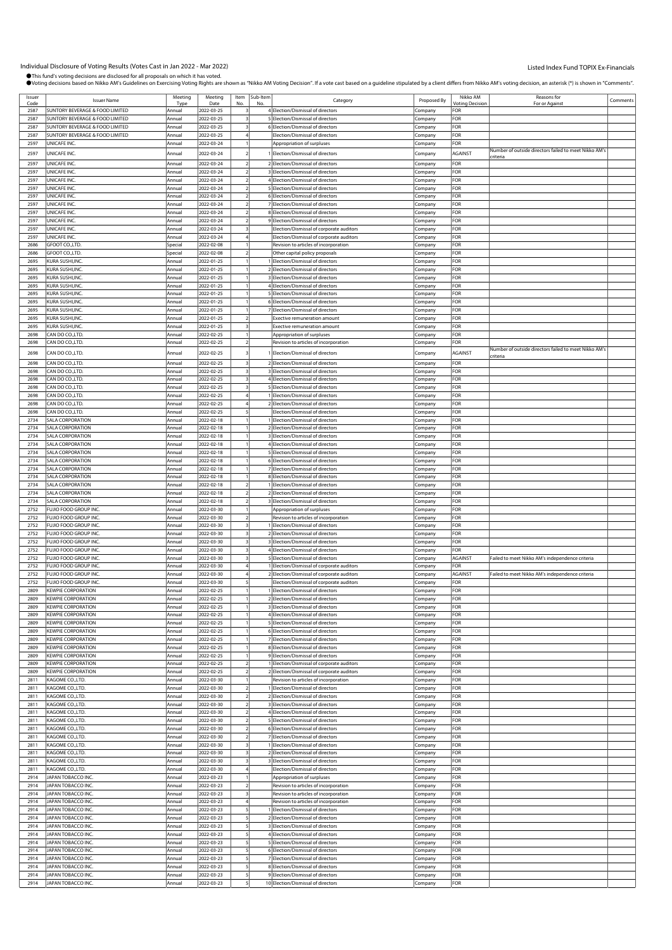Individual Disclosure of Voting Results (Votes Cast in Jan 2022 - Mar 2022)<br>●This fund's voting decisions are disclosed for all proposals on which it has voted. rn as "Nikko AM Voting Decision". If a vote cast based on a quideline stipulated by a client differs from Nikko AM's voting decision, an asterisk (") is shown in "Comments".

|              |                                                        |                  |                          |                |                     | roung accisions based on mikko Am Sandemics on Ekcressing voulginging are shown as imikko Am voulg becision . In a voic cast based on a galacime supulated by a client amers nonn mikko Am s voulg accision, an ascensing (713 |                    |                            |                                                       |          |
|--------------|--------------------------------------------------------|------------------|--------------------------|----------------|---------------------|--------------------------------------------------------------------------------------------------------------------------------------------------------------------------------------------------------------------------------|--------------------|----------------------------|-------------------------------------------------------|----------|
| Issuer       | <b>Issuer Name</b>                                     | Meeting<br>Type  | Meeting<br>Date          | No             | Item Sub-Item<br>No | Category                                                                                                                                                                                                                       | Proposed By        | Nikko AM<br>'oting Decisio | Reasons for<br>For or Against                         | Comments |
| 2587         | SUNTORY BEVERAGE & FOOD LIMITED                        | Annual           | 2022-03-25               |                |                     | 4 Election/Dismissal of directors                                                                                                                                                                                              | Company            | FOR                        |                                                       |          |
| 2587         | SUNTORY BEVERAGE & FOOD LIMITED                        | Annual           | 2022-03-25               |                |                     | 5 Election/Dismissal of directors                                                                                                                                                                                              | Company            | FOR                        |                                                       |          |
| 2587         | SUNTORY BEVERAGE & FOOD LIMITED                        | Annual           | 2022-03-25               |                |                     | 6 Election/Dismissal of directors                                                                                                                                                                                              | Company            | FOR                        |                                                       |          |
| 2587         | SUNTORY BEVERAGE & FOOD LIMITED                        | Annual           | 2022-03-25               |                |                     | Election/Dismissal of directors                                                                                                                                                                                                | Company            | OR                         |                                                       |          |
| 2597         | UNICAFE INC.                                           | Annual           | 2022-03-24               |                |                     | Appropriation of surpluses                                                                                                                                                                                                     | Company            | FOR                        | Number of outside directors failed to meet Nikko AM's |          |
| 2597         | UNICAFE INC.                                           | Annual           | 2022-03-24               |                |                     | Election/Dismissal of directors                                                                                                                                                                                                | Company            | AGAINST                    | criteria                                              |          |
| 2597<br>2597 | UNICAFE INC.<br>UNICAFE INC.                           | Annual<br>Annual | 2022-03-24<br>2022-03-24 |                |                     | 2 Election/Dismissal of directors<br>3 Election/Dismissal of directors                                                                                                                                                         | Company<br>Company | FOR<br>FOR                 |                                                       |          |
| 2597         | UNICAFE INC.                                           | Annual           | 2022-03-24               |                |                     | 4 Election/Dismissal of directors                                                                                                                                                                                              | Company            | FOR                        |                                                       |          |
| 2597         | UNICAFE INC.                                           | Annual           | 2022-03-24               |                |                     | 5 Election/Dismissal of directors                                                                                                                                                                                              | Company            | FOR                        |                                                       |          |
| 2597         | UNICAFE INC                                            | Annual           | 2022-03-24               |                |                     | 6 Election/Dismissal of directors                                                                                                                                                                                              | Company            | OR                         |                                                       |          |
| 2597         | UNICAFE INC.                                           | Annual           | 2022-03-24               | 2              |                     | 7 Election/Dismissal of directors                                                                                                                                                                                              | Company            | OR:                        |                                                       |          |
| 2597         | UNICAFE INC.                                           | Annual           | 2022-03-24               |                |                     | 8 Election/Dismissal of directors                                                                                                                                                                                              | Company            | <b>OR</b>                  |                                                       |          |
| 2597<br>2597 | UNICAFE INC.<br>UNICAFE INC.                           | Annual<br>Annua  | 2022-03-24<br>2022-03-24 |                |                     | 9 Election/Dismissal of directors<br>Election/Dismissal of corporate auditors                                                                                                                                                  | Company<br>Company | FOR<br>FOR                 |                                                       |          |
| 2597         | UNICAFE INC.                                           | Annual           | 2022-03-24               |                |                     | Election/Dismissal of corporate auditors                                                                                                                                                                                       | Company            | OR                         |                                                       |          |
| 2686         | GFOOT CO., LTD.                                        | Special          | 2022-02-08               |                |                     | Revision to articles of incorporation                                                                                                                                                                                          | Company            | OR:                        |                                                       |          |
| 2686         | GFOOT CO.,LTD.                                         | Special          | 2022-02-08               |                |                     | Other capital policy proposals                                                                                                                                                                                                 | Company            | <b>OR</b>                  |                                                       |          |
| 2695         | KURA SUSHI,INC                                         | Annual           | 2022-01-25               |                |                     | Election/Dismissal of directors                                                                                                                                                                                                | Company            | FOR<br>FOR                 |                                                       |          |
| 2695<br>2695 | KURA SUSHI, INC.<br>KURA SUSHI, INC.                   | Annual<br>Annual | 2022-01-25<br>2022-01-25 |                |                     | 2 Election/Dismissal of directors<br>3 Election/Dismissal of directors                                                                                                                                                         | Company<br>Company | OR                         |                                                       |          |
| 2695         | KURA SUSHI, INC.                                       | Annual           | 2022-01-25               |                |                     | 4 Election/Dismissal of directors                                                                                                                                                                                              | Company            | FOR                        |                                                       |          |
| 2695         | KURA SUSHI, INC.                                       | Annual           | 2022-01-25               |                |                     | 5 Election/Dismissal of directors                                                                                                                                                                                              | Company            | FOR                        |                                                       |          |
| 2695         | KURA SUSHI,INC.                                        | Annual           | 2022-01-25               |                |                     | 6 Election/Dismissal of directors                                                                                                                                                                                              | Company            | FOR                        |                                                       |          |
| 2695         | KURA SUSHI, INC.                                       | Annual           | 2022-01-25               |                |                     | 7 Election/Dismissal of directors                                                                                                                                                                                              | Company            | FOR                        |                                                       |          |
| 2695<br>2695 | KURA SUSHI, INC.<br>KURA SUSHI, INC.                   | Annual<br>Annual | 2022-01-25<br>2022-01-25 | 3              |                     | Exective remuneration amount<br><b>Exective remuneration amount</b>                                                                                                                                                            | Company            | OR<br>FOR                  |                                                       |          |
| 2698         | CAN DO CO.,LTD.                                        | Annual           | 2022-02-25               |                |                     | Appropriation of surpluses                                                                                                                                                                                                     | Company<br>Company | FOR                        |                                                       |          |
| 2698         | CAN DO CO.,LTD.                                        | Annual           | 2022-02-25               |                |                     | Revision to articles of incorporation                                                                                                                                                                                          | Company            | FOR                        |                                                       |          |
| 2698         | CAN DO CO., LTD.                                       | Annual           | 2022-02-25               |                |                     | Election/Dismissal of directors                                                                                                                                                                                                | Company            | AGAINST                    | Number of outside directors failed to meet Nikko AM's |          |
| 2698         | CAN DO CO., LTD.                                       | Annual           | 2022-02-25               |                |                     | 2 Election/Dismissal of directors                                                                                                                                                                                              | Company            | FOR                        | criteria                                              |          |
| 2698         | CAN DO CO.,LTD.                                        | Annual           | 2022-02-25               |                |                     | 3 Election/Dismissal of directors                                                                                                                                                                                              | Company            | FOR                        |                                                       |          |
| 2698         | CAN DO CO., LTD.                                       | Annual           | 2022-02-25               |                |                     | 4 Election/Dismissal of directors                                                                                                                                                                                              | Company            | FOR                        |                                                       |          |
| 2698         | CAN DO CO.,LTD                                         | Annual           | 2022-02-25               |                |                     | 5 Election/Dismissal of directors                                                                                                                                                                                              | Company            | FOR                        |                                                       |          |
| 2698         | CAN DO CO.,LTD.                                        | Annual           | 2022-02-25               |                |                     | Election/Dismissal of directors                                                                                                                                                                                                | Company            | <b>OR</b>                  |                                                       |          |
| 2698<br>2698 | CAN DO CO., LTD.<br>CAN DO CO., LTD.                   | Annual<br>Annual | 2022-02-25<br>2022-02-25 | 4              |                     | 2 Election/Dismissal of directors<br>Election/Dismissal of directors                                                                                                                                                           | Company<br>Company | FOR<br>FOR                 |                                                       |          |
| 2734         | SALA CORPORATION                                       | Annual           | 2022-02-18               |                |                     | Election/Dismissal of directors                                                                                                                                                                                                | Company            | FOR                        |                                                       |          |
| 2734         | SALA CORPORATION                                       | Annual           | 2022-02-18               |                |                     | 2 Election/Dismissal of directors                                                                                                                                                                                              | Company            | FOR                        |                                                       |          |
| 2734         | SALA CORPORATION                                       | Annual           | 2022-02-18               |                |                     | 3 Election/Dismissal of directors                                                                                                                                                                                              | Company            | <b>OR</b>                  |                                                       |          |
| 2734         | SALA CORPORATION                                       | Annual           | 2022-02-18               |                |                     | 4 Election/Dismissal of directors                                                                                                                                                                                              | Company            | FOR                        |                                                       |          |
| 2734<br>2734 | SALA CORPORATION<br>SALA CORPORATION                   | Annual<br>Annual | 2022-02-18<br>2022-02-18 |                |                     | 5 Election/Dismissal of directors<br>6 Election/Dismissal of directors                                                                                                                                                         | Company            | FOR<br>FOR                 |                                                       |          |
| 2734         | SALA CORPORATION                                       | Annual           | 2022-02-18               |                |                     | 7 Election/Dismissal of directors                                                                                                                                                                                              | Company<br>Company | FOR                        |                                                       |          |
| 2734         | SALA CORPORATION                                       | Annual           | 2022-02-18               |                |                     | 8 Election/Dismissal of directors                                                                                                                                                                                              | Company            | FOR                        |                                                       |          |
| 2734         | SALA CORPORATION                                       | Annual           | 2022-02-18               | $\overline{2}$ |                     | 1 Election/Dismissal of directors                                                                                                                                                                                              | Company            | FOR                        |                                                       |          |
| 2734         | SALA CORPORATION                                       | Annual           | 2022-02-18               |                |                     | 2 Election/Dismissal of directors                                                                                                                                                                                              | Company            | FOR                        |                                                       |          |
| 2734<br>2752 | SALA CORPORATION<br>FUJIO FOOD GROUP INC               | Annual           | 2022-02-18<br>2022-03-30 |                |                     | 3 Election/Dismissal of directors                                                                                                                                                                                              | Company            | FOR<br>FOR                 |                                                       |          |
| 2752         | FUJIO FOOD GROUP INC.                                  | Annual<br>Annual | 2022-03-30               |                |                     | Appropriation of surpluses<br>Revision to articles of incorporation                                                                                                                                                            | Company<br>Company | <b>OR</b>                  |                                                       |          |
| 2752         | FUJIO FOOD GROUP INC.                                  | Annual           | 2022-03-30               | 3              |                     | Election/Dismissal of directors                                                                                                                                                                                                | Company            | FOR                        |                                                       |          |
| 2752         | FUJIO FOOD GROUP INC.                                  | Annual           | 2022-03-30               |                |                     | 2 Election/Dismissal of directors                                                                                                                                                                                              | Company            | OR:                        |                                                       |          |
| 2752         | FUJIO FOOD GROUP INC.                                  | Annual           | 2022-03-30               |                |                     | 3 Election/Dismissal of directors                                                                                                                                                                                              | Company            | FOR                        |                                                       |          |
| 2752<br>2752 | FUJIO FOOD GROUP INC<br>FUJIO FOOD GROUP INC.          | Annual<br>Annual | 2022-03-30<br>2022-03-30 |                |                     | 4 Election/Dismissal of directors<br>5 Election/Dismissal of directors                                                                                                                                                         | Company            | FOR<br>AGAINST             | Failed to meet Nikko AM's independence criteria       |          |
| 2752         | <b>FUJIO FOOD GROUP INC</b>                            | Annua            | 2022-03-30               |                |                     | 1 Election/Dismissal of corporate auditors                                                                                                                                                                                     | Company<br>Company | FOR                        |                                                       |          |
| 2752         | FUJIO FOOD GROUP INC                                   | Annual           | 2022-03-30               |                |                     | 2 Election/Dismissal of corporate auditors                                                                                                                                                                                     | Company            | AGAINST                    | Failed to meet Nikko AM's independence criteria       |          |
| 2752         | FUJIO FOOD GROUP INC.                                  | Annual           | 2022-03-30               |                |                     | Election/Dismissal of corporate auditors                                                                                                                                                                                       | Company            | FOR                        |                                                       |          |
| 2809         | <b>EWPIE CORPORATION</b>                               |                  | $022 - 02$               |                |                     | Flection/Dismissal of dir                                                                                                                                                                                                      |                    | OR                         |                                                       |          |
| 2809<br>2809 | <b>KEWPIE CORPORATION</b><br><b>KEWPIE CORPORATION</b> | Annual<br>Annual | 2022-02-25<br>2022-02-25 |                |                     | 2 Election/Dismissal of directors<br>3 Election/Dismissal of directors                                                                                                                                                         | Company<br>Company | FOR<br>FOR                 |                                                       |          |
| 2809         | <b>KEWPIE CORPORATION</b>                              | Annual           | 2022-02-25               |                |                     | 4 Election/Dismissal of directors                                                                                                                                                                                              | Company            | OR-                        |                                                       |          |
| 2809         | <b>KEWPIE CORPORATION</b>                              | Annual           | 2022-02-25               |                |                     | 5 Election/Dismissal of directors                                                                                                                                                                                              | Company            | OR.                        |                                                       |          |
| 2809         | <b>KEWPIE CORPORATION</b>                              | Annual           | 2022-02-25               |                |                     | 6 Election/Dismissal of directors                                                                                                                                                                                              | Company            | FOR                        |                                                       |          |
| 2809         | <b>KEWPIE CORPORATION</b>                              | Annual           | 2022-02-25               |                |                     | 7 Election/Dismissal of directors                                                                                                                                                                                              | Company            | OR                         |                                                       |          |
| 2809<br>2809 | <b>KEWPIE CORPORATION</b><br><b>KEWPIE CORPORATION</b> | Annual<br>Annual | 2022-02-25<br>2022-02-25 |                |                     | 8 Election/Dismissal of directors<br>9 Election/Dismissal of directors                                                                                                                                                         | Company<br>Company | FOR<br>FOR                 |                                                       |          |
| 2809         | <b>KEWPIE CORPORATION</b>                              | Annual           | 2022-02-25               |                |                     | 1 Election/Dismissal of corporate auditors                                                                                                                                                                                     | Company            | OR:                        |                                                       |          |
| 2809         | <b>KEWPIE CORPORATION</b>                              | Annual           | 2022-02-25               |                |                     | 2 Election/Dismissal of corporate auditors                                                                                                                                                                                     | Company            | FOR                        |                                                       |          |
| 2811         | KAGOME CO.,LTD.                                        | Annual           | 2022-03-30               |                |                     | Revision to articles of incorporation                                                                                                                                                                                          | Company            | <b>OR</b>                  |                                                       |          |
| 2811         | KAGOME CO.,LTD.                                        | Annual           | 2022-03-30               | $\overline{2}$ |                     | 1 Election/Dismissal of directors                                                                                                                                                                                              | Company            | FOR                        |                                                       |          |
| 2811<br>2811 | KAGOME CO.,LTD.<br>KAGOME CO.,LTD.                     | Annual<br>Annual | 2022-03-30<br>2022-03-30 |                |                     | 2 Election/Dismissal of directors<br>3 Election/Dismissal of directors                                                                                                                                                         | Company<br>Company | FOR<br><b>OR</b>           |                                                       |          |
| 2811         | KAGOME CO.,LTD.                                        | Annual           | 2022-03-30               |                |                     | 4 Election/Dismissal of directors                                                                                                                                                                                              | Company            | FOR                        |                                                       |          |
| 2811         | KAGOME CO.,LTD.                                        | Annual           | 2022-03-30               |                |                     | 5 Election/Dismissal of directors                                                                                                                                                                                              | Company            | <b>OR</b>                  |                                                       |          |
| 2811         | KAGOME CO.,LTD.                                        | Annual           | 2022-03-30               | $\overline{2}$ |                     | 6 Election/Dismissal of directors                                                                                                                                                                                              | Company            | FOR                        |                                                       |          |
| 2811         | KAGOME CO.,LTD.                                        | Annual           | 2022-03-30               |                |                     | 7 Election/Dismissal of directors                                                                                                                                                                                              | Company            | FOR<br><b>OR</b>           |                                                       |          |
| 2811<br>2811 | KAGOME CO.,LTD.<br>KAGOME CO.,LTD.                     | Annual<br>Annual | 2022-03-30<br>2022-03-30 |                |                     | 1 Election/Dismissal of directors<br>2 Election/Dismissal of directors                                                                                                                                                         | Company<br>Company | FOR                        |                                                       |          |
| 2811         | KAGOME CO.,LTD.                                        | Annual           | 2022-03-30               |                |                     | 3 Election/Dismissal of directors                                                                                                                                                                                              | Company            | <b>OR</b>                  |                                                       |          |
| 2811         | KAGOME CO.,LTD.                                        | Annual           | 2022-03-30               |                |                     | Election/Dismissal of directors                                                                                                                                                                                                | Company            | FOR                        |                                                       |          |
| 2914         | JAPAN TOBACCO INC.                                     | Annual           | 2022-03-23               |                |                     | Appropriation of surpluses                                                                                                                                                                                                     | Company            | FOR                        |                                                       |          |
| 2914         | JAPAN TOBACCO INC.                                     | Annual           | 2022-03-23               |                |                     | Revision to articles of incorporation                                                                                                                                                                                          | Company            | OR:                        |                                                       |          |
| 2914<br>2914 | JAPAN TOBACCO INC.<br>JAPAN TOBACCO INC.               | Annual<br>Annual | 2022-03-23<br>2022-03-23 |                |                     | Revision to articles of incorporation<br>Revision to articles of incorporation                                                                                                                                                 | Company            | FOR<br>OR                  |                                                       |          |
| 2914         | JAPAN TOBACCO INC.                                     | Annual           | 2022-03-23               | 5              |                     | Election/Dismissal of directors                                                                                                                                                                                                | Company<br>Company | FOR                        |                                                       |          |
| 2914         | JAPAN TOBACCO INC.                                     | Annual           | 2022-03-23               |                |                     | 2 Election/Dismissal of directors                                                                                                                                                                                              | Company            | FOR                        |                                                       |          |
| 2914         | JAPAN TOBACCO INC.                                     | Annual           | 2022-03-23               |                |                     | 3 Election/Dismissal of directors                                                                                                                                                                                              | Company            | OR:                        |                                                       |          |
| 2914         | JAPAN TOBACCO INC.                                     | Annual           | 2022-03-23               |                |                     | 4 Election/Dismissal of directors                                                                                                                                                                                              | Company            | FOR                        |                                                       |          |
| 2914<br>2914 | JAPAN TOBACCO INC.                                     | Annual<br>Annual | 2022-03-23               | 5 <sup>1</sup> |                     | 5 Election/Dismissal of directors                                                                                                                                                                                              | Company            | <b>OR</b>                  |                                                       |          |
| 2914         | JAPAN TOBACCO INC.<br>JAPAN TOBACCO INC.               | Annual           | 2022-03-23<br>2022-03-23 |                |                     | 6 Election/Dismissal of directors<br>7 Election/Dismissal of directors                                                                                                                                                         | Company<br>Company | FOR<br>OR:                 |                                                       |          |
| 2914         | JAPAN TOBACCO INC.                                     | Annual           | 2022-03-23               |                |                     | 8 Election/Dismissal of directors                                                                                                                                                                                              | Company            | OR:                        |                                                       |          |
| 2914         | JAPAN TOBACCO INC.                                     | Annual           | 2022-03-23               |                |                     | 9 Election/Dismissal of directors                                                                                                                                                                                              | Company            | FOR                        |                                                       |          |
| 2914         | JAPAN TOBACCO INC.                                     | Annual           | 2022-03-23               | 5 <sup>1</sup> |                     | 10 Election/Dismissal of directors                                                                                                                                                                                             | Company            | <b>FOR</b>                 |                                                       |          |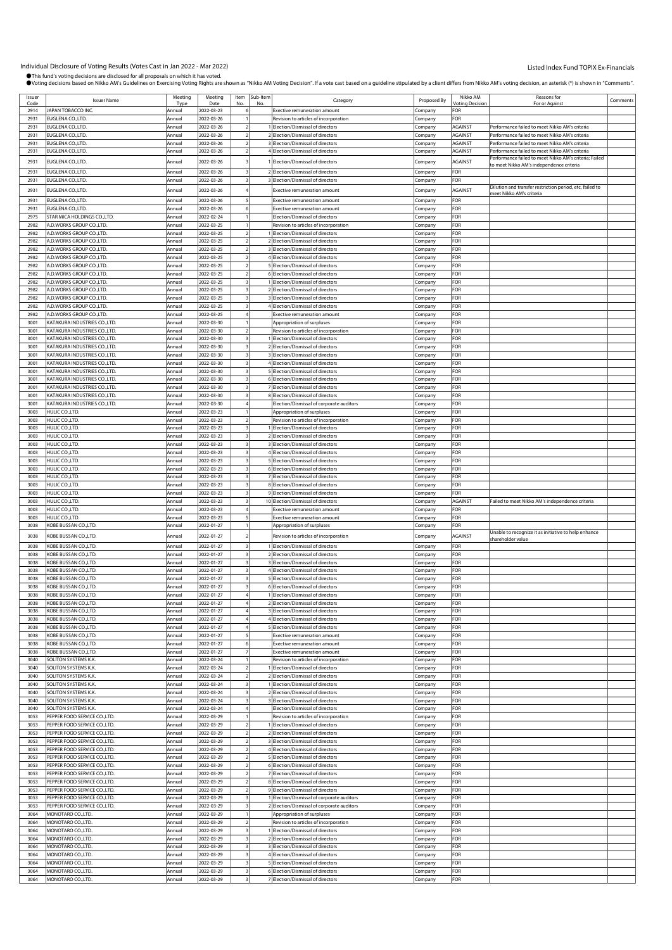|                |                                     |                 | Meeting    |      |                            |                                            |             | Nikko AM                             | Reasons for                                              |          |
|----------------|-------------------------------------|-----------------|------------|------|----------------------------|--------------------------------------------|-------------|--------------------------------------|----------------------------------------------------------|----------|
| Issuer<br>Code | <b>Issuer Name</b>                  | Meeting<br>Tyne | Date       | Item | Sub-Item<br>N <sub>c</sub> | Category                                   | Proposed By | <b><i><u>Intina</u></i></b> Decision | For or Against                                           | Comments |
| 2914           | JAPAN TOBACCO INC                   | Annual          | 2022-03-23 |      |                            | <b>Exective remuneration amount</b>        | Company     | FOR                                  |                                                          |          |
| 2931           | EUGLENA CO.,LTD.                    | Annual          | 2022-03-26 |      |                            | Revision to articles of incorporation      | Company     | FOR                                  |                                                          |          |
| 2931           | EUGLENA CO.,LTD.                    | Annual          | 2022-03-26 |      |                            | 1 Election/Dismissal of directors          | Company     | AGAINST                              | Performance failed to meet Nikko AM's criteria           |          |
| 2931           | EUGLENA CO.,LTD.                    | Annual          | 2022-03-26 |      |                            | 2 Election/Dismissal of directors          | Company     | AGAINST                              | Performance failed to meet Nikko AM's criteria           |          |
| 2931           | EUGLENA CO.,LTD.                    | Annual          | 2022-03-26 |      |                            | 3 Election/Dismissal of directors          | Company     | AGAINST                              | Performance failed to meet Nikko AM's criteria           |          |
| 2931           | EUGLENA CO.,LTD.                    | Annual          | 2022-03-26 |      |                            | 4 Election/Dismissal of directors          | Company     | <b>AGAINST</b>                       | Performance failed to meet Nikko AM's criteria           |          |
|                |                                     |                 |            |      |                            |                                            |             |                                      | Performance failed to meet Nikko AM's criteria; Failed   |          |
| 2931           | EUGLENA CO.,LTD.                    | Annual          | 2022-03-26 |      |                            | Election/Dismissal of directors            | .ompany     | AGAINST                              | to meet Nikko AM's independence criteria                 |          |
| 2931           | EUGLENA CO.,LTD.                    | Annual          | 2022-03-26 |      |                            | 2 Election/Dismissal of directors          | Company     | FOR                                  |                                                          |          |
| 2931           | EUGLENA CO.,LTD.                    | Annual          | 2022-03-26 |      |                            | 3 Election/Dismissal of directors          | Company     | FOR                                  |                                                          |          |
| 2931           | EUGLENA CO.,LTD.                    | Annual          | 2022-03-26 |      |                            | <b>Exective remuneration amount</b>        | Company     | AGAINST                              | Dilution and transfer restriction period, etc. failed to |          |
|                |                                     |                 |            |      |                            |                                            |             |                                      | <u>meet Nikko AM's criteria</u>                          |          |
| 2931           | EUGLENA CO.,LTD.                    | Annual          | 2022-03-26 |      |                            | Exective remuneration amount               | Company     | FOR                                  |                                                          |          |
| 2931           | EUGLENA CO.,LTD.                    | Annua           | 2022-03-26 |      |                            | Exective remuneration amount               | Company     | FOR                                  |                                                          |          |
| 2975           | STAR MICA HOLDINGS CO., LTD.        | Annual          | 2022-02-24 |      |                            | Election/Dismissal of directors            | Company     | FOR                                  |                                                          |          |
| 2982           | A.D.WORKS GROUP CO.,LTD.            | Annual          | 2022-03-25 |      |                            | Revision to articles of incorporation      | Company     | FOR                                  |                                                          |          |
| 2982           | A.D.WORKS GROUP CO.,LTD.            | Annual          | 2022-03-25 |      |                            | Election/Dismissal of directors            | Company     | FOR                                  |                                                          |          |
| 2982           | A.D.WORKS GROUP CO.,LTD.            | Annual          | 2022-03-25 |      |                            | 2 Election/Dismissal of directors          | Company     | FOR                                  |                                                          |          |
| 2982           | A.D.WORKS GROUP CO.,LTD.            | Annual          | 2022-03-25 |      |                            | 3 Election/Dismissal of directors          | Company     | FOR                                  |                                                          |          |
| 2982           | A.D.WORKS GROUP CO.,LTD.            | Annual          | 2022-03-25 |      |                            | 4 Election/Dismissal of directors          | Company     | FOR                                  |                                                          |          |
| 2982           | A.D.WORKS GROUP CO.,LTD.            | Annual          | 2022-03-25 |      |                            | 5 Election/Dismissal of directors          | Company     | FOR                                  |                                                          |          |
| 2982           | <b>A.D.WORKS GROUP CO.,LTD.</b>     | Annual          | 2022-03-25 |      |                            | 6 Election/Dismissal of directors          | Company     | FOR                                  |                                                          |          |
| 2982           | A.D.WORKS GROUP CO.,LTD.            | Annual          | 2022-03-25 |      |                            | 1 Election/Dismissal of directors          | Company     | FOR                                  |                                                          |          |
| 2982           | A.D.WORKS GROUP CO.,LTD.            | Annual          | 2022-03-25 |      |                            | 2 Election/Dismissal of directors          | Company     | FOR                                  |                                                          |          |
| 2982           | A.D.WORKS GROUP CO.,LTD.            | Annual          | 2022-03-25 |      |                            | 3 Election/Dismissal of directors          | Company     | FOR                                  |                                                          |          |
| 2982           | A.D.WORKS GROUP CO.,LTD.            | Annual          | 2022-03-25 |      |                            | 4 Election/Dismissal of directors          | Company     | FOR                                  |                                                          |          |
| 2982           | A.D.WORKS GROUP CO.,LTD.            | Annual          | 2022-03-25 |      |                            | <b>Exective remuneration amount</b>        | Company     | FOR                                  |                                                          |          |
| 3001           | KATAKURA INDUSTRIES CO.,LTD.        | Annual          | 2022-03-30 |      |                            | Appropriation of surpluses                 | Company     | FOR                                  |                                                          |          |
| 3001           | KATAKURA INDUSTRIES CO.,LTD.        | Annual          | 2022-03-30 |      |                            | Revision to articles of incorporation      | Company     | FOR                                  |                                                          |          |
| 3001           | <b>KATAKURA INDUSTRIES CO.,LTD.</b> | Annual          | 2022-03-30 |      |                            | Election/Dismissal of directors            | Company     | FOR                                  |                                                          |          |
| 3001           | KATAKURA INDUSTRIES CO.,LTD.        | Annual          | 2022-03-30 |      |                            | 2 Election/Dismissal of directors          | Company     | FOR                                  |                                                          |          |
| 3001           | KATAKURA INDUSTRIES CO.,LTD.        | Annual          | 2022-03-30 |      |                            | 3 Election/Dismissal of directors          | Company     | FOR                                  |                                                          |          |
| 3001           | KATAKURA INDUSTRIES CO.,LTD.        | Annual          | 2022-03-30 |      |                            | 4 Election/Dismissal of directors          | Company     | FOR                                  |                                                          |          |
| 3001           | KATAKURA INDUSTRIES CO.,LTD.        | Annual          | 2022-03-30 |      |                            | 5 Election/Dismissal of directors          | Company     | FOR                                  |                                                          |          |
| 3001           | <b>KATAKURA INDUSTRIES CO.,LTD.</b> | Annual          | 2022-03-30 |      |                            | 6 Election/Dismissal of directors          | Company     | FOR                                  |                                                          |          |
| 3001           | KATAKURA INDUSTRIES CO.,LTD.        | Annual          | 2022-03-30 |      |                            | 7 Election/Dismissal of directors          | Company     | FOR                                  |                                                          |          |
| 3001           | KATAKURA INDUSTRIES CO.,LTD.        | Annual          | 2022-03-30 |      |                            | 8 Election/Dismissal of directors          | Company     | FOR                                  |                                                          |          |
| 3001           | KATAKURA INDUSTRIES CO.,LTD.        | Annual          | 2022-03-30 |      |                            | Election/Dismissal of corporate auditors   | Company     | FOR                                  |                                                          |          |
| 3003           | HULIC CO.,LTD.                      | Annua           | 2022-03-23 |      |                            | Appropriation of surpluses                 |             | FOR                                  |                                                          |          |
| 3003           | HULIC CO.,LTD.                      | Annual          | 2022-03-23 |      |                            |                                            | Company     | FOR                                  |                                                          |          |
|                |                                     |                 |            |      |                            | Revision to articles of incorporation      | Company     |                                      |                                                          |          |
| 3003           | HULIC CO.,LTD.                      | Annual          | 2022-03-23 |      |                            | 1 Election/Dismissal of directors          | Company     | FOR                                  |                                                          |          |
| 3003           | HULIC CO.,LTD.                      | Annual          | 2022-03-23 |      |                            | 2 Election/Dismissal of directors          | Company     | FOR                                  |                                                          |          |
| 3003           | HULIC CO.,LTD.                      | Annual          | 2022-03-23 |      |                            | 3 Election/Dismissal of directors          | .ompany     | FOR                                  |                                                          |          |
| 3003           | HULIC CO.,LTD.                      | Annual          | 2022-03-23 |      |                            | 4 Election/Dismissal of directors          | Company     | FOR                                  |                                                          |          |
| 3003           | HULIC CO.,LTD.                      | Annual          | 2022-03-23 |      |                            | 5 Election/Dismissal of directors          | Company     | FOR                                  |                                                          |          |
| 3003           | HULIC CO.,LTD.                      | Annual          | 2022-03-23 |      |                            | 6 Election/Dismissal of directors          | Company     | FOR                                  |                                                          |          |
| 3003           | HULIC CO.,LTD.                      | Annual          | 2022-03-23 |      |                            | 7 Election/Dismissal of directors          | Company     | FOR                                  |                                                          |          |
| 3003           | HULIC CO.,LTD.                      | Annual          | 2022-03-23 |      |                            | 8 Election/Dismissal of directors          | Company     | FOR                                  |                                                          |          |
| 3003           | HULIC CO.,LTD.                      | Annual          | 2022-03-23 |      |                            | 9 Election/Dismissal of directors          | Company     | FOR                                  |                                                          |          |
| 3003           | HULIC CO.,LTD.                      | Annua           | 2022-03-23 |      |                            | 10 Election/Dismissal of directors         | Company     | AGAINST                              | Failed to meet Nikko AM's independence criteria          |          |
| 3003           | HULIC CO.,LTD.                      | Annual          | 2022-03-23 |      |                            | <b>Exective remuneration amount</b>        | Company     | FOR                                  |                                                          |          |
| 3003           | HULIC CO.,LTD.                      | Annual          | 2022-03-23 |      |                            | <b>Exective remuneration amount</b>        | Company     | FOR                                  |                                                          |          |
| 3038           | KOBE BUSSAN CO.,LTD.                | Annual          | 2022-01-27 |      |                            | Appropriation of surpluses                 | Company     | FOR                                  |                                                          |          |
| 3038           | KOBE BUSSAN CO.,LTD.                | Annua           | 2022-01-27 |      |                            | Revision to articles of incorporation      | Company     | AGAINST                              | Unable to recognize it as initiative to help enhance     |          |
|                |                                     |                 |            |      |                            |                                            |             |                                      | shareholder value                                        |          |
| 3038           | KOBE BUSSAN CO.,LTD.                | Annual          | 2022-01-27 |      |                            | 1 Election/Dismissal of directors          | Company     | FOR                                  |                                                          |          |
| 3038           | KOBE BUSSAN CO.,LTD.                | Annual          | 2022-01-27 |      |                            | 2 Election/Dismissal of directors          | .ompany     | FOR                                  |                                                          |          |
| 3038           | KOBE BUSSAN CO.,LTD.                | Annual          | 2022-01-27 |      |                            | 3 Election/Dismissal of directors          | Company     | <b>FOR</b>                           |                                                          |          |
| 3038           | KOBE BUSSAN CO.,LTD.                | Annual          | 2022-01-27 |      |                            | 4 Election/Dismissal of directors          | Company     | FOR                                  |                                                          |          |
| 3038           | KOBE BUSSAN CO.,LTD.                | Annual          | 2022-01-27 |      |                            | 5 Election/Dismissal of directors          | Company     | FOR                                  |                                                          |          |
| 3038           | KOBE BUSSAN CO.,LTD.                | Annual          | 2022-01-27 |      |                            | 6 Election/Dismissal of directors          | Company     | FOR                                  |                                                          |          |
| 3038           | (OBE BUSSAN CO.,LTD.                | mua             | 022-01-27  |      |                            | Election/Dismissal of director:            | ompany      |                                      |                                                          |          |
| 3038           | KOBE BUSSAN CO.,LTD.                | Annual          | 2022-01-27 |      |                            | 2 Election/Dismissal of directors          | Company     | FOR                                  |                                                          |          |
| 3038           | KOBE BUSSAN CO.,LTD.                | Annual          | 2022-01-27 |      |                            | 3 Election/Dismissal of directors          | Company     | FOR                                  |                                                          |          |
| 3038           | KOBE BUSSAN CO.,LTD.                | Annual          | 2022-01-27 |      |                            | 4 Election/Dismissal of directors          | Company     | FOR                                  |                                                          |          |
| 3038           | KOBE BUSSAN CO.,LTD.                | Annual          | 2022-01-27 |      |                            | 5 Election/Dismissal of directors          | Company     | FOR                                  |                                                          |          |
| 3038           | KOBE BUSSAN CO.,LTD.                | Annual          | 2022-01-27 |      |                            | <b>Exective remuneration amount</b>        | Company     | FOR                                  |                                                          |          |
| 3038           | KOBE BUSSAN CO.,LTD.                | Annual          | 2022-01-27 |      |                            | Exective remuneration amount               | Company     | FOR                                  |                                                          |          |
| 3038           | KOBE BUSSAN CO.,LTD.                | Annual          | 2022-01-27 |      |                            | <b>Exective remuneration amount</b>        | Company     | FOR                                  |                                                          |          |
| 3040           | SOLITON SYSTEMS K.K.                | Annual          | 2022-03-24 |      |                            | Revision to articles of incorporation      | Company     | FOR                                  |                                                          |          |
| 3040           | SOLITON SYSTEMS K.K.                | Annual          | 2022-03-24 |      |                            | 1 Election/Dismissal of directors          | Company     | FOR                                  |                                                          |          |
| 3040           | SOLITON SYSTEMS K.K.                | Annual          | 2022-03-24 |      |                            | 2 Election/Dismissal of directors          | .ompany     | FOR                                  |                                                          |          |
| 3040           | SOLITON SYSTEMS K.K.                | Annual          | 2022-03-24 |      |                            | 1 Election/Dismissal of directors          | Company     | FOR                                  |                                                          |          |
| 3040           | <b>SOLITON SYSTEMS K.K.</b>         | Annual          | 2022-03-24 |      |                            | 2 Election/Dismissal of directors          | Company     | FOR                                  |                                                          |          |
| 3040           | SOLITON SYSTEMS K.K.                | Annual          | 2022-03-24 |      |                            | 3 Election/Dismissal of directors          | Company     | FOR                                  |                                                          |          |
| 3040           | SOLITON SYSTEMS K.K.                | Annual          | 2022-03-24 |      |                            | Election/Dismissal of directors            | Company     | FOR                                  |                                                          |          |
| 3053           | PEPPER FOOD SERVICE CO.,LTD.        | Annual          | 2022-03-29 |      |                            | Revision to articles of incorporation      | Company     | FOR                                  |                                                          |          |
| 3053           | PEPPER FOOD SERVICE CO.,LTD.        | Annual          | 2022-03-29 |      |                            | 1 Election/Dismissal of directors          | Company     | FOR                                  |                                                          |          |
| 3053           | PEPPER FOOD SERVICE CO.,LTD.        | Annual          | 2022-03-29 |      |                            | 2 Election/Dismissal of directors          | Company     | FOR                                  |                                                          |          |
| 3053           | PEPPER FOOD SERVICE CO.,LTD.        | Annual          | 2022-03-29 |      |                            | 3 Election/Dismissal of directors          | Company     | FOR                                  |                                                          |          |
| 3053           | PEPPER FOOD SERVICE CO.,LTD.        | Annual          | 2022-03-29 |      |                            | 4 Election/Dismissal of directors          | Company     | FOR                                  |                                                          |          |
| 3053           | PEPPER FOOD SERVICE CO.,LTD.        | Annual          | 2022-03-29 |      |                            | 5 Election/Dismissal of directors          | Company     | FOR                                  |                                                          |          |
| 3053           | PEPPER FOOD SERVICE CO.,LTD.        | Annual          | 2022-03-29 |      |                            | 6 Election/Dismissal of directors          |             | FOR                                  |                                                          |          |
| 3053           |                                     |                 |            |      |                            |                                            | Company     | FOR                                  |                                                          |          |
|                | PEPPER FOOD SERVICE CO.,LTD.        | Annual          | 2022-03-29 |      |                            | 7 Election/Dismissal of directors          | Company     |                                      |                                                          |          |
| 3053           | PEPPER FOOD SERVICE CO.,LTD.        | Annual          | 2022-03-29 |      |                            | 8 Election/Dismissal of directors          | Company     | FOR                                  |                                                          |          |
| 3053           | PEPPER FOOD SERVICE CO.,LTD.        | Annual          | 2022-03-29 |      |                            | 9 Election/Dismissal of directors          | Company     | FOR                                  |                                                          |          |
| 3053           | PEPPER FOOD SERVICE CO.,LTD.        | Annual          | 2022-03-29 |      |                            | Election/Dismissal of corporate auditors   | Company     | FOR                                  |                                                          |          |
| 3053           | PEPPER FOOD SERVICE CO.,LTD.        | Annual          | 2022-03-29 |      |                            | 2 Election/Dismissal of corporate auditors | Company     | FOR                                  |                                                          |          |
| 3064           | MONOTARO CO.,LTD.                   | Annual          | 2022-03-29 |      |                            | Appropriation of surpluses                 | Company     | FOR                                  |                                                          |          |
| 3064           | MONOTARO CO.,LTD.                   | Annual          | 2022-03-29 |      |                            | Revision to articles of incorporation      | Company     | FOR                                  |                                                          |          |
| 3064           | MONOTARO CO.,LTD.                   | Annual          | 2022-03-29 |      |                            | 1 Election/Dismissal of directors          | Company     | FOR                                  |                                                          |          |
| 3064           | MONOTARO CO.,LTD.                   | Annual          | 2022-03-29 |      |                            | 2 Election/Dismissal of directors          | Company     | FOR                                  |                                                          |          |
| 3064           | MONOTARO CO.,LTD.                   | Annual          | 2022-03-29 |      |                            | 3 Election/Dismissal of directors          | Company     | FOR                                  |                                                          |          |
| 3064           | MONOTARO CO.,LTD.                   | Annual          | 2022-03-29 |      |                            | 4 Election/Dismissal of directors          | Company     | FOR                                  |                                                          |          |
| 3064           | MONOTARO CO.,LTD.                   | Annual          | 2022-03-29 |      |                            | 5 Election/Dismissal of directors          | Company     | FOR                                  |                                                          |          |
| 3064           | MONOTARO CO.,LTD.                   | Annual          | 2022-03-29 |      |                            | 6 Election/Dismissal of directors          | Company     | FOR                                  |                                                          |          |
| 3064           | MONOTARO CO., LTD.                  | Annual          | 2022-03-29 |      |                            | 7 Election/Dismissal of directors          | Company     | FOR                                  |                                                          |          |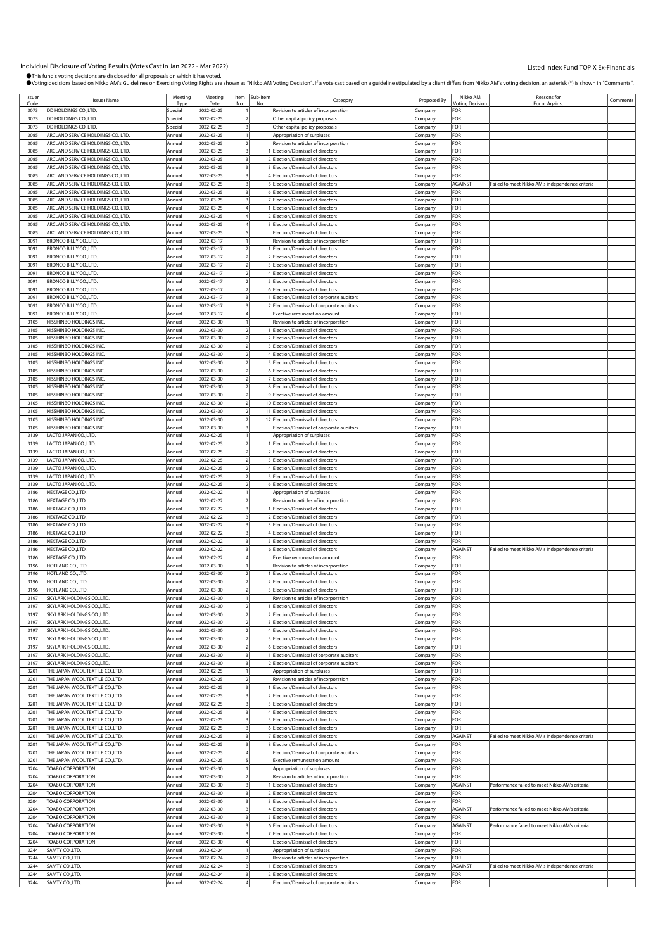| Issuer<br>Code | <b>Issuer Name</b>                | Meeting<br>Tvo | Meeting<br>Date | Item | Sub-Item | Category                                   | Proposed By | Nikko AM<br><b><i>Intina Decisio</i></b> | Reasons for<br>For or Agains                    | Comments |
|----------------|-----------------------------------|----------------|-----------------|------|----------|--------------------------------------------|-------------|------------------------------------------|-------------------------------------------------|----------|
| 3073           | DD HOLDINGS CO., LTD.             | Special        | 2022-02-25      |      |          | Revision to articles of incorporation      | Company     | FOR                                      |                                                 |          |
|                |                                   |                |                 |      |          |                                            |             |                                          |                                                 |          |
| 3073           | DD HOLDINGS CO., LTD.             | Special        | 2022-02-25      |      |          | Other capital policy proposals             | Company     | FOR                                      |                                                 |          |
| 3073           | DD HOLDINGS CO., LTD.             | Special        | 2022-02-25      |      |          | Other capital policy proposals             | Company     | FOR                                      |                                                 |          |
| 3085           | ARCLAND SERVICE HOLDINGS CO.,LTD. | Annual         | 2022-03-25      |      |          | Appropriation of surpluses                 | Company     | For                                      |                                                 |          |
| 3085           | ARCLAND SERVICE HOLDINGS CO.,LTD. | Annual         | 2022-03-25      |      |          | Revision to articles of incorporation      | .cmpany     | FOR                                      |                                                 |          |
| 3085           | ARCLAND SERVICE HOLDINGS CO.,LTD. | Annual         | 2022-03-25      |      |          | I Election/Dismissal of directors          | Company     | FOR                                      |                                                 |          |
| 3085           | ARCLAND SERVICE HOLDINGS CO.,LTD. | Annual         | 2022-03-25      |      |          | 2 Election/Dismissal of directors          |             | FOR                                      |                                                 |          |
|                |                                   |                |                 |      |          |                                            | .cmpany     |                                          |                                                 |          |
| 3085           | ARCLAND SERVICE HOLDINGS CO.,LTD. | Annual         | 2022-03-25      |      |          | 3 Election/Dismissal of directors          | Company     | FOR                                      |                                                 |          |
| 3085           | ARCLAND SERVICE HOLDINGS CO.,LTD. | Annual         | 2022-03-25      |      |          | 4 Election/Dismissal of directors          | .ompany     | FOR                                      |                                                 |          |
| 3085           | ARCLAND SERVICE HOLDINGS CO.,LTD. | Annual         | 2022-03-25      |      |          | 5 Election/Dismissal of directors          | Company     | AGAINST                                  | Failed to meet Nikko AM's independence criteria |          |
| 3085           | ARCLAND SERVICE HOLDINGS CO.,LTD. | Annual         | 2022-03-25      |      |          | 6 Election/Dismissal of directors          | Company     | FOR                                      |                                                 |          |
|                |                                   |                |                 |      |          |                                            |             |                                          |                                                 |          |
| 3085           | ARCLAND SERVICE HOLDINGS CO.,LTD. | Annual         | 2022-03-25      |      |          | 7 Election/Dismissal of directors          | .cmpany     | FOR                                      |                                                 |          |
| 3085           | ARCLAND SERVICE HOLDINGS CO.,LTD. | Annual         | 2022-03-25      |      |          | 1 Election/Dismissal of directors          | Company     | FOR                                      |                                                 |          |
| 3085           | ARCLAND SERVICE HOLDINGS CO.,LTD. | Annual         | 2022-03-25      |      |          | 2 Election/Dismissal of directors          | .ompany     | FOR                                      |                                                 |          |
| 3085           | ARCLAND SERVICE HOLDINGS CO.,LTD. | Annual         | 2022-03-25      |      |          | 3 Election/Dismissal of directors          | .cmpany     | FOR                                      |                                                 |          |
| 3085           | ARCLAND SERVICE HOLDINGS CO.,LTD. | Annual         | 2022-03-25      |      |          | Election/Dismissal of directors            |             | FOR                                      |                                                 |          |
|                |                                   |                |                 |      |          |                                            | Company     |                                          |                                                 |          |
| 3091           | <b>BRONCO BILLY CO.,LTD.</b>      | Annual         | 2022-03-17      |      |          | Revision to articles of incorporation      | Company     | FOR                                      |                                                 |          |
| 309            | <b>BRONCO BILLY CO., LTD.</b>     | Annual         | 2022-03-17      |      |          | Election/Dismissal of directors            | Company     | FOR                                      |                                                 |          |
| 3091           | BRONCO BILLY CO.,LTD.             | Annual         | 2022-03-17      |      |          | 2 Election/Dismissal of directors          | .ompany     | FOR                                      |                                                 |          |
| 3091           | BRONCO BILLY CO.,LTD.             | Annual         | 2022-03-17      |      |          | 3 Election/Dismissal of directors          |             | <b>OR</b>                                |                                                 |          |
|                |                                   |                |                 |      |          |                                            | .cmpany     |                                          |                                                 |          |
| 3091           | BRONCO BILLY CO., LTD.            | Annual         | 2022-03-17      |      |          | 4 Election/Dismissal of directors          | Company     | FOR                                      |                                                 |          |
| 3091           | <b>BRONCO BILLY CO., LTD.</b>     | Annual         | 2022-03-17      |      |          | 5 Election/Dismissal of directors          | .cmpany     | FOR                                      |                                                 |          |
| 309            | BRONCO BILLY CO., LTD.            | Annual         | 2022-03-17      |      |          | 6 Election/Dismissal of directors          | Company     | FOR                                      |                                                 |          |
| 3091           | BRONCO BILLY CO., LTD.            | Annual         | 2022-03-17      |      |          | Election/Dismissal of corporate auditors   | Company     | For                                      |                                                 |          |
|                |                                   |                |                 |      |          |                                            |             |                                          |                                                 |          |
| 3091           | BRONCO BILLY CO.,LTD.             | Annua          | 2022-03-17      |      |          | 2 Election/Dismissal of corporate auditors | Company     | FOR                                      |                                                 |          |
| 3091           | BRONCO BILLY CO.,LTD.             | Annual         | 2022-03-17      |      |          | Exective remuneration amount               | Company     | FOR                                      |                                                 |          |
| 3105           | NISSHINBO HOLDINGS INC            | Annual         | 2022-03-30      |      |          | Revision to articles of incorporation      | .cmpany     | <b>OR</b>                                |                                                 |          |
| 3105           | NISSHINBO HOLDINGS INC.           | Annual         | 2022-03-30      |      |          | Election/Dismissal of directors            | Company     | FOR                                      |                                                 |          |
| 3105           |                                   |                |                 |      |          |                                            |             | FOR                                      |                                                 |          |
|                | NISSHINBO HOLDINGS INC            | Annual         | 2022-03-30      |      |          | 2 Election/Dismissal of directors          | .ompany     |                                          |                                                 |          |
| 3105           | NISSHINBO HOLDINGS INC            | Annual         | 2022-03-30      |      |          | 3 Election/Dismissal of directors          | .cmpany     | FOR                                      |                                                 |          |
| 3105           | NISSHINBO HOLDINGS INC.           | Annual         | 2022-03-30      |      |          | 4 Election/Dismissal of directors          | Company     | FOR                                      |                                                 |          |
| 3105           | NISSHINBO HOLDINGS INC.           | Annual         | 2022-03-30      |      |          | 5 Election/Dismissal of directors          | Company     | FOR                                      |                                                 |          |
| 3105           | NISSHINBO HOLDINGS INC.           | Annual         | 2022-03-30      |      |          | 6 Election/Dismissal of directors          |             | FOR                                      |                                                 |          |
|                |                                   |                |                 |      |          |                                            | Company     |                                          |                                                 |          |
| 3105           | NISSHINBO HOLDINGS INC            | Annual         | 2022-03-30      |      |          | 7 Election/Dismissal of directors          | .ompany     | FOR                                      |                                                 |          |
| 3105           | NISSHINBO HOLDINGS INC.           | Annual         | 2022-03-30      |      |          | 8 Election/Dismissal of directors          | .cmpany     | <b>OR</b>                                |                                                 |          |
| 3105           | NISSHINBO HOLDINGS INC            | Annual         | 2022-03-30      |      |          | 9 Election/Dismissal of directors          | Company     | FOR                                      |                                                 |          |
| 3105           | NISSHINBO HOLDINGS INC.           | Annual         | 2022-03-30      |      |          | 10 Election/Dismissal of directors         | .cmpany     | FOR                                      |                                                 |          |
|                |                                   |                |                 |      |          |                                            |             |                                          |                                                 |          |
| 3105           | NISSHINBO HOLDINGS INC.           | Annual         | 2022-03-30      |      |          | 11 Election/Dismissal of directors         | Company     | FOR                                      |                                                 |          |
| 3105           | NISSHINBO HOLDINGS INC.           | Annual         | 2022-03-30      |      |          | 12 Election/Dismissal of directors         | .ompany     | For                                      |                                                 |          |
| 3105           | NISSHINBO HOLDINGS INC.           | Annual         | 2022-03-30      |      |          | Election/Dismissal of corporate auditors   | Company     | FOR                                      |                                                 |          |
| 3139           | LACTO JAPAN CO.,LTD.              | Annual         | 2022-02-25      |      |          | Appropriation of surpluses                 | Company     | FOR                                      |                                                 |          |
| 3139           | ACTO JAPAN CO.,LTD.               | Annual         | 2022-02-25      |      |          | 1 Election/Dismissal of directors          |             | OR-                                      |                                                 |          |
|                |                                   |                |                 |      |          |                                            | .cmpany     |                                          |                                                 |          |
| 3139           | LACTO JAPAN CO.,LTD.              | Annual         | 2022-02-25      |      |          | 2 Election/Dismissal of directors          | Company     | FOR                                      |                                                 |          |
| 3139           | LACTO JAPAN CO.,LTD.              | Annual         | 2022-02-25      |      |          | 3 Election/Dismissal of directors          | .ompany     | FOR                                      |                                                 |          |
| 3139           | LACTO JAPAN CO.,LTD.              | Annual         | 2022-02-25      |      |          | 4 Election/Dismissal of directors          | .cmpany     | FOR                                      |                                                 |          |
| 3139           | LACTO JAPAN CO.,LTD.              | Annual         | 2022-02-25      |      |          | 5 Election/Dismissal of directors          |             | FOR                                      |                                                 |          |
|                |                                   |                |                 |      |          |                                            | Company     |                                          |                                                 |          |
| 3139           | LACTO JAPAN CO.,LTD.              | Annual         | 2022-02-25      |      |          | 6 Election/Dismissal of directors          | .cmpany     | FOR                                      |                                                 |          |
| 3186           | NEXTAGE CO.,LTD.                  | Annual         | 2022-02-22      |      |          | Appropriation of surpluses                 | Company     | FOR                                      |                                                 |          |
| 3186           | NEXTAGE CO.,LTD.                  | Annual         | 2022-02-22      |      |          | Revision to articles of incorporation      | .ompany     | FOR                                      |                                                 |          |
| 3186           | NEXTAGE CO.,LTD.                  | Annual         | 2022-02-22      |      |          | Election/Dismissal of directors            | .cmpany     | FOR                                      |                                                 |          |
|                |                                   |                |                 |      |          |                                            |             |                                          |                                                 |          |
| 3186           | NEXTAGE CO.,LTD.                  | Annual         | 2022-02-22      |      |          | 2 Election/Dismissal of directors          | Company     | FOR                                      |                                                 |          |
| 3186           | NEXTAGE CO.,LTD.                  | Annual         | 2022-02-22      |      |          | 3 Election/Dismissal of directors          | .cmpany     | FOR                                      |                                                 |          |
| 3186           | NEXTAGE CO.,LTD.                  | Annual         | 2022-02-22      |      |          | 4 Election/Dismissal of directors          | Company     | FOR                                      |                                                 |          |
| 3186           | NEXTAGE CO.,LTD.                  | Annual         | 2022-02-22      |      |          | 5 Election/Dismissal of directors          | .ompany     | FOR                                      |                                                 |          |
| 3186           | NEXTAGE CO.,LTD.                  | Annual         | 2022-02-22      |      |          | 6 Election/Dismissal of directors          |             | AGAINST                                  | Failed to meet Nikko AM's independence criteria |          |
|                |                                   |                |                 |      |          |                                            | Company     |                                          |                                                 |          |
| 3186           | NEXTAGE CO.,LTD.                  | Annual         | 2022-02-22      |      |          | Exective remuneration amount               | Company     | FOR                                      |                                                 |          |
| 3196           | <b>HOTLAND CO.,LTD.</b>           | Annual         | 2022-03-30      |      |          | Revision to articles of incorporation      | Company     | FOR                                      |                                                 |          |
| 3196           | HOTLAND CO.,LTD.                  | Annual         | 2022-03-30      |      |          | 1 Election/Dismissal of directors          | Company     | FOR                                      |                                                 |          |
| 3196           | HOTLAND CO., LTD.                 | Annual         | 2022-03-30      |      |          | 2 Election/Dismissal of directors          | Company     | FOR                                      |                                                 |          |
|                |                                   |                |                 |      |          |                                            |             |                                          |                                                 |          |
| 3196           | HOTLAND CO., LTD.                 | Annual         | 2022-03-30      |      |          | 3 Election/Dismissal of directors          | Company     | FOR                                      |                                                 |          |
| 3197           | SKYLARK HOLDINGS CO.,LTD.         | Annua          | 2022-03-30      |      |          | Revision to articles of incorporation      | Company     | FOR                                      |                                                 |          |
| 3197           | SKYLARK HOLDINGS CO.,LTD.         | Annual         | 2022-03-30      |      |          | 1 Election/Dismissal of directors          | Company     | FOR                                      |                                                 |          |
| 3197           | SKYLARK HOLDINGS CO.,LTD.         | Annual         | 2022-03-30      |      |          | 2 Election/Dismissal of directors          | Company     | FOR                                      |                                                 |          |
| 3197           | SKYLARK HOLDINGS CO.,LTD.         | Annual         | 2022-03-30      |      |          | 3 Election/Dismissal of directors          | Company     | FOR                                      |                                                 |          |
|                |                                   |                |                 |      |          |                                            |             |                                          |                                                 |          |
| 3197           | SKYLARK HOLDINGS CO.,LTD.         | Annual         | 2022-03-30      |      |          | 4 Election/Dismissal of directors          | Company     | FOR                                      |                                                 |          |
| 3197           | SKYLARK HOLDINGS CO.,LTD.         | Annual         | 2022-03-30      |      |          | 5 Election/Dismissal of directors          | Company     | FOR                                      |                                                 |          |
| 3197           | SKYLARK HOLDINGS CO.,LTD.         | Annual         | 2022-03-30      |      |          | 6 Election/Dismissal of directors          | Company     | FOR                                      |                                                 |          |
| 3197           | SKYLARK HOLDINGS CO.,LTD.         | Annua          | 2022-03-30      |      |          | 1 Election/Dismissal of corporate auditors | Company     | FOR                                      |                                                 |          |
| 3197           | SKYLARK HOLDINGS CO.,LTD.         | Annual         | 2022-03-30      |      |          | 2 Election/Dismissal of corporate auditors | Company     | FOR                                      |                                                 |          |
|                | THE JAPAN WOOL TEXTILE CO., LTD.  |                |                 |      |          | Appropriation of surpluses                 |             | FOR                                      |                                                 |          |
| 3201           |                                   | Annual         | 2022-02-25      |      |          |                                            | Company     |                                          |                                                 |          |
| 3201           | THE JAPAN WOOL TEXTILE CO.,LTD.   | Annual         | 2022-02-25      |      |          | Revision to articles of incorporation      | Company     | FOR                                      |                                                 |          |
| 3201           | THE JAPAN WOOL TEXTILE CO.,LTD.   | Annual         | 2022-02-25      |      |          | 1 Election/Dismissal of directors          | Company     | FOR                                      |                                                 |          |
| 3201           | THE JAPAN WOOL TEXTILE CO.,LTD.   | Annual         | 2022-02-25      |      |          | 2 Election/Dismissal of directors          | Company     | <b>FOR</b>                               |                                                 |          |
| 3201           | THE JAPAN WOOL TEXTILE CO.,LTD.   | Annual         | 2022-02-25      |      |          | 3 Election/Dismissal of directors          | Company     | FOR                                      |                                                 |          |
|                |                                   |                |                 |      |          |                                            |             |                                          |                                                 |          |
| 3201           | THE JAPAN WOOL TEXTILE CO.,LTD.   | Annual         | 2022-02-25      |      |          | 4 Election/Dismissal of directors          | .cmpany     | FOR                                      |                                                 |          |
| 3201           | THE JAPAN WOOL TEXTILE CO.,LTD.   | Annual         | 2022-02-25      |      |          | 5 Election/Dismissal of directors          | Company     | FOR                                      |                                                 |          |
| 3201           | THE JAPAN WOOL TEXTILE CO.,LTD.   | Annual         | 2022-02-25      |      |          | 6 Election/Dismissal of directors          | Company     | FOR                                      |                                                 |          |
| 3201           | THE JAPAN WOOL TEXTILE CO., LTD.  | Annual         | 2022-02-25      |      |          | 7 Election/Dismissal of directors          | Company     | <b>AGAINST</b>                           | Failed to meet Nikko AM's independence criteria |          |
|                |                                   |                |                 |      |          |                                            |             | FOR                                      |                                                 |          |
| 3201           | THE JAPAN WOOL TEXTILE CO.,LTD.   | Annual         | 2022-02-25      |      |          | 8 Election/Dismissal of directors          | Company     |                                          |                                                 |          |
| 3201           | THE JAPAN WOOL TEXTILE CO.,LTD.   | Annual         | 2022-02-25      |      |          | Election/Dismissal of corporate auditors   | Company     | FOR                                      |                                                 |          |
| 3201           | THE JAPAN WOOL TEXTILE CO.,LTD.   | Annual         | 2022-02-25      |      |          | Exective remuneration amount               | Company     | FOR                                      |                                                 |          |
| 3204           | TOABO CORPORATION                 | Annual         | 2022-03-30      |      |          | Appropriation of surpluses                 | Company     | OR-                                      |                                                 |          |
|                |                                   |                |                 |      |          |                                            |             |                                          |                                                 |          |
| 3204           | TOABO CORPORATION                 | Annual         | 2022-03-30      |      |          | Revision to articles of incorporation      | Company     | FOR                                      |                                                 |          |
| 3204           | TOABO CORPORATION                 | Annual         | 2022-03-30      |      |          | Election/Dismissal of directors            | Company     | AGAINST                                  | Performance failed to meet Nikko AM's criteria  |          |
| 3204           | TOABO CORPORATION                 | Annual         | 2022-03-30      |      |          | 2 Election/Dismissal of directors          | Company     | FOR                                      |                                                 |          |
| 3204           | TOABO CORPORATION                 | Annual         | 2022-03-30      |      |          | 3 Election/Dismissal of directors          | Company     | FOR                                      |                                                 |          |
| 3204           | <b>TOABO CORPORATION</b>          | Annual         | 2022-03-30      |      |          | 4 Election/Dismissal of directors          | Company     | AGAINST                                  | Performance failed to meet Nikko AM's criteria  |          |
|                |                                   |                |                 |      |          |                                            |             |                                          |                                                 |          |
| 3204           | TOABO CORPORATION                 | Annual         | 2022-03-30      |      |          | 5 Election/Dismissal of directors          | Company     | <b>FOR</b>                               |                                                 |          |
| 3204           | TOABO CORPORATION                 | Annual         | 2022-03-30      |      |          | 6 Election/Dismissal of directors          | Company     | AGAINST                                  | Performance failed to meet Nikko AM's criteria  |          |
| 3204           | TOABO CORPORATION                 | Annual         | 2022-03-30      |      |          | 7 Election/Dismissal of directors          | .cmpany     | FOR                                      |                                                 |          |
| 3204           | TOABO CORPORATION                 | Annual         | 2022-03-30      |      |          | Election/Dismissal of directors            | Company     | FOR                                      |                                                 |          |
|                |                                   |                |                 |      |          |                                            |             |                                          |                                                 |          |
| 3244           | SAMTY CO.,LTD.                    | Annual         | 2022-02-24      |      |          | Appropriation of surpluses                 | Company     | FOR                                      |                                                 |          |
| 3244           | SAMTY CO.,LTD.                    | Annual         | 2022-02-24      |      |          | Revision to articles of incorporation      | Company     | FOR                                      |                                                 |          |
| 3244           | SAMTY CO.,LTD.                    | Annual         | 2022-02-24      |      |          | Election/Dismissal of directors            | Company     | AGAINST                                  | Failed to meet Nikko AM's independence criteria |          |
| 3244           | SAMTY CO.,LTD.                    | Annual         | 2022-02-24      |      |          | 2 Election/Dismissal of directors          | .cmpany     | <b>FOR</b>                               |                                                 |          |
| 3244           | SAMTY CO.,LTD.                    | Annual         | 2022-02-24      |      |          | Election/Dismissal of corporate auditors   | Company     | FOR                                      |                                                 |          |
|                |                                   |                |                 |      |          |                                            |             |                                          |                                                 |          |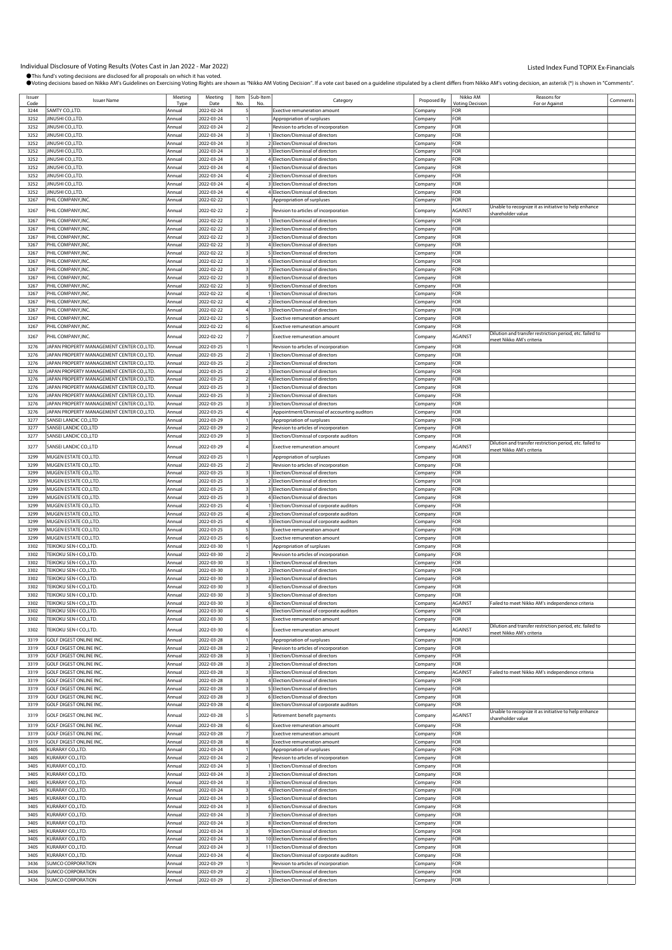| Issuer |                                           | Meeting | Meeting    |
|--------|-------------------------------------------|---------|------------|
| Code   | <b>Issuer Name</b>                        | Typ     | Date       |
| 3244   | SAMTY CO.,LTD.                            | Annual  | 2022-02-24 |
|        |                                           |         |            |
| 3252   | JINUSHI CO.,LTD.                          | Annual  | 2022-03-24 |
| 3252   | JINUSHI CO.,LTD.                          | Annual  | 2022-03-24 |
|        |                                           |         |            |
| 3252   | JINUSHI CO.,LTD.                          | Annual  | 2022-03-24 |
| 3252   | JINUSHI CO.,LTD.                          | Annual  | 2022-03-24 |
|        |                                           |         |            |
| 3252   | JINUSHI CO.,LTD.                          | Annual  | 2022-03-24 |
| 3252   | JINUSHI CO.,LTD.                          | Annual  | 2022-03-24 |
|        |                                           |         |            |
| 3252   | JINUSHI CO.,LTD.                          | Annual  | 2022-03-24 |
| 3252   | JINUSHI CO.,LTD.                          | Annual  | 2022-03-24 |
|        |                                           |         |            |
| 3252   | JINUSHI CO.,LTD.                          | Annual  | 2022-03-24 |
| 3252   | JINUSHI CO.,LTD.                          | Annual  | 2022-03-24 |
|        |                                           |         |            |
| 3267   | PHIL COMPANY, INC.                        | Annual  | 2022-02-22 |
|        |                                           |         |            |
| 3267   | PHIL COMPANY, INC.                        | Annual  | 2022-02-22 |
| 3267   | PHIL COMPANY, INC                         | Annual  | 2022-02-22 |
|        |                                           |         |            |
| 3267   | PHIL COMPANY, INC                         | Annual  | 2022-02-22 |
| 3267   | PHIL COMPANY, INC                         | Annual  | 2022-02-22 |
|        |                                           |         |            |
| 3267   | PHIL COMPANY, INC.                        | Annual  | 2022-02-22 |
| 3267   | PHIL COMPANY, INC.                        | Annual  | 2022-02-22 |
|        |                                           |         |            |
| 3267   | PHIL COMPANY, INC.                        | Annual  | 2022-02-22 |
| 3267   | PHIL COMPANY, INC.                        | Annual  | 2022-02-22 |
|        |                                           |         |            |
| 3267   | PHIL COMPANY, INC                         | Annual  | 2022-02-22 |
| 3267   | PHIL COMPANY, INC.                        | Annual  | 2022-02-22 |
|        |                                           |         |            |
| 3267   | PHIL COMPANY, INC.                        | Annual  | 2022-02-22 |
| 3267   | PHIL COMPANY, INC                         | Annual  | 2022-02-22 |
|        |                                           |         | 2022-02-22 |
| 3267   | PHIL COMPANY, INC.                        | Annual  |            |
| 3267   | PHIL COMPANY, INC                         | Annual  | 2022-02-22 |
| 3267   | PHIL COMPANY, INC.                        | Annual  | 2022-02-22 |
|        |                                           |         |            |
| 3267   | PHIL COMPANY, INC.                        | Annual  | 2022-02-22 |
|        |                                           |         |            |
| 3276   | JAPAN PROPERTY MANAGEMENT CENTER CO.,LTD. | Annual  | 2022-03-25 |
|        |                                           |         |            |
| 3276   | JAPAN PROPERTY MANAGEMENT CENTER CO.,LTD. | Annual  | 2022-03-25 |
| 3276   | JAPAN PROPERTY MANAGEMENT CENTER CO.,LTD. | Annual  | 2022-03-25 |
|        |                                           |         |            |
| 3276   | JAPAN PROPERTY MANAGEMENT CENTER CO.,LTD. | Annual  | 2022-03-25 |
| 3276   | JAPAN PROPERTY MANAGEMENT CENTER CO.,LTD. | Annual  | 2022-03-25 |
|        | JAPAN PROPERTY MANAGEMENT CENTER CO.,LTD. |         |            |
| 3276   |                                           | Annual  | 2022-03-25 |
| 3276   | JAPAN PROPERTY MANAGEMENT CENTER CO.,LTD. | Annual  | 2022-03-25 |
| 3276   | JAPAN PROPERTY MANAGEMENT CENTER CO.,LTD. | Annual  | 2022-03-25 |
|        |                                           |         |            |
| 3276   | JAPAN PROPERTY MANAGEMENT CENTER CO.,LTD. | Annual  | 2022-03-25 |
| 3277   | SANSEI LANDIC CO.,LTD                     | Annual  | 2022-03-29 |
|        |                                           |         |            |
| 3277   | SANSEI LANDIC CO.,LTD                     | Annual  | 2022-03-29 |
| 3277   | SANSEI LANDIC CO.,LTD                     | Annual  | 2022-03-29 |
|        |                                           |         |            |
| 3277   | SANSEI LANDIC CO.,LTD                     | Annua   | 2022-03-29 |
|        |                                           |         |            |
| 3299   | MUGEN ESTATE CO.,LTD.                     | Annual  | 2022-03-25 |
|        |                                           |         |            |
| 3299   | MUGEN ESTATE CO., LTD.                    | Annual  | 2022-03-25 |
| 3299   | MUGEN ESTATE CO., LTD.                    | Annual  | 2022-03-25 |
| 3299   | MUGEN ESTATE CO., LTD.                    | Annual  | 2022-03-25 |
|        |                                           |         |            |
| 3299   | MUGEN ESTATE CO.,LTD.                     | Annual  | 2022-03-25 |
| 3299   | MUGEN ESTATE CO., LTD.                    |         | 2022-03-25 |
|        |                                           | Annual  |            |
| 3299   | MUGEN ESTATE CO.,LTD.                     | Annual  | 2022-03-25 |
| 3299   | MUGEN ESTATE CO.,LTD.                     | Annual  |            |
|        |                                           |         | 2022-03-25 |
| 3299   | MUGEN ESTATE CO.,LTD.                     | Annual  | 2022-03-25 |
|        |                                           |         |            |
| 3299   | MUGEN ESTATE CO.,LTD.                     | Annual  | 2022-03-25 |
| 3299   | MUGEN ESTATE CO.,LTD.                     | Annual  | 2022-03-25 |
| 3302   |                                           |         |            |
|        | TEIKOKU SEN-I CO.,LTD.                    | Annual  | 2022-03-30 |
| 3302   | TEIKOKU SEN-I CO.,LTD.                    | Annual  | 2022-03-30 |
| 3302   | TEIKOKU SEN-I CO.,LTD.                    | Annual  | 2022-03-30 |
|        |                                           |         |            |
| 3302   | TEIKOKU SEN-I CO.,LTD.                    | Annual  | 2022-03-30 |
| 3302   | TEIKOKU SEN-I CO.,LTD.                    | Annual  | 2022-03-30 |
|        |                                           |         |            |
| 3302   | TEIKOKU SEN-I CO.,LTD.                    | Annual  | 2022-03-30 |
| 3302   | TEIKOKU SEN-I CO.,LTD                     |         | 2022-03-30 |
|        |                                           |         |            |
| 3302   | TEIKOKU SEN-I CO.,LTD.                    | Annual  | 2022-03-30 |
| 3302   | TEIKOKU SEN-I CO.,LTD.                    | Annual  | 2022-03-30 |
|        |                                           |         |            |
| 3302   | TEIKOKU SEN-I CO.,LTD.                    | Annual  | 2022-03-30 |
| 3302   | TEIKOKU SEN-I CO.,LTD.                    | Annual  | 2022-03-30 |
|        |                                           |         |            |
| 3319   | <b>GOLF DIGEST ONLINE INC.</b>            | Annual  | 2022-03-28 |
| 3319   | GOLF DIGEST ONLINE INC.                   | Annual  | 2022-03-28 |
|        |                                           |         |            |
| 3319   | GOLF DIGEST ONLINE INC.                   | Annual  | 2022-03-28 |
| 3319   | GOLF DIGEST ONLINE INC.                   | Annual  | 2022-03-28 |
|        |                                           |         |            |
| 3319   | <b>GOLF DIGEST ONLINE INC.</b>            | Annual  | 2022-03-28 |
| 3319   | <b>GOLF DIGEST ONLINE INC.</b>            | Annual  | 2022-03-28 |
|        |                                           |         |            |
| 3319   | GOLF DIGEST ONLINE INC.                   | Annual  | 2022-03-28 |
| 3319   | <b>GOLF DIGEST ONLINE INC.</b>            | Annual  | 2022-03-28 |
| 3319   | GOLF DIGEST ONLINE INC.                   | Annual  | 2022-03-28 |
|        |                                           |         |            |
| 3319   | GOLF DIGEST ONLINE INC.                   | Annual  | 2022-03-28 |
|        |                                           |         |            |
| 3319   | GOLF DIGEST ONLINE INC.                   | Annual  | 2022-03-28 |
|        |                                           |         |            |
| 3319   | GOLF DIGEST ONLINE INC.                   | Annual  | 2022-03-28 |
| 3319   | GOLF DIGEST ONLINE INC.                   | Annual  | 2022-03-28 |
| 3405   | KURARAY CO.,LTD.                          |         | 2022-03-24 |
|        |                                           | Annual  |            |
| 3405   | KURARAY CO.,LTD.                          | Annual  | 2022-03-24 |
| 3405   | KURARAY CO.,LTD.                          | Annual  | 2022-03-24 |
|        |                                           |         |            |
| 3405   | KURARAY CO.,LTD.                          | Annual  | 2022-03-24 |
| 3405   | KURARAY CO.,LTD.                          | Annual  | 2022-03-24 |
|        |                                           |         |            |
| 3405   | KURARAY CO.,LTD.                          | Annual  | 2022-03-24 |
| 3405   | KURARAY CO.,LTD.                          | Annual  | 2022-03-24 |
|        |                                           |         |            |
| 3405   | KURARAY CO.,LTD.                          | Annual  | 2022-03-24 |
| 3405   | KURARAY CO.,LTD.                          | Annual  | 2022-03-24 |
|        |                                           |         |            |
| 3405   | KURARAY CO.,LTD.                          | Annual  | 2022-03-24 |
| 3405   | KURARAY CO.,LTD.                          | Annual  | 2022-03-24 |
|        |                                           |         |            |
| 3405   | KURARAY CO.,LTD.                          | Annual  | 2022-03-24 |
| 3405   | (URARAY CO.,LTD.                          | Annual  | 2022-03-24 |
|        |                                           |         |            |
| 3405   | KURARAY CO.,LTD.                          | Annual  | 2022-03-24 |
| 3436   | SUMCO CORPORATION                         | Annual  | 2022-03-29 |
|        |                                           |         |            |
| 3436   | SUMCO CORPORATION                         | Annual  | 2022-03-29 |
| 3436   | <b>SUMCO CORPORATION</b>                  | Annual  | 2022-03-29 |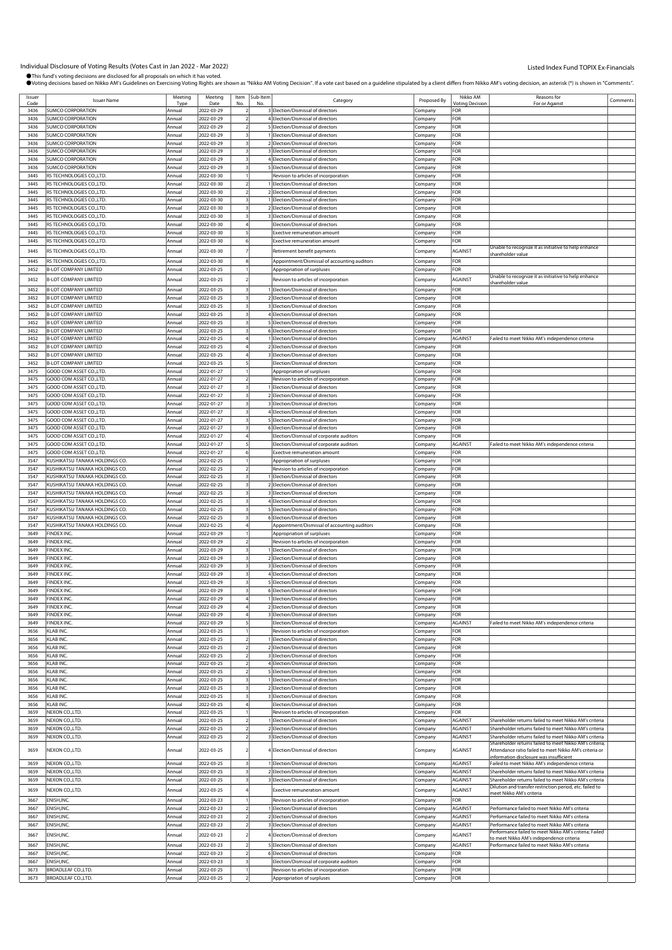| Issuer | <b>Issuer Name</b>             | Meeting | Meeting    |    | Item Sub-Item |                                                                     | Proposed By        | Nikko AM               | Reasons for                                              | Comments |
|--------|--------------------------------|---------|------------|----|---------------|---------------------------------------------------------------------|--------------------|------------------------|----------------------------------------------------------|----------|
| Code   |                                | Type    | Date       | No | No            | Category                                                            |                    | <b>Voting Decision</b> | For or Against                                           |          |
| 3436   | SUMCO CORPORATION              | Annual  | 2022-03-29 |    |               | 3 Election/Dismissal of directors                                   | Company            | FOR                    |                                                          |          |
| 3436   | <b>SUMCO CORPORATION</b>       | Annual  | 2022-03-29 |    |               | 4 Election/Dismissal of directors                                   | Company            | FOR                    |                                                          |          |
| 3436   | SUMCO CORPORATION              | Annual  | 2022-03-29 |    |               | 5 Election/Dismissal of directors                                   | Company            | FOR                    |                                                          |          |
| 3436   | <b>SUMCO CORPORATION</b>       | Annual  | 2022-03-29 |    |               | 1 Election/Dismissal of directors                                   |                    | FOR                    |                                                          |          |
|        |                                |         |            |    |               |                                                                     | Company            |                        |                                                          |          |
| 3436   | <b>SUMCO CORPORATION</b>       | Annual  | 2022-03-29 |    |               | 2 Election/Dismissal of directors                                   | Company            | FOR                    |                                                          |          |
| 3436   | <b>SUMCO CORPORATION</b>       | Annual  | 2022-03-29 |    |               | 3 Election/Dismissal of directors                                   | Company            | FOR                    |                                                          |          |
| 3436   | <b>SUMCO CORPORATION</b>       | Annual  | 2022-03-29 |    |               | 4 Election/Dismissal of directors                                   | Company            | FOR                    |                                                          |          |
| 3436   | SUMCO CORPORATION              | Annual  | 2022-03-29 |    |               | 5 Election/Dismissal of directors                                   | .cmpany            | FOR                    |                                                          |          |
| 3445   | RS TECHNOLOGIES CO., LTD.      | Annual  | 2022-03-30 |    |               | Revision to articles of incorporation                               | Company            | FOR                    |                                                          |          |
| 3445   | RS TECHNOLOGIES CO.,LTD.       | Annual  | 2022-03-30 |    |               | Election/Dismissal of directors                                     | Company            | FOR                    |                                                          |          |
|        |                                |         |            |    |               |                                                                     |                    |                        |                                                          |          |
| 3445   | RS TECHNOLOGIES CO., LTD.      | Annual  | 2022-03-30 |    |               | Election/Dismissal of directors                                     | Company            | FOR                    |                                                          |          |
| 3445   | RS TECHNOLOGIES CO., LTD.      | Annual  | 2022-03-30 |    |               | Election/Dismissal of directors                                     | Company            | FOR                    |                                                          |          |
| 3445   | RS TECHNOLOGIES CO.,LTD.       | Annual  | 2022-03-30 |    |               | Election/Dismissal of directors                                     | .ompany            | FOR                    |                                                          |          |
| 3445   | RS TECHNOLOGIES CO.,LTD.       | Annual  | 2022-03-30 |    |               | 3 Election/Dismissal of directors                                   | Company            | FOR                    |                                                          |          |
| 3445   | RS TECHNOLOGIES CO.,LTD.       | Annual  | 2022-03-30 |    |               | Election/Dismissal of directors                                     | Company            | FOR                    |                                                          |          |
| 3445   | RS TECHNOLOGIES CO.,LTD.       | Annual  | 2022-03-30 |    |               | <b>Exective remuneration amount</b>                                 | Company            | FOR                    |                                                          |          |
|        |                                |         |            |    |               |                                                                     |                    |                        |                                                          |          |
| 3445   | RS TECHNOLOGIES CO.,LTD.       | Annual  | 2022-03-30 |    |               | <b>Exective remuneration amount</b>                                 | Company            | FOR                    |                                                          |          |
| 3445   | RS TECHNOLOGIES CO., LTD.      | Annual  | 2022-03-30 |    |               | Retirement benefit payments                                         | Company            | AGAINST                | Unable to recognize it as initiative to help enhance     |          |
| 3445   | RS TECHNOLOGIES CO., LTD.      | Annual  | 2022-03-30 |    |               | Appointment/Dismissal of accounting auditors                        | Company            | FOR                    | hareholder value                                         |          |
|        | <b>B-LOT COMPANY LIMITED</b>   |         |            |    |               |                                                                     |                    | FOR                    |                                                          |          |
| 3452   |                                | Annual  | 2022-03-25 |    |               | Appropriation of surpluses                                          | Company            |                        |                                                          |          |
| 3452   | <b>B-LOT COMPANY LIMITED</b>   | Annual  | 2022-03-25 |    |               | Revision to articles of incorporation                               | Company            | AGAINST                | Unable to recognize it as initiative to help enhance     |          |
| 3452   | <b>B-LOT COMPANY LIMITED</b>   |         | 2022-03-25 |    |               |                                                                     |                    | FOR                    | shareholder value                                        |          |
|        |                                | Annual  |            |    |               | Election/Dismissal of directors                                     | Company            |                        |                                                          |          |
| 3452   | <b>B-LOT COMPANY LIMITED</b>   | Annual  | 2022-03-25 |    |               | 2 Election/Dismissal of directors                                   | Company            | FOR                    |                                                          |          |
| 3452   | <b>B-LOT COMPANY LIMITED</b>   | Annual  | 2022-03-25 |    |               | 3 Election/Dismissal of directors                                   | Company            | FOR                    |                                                          |          |
| 3452   | <b>B-LOT COMPANY LIMITED</b>   | Annual  | 2022-03-25 |    |               | 4 Election/Dismissal of directors                                   | Company            | FOR                    |                                                          |          |
| 3452   | <b>B-LOT COMPANY LIMITED</b>   | Annual  | 2022-03-25 |    |               | 5 Election/Dismissal of directors                                   | Company            | FOR                    |                                                          |          |
| 3452   | <b>B-LOT COMPANY LIMITED</b>   | Annual  | 2022-03-25 |    |               | 6 Election/Dismissal of directors                                   | Company            | FOR                    |                                                          |          |
| 3452   |                                |         |            |    |               |                                                                     |                    |                        |                                                          |          |
|        | <b>B-LOT COMPANY LIMITED</b>   | Annual  | 2022-03-25 |    |               | Election/Dismissal of directors                                     | Company            | AGAINST                | Failed to meet Nikko AM's independence criteria          |          |
| 3452   | <b>B-LOT COMPANY LIMITED</b>   | Annual  | 2022-03-25 |    |               | 2 Election/Dismissal of directors                                   | Company            | FOR                    |                                                          |          |
| 3452   | <b>B-LOT COMPANY LIMITED</b>   | Annual  | 2022-03-25 |    |               | 3 Election/Dismissal of directors                                   | Company            | FOR                    |                                                          |          |
| 3452   | <b>B-LOT COMPANY LIMITED</b>   | Annual  | 2022-03-25 |    |               | Election/Dismissal of directors                                     | Company            | FOR                    |                                                          |          |
| 3475   | GOOD COM ASSET CO., LTD.       | Annual  | 2022-01-27 |    |               | Appropriation of surpluses                                          | Company            | FOR                    |                                                          |          |
| 3475   | GOOD COM ASSET CO.,LTD.        | Annual  | 2022-01-27 |    |               | Revision to articles of incorporation                               | Company            | FOR                    |                                                          |          |
|        |                                |         |            |    |               |                                                                     |                    |                        |                                                          |          |
| 3475   | GOOD COM ASSET CO., LTD.       | Annual  | 2022-01-27 |    |               | Election/Dismissal of directors                                     | Company            | FOR                    |                                                          |          |
| 3475   | GOOD COM ASSET CO.,LTD.        | Annual  | 2022-01-27 |    |               | 2 Election/Dismissal of directors                                   | Company            | FOR                    |                                                          |          |
| 3475   | GOOD COM ASSET CO., LTD.       | Annual  | 2022-01-27 |    |               | 3 Election/Dismissal of directors                                   | Company            | FOR                    |                                                          |          |
| 3475   | GOOD COM ASSET CO., LTD.       | Annual  | 2022-01-27 |    |               | 4 Election/Dismissal of directors                                   | .ompany            | FOR                    |                                                          |          |
| 3475   | GOOD COM ASSET CO.,LTD.        | Annual  | 2022-01-27 |    |               | 5 Election/Dismissal of directors                                   | Company            | FOR                    |                                                          |          |
| 3475   | GOOD COM ASSET CO., LTD.       | Annual  | 2022-01-27 |    |               | 6 Election/Dismissal of directors                                   | Company            | FOR                    |                                                          |          |
| 3475   |                                | Annual  |            |    |               |                                                                     |                    | FOR                    |                                                          |          |
|        | GOOD COM ASSET CO., LTD.       |         | 2022-01-27 |    |               | Election/Dismissal of corporate auditors                            | Company            |                        |                                                          |          |
| 3475   | GOOD COM ASSET CO., LTD.       | Annua   | 2022-01-27 |    |               | Election/Dismissal of corporate auditors                            | Company            | AGAINST                | Failed to meet Nikko AM's independence criteria          |          |
| 3475   | GOOD COM ASSET CO., LTD.       | Annual  | 2022-01-27 |    |               | <b>Exective remuneration amount</b>                                 | .<br>ompany        | FOR                    |                                                          |          |
| 3547   | KUSHIKATSU TANAKA HOLDINGS CO. | Annual  | 2022-02-25 |    |               | Appropriation of surpluses                                          | Company            | FOR                    |                                                          |          |
| 3547   | KUSHIKATSU TANAKA HOLDINGS CO. | Annual  | 2022-02-25 |    |               | Revision to articles of incorporation                               | Company            | FOR                    |                                                          |          |
| 3547   | KUSHIKATSU TANAKA HOLDINGS CO. | Annual  | 2022-02-25 |    |               | 1 Election/Dismissal of directors                                   | Company            | FOR                    |                                                          |          |
| 3547   | KUSHIKATSU TANAKA HOLDINGS CO. | Annual  | 2022-02-25 |    |               | 2 Election/Dismissal of directors                                   |                    | OR-                    |                                                          |          |
|        |                                |         |            |    |               |                                                                     | Company            |                        |                                                          |          |
| 3547   | KUSHIKATSU TANAKA HOLDINGS CO. | Annual  | 2022-02-25 |    |               | 3 Election/Dismissal of directors                                   | .ompany            | FOR                    |                                                          |          |
| 3547   | KUSHIKATSU TANAKA HOLDINGS CO. | Annual  | 2022-02-25 |    |               | 4 Election/Dismissal of directors                                   | Company            | FOR                    |                                                          |          |
| 3547   | KUSHIKATSU TANAKA HOLDINGS CO. | Annual  | 2022-02-25 |    |               | 5 Election/Dismissal of directors                                   | Company            | OR-                    |                                                          |          |
| 3547   | KUSHIKATSU TANAKA HOLDINGS CO. | Annual  | 2022-02-25 |    |               | 6 Election/Dismissal of directors                                   | Company            | FOR                    |                                                          |          |
| 3547   | KUSHIKATSU TANAKA HOLDINGS CO. | Annua   | 2022-02-25 |    |               | Appointment/Dismissal of accounting auditors                        | Company            | OR-                    |                                                          |          |
|        | FINDEX INC.                    |         |            |    |               |                                                                     |                    | FOR                    |                                                          |          |
| 3649   |                                | Annual  | 2022-03-29 |    |               | Appropriation of surpluses                                          | :ompany            |                        |                                                          |          |
| 3649   | FINDEX INC.                    | Annual  | 2022-03-29 |    |               | Revision to articles of incorporation                               | Company            | FOR                    |                                                          |          |
| 3649   | FINDEX INC.                    | Annual  | 2022-03-29 |    |               | Election/Dismissal of directors                                     | Company            | OR-                    |                                                          |          |
| 3649   | FINDEX INC.                    | Annual  | 2022-03-29 |    |               | 2 Election/Dismissal of directors                                   | Company            | FOR                    |                                                          |          |
| 3649   | <b>INDEX INC.</b>              | Annual  | 2022-03-29 |    |               | 3 Election/Dismissal of directors                                   | Company            | ∶OR                    |                                                          |          |
| 3649   | <b>FINDEX INC</b>              | Annual  | 2022-03-29 |    |               | 4 Election/Dismissal of directors                                   | :ompany            | FOR                    |                                                          |          |
| 3649   | FINDEX INC.                    | Annual  | 2022-03-29 |    |               | 5 Election/Dismissal of directors                                   | Company            | FOR                    |                                                          |          |
|        |                                |         |            |    |               |                                                                     |                    | <b>FOR</b>             |                                                          |          |
| 3649   | FINDEX INC.                    | Annual  | 2022-03-29 |    |               | 6 Election/Dismissal of directors                                   | Company            |                        |                                                          |          |
| 3649   | FINDEX INC.                    | Annual  | 2022-03-29 |    |               | 1 Election/Dismissal of directors                                   | Company            | FOR                    |                                                          |          |
| 3649   | FINDEX INC.                    | Annual  | 2022-03-29 |    |               | 2 Election/Dismissal of directors                                   | Company            | FOR                    |                                                          |          |
| 3649   | FINDEX INC.                    | Annual  | 2022-03-29 |    |               | 3 Election/Dismissal of directors                                   | Company            | FOR                    |                                                          |          |
| 3649   | FINDEX INC.                    | Annual  | 2022-03-29 |    |               | Election/Dismissal of directors                                     | Company            | AGAINST                | Failed to meet Nikko AM's independence criteria          |          |
| 3656   | KLAB INC.                      | Annual  | 2022-03-25 |    |               | Revision to articles of incorporation                               | Company            | <b>FOR</b>             |                                                          |          |
| 3656   | KLAB INC.                      | Annual  | 2022-03-25 |    |               | I Election/Dismissal of directors                                   |                    | FOR                    |                                                          |          |
|        |                                |         |            |    |               |                                                                     | Company            |                        |                                                          |          |
| 3656   | KLAB INC.                      | Annual  | 2022-03-25 |    |               | 2 Election/Dismissal of directors                                   | Company            | FOR                    |                                                          |          |
| 3656   | KLAB INC.                      | Annual  | 2022-03-25 |    |               | 3 Election/Dismissal of directors                                   | Company            | FOR                    |                                                          |          |
| 3656   | KLAB INC.                      | Annual  | 2022-03-25 |    |               | 4 Election/Dismissal of directors                                   | Company            | FOR                    |                                                          |          |
| 3656   | KLAB INC.                      | Annual  | 2022-03-25 |    |               | 5 Election/Dismissal of directors                                   | Company            | FOR                    |                                                          |          |
| 3656   | KLAB INC.                      | Annual  | 2022-03-25 |    |               | 1 Election/Dismissal of directors                                   | Company            | FOR                    |                                                          |          |
| 3656   | KLAB INC.                      | Annual  | 2022-03-25 |    |               | 2 Election/Dismissal of directors                                   | Company            | FOR                    |                                                          |          |
| 3656   | KLAB INC.                      | Annual  | 2022-03-25 |    |               | 3 Election/Dismissal of directors                                   | Company            | FOR                    |                                                          |          |
|        |                                |         |            |    |               |                                                                     |                    |                        |                                                          |          |
| 3656   | KLAB INC.                      | Annual  | 2022-03-25 |    |               | Election/Dismissal of directors                                     | Company            | FOR                    |                                                          |          |
| 3659   | NEXON CO., LTD.                | Annual  | 2022-03-25 |    |               | Revision to articles of incorporation                               | Company            | FOR                    |                                                          |          |
| 3659   | NEXON CO.,LTD.                 | Annual  | 2022-03-25 |    |               | Election/Dismissal of directors                                     | Company            | AGAINST                | Shareholder returns failed to meet Nikko AM's criteria   |          |
| 3659   | NEXON CO., LTD.                | Annual  | 2022-03-25 |    |               | 2 Election/Dismissal of directors                                   | Company            | AGAINST                | Shareholder returns failed to meet Nikko AM's criteria   |          |
| 3659   | NEXON CO., LTD.                | Annual  | 2022-03-25 |    |               | 3 Election/Dismissal of directors                                   | Company            | AGAINST                | Shareholder returns failed to meet Nikko AM's criteria   |          |
|        |                                |         |            |    |               |                                                                     |                    |                        | Shareholder returns failed to meet Nikko AM's criteria;  |          |
| 3659   | NEXON CO., LTD.                | Annual  | 2022-03-25 |    |               | 4 Election/Dismissal of directors                                   | Company            | AGAINST                | Attendance ratio failed to meet Nikko AM's criteria or   |          |
|        |                                |         |            |    |               |                                                                     |                    |                        | nformation disclosure was insufficient                   |          |
| 3659   | NEXON CO., LTD.                | Annual  | 2022-03-25 |    |               | Election/Dismissal of directors                                     | Company            | <b>AGAINST</b>         | Failed to meet Nikko AM's independence criteria          |          |
| 3659   | NEXON CO., LTD.                | Annual  | 2022-03-25 |    |               | 2 Election/Dismissal of directors                                   | Company            | AGAINST                | Shareholder returns failed to meet Nikko AM's criteria   |          |
| 3659   | NEXON CO.,LTD.                 | Annual  | 2022-03-25 |    |               | 3 Election/Dismissal of directors                                   | Company            | AGAINST                | Shareholder returns failed to meet Nikko AM's criteria   |          |
|        |                                |         |            |    |               |                                                                     |                    |                        | Dilution and transfer restriction period, etc. failed to |          |
| 3659   | NEXON CO.,LTD.                 | Annual  | 2022-03-25 |    |               | Exective remuneration amount                                        | Company            | AGAINST                | <u>meet Nikko AM's criteria</u>                          |          |
| 3667   | ENISH, INC.                    | Annual  | 2022-03-23 |    |               | Revision to articles of incorporation                               | Company            | <b>FOR</b>             |                                                          |          |
| 3667   | ENISH, INC.                    | Annual  |            |    |               | Election/Dismissal of directors                                     |                    |                        |                                                          |          |
|        |                                |         | 2022-03-23 |    |               |                                                                     | Company            | AGAINST                | Performance failed to meet Nikko AM's criteria           |          |
| 3667   | ENISH, INC.                    | Annual  | 2022-03-23 |    |               | 2 Election/Dismissal of directors                                   | Company            | AGAINST                | Performance failed to meet Nikko AM's criteria           |          |
|        | ENISH, INC.                    | Annual  | 2022-03-23 |    |               | 3 Election/Dismissal of directors                                   | Company            | AGAINST                | Performance failed to meet Nikko AM's criteria           |          |
| 3667   |                                |         |            |    |               | 4 Election/Dismissal of directors                                   | Company            | AGAINST                | Performance failed to meet Nikko AM's criteria; Failed   |          |
| 3667   |                                |         |            |    |               |                                                                     |                    |                        |                                                          |          |
|        | ENISH, INC.                    | Annual  | 2022-03-23 |    |               |                                                                     |                    |                        | to meet Nikko AM's independence criteria                 |          |
| 3667   | ENISH, INC.                    | Annual  | 2022-03-23 |    |               | 5 Election/Dismissal of directors                                   | Company            | <b>AGAINST</b>         | Performance failed to meet Nikko AM's criteria           |          |
| 3667   | ENISH, INC.                    | Annual  | 2022-03-23 |    |               | 6 Election/Dismissal of directors                                   | Company            | FOR                    |                                                          |          |
| 3667   | ENISH, INC.                    | Annual  | 2022-03-23 |    |               | Election/Dismissal of corporate auditors                            | Company            | FOR                    |                                                          |          |
| 3673   | BROADLEAF CO.,LTD.             | Annual  | 2022-03-25 |    |               |                                                                     |                    | FOR                    |                                                          |          |
| 3673   | BROADLEAF CO.,LTD.             | Annual  | 2022-03-25 |    |               | Revision to articles of incorporation<br>Appropriation of surpluses | Company<br>Company | <b>FOR</b>             |                                                          |          |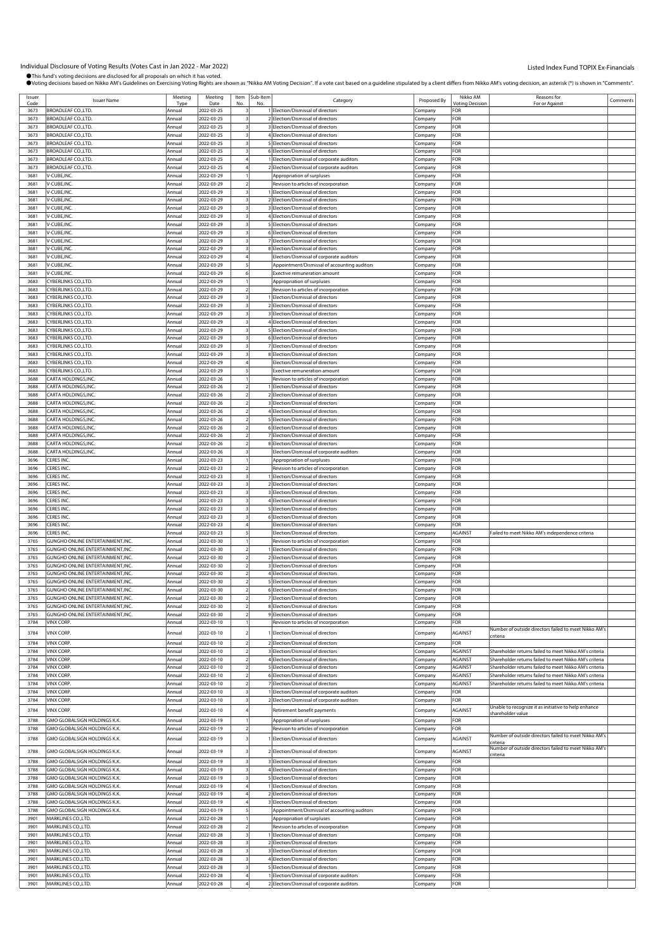| Issuer       |                                         | Meeting          | Meeting                  | Item           | Sub-Item |                                              |                    | Nikko AM              | Reasons for                                                                                                      |          |
|--------------|-----------------------------------------|------------------|--------------------------|----------------|----------|----------------------------------------------|--------------------|-----------------------|------------------------------------------------------------------------------------------------------------------|----------|
| Code         | <b>Issuer Name</b>                      | Tyn              | Date                     |                |          | Category                                     | Proposed By        | <b>Votina Decisio</b> | For or Agains                                                                                                    | Comments |
| 3673         | BROADLEAF CO.,LTD.                      | Annual           | 2022-03-25               |                |          | 1 Election/Dismissal of directors            | Company            | FOR                   |                                                                                                                  |          |
| 3673         | BROADLEAF CO.,LTD.                      | Annual           | 2022-03-25               | 3              |          | 2 Election/Dismissal of directors            | Company            | FOR                   |                                                                                                                  |          |
| 3673         | BROADLEAF CO.,LTD.                      | Annual           | 2022-03-25               | 3              |          | 3 Election/Dismissal of directors            | Company            | FOR                   |                                                                                                                  |          |
| 3673         | BROADLEAF CO.,LTD.                      | Annual           | 2022-03-25               |                |          | 4 Election/Dismissal of directors            | Company            | FOR                   |                                                                                                                  |          |
| 3673         | BROADLEAF CO.,LTD.                      | Annual           | 2022-03-25               |                |          | 5 Election/Dismissal of directors            | .ompany            | FOR                   |                                                                                                                  |          |
| 3673         | BROADLEAF CO.,LTD.                      | Annual           | 2022-03-25               |                |          | 6 Election/Dismissal of directors            | Company            | FOR                   |                                                                                                                  |          |
| 3673         | BROADLEAF CO.,LTD.                      | Annual           | 2022-03-25               |                |          | 1 Election/Dismissal of corporate auditors   | Company            | FOR                   |                                                                                                                  |          |
| 3673         | BROADLEAF CO.,LTD.                      | Annual           | 2022-03-25               |                |          | 2 Election/Dismissal of corporate auditors   | Company            | FOR                   |                                                                                                                  |          |
| 3681         | V-CUBE, INC.                            | Annual           | 2022-03-29               |                |          | Appropriation of surpluses                   | Company            | FOR                   |                                                                                                                  |          |
| 3681         | V-CUBE, INC.                            | Annual           | 2022-03-29               |                |          | Revision to articles of incorporation        |                    | FOR                   |                                                                                                                  |          |
| 3681         | V-CUBE, INC.                            | Annual           | 2022-03-29               |                |          | 1 Election/Dismissal of directors            | .ompany            | FOR                   |                                                                                                                  |          |
|              |                                         |                  |                          |                |          |                                              | Company            |                       |                                                                                                                  |          |
| 3681         | V-CUBE, INC.                            | Annual           | 2022-03-29               | 3              |          | 2 Election/Dismissal of directors            | Company            | FOR                   |                                                                                                                  |          |
| 3681         | V-CUBE, INC.                            | Annual           | 2022-03-29               | 3              |          | 3 Election/Dismissal of directors            | Company            | FOR                   |                                                                                                                  |          |
| 3681         | V-CUBE, INC.                            | Annual           | 2022-03-29               |                |          | 4 Election/Dismissal of directors            | Company            | FOR                   |                                                                                                                  |          |
| 3681         | V-CUBE, INC.                            | Annual           | 2022-03-29               |                |          | 5 Election/Dismissal of directors            | .ompany            | FOR                   |                                                                                                                  |          |
| 3681         | V-CUBE, INC.                            | Annual           | 2022-03-29               |                |          | 6 Election/Dismissal of directors            | Company            | FOR                   |                                                                                                                  |          |
| 3681         | V-CUBE, INC.                            | Annual           | 2022-03-29               |                |          | 7 Election/Dismissal of directors            | Company            | FOR                   |                                                                                                                  |          |
| 3681         | V-CUBE.INC.                             | Annual           | 2022-03-29               |                |          | 8 Election/Dismissal of directors            | Company            | FOR                   |                                                                                                                  |          |
| 3681         | V-CUBE, INC.                            | Annual           | 2022-03-29               |                |          | Election/Dismissal of corporate auditors     | Company            | FOR                   |                                                                                                                  |          |
| 3681         | V-CUBE, INC.                            | Annual           | 2022-03-29               |                |          | Appointment/Dismissal of accounting auditors | Company            | FOR                   |                                                                                                                  |          |
| 3681         | V-CUBE, INC.                            | Annual           | 2022-03-29               |                |          | Exective remuneration amount                 | Company            | FOR                   |                                                                                                                  |          |
| 3683         | CYBERLINKS CO., LTD.                    | Annual           | 2022-03-29               |                |          | Appropriation of surpluses                   | Company            | FOR                   |                                                                                                                  |          |
| 3683         | CYBERLINKS CO., LTD.                    | Annual           | 2022-03-29               |                |          | Revision to articles of incorporation        | Company            | FOR                   |                                                                                                                  |          |
| 3683         | CYBERLINKS CO.,LTD.                     | Annual           | 2022-03-29               |                |          | 1 Election/Dismissal of directors            | Company            | FOF                   |                                                                                                                  |          |
| 3683         | CYBERLINKS CO.,LTD.                     | Annual           | 2022-03-29               |                |          | 2 Election/Dismissal of directors            | .ompany            | FOR                   |                                                                                                                  |          |
| 3683         | CYBERLINKS CO., LTD.                    | Annual           | 2022-03-29               |                |          | 3 Election/Dismissal of directors            | Company            | FOR                   |                                                                                                                  |          |
| 3683         | CYBERLINKS CO., LTD.                    | Annual           | 2022-03-29               |                |          | 4 Election/Dismissal of directors            | Company            | FOR                   |                                                                                                                  |          |
| 3683         | CYBERLINKS CO., LTD.                    | Annual           | 2022-03-29               | 3              |          | 5 Election/Dismissal of directors            | Company            | FOR                   |                                                                                                                  |          |
| 3683         | CYBERLINKS CO., LTD.                    | Annual           | 2022-03-29               |                |          | 6 Election/Dismissal of directors            | Company            | FOR                   |                                                                                                                  |          |
| 3683         | CYBERLINKS CO.,LTD.                     | Annual           | 2022-03-29               |                |          | 7 Election/Dismissal of directors            | .ompany            | FOR                   |                                                                                                                  |          |
| 3683         | CYBERLINKS CO., LTD.                    | Annual           | 2022-03-29               |                |          | 8 Election/Dismissal of directors            | Company            | FOR                   |                                                                                                                  |          |
| 3683         | CYBERLINKS CO., LTD.                    | Annual           | 2022-03-29               |                |          | Election/Dismissal of directors              |                    | FOR                   |                                                                                                                  |          |
| 3683         | CYBERLINKS CO., LTD.                    | Annual           | 2022-03-29               |                |          | <b>Exective remuneration amount</b>          | Company            | FOR                   |                                                                                                                  |          |
| 3688         | CARTA HOLDINGS, INC                     |                  | 2022-03-26               |                |          | Revision to articles of incorporation        | Company            | FOR                   |                                                                                                                  |          |
| 3688         | CARTA HOLDINGS,INC                      | Annual<br>Annual | 2022-03-26               |                |          | Election/Dismissal of directors              | Company            | FOR                   |                                                                                                                  |          |
| 3688         |                                         |                  |                          |                |          |                                              | .ompany            | FOR                   |                                                                                                                  |          |
|              | CARTA HOLDINGS, INC                     | Annual           | 2022-03-26               |                |          | 2 Election/Dismissal of directors            | Company            |                       |                                                                                                                  |          |
| 3688         | CARTA HOLDINGS, INC.                    | Annual           | 2022-03-26               |                |          | 3 Election/Dismissal of directors            | Company            | FOR                   |                                                                                                                  |          |
| 3688         | CARTA HOLDINGS, INC.                    | Annual           | 2022-03-26               |                |          | 4 Election/Dismissal of directors            | Company            | FOR                   |                                                                                                                  |          |
| 3688         | CARTA HOLDINGS, INC.                    | Annual           | 2022-03-26               |                |          | 5 Election/Dismissal of directors            | Company            | FOR                   |                                                                                                                  |          |
| 3688         | CARTA HOLDINGS,INC                      | Annual           | 2022-03-26               |                |          | 6 Election/Dismissal of directors            | .ompany            | FOR                   |                                                                                                                  |          |
| 3688         | CARTA HOLDINGS,INC.                     | Annual           | 2022-03-26               |                |          | 7 Election/Dismissal of directors            | .ompany            | FOR                   |                                                                                                                  |          |
| 3688         | CARTA HOLDINGS, INC.                    | Annual           | 2022-03-26               |                |          | 8 Election/Dismissal of directors            | Company            | FOR                   |                                                                                                                  |          |
| 3688         | CARTA HOLDINGS, INC.                    | Annual           | 2022-03-26               |                |          | Election/Dismissal of corporate auditors     | Company            | FOR                   |                                                                                                                  |          |
| 3696         | CERES INC                               | Annual           | 2022-03-23               |                |          | Appropriation of surpluses                   | Company            | FOR                   |                                                                                                                  |          |
| 3696         | CERES INC.                              | Annual           | 2022-03-23               |                |          | Revision to articles of incorporation        | Company            | FOR                   |                                                                                                                  |          |
| 3696         | CERES INC.                              | Annual           | 2022-03-23               |                |          | 1 Election/Dismissal of directors            | .ompany            | FOR                   |                                                                                                                  |          |
| 3696         | CERES INC.                              | Annual           | 2022-03-23               |                |          | 2 Election/Dismissal of directors            | Company            | FOR                   |                                                                                                                  |          |
| 3696         | CERES INC.                              | Annual           | 2022-03-23               |                |          | 3 Election/Dismissal of directors            | Company            | FOR                   |                                                                                                                  |          |
| 3696         | ERES INC.                               | Annual           | 2022-03-23               |                |          | 4 Election/Dismissal of directors            | Company            | FOR                   |                                                                                                                  |          |
| 3696         | CERES INC.                              | Annual           | 2022-03-23               |                |          | 5 Election/Dismissal of directors            | .ompany            | FOR                   |                                                                                                                  |          |
| 3696         | CERES INC                               | Annual           | 2022-03-23               |                |          | 6 Election/Dismissal of directors            | :ompany            | FOR                   |                                                                                                                  |          |
| 3696         | CERES INC.                              | Annual           | 2022-03-23               |                |          | Election/Dismissal of directors              | Company            | FOR                   |                                                                                                                  |          |
| 3696         | CERES INC.                              | Annual           | 2022-03-23               |                |          | Election/Dismissal of directors              | Company            | <b>AGAINST</b>        | Failed to meet Nikko AM's independence criteria                                                                  |          |
| 3765         | <b>GUNGHO ONLINE ENTERTAINMENT.INC.</b> | Annual           | 2022-03-30               |                |          | Revision to articles of incorporation        | Company            | FOR                   |                                                                                                                  |          |
| 3765         | GUNGHO ONLINE ENTERTAINMENT,INC.        | Annual           | 2022-03-30               |                |          | 1 Election/Dismissal of directors            | .ompany            | FOR                   |                                                                                                                  |          |
| 3765         | GUNGHO ONLINE ENTERTAINMENT, INC.       | Annual           | 2022-03-30               |                |          | 2 Election/Dismissal of directors            | :ompany            | FOR                   |                                                                                                                  |          |
| 3765         | GUNGHO ONLINE ENTERTAINMENT, INC.       | Annual           | 2022-03-30               |                |          | 3 Election/Dismissal of directors            |                    | FOR                   |                                                                                                                  |          |
| 3765         | GUNGHO ONLINE ENTERTAINMENT, INC.       | Annual           | 2022-03-30               |                |          | 4 Election/Dismissal of directors            | Company<br>Company | FOR                   |                                                                                                                  |          |
| 3765         | GUNGHO ONLINE ENTERTAINMENT, INC.       | Annual           | 2022-03-30               |                |          | 5 Election/Dismissal of directors            | Company            | FOR                   |                                                                                                                  |          |
|              |                                         |                  |                          |                |          | 6 Election/Dismissal of directors            |                    |                       |                                                                                                                  |          |
| 3765         | GUNGHO ONLINE ENTERTAINMENT, INC.       | Annual           | 2022-03-30               | $\overline{2}$ |          |                                              | Company            | FOR                   |                                                                                                                  |          |
| 3765         | GUNGHO ONLINE ENTERTAINMENT, INC.       | Annual           | 2022-03-30               |                |          | 7 Election/Dismissal of directors            | Company            | FOR                   |                                                                                                                  |          |
| 3765         | GUNGHO ONLINE ENTERTAINMENT, INC.       | Annual           | 2022-03-30               | $\overline{2}$ |          | 8 Election/Dismissal of directors            | Company            | FOR                   |                                                                                                                  |          |
| 3765         | GUNGHO ONLINE ENTERTAINMENT, INC.       | Annual           | 2022-03-30               | $\overline{z}$ |          | 9 Election/Dismissal of directors            | Company            | FOR                   |                                                                                                                  |          |
| 3784         | VINX CORP.                              | Annual           | 2022-03-10               |                |          | Revision to articles of incorporation        | Company            | <b>FOR</b>            |                                                                                                                  |          |
| 3784         | VINX CORP.                              | Annual           | 2022-03-10               | $\overline{2}$ |          | 1 Election/Dismissal of directors            | Company            | AGAINST               | Number of outside directors failed to meet Nikko AM's<br>criteria                                                |          |
| 3784         | VINX CORP.                              | Annual           | 2022-03-10               | $\overline{2}$ |          | 2 Election/Dismissal of directors            | Company            | FOR                   |                                                                                                                  |          |
| 3784         | <b>VINX CORP.</b>                       | Annual           | 2022-03-10               | $\overline{2}$ |          | 3 Election/Dismissal of directors            | Company            | <b>AGAINST</b>        | Shareholder returns failed to meet Nikko AM's criteria                                                           |          |
| 3784         | VINX CORP.                              | Annual           | 2022-03-10               |                |          | 4 Election/Dismissal of directors            | Company            | <b>AGAINST</b>        | Shareholder returns failed to meet Nikko AM's criteria                                                           |          |
|              | VINX CORP.                              |                  | 2022-03-10               |                |          |                                              |                    | <b>AGAINST</b>        |                                                                                                                  |          |
| 3784<br>3784 | <b>VINX CORP.</b>                       | Annual<br>Annual |                          |                |          | 5 Election/Dismissal of directors            | Company            | <b>AGAINST</b>        | Shareholder returns failed to meet Nikko AM's criteria<br>Shareholder returns failed to meet Nikko AM's criteria |          |
|              | <b>VINX CORP.</b>                       |                  | 2022-03-10<br>2022-03-10 |                |          | 6 Election/Dismissal of directors            | Company            |                       |                                                                                                                  |          |
| 3784         |                                         | Annual           |                          | $\overline{2}$ |          | 7 Election/Dismissal of directors            | Company            | <b>AGAINST</b>        | Shareholder returns failed to meet Nikko AM's criteria                                                           |          |
| 3784         | VINX CORP.                              | Annual           | 2022-03-10               | 3              |          | 1 Election/Dismissal of corporate auditors   | Company            | FOR                   |                                                                                                                  |          |
| 3784         | VINX CORP.                              | Annual           | 2022-03-10               |                |          | 2 Election/Dismissal of corporate auditors   | Company            | FOR                   |                                                                                                                  |          |
| 3784         | VINX CORP.                              | Annual           | 2022-03-10               |                |          | Retirement benefit payments                  | Company            | AGAINST               | Unable to recognize it as initiative to help enhance<br>shareholder value                                        |          |
| 3788         | GMO GLOBALSIGN HOLDINGS K.K.            | Annual           | 2022-03-19               |                |          | Appropriation of surpluses                   | Company            | FOR                   |                                                                                                                  |          |
| 3788         | GMO GLOBALSIGN HOLDINGS K.K.            | Annual           | 2022-03-19               |                |          | Revision to articles of incorporation        | Company            | FOR                   |                                                                                                                  |          |
|              |                                         |                  |                          |                |          |                                              |                    |                       | Number of outside directors failed to meet Nikko AM's                                                            |          |
| 3788         | GMO GLOBALSIGN HOLDINGS K.K.            | Annual           | 2022-03-19               |                |          | 1 Election/Dismissal of directors            | Company            | AGAINST               | criteria                                                                                                         |          |
| 3788         | GMO GLOBALSIGN HOLDINGS K.K.            | Annual           | 2022-03-19               |                |          | 2 Election/Dismissal of directors            | Company            | <b>AGAINST</b>        | Number of outside directors failed to meet Nikko AM's                                                            |          |
|              |                                         |                  |                          |                |          |                                              |                    |                       | criteria                                                                                                         |          |
| 3788         | GMO GLOBALSIGN HOLDINGS K.K.            | Annual           | 2022-03-19               | 3              |          | 3 Election/Dismissal of directors            | Company            | FOR                   |                                                                                                                  |          |
| 3788         | GMO GLOBALSIGN HOLDINGS K.K.            | Annual           | 2022-03-19               | 3              |          | 4 Election/Dismissal of directors            | Company            | FOR                   |                                                                                                                  |          |
| 3788         | GMO GLOBALSIGN HOLDINGS K.K.            | Annual           | 2022-03-19               |                |          | 5 Election/Dismissal of directors            | Company            | FOR                   |                                                                                                                  |          |
| 3788         | GMO GLOBALSIGN HOLDINGS K.K.            | Annual           | 2022-03-19               |                |          | 1 Election/Dismissal of directors            | Company            | FOR                   |                                                                                                                  |          |
| 3788         | GMO GLOBALSIGN HOLDINGS K.K.            | Annual           | 2022-03-19               |                |          | 2 Election/Dismissal of directors            | Company            | FOR                   |                                                                                                                  |          |
| 3788         | GMO GLOBALSIGN HOLDINGS K.K.            | Annual           | 2022-03-19               |                |          | 3 Election/Dismissal of directors            | Company            | FOR                   |                                                                                                                  |          |
| 3788         | GMO GLOBALSIGN HOLDINGS K.K.            | Annual           | 2022-03-19               |                |          | Appointment/Dismissal of accounting auditors | Company            | FOR                   |                                                                                                                  |          |
| 3901         | MARKLINES CO., LTD.                     | Annual           | 2022-03-28               |                |          | Appropriation of surpluses                   | Company            | FOR                   |                                                                                                                  |          |
| 3901         | MARKLINES CO., LTD.                     | Annual           | 2022-03-28               |                |          | Revision to articles of incorporation        | Company            | FOR                   |                                                                                                                  |          |
| 3901         | MARKLINES CO., LTD.                     | Annual           | 2022-03-28               |                |          | 1 Election/Dismissal of directors            | Company            | FOR                   |                                                                                                                  |          |
| 3901         | MARKLINES CO., LTD.                     | Annual           | 2022-03-28               | 3              |          | 2 Election/Dismissal of directors            | Company            | FOR                   |                                                                                                                  |          |
| 3901         | MARKLINES CO., LTD.                     | Annual           | 2022-03-28               | 3              |          | 3 Election/Dismissal of directors            | Company            | FOR                   |                                                                                                                  |          |
| 3901         | MARKLINES CO., LTD.                     | Annual           | 2022-03-28               |                |          | 4 Election/Dismissal of directors            | Company            | FOR                   |                                                                                                                  |          |
| 3901         | MARKLINES CO., LTD.                     | Annual           | 2022-03-28               | 3              |          | 5 Election/Dismissal of directors            | Company            | FOR                   |                                                                                                                  |          |
| 3901         | MARKLINES CO., LTD.                     | Annual           | 2022-03-28               |                |          | 1 Election/Dismissal of corporate auditors   | Company            | FOR                   |                                                                                                                  |          |
| 3901         | MARKLINES CO., LTD.                     | Annual           | 2022-03-28               | $\overline{4}$ |          | 2 Election/Dismissal of corporate auditors   | Company            | FOR                   |                                                                                                                  |          |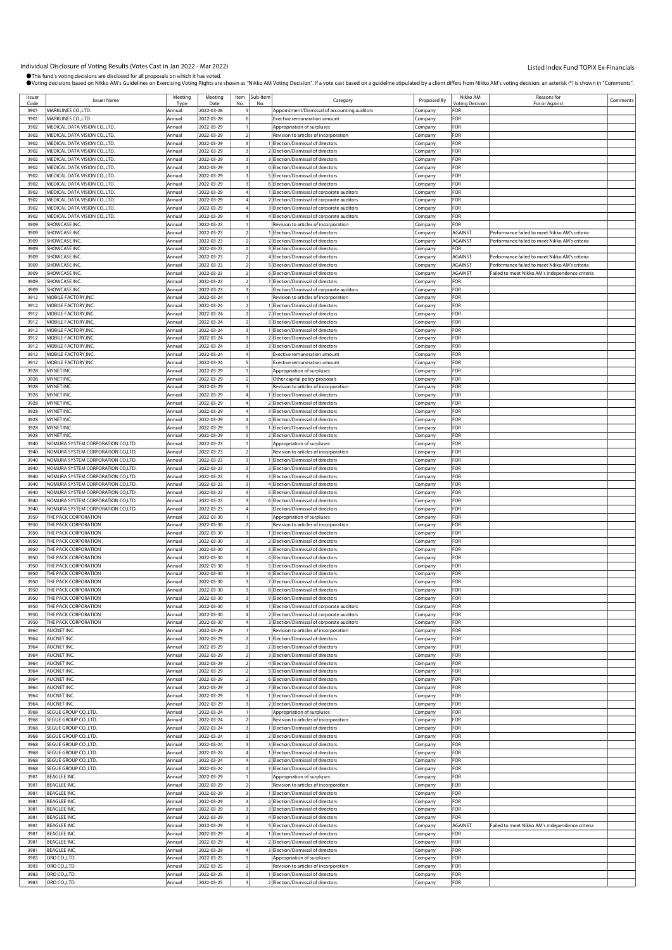| Issuer       |                                                                        | Meeting          | Meeting                  | Item | Sub-Item       |                                                                               |                    | Nikko AM        | Reasons for                                     |          |
|--------------|------------------------------------------------------------------------|------------------|--------------------------|------|----------------|-------------------------------------------------------------------------------|--------------------|-----------------|-------------------------------------------------|----------|
| Code         | <b>Issuer Name</b>                                                     | Tyne             | Date                     |      | N <sub>c</sub> | Category                                                                      | Proposed By        | Votina Decision | For or Agains                                   | Comments |
| 3901         | MARKLINES CO., LTD.                                                    | Annual           | 2022-03-28               |      |                | Appointment/Dismissal of accounting auditors                                  | Company            | FOR             |                                                 |          |
| 3901         | MARKLINES CO., LTD.                                                    | Annual           | 2022-03-28               |      |                | <b>Exective remuneration amount</b>                                           | Company            | FOR             |                                                 |          |
| 3902         | MEDICAL DATA VISION CO., LTD.                                          | Annual           | 2022-03-29               |      |                | Appropriation of surpluses                                                    | Company            | FOR             |                                                 |          |
| 3902         | MEDICAL DATA VISION CO., LTD.                                          | Annual           | 2022-03-29               |      |                | Revision to articles of incorporation                                         | Company            | FOR             |                                                 |          |
| 3902         | MEDICAL DATA VISION CO.,LTD.                                           | Annual           | 2022-03-29               |      |                | Election/Dismissal of directors                                               | .cmpany            | For             |                                                 |          |
| 3902         | MEDICAL DATA VISION CO., LTD.                                          | Annual           | 2022-03-29               |      |                | 2 Election/Dismissal of directors                                             | Company            | FOR             |                                                 |          |
| 3902         | MEDICAL DATA VISION CO., LTD.                                          | Annual           | 2022-03-29               |      |                | 3 Election/Dismissal of directors                                             | Company            | FOR             |                                                 |          |
| 3902         | MEDICAL DATA VISION CO.,LTD.                                           | Annual           | 2022-03-29               |      |                | 4 Election/Dismissal of directors                                             | Company            | FOR             |                                                 |          |
| 3902         | MEDICAL DATA VISION CO., LTD.                                          | Annual           | 2022-03-29               |      |                | 5 Election/Dismissal of directors                                             | Company            | FOR             |                                                 |          |
| 3902<br>3902 | MEDICAL DATA VISION CO.,LTD.<br>MEDICAL DATA VISION CO., LTD.          | Annual<br>Annual | 2022-03-29<br>2022-03-29 |      |                | 6 Election/Dismissal of directors<br>Election/Dismissal of corporate auditors | .cmpany            | For<br>FOR      |                                                 |          |
| 3902         | MEDICAL DATA VISION CO., LTD.                                          | Annual           | 2022-03-29               |      |                | 2 Election/Dismissal of corporate auditors                                    | Company            | FOR             |                                                 |          |
| 3902         | MEDICAL DATA VISION CO.,LTD.                                           | Annual           | 2022-03-29               |      |                | 3 Election/Dismissal of corporate auditors                                    | Company<br>Company | FOR             |                                                 |          |
| 3902         | MEDICAL DATA VISION CO., LTD.                                          | Annual           | 2022-03-29               |      |                | 4 Election/Dismissal of corporate auditors                                    | Company            | FOR             |                                                 |          |
| 3909         | SHOWCASE INC.                                                          | Annual           | 2022-03-23               |      |                | Revision to articles of incorporation                                         | .cmpany            | FOR             |                                                 |          |
| 3909         | SHOWCASE INC.                                                          | Annual           | 2022-03-23               |      |                | Election/Dismissal of directors                                               | Company            | AGAINST         | Performance failed to meet Nikko AM's criteria  |          |
| 3909         | SHOWCASE INC.                                                          | Annual           | 2022-03-23               |      |                | 2 Election/Dismissal of directors                                             | Company            | AGAINST         | Performance failed to meet Nikko AM's criteria  |          |
| 3909         | SHOWCASE INC.                                                          | Annual           | 2022-03-23               |      |                | 3 Election/Dismissal of directors                                             | Company            | FOR             |                                                 |          |
| 3909         | SHOWCASE INC.                                                          | Annual           | 2022-03-23               |      |                | 4 Election/Dismissal of directors                                             | Company            | AGAINST         | Performance failed to meet Nikko AM's criteria  |          |
| 3909         | SHOWCASE INC.                                                          | Annual           | 2022-03-23               |      |                | 5 Election/Dismissal of directors                                             | Company            | AGAINST         | Performance failed to meet Nikko AM's criteria  |          |
| 3909         | SHOWCASE INC.                                                          | Annual           | 2022-03-23               |      |                | 6 Election/Dismissal of directors                                             | Company            | AGAINST         | Failed to meet Nikko AM's independence criteria |          |
| 3909         | SHOWCASE INC.                                                          | Annual           | 2022-03-23               |      |                | 7 Election/Dismissal of directors                                             | Company            | FOR             |                                                 |          |
| 3909         | SHOWCASE INC.                                                          | Annual           | 2022-03-23               |      |                | Election/Dismissal of corporate auditors                                      | Company            | FOR             |                                                 |          |
| 3912         | MOBILE FACTORY, INC.                                                   | Annual           | 2022-03-24               |      |                | Revision to articles of incorporation                                         | Company            | FOR             |                                                 |          |
| 3912         | MOBILE FACTORY, INC.                                                   | Annual           | 2022-03-24               |      |                | Election/Dismissal of directors                                               | .cmpany            | FOR             |                                                 |          |
| 3912         | MOBILE FACTORY, INC.                                                   | Annual           | 2022-03-24               |      |                | 2 Election/Dismissal of directors                                             | Company            | FOR             |                                                 |          |
| 3912         | MOBILE FACTORY.INC                                                     | Annual           | 2022-03-24               |      |                | 3 Election/Dismissal of directors                                             | Company            | FOR             |                                                 |          |
| 3912         | MOBILE FACTORY, INC.                                                   | Annual           | 2022-03-24               |      |                | 1 Election/Dismissal of directors<br>2 Election/Dismissal of directors        | Company            | FOR<br>FOR      |                                                 |          |
| 3912<br>3912 | MOBILE FACTORY, INC.<br>MOBILE FACTORY, INC                            | Annual<br>Annual | 2022-03-24<br>2022-03-24 |      |                | 3 Election/Dismissal of directors                                             | Company            | FOR             |                                                 |          |
| 3912         | MOBILE FACTORY, INC.                                                   | Annual           | 2022-03-24               |      |                | <b>Exective remuneration amount</b>                                           | .cmpany<br>Company | FOR             |                                                 |          |
| 3912         | MOBILE FACTORY, INC.                                                   | Annual           | 2022-03-24               |      |                | Exective remuneration amount                                                  | Company            | FOR             |                                                 |          |
| 3928         | MYNET INC.                                                             | Annual           | 2022-03-29               |      |                | Appropriation of surpluses                                                    | Company            | FOR             |                                                 |          |
| 3928         | MYNET INC.                                                             | Annual           | 2022-03-29               |      |                | Other capital policy proposals                                                | Company            | FOR             |                                                 |          |
| 3928         | MYNET INC.                                                             | Annual           | 2022-03-29               |      |                | Revision to articles of incorporation                                         | .cmpany            | FOR             |                                                 |          |
| 3928         | MYNET INC.                                                             | Annual           | 2022-03-29               |      |                | Election/Dismissal of directors                                               | Company            | FOR             |                                                 |          |
| 3928         | MYNET INC.                                                             | Annual           | 2022-03-29               |      |                | 2 Election/Dismissal of directors                                             | Company            | FOR             |                                                 |          |
| 3928         | MYNET INC.                                                             | Annual           | 2022-03-29               |      |                | 3 Election/Dismissal of directors                                             | Company            | FOR             |                                                 |          |
| 3928         | MYNET INC.                                                             | Annual           | 2022-03-29               |      |                | 4 Election/Dismissal of directors                                             | Company            | FOR             |                                                 |          |
| 3928         | MYNET INC.                                                             | Annual           | 2022-03-29               |      |                | Election/Dismissal of directors                                               | Company            | FOR             |                                                 |          |
| 3928         | MYNET INC.                                                             | Annual           | 2022-03-29               |      |                | 2 Election/Dismissal of directors                                             | Company            | FOR             |                                                 |          |
| 3940         | NOMURA SYSTEM CORPORATION CO,LTD.                                      | Annual           | 2022-03-23               |      |                | Appropriation of surpluses                                                    | Company            | FOR             |                                                 |          |
| 3940<br>3940 | NOMURA SYSTEM CORPORATION CO,LTD.<br>NOMURA SYSTEM CORPORATION CO,LTD. | Annual<br>Annual | 2022-03-23<br>2022-03-23 |      |                | Revision to articles of incorporation<br>Election/Dismissal of directors      | Company<br>Company | FOR<br>FOR      |                                                 |          |
| 3940         | NOMURA SYSTEM CORPORATION CO,LTD.                                      | Annual           | 2022-03-23               |      |                | 2 Election/Dismissal of directors                                             | .cmpany            | For             |                                                 |          |
| 3940         | NOMURA SYSTEM CORPORATION CO,LTD.                                      | Annual           | 2022-03-23               |      |                | Election/Dismissal of directors                                               | Company            | FOR             |                                                 |          |
| 3940         | NOMURA SYSTEM CORPORATION CO,LTD.                                      | Annual           | 2022-03-23               |      |                | 4 Election/Dismissal of directors                                             | Company            | FOR             |                                                 |          |
| 3940         | NOMURA SYSTEM CORPORATION CO,LTD.                                      | Annual           | 2022-03-23               |      |                | 5 Election/Dismissal of directors                                             | Company            | FOR             |                                                 |          |
| 3940         | NOMURA SYSTEM CORPORATION CO,LTD.                                      | Annual           | 2022-03-23               |      |                | 6 Election/Dismissal of directors                                             | Company            | FOR             |                                                 |          |
| 3940         | NOMURA SYSTEM CORPORATION CO,LTD.                                      | Annual           | 2022-03-23               |      |                | Election/Dismissal of directors                                               | .cmpany            | FOR             |                                                 |          |
| 3950         | THE PACK CORPORATION                                                   | Annual           | 2022-03-30               |      |                | Appropriation of surpluses                                                    | .<br>ompany        | FOR             |                                                 |          |
| 3950         | THE PACK CORPORATION                                                   | Annual           | 2022-03-30               |      |                | Revision to articles of incorporation                                         | Company            | FOR             |                                                 |          |
| 3950<br>3950 | THE PACK CORPORATION<br>THE PACK CORPORATION                           | Annual           | 2022-03-30               |      |                | 1 Election/Dismissal of directors                                             | Company            | FOR<br>FOR      |                                                 |          |
| 3950         | THE PACK CORPORATION                                                   | Annual<br>Annual | 2022-03-30<br>2022-03-30 |      |                | 2 Election/Dismissal of directors<br>3 Election/Dismissal of directors        | Company<br>Company | FOR             |                                                 |          |
| 3950         | THE PACK CORPORATION                                                   | Annual           | 2022-03-30               |      |                | 4 Election/Dismissal of directors                                             | Company            | FOR             |                                                 |          |
| 3950         | THE PACK CORPORATION                                                   | Annual           | 2022-03-30               |      |                | 5 Flection/Dismissal of directors                                             | Company            | FOR             |                                                 |          |
| 3950         | THE PACK CORPORATION                                                   | Annual           | 2022-03-30               |      |                | 6 Election/Dismissal of directors                                             | Company            | FOR             |                                                 |          |
| 3950         | THE PACK CORPORATION                                                   | Annual           | 2022-03-30               |      |                | 7 Election/Dismissal of directors                                             | Company            | FOR             |                                                 |          |
| 3950         | THE PACK CORPORATION                                                   | Annual           | 2022-03-30               |      |                | 8 Election/Dismissal of directors                                             | Company            | FOR             |                                                 |          |
| 3950         | THE PACK CORPORATION                                                   | Annual           | 2022-03-30               |      |                | 9 Election/Dismissal of directors                                             | Company            | FOR             |                                                 |          |
| 3950         | THE PACK CORPORATION                                                   | Annual           | 2022-03-30               |      |                | Election/Dismissal of corporate auditors                                      | Company            | FOR             |                                                 |          |
| 3950         | THE PACK CORPORATION                                                   | Annual           | 2022-03-30               |      |                | 2 Election/Dismissal of corporate auditors                                    | Company            | FOR             |                                                 |          |
| 3950         | THE PACK CORPORATION                                                   | Annual           | 2022-03-30               |      |                | 3 Election/Dismissal of corporate auditors                                    | Company            | FOR             |                                                 |          |
| 3964<br>3964 | AUCNET INC.<br>AUCNET INC.                                             | Annual<br>Annual | 2022-03-29<br>2022-03-29 |      |                | Revision to articles of incorporation<br>Election/Dismissal of directors      | Company<br>Company | FOR<br>FOR      |                                                 |          |
| 3964         | AUCNET INC.                                                            | Annual           | 2022-03-29               |      |                | Election/Dismissal of directors                                               | Company            | FOR             |                                                 |          |
| 3964         | AUCNET INC.                                                            | Annual           | 2022-03-29               |      |                | 3 Election/Dismissal of directors                                             | Company            | FOR             |                                                 |          |
| 3964         | AUCNET INC.                                                            | Annual           | 2022-03-29               |      |                | 4 Election/Dismissal of directors                                             | Company            | FOR             |                                                 |          |
| 3964         | AUCNET INC.                                                            | Annual           | 2022-03-29               |      |                | 5 Election/Dismissal of directors                                             | Company            | FOR             |                                                 |          |
| 3964         | AUCNET INC.                                                            | Annual           | 2022-03-29               |      |                | 6 Election/Dismissal of directors                                             | Company            | FOR             |                                                 |          |
| 3964         | AUCNET INC.                                                            | Annual           | 2022-03-29               |      |                | 7 Election/Dismissal of directors                                             | Company            | FOR             |                                                 |          |
| 3964         | AUCNET INC.                                                            | Annual           | 2022-03-29               |      |                | I Election/Dismissal of directors                                             | Company            | FOR             |                                                 |          |
| 3964         | AUCNET INC.                                                            | Annual           | 2022-03-29               |      |                | 2 Election/Dismissal of directors                                             | Company            | FOR             |                                                 |          |
| 3968<br>3968 | SEGUE GROUP CO., LTD.<br>SEGUE GROUP CO., LTD.                         | Annual<br>Annual | 2022-03-24<br>2022-03-24 |      |                | Appropriation of surpluses<br>Revision to articles of incorporation           | .cmpany<br>Company | For<br>FOR      |                                                 |          |
| 3968         | SEGUE GROUP CO., LTD.                                                  | Annual           | 2022-03-24               |      |                | 1 Election/Dismissal of directors                                             | Company            | FOR             |                                                 |          |
| 3968         | SEGUE GROUP CO., LTD                                                   | Annual           | 2022-03-24               |      |                | 2 Election/Dismissal of directors                                             | Company            | FOR             |                                                 |          |
| 3968         | SEGUE GROUP CO., LTD.                                                  | Annual           | 2022-03-24               |      |                | 3 Election/Dismissal of directors                                             | Company            | FOR             |                                                 |          |
| 3968         | SEGUE GROUP CO., LTD                                                   | Annual           | 2022-03-24               |      |                | 1 Election/Dismissal of directors                                             | Company            | FOR             |                                                 |          |
| 3968         | SEGUE GROUP CO., LTD.                                                  | Annual           | 2022-03-24               |      |                | 2 Election/Dismissal of directors                                             | Company            | FOR             |                                                 |          |
| 3968         | SEGUE GROUP CO., LTD.                                                  | Annual           | 2022-03-24               |      |                | 3 Election/Dismissal of directors                                             | Company            | FOR             |                                                 |          |
| 3981         | <b>BEAGLEE INC</b>                                                     | Annual           | 2022-03-29               |      |                | Appropriation of surpluses                                                    | Company            | FOR             |                                                 |          |
| 3981<br>3981 | <b>BEAGLEE INC.</b><br><b>BEAGLEE INC</b>                              | Annual           | 2022-03-29<br>2022-03-29 |      |                | Revision to articles of incorporation<br>Election/Dismissal of directors      | Company            | FOR<br>FOR      |                                                 |          |
| 3981         | <b>BEAGLEE INC</b>                                                     | Annual<br>Annual | 2022-03-29               |      |                | 2 Election/Dismissal of directors                                             | Company<br>Company | FOR             |                                                 |          |
| 3981         | <b>BEAGLEE INC</b>                                                     | Annual           | 2022-03-29               |      |                | 3 Election/Dismissal of directors                                             | Company            | FOR             |                                                 |          |
| 3981         | <b>BEAGLEE INC</b>                                                     | Annual           | 2022-03-29               |      |                | 4 Election/Dismissal of directors                                             | Company            | FOR             |                                                 |          |
| 3981         | <b>BEAGLEE INC.</b>                                                    | Annual           | 2022-03-29               |      |                | 5 Election/Dismissal of directors                                             | Company            | AGAINST         | Failed to meet Nikko AM's independence criteria |          |
| 3981         | <b>BEAGLEE INC</b>                                                     | Annual           | 2022-03-29               |      |                | 1 Election/Dismissal of directors                                             | Company            | FOR             |                                                 |          |
| 3981         | <b>BEAGLEE INC</b>                                                     | Annual           | 2022-03-29               |      |                | 2 Election/Dismissal of directors                                             | Company            | FOR             |                                                 |          |
| 3981         | <b>BEAGLEE INC</b>                                                     | Annual           | 2022-03-29               |      |                | 3 Election/Dismissal of directors                                             | Company            | FOR             |                                                 |          |
| 3983<br>3983 | ORO CO.,LTD.<br>ORO CO.,LTD.                                           | Annual<br>Annual | 2022-03-25<br>2022-03-25 |      |                | Appropriation of surpluses<br>Revision to articles of incorporation           | Company<br>Company | FOR<br>FOR      |                                                 |          |
| 3983         | ORO CO.,LTD                                                            | Annual           | 2022-03-25               |      |                | Election/Dismissal of directors                                               | Company            | FOR             |                                                 |          |
| 3983         | ORO CO.,LTD                                                            | Annual           | 2022-03-25               |      |                | 2 Election/Dismissal of directors                                             | Company            | FOR             |                                                 |          |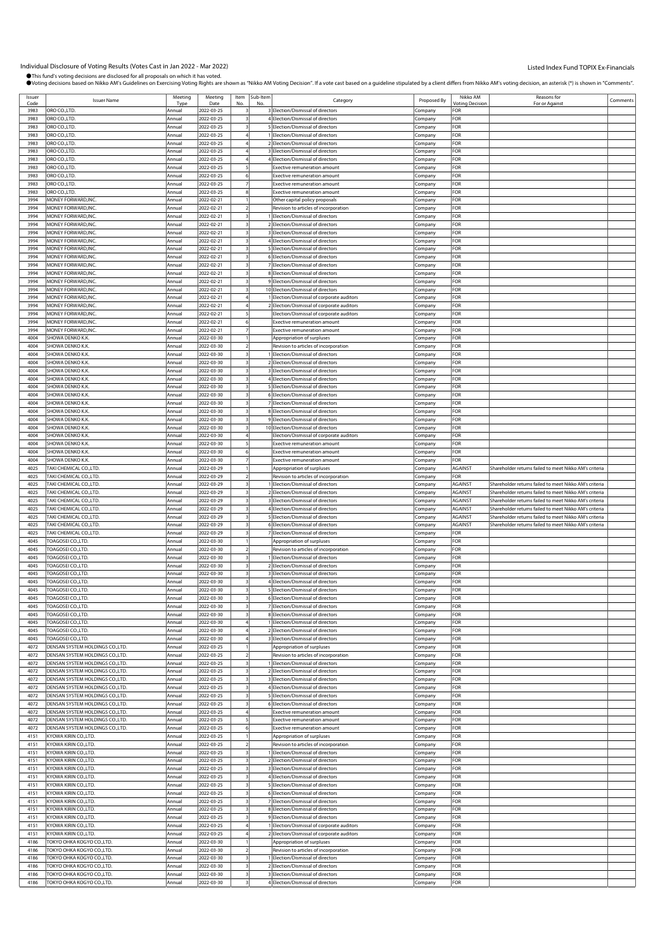| Issuer | <b>Issuer Name</b>               | Meeting | Meeting    |                         | Item Sub-Item | Category                                   | Proposed By | Nikko AM               | Reasons for                                            | Comments |
|--------|----------------------------------|---------|------------|-------------------------|---------------|--------------------------------------------|-------------|------------------------|--------------------------------------------------------|----------|
| Code   |                                  | Type    | Date       | No.                     | No            |                                            |             | <b>Voting Decision</b> | For or Agains                                          |          |
| 3983   | ORO CO.,LTD.                     | Annual  | 2022-03-25 |                         |               | 3 Election/Dismissal of directors          | Company     | FOR                    |                                                        |          |
| 3983   | ORO CO.,LTD.                     | Annual  | 2022-03-25 |                         |               | 4 Election/Dismissal of directors          | Company     | FOR                    |                                                        |          |
| 3983   | ORO CO.,LTD.                     | Annual  | 2022-03-25 | 3                       |               | 5 Election/Dismissal of directors          | Company     | FOR                    |                                                        |          |
| 3983   | ORO CO.,LTD.                     | Annual  | 2022-03-25 |                         |               | 1 Election/Dismissal of directors          | Company     | FOR                    |                                                        |          |
| 3983   | ORO CO.,LTD.                     | Annual  | 2022-03-25 |                         |               | 2 Election/Dismissal of directors          | :ompany     | FOR                    |                                                        |          |
| 3983   | ORO CO.,LTD.                     |         | 2022-03-25 |                         |               | 3 Election/Dismissal of directors          |             | FOR                    |                                                        |          |
|        |                                  | Annual  |            |                         |               |                                            | Company     |                        |                                                        |          |
| 3983   | ORO CO.,LTD.                     | Annual  | 2022-03-25 |                         |               | 4 Election/Dismissal of directors          | Company     | FOR                    |                                                        |          |
| 3983   | ORO CO.,LTD.                     | Annual  | 2022-03-25 |                         |               | <b>Exective remuneration amount</b>        | Company     | FOR                    |                                                        |          |
| 3983   | ORO CO.,LTD.                     | Annual  | 2022-03-25 | 6                       |               | Exective remuneration amount               | Company     | FOR                    |                                                        |          |
| 3983   | ORO CO.,LTD.                     | Annual  | 2022-03-25 |                         |               | Exective remuneration amount               | .<br>ompany | FOR                    |                                                        |          |
| 3983   | ORO CO.,LTD.                     | Annual  | 2022-03-25 |                         |               | Exective remuneration amount               | Company     | FOR                    |                                                        |          |
| 3994   | MONEY FORWARD, INC.              |         |            |                         |               |                                            |             | FOR                    |                                                        |          |
|        |                                  | Annual  | 2022-02-21 |                         |               | Other capital policy proposals             | Company     |                        |                                                        |          |
| 3994   | MONEY FORWARD, INC.              | Annual  | 2022-02-21 | 2                       |               | Revision to articles of incorporation      | Company     | FOR                    |                                                        |          |
| 3994   | MONEY FORWARD, INC               | Annual  | 2022-02-21 | 3                       |               | 1 Election/Dismissal of directors          | Company     | FOR                    |                                                        |          |
| 3994   | MONEY FORWARD, INC.              | Annual  | 2022-02-21 |                         |               | 2 Election/Dismissal of directors          | :ompany     | FOR                    |                                                        |          |
| 3994   | MONEY FORWARD.INC.               | Annual  | 2022-02-21 |                         |               | 3 Election/Dismissal of directors          | Company     | FOR                    |                                                        |          |
| 3994   | MONEY FORWARD, INC               | Annual  | 2022-02-21 |                         |               | 4 Election/Dismissal of directors          | Company     | FOR                    |                                                        |          |
| 3994   | MONEY FORWARD.INC.               | Annual  | 2022-02-21 | 3                       |               | 5 Election/Dismissal of directors          | Company     | FOR                    |                                                        |          |
|        |                                  |         |            |                         |               |                                            |             |                        |                                                        |          |
| 3994   | MONEY FORWARD, INC               | Annual  | 2022-02-21 | 3                       |               | 6 Election/Dismissal of directors          | Company     | FOR                    |                                                        |          |
| 3994   | MONEY FORWARD, INC.              | Annual  | 2022-02-21 |                         |               | 7 Election/Dismissal of directors          | :ompany     | FOR                    |                                                        |          |
| 3994   | MONEY FORWARD, INC.              | Annual  | 2022-02-21 |                         |               | 8 Election/Dismissal of directors          | Company     | FOR                    |                                                        |          |
| 3994   | MONEY FORWARD, INC               | Annual  | 2022-02-21 |                         |               | 9 Election/Dismissal of directors          | Company     | FOR                    |                                                        |          |
| 3994   | MONEY FORWARD, INC.              | Annual  | 2022-02-21 | 3                       |               | 10 Election/Dismissal of directors         | Company     | FOR                    |                                                        |          |
| 3994   | MONEY FORWARD, INC               | Annual  | 2022-02-21 |                         |               | 1 Election/Dismissal of corporate auditors | Company     | FOR                    |                                                        |          |
| 3994   | MONEY FORWARD, INC.              |         | 2022-02-21 |                         |               | 2 Election/Dismissal of corporate auditors |             | FOR                    |                                                        |          |
|        |                                  | Annual  |            |                         |               |                                            | Company     |                        |                                                        |          |
| 3994   | MONEY FORWARD.INC.               | Annual  | 2022-02-21 |                         |               | Election/Dismissal of corporate auditors   | Company     | FOR                    |                                                        |          |
| 3994   | MONEY FORWARD, INC               | Annual  | 2022-02-21 |                         |               | Exective remuneration amount               | Company     | FOR                    |                                                        |          |
| 3994   | MONEY FORWARD.INC.               | Annual  | 2022-02-21 |                         |               | <b>Exective remuneration amount</b>        | Company     | FOR                    |                                                        |          |
| 4004   | SHOWA DENKO K.K.                 | Annual  | 2022-03-30 |                         |               | Appropriation of surpluses                 | Company     | FOR                    |                                                        |          |
| 4004   | SHOWA DENKO K.K.                 | Annual  | 2022-03-30 |                         |               | Revision to articles of incorporation      | :ompany     | FOR                    |                                                        |          |
| 4004   | SHOWA DENKO K.K.                 | Annual  | 2022-03-30 |                         |               | 1 Election/Dismissal of directors          |             | FOR                    |                                                        |          |
|        |                                  |         |            |                         |               |                                            | Company     |                        |                                                        |          |
| 4004   | SHOWA DENKO K.K.                 | Annual  | 2022-03-30 |                         |               | 2 Election/Dismissal of directors          | Company     | FOR                    |                                                        |          |
| 4004   | SHOWA DENKO K.K.                 | Annual  | 2022-03-30 | 3                       |               | 3 Election/Dismissal of directors          | Company     | FOR                    |                                                        |          |
| 4004   | SHOWA DENKO K.K.                 | Annual  | 2022-03-30 |                         |               | 4 Election/Dismissal of directors          | Company     | FOR                    |                                                        |          |
| 4004   | SHOWA DENKO K.K.                 | Annual  | 2022-03-30 |                         |               | 5 Election/Dismissal of directors          | :ompany     | FOR                    |                                                        |          |
| 4004   | SHOWA DENKO K.K.                 | Annual  | 2022-03-30 |                         |               | 6 Election/Dismissal of directors          | Company     | FOR                    |                                                        |          |
| 4004   | SHOWA DENKO K.K.                 | Annual  | 2022-03-30 |                         |               | 7 Election/Dismissal of directors          | Company     | FOR                    |                                                        |          |
|        |                                  |         |            |                         |               |                                            |             |                        |                                                        |          |
| 4004   | SHOWA DENKO K.K.                 | Annual  | 2022-03-30 |                         |               | 8 Election/Dismissal of directors          | Company     | FOR                    |                                                        |          |
| 4004   | SHOWA DENKO K.K.                 | Annual  | 2022-03-30 | 3                       |               | 9 Election/Dismissal of directors          | Company     | FOR                    |                                                        |          |
| 4004   | SHOWA DENKO K.K.                 | Annual  | 2022-03-30 |                         |               | 10 Election/Dismissal of directors         | :ompany     | FOR                    |                                                        |          |
| 4004   | SHOWA DENKO K.K.                 | Annual  | 2022-03-30 |                         |               | Election/Dismissal of corporate auditors   | Company     | FOR                    |                                                        |          |
| 4004   | SHOWA DENKO K.K.                 | Annual  | 2022-03-30 |                         |               | Exective remuneration amount               | Company     | FOR                    |                                                        |          |
| 4004   | SHOWA DENKO K.K.                 | Annual  | 2022-03-30 |                         |               | <b>Exective remuneration amount</b>        | Company     | FOR                    |                                                        |          |
| 4004   | SHOWA DENKO K.K.                 | Annual  | 2022-03-30 |                         |               | Exective remuneration amount               | Company     | FOR                    |                                                        |          |
|        |                                  |         |            |                         |               |                                            |             |                        |                                                        |          |
| 4025   | TAKI CHEMICAL CO.,LTD.           | Annual  | 2022-03-29 |                         |               | Appropriation of surpluses                 | Company     | <b>AGAINST</b>         | Shareholder returns failed to meet Nikko AM's criteria |          |
| 4025   | TAKI CHEMICAL CO.,LTD.           | Annual  | 2022-03-29 |                         |               | Revision to articles of incorporation      | Company     | FOR                    |                                                        |          |
| 4025   | TAKI CHEMICAL CO.,LTD.           | Annual  | 2022-03-29 |                         |               | 1 Election/Dismissal of directors          | Company     | <b>AGAINST</b>         | Shareholder returns failed to meet Nikko AM's criteria |          |
|        |                                  |         |            |                         |               |                                            |             |                        |                                                        |          |
| 4025   | TAKI CHEMICAL CO.,LTD.           | Annual  | 2022-03-29 |                         |               | 2 Election/Dismissal of directors          |             | <b>AGAINST</b>         | Shareholder returns failed to meet Nikko AM's criteria |          |
|        |                                  |         |            |                         |               |                                            | Company     |                        |                                                        |          |
| 4025   | TAKI CHEMICAL CO.,LTD.           | Annual  | 2022-03-29 |                         |               | 3 Election/Dismissal of directors          | Company     | <b>AGAINST</b>         | Shareholder returns failed to meet Nikko AM's criteria |          |
| 4025   | TAKI CHEMICAL CO.,LTD.           | Annual  | 2022-03-29 |                         |               | 4 Election/Dismissal of directors          | Company     | <b>AGAINST</b>         | Shareholder returns failed to meet Nikko AM's criteria |          |
| 4025   | TAKI CHEMICAL CO.,LTD.           | Annual  | 2022-03-29 |                         |               | 5 Election/Dismissal of directors          | Company     | <b>AGAINST</b>         | Shareholder returns failed to meet Nikko AM's criteria |          |
| 4025   | TAKI CHEMICAL CO.,LTD.           | Annual  | 2022-03-29 |                         |               | 6 Election/Dismissal of directors          | Company     | <b>AGAINST</b>         | Shareholder returns failed to meet Nikko AM's criteria |          |
| 4025   | TAKI CHEMICAL CO.,LTD.           | Annual  | 2022-03-29 |                         |               | 7 Election/Dismissal of directors          | Company     | FOR                    |                                                        |          |
| 4045   | TOAGOSEI CO.,LTD                 | Annual  | 2022-03-30 |                         |               | Appropriation of surpluses                 | Company     | FOR                    |                                                        |          |
|        |                                  |         |            |                         |               |                                            |             |                        |                                                        |          |
| 4045   | TOAGOSEI CO.,LTD                 | Annual  | 2022-03-30 |                         |               | Revision to articles of incorporation      | Company     | FOR                    |                                                        |          |
| 4045   | TOAGOSEI CO.,LTD                 | Annual  | 2022-03-30 |                         |               | 1 Election/Dismissal of directors          | Company     | FOR                    |                                                        |          |
| 4045   | TOAGOSEI CO.,LTD                 | Annual  | 2022-03-30 |                         |               | 2 Election/Dismissal of directors          | Company     | FOR                    |                                                        |          |
| 4045   | TOAGOSEI CO.,LTD                 | Annual  | 2022-03-30 | 3                       |               | 3 Election/Dismissal of directors          | Company     | FOR                    |                                                        |          |
| 4045   | TOAGOSEI CO.,LTD                 | Annual  | 2022-03-30 |                         |               | 4 Election/Dismissal of directors          | Company     | FOR                    |                                                        |          |
| 4045   | TOAGOSEI CO., LTD                | Annual  | 2022-03-30 | $\overline{\mathbf{3}}$ |               | 5 Election/Dismissal of directors          | Company     | FOR                    |                                                        |          |
|        |                                  |         |            |                         |               |                                            |             |                        |                                                        |          |
| 4045   | TOAGOSEI CO.,LTD                 | Annual  | 2022-03-30 | 3                       |               | 6 Election/Dismissal of directors          | Company     | FOR                    |                                                        |          |
| 4045   | TOAGOSEI CO.,LTD                 | Annual  | 2022-03-30 |                         |               | 7 Election/Dismissal of directors          | Company     | FOR                    |                                                        |          |
| 4045   | TOAGOSEI CO.,LTD.                | Annual  | 2022-03-30 | 3                       |               | 8 Election/Dismissal of directors          | Company     | FOR                    |                                                        |          |
| 4045   | TOAGOSEI CO.,LTD                 | Annual  | 2022-03-30 |                         |               | 1 Election/Dismissal of directors          | Company     | FOR                    |                                                        |          |
| 4045   | TOAGOSEI CO.,LTD.                | Annual  | 2022-03-30 |                         |               | 2 Election/Dismissal of directors          | Company     | FOR                    |                                                        |          |
| 4045   | TOAGOSEI CO., LTD.               | Annual  | 2022-03-30 |                         |               | 3 Election/Dismissal of directors          | Company     | FOR                    |                                                        |          |
| 4072   | DENSAN SYSTEM HOLDINGS CO.,LTD.  | Annual  | 2022-03-25 |                         |               | Appropriation of surpluses                 | Company     | FOR                    |                                                        |          |
| 4072   | DENSAN SYSTEM HOLDINGS CO.,LTD.  | Annual  | 2022-03-25 | $\overline{2}$          |               | Revision to articles of incorporation      |             | FOR                    |                                                        |          |
| 4072   | DENSAN SYSTEM HOLDINGS CO., LTD. |         |            | 3                       |               |                                            | Company     | FOR                    |                                                        |          |
|        |                                  | Annual  | 2022-03-25 |                         |               | 1 Election/Dismissal of directors          | Company     |                        |                                                        |          |
| 4072   | DENSAN SYSTEM HOLDINGS CO.,LTD.  | Annual  | 2022-03-25 |                         |               | 2 Election/Dismissal of directors          | Company     | FOR                    |                                                        |          |
| 4072   | DENSAN SYSTEM HOLDINGS CO., LTD. | Annual  | 2022-03-25 |                         |               | 3 Election/Dismissal of directors          | Company     | FOR                    |                                                        |          |
| 4072   | DENSAN SYSTEM HOLDINGS CO.,LTD.  | Annual  | 2022-03-25 | 3                       |               | 4 Election/Dismissal of directors          | Company     | FOR                    |                                                        |          |
| 4072   | DENSAN SYSTEM HOLDINGS CO., LTD. | Annual  | 2022-03-25 | 3                       |               | 5 Election/Dismissal of directors          | Company     | FOR                    |                                                        |          |
| 4072   | DENSAN SYSTEM HOLDINGS CO.,LTD.  | Annual  | 2022-03-25 | 3                       |               | 6 Election/Dismissal of directors          | Company     | FOR                    |                                                        |          |
| 4072   | DENSAN SYSTEM HOLDINGS CO.,LTD.  | Annual  | 2022-03-25 |                         |               | <b>Exective remuneration amount</b>        | Company     | FOR                    |                                                        |          |
|        |                                  |         |            |                         |               | Exective remuneration amount               |             |                        |                                                        |          |
| 4072   | DENSAN SYSTEM HOLDINGS CO.,LTD.  | Annual  | 2022-03-25 |                         |               |                                            | Company     | FOR                    |                                                        |          |
| 4072   | DENSAN SYSTEM HOLDINGS CO.,LTD.  | Annual  | 2022-03-25 |                         |               | <b>Exective remuneration amount</b>        | Company     | FOR                    |                                                        |          |
| 4151   | KYOWA KIRIN CO.,LTD.             | Annual  | 2022-03-25 |                         |               | Appropriation of surpluses                 | Company     | FOR                    |                                                        |          |
| 4151   | KYOWA KIRIN CO.,LTD.             | Annual  | 2022-03-25 |                         |               | Revision to articles of incorporation      | Company     | FOR                    |                                                        |          |
| 4151   | KYOWA KIRIN CO.,LTD.             | Annual  | 2022-03-25 |                         |               | 1 Election/Dismissal of directors          | Company     | FOR                    |                                                        |          |
| 4151   | KYOWA KIRIN CO., LTD.            | Annual  | 2022-03-25 |                         |               | 2 Election/Dismissal of directors          | Company     | FOR                    |                                                        |          |
| 4151   | KYOWA KIRIN CO.,LTD.             | Annual  | 2022-03-25 |                         |               | 3 Election/Dismissal of directors          |             | FOR                    |                                                        |          |
|        |                                  |         |            | 3                       |               |                                            | Company     |                        |                                                        |          |
| 4151   | KYOWA KIRIN CO.,LTD.             | Annual  | 2022-03-25 |                         |               | 4 Election/Dismissal of directors          | Company     | FOR                    |                                                        |          |
| 4151   | KYOWA KIRIN CO.,LTD.             | Annual  | 2022-03-25 | 3                       |               | 5 Election/Dismissal of directors          | Company     | FOR                    |                                                        |          |
| 4151   | KYOWA KIRIN CO.,LTD.             | Annual  | 2022-03-25 | 3                       |               | 6 Election/Dismissal of directors          | Company     | FOR                    |                                                        |          |
| 4151   | KYOWA KIRIN CO.,LTD.             | Annual  | 2022-03-25 |                         |               | 7 Election/Dismissal of directors          | Company     | FOR                    |                                                        |          |
| 4151   | KYOWA KIRIN CO., LTD.            | Annual  | 2022-03-25 |                         |               | 8 Election/Dismissal of directors          | Company     | FOR                    |                                                        |          |
| 4151   | KYOWA KIRIN CO., LTD.            | Annual  | 2022-03-25 | 3                       |               | 9 Election/Dismissal of directors          | Company     | FOR                    |                                                        |          |
| 4151   | KYOWA KIRIN CO.,LTD.             | Annual  | 2022-03-25 |                         |               | 1 Election/Dismissal of corporate auditors | Company     | FOR                    |                                                        |          |
|        |                                  |         |            |                         |               |                                            |             |                        |                                                        |          |
| 4151   | KYOWA KIRIN CO.,LTD.             | Annual  | 2022-03-25 |                         |               | 2 Election/Dismissal of corporate auditors | Company     | FOR                    |                                                        |          |
| 4186   | TOKYO OHKA KOGYO CO.,LTD.        | Annual  | 2022-03-30 |                         |               | Appropriation of surpluses                 | Company     | FOR                    |                                                        |          |
| 4186   | TOKYO OHKA KOGYO CO.,LTD.        | Annual  | 2022-03-30 |                         |               | Revision to articles of incorporation      | Company     | FOR                    |                                                        |          |
| 4186   | TOKYO OHKA KOGYO CO.,LTD.        | Annual  | 2022-03-30 | 3                       |               | 1 Election/Dismissal of directors          | Company     | FOR                    |                                                        |          |
| 4186   | TOKYO OHKA KOGYO CO.,LTD.        | Annual  | 2022-03-30 | $\overline{\mathbf{3}}$ |               | 2 Election/Dismissal of directors          | Company     | FOR                    |                                                        |          |
| 4186   | TOKYO OHKA KOGYO CO.,LTD.        | Annual  | 2022-03-30 |                         |               | 3 Election/Dismissal of directors          | Company     | FOR                    |                                                        |          |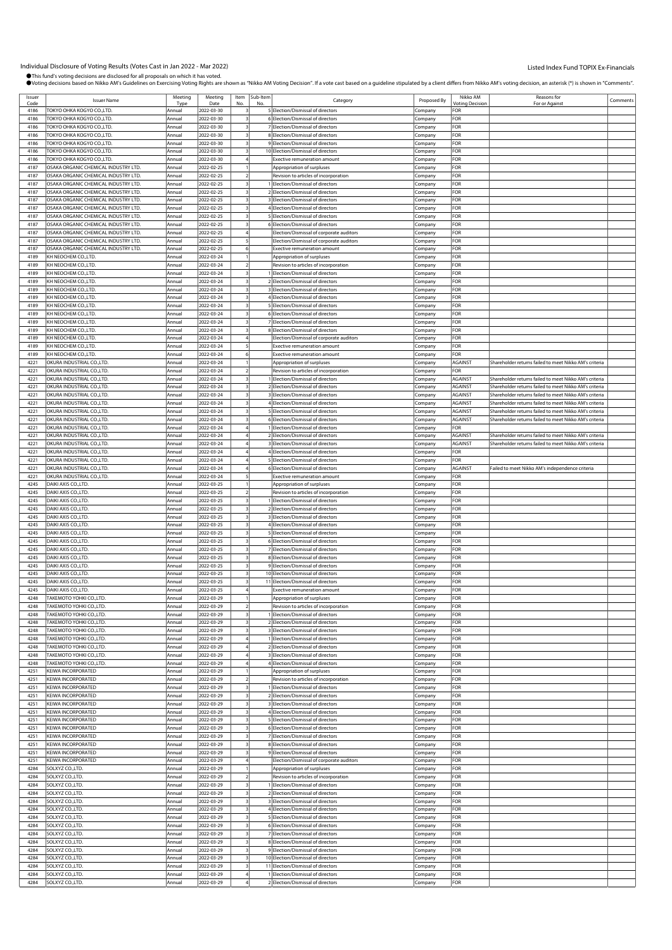| Issuer | <b>Issuer Name</b>                   | Meeting | Meeting            | Item | Sub-Item | Category                                 | Proposed By | Nikko AM               | Reasons for                                            | Comments |
|--------|--------------------------------------|---------|--------------------|------|----------|------------------------------------------|-------------|------------------------|--------------------------------------------------------|----------|
| Code   | TOKYO OHKA KOGYO CO.,LTD.            | Tvp     | Date<br>2022-03-30 | No.  | No       | 5 Election/Dismissal of directors        |             | Votina Decision<br>FOR | For or Against                                         |          |
| 4186   |                                      | Annual  |                    |      |          |                                          | Company     |                        |                                                        |          |
| 4186   | TOKYO OHKA KOGYO CO.,LTD.            | Annual  | 2022-03-30         |      |          | 6 Election/Dismissal of directors        | Company     | FOR                    |                                                        |          |
| 4186   | TOKYO OHKA KOGYO CO.,LTD.            | Annual  | 2022-03-30         |      |          | 7 Election/Dismissal of directors        | Company     | FOR                    |                                                        |          |
| 4186   | TOKYO OHKA KOGYO CO.,LTD.            | Annual  | 2022-03-30         |      |          | 8 Election/Dismissal of directors        | Company     | FOR                    |                                                        |          |
| 4186   | ГОКҮО ОНКА КОGYO CO.,LTD.            | Annual  | 2022-03-30         |      |          | 9 Election/Dismissal of directors        | Company     | <b>OR</b>              |                                                        |          |
| 4186   | TOKYO OHKA KOGYO CO.,LTD.            | Annual  | 2022-03-30         |      |          | 10 Election/Dismissal of directors       | Company     | FOR                    |                                                        |          |
| 4186   | TOKYO OHKA KOGYO CO.,LTD.            | Annual  | 2022-03-30         |      |          | <b>Exective remuneration amount</b>      | Company     | FOR                    |                                                        |          |
| 4187   | OSAKA ORGANIC CHEMICAL INDUSTRY LTD. | Annual  | 2022-02-25         |      |          | Appropriation of surpluses               | Company     | FOR                    |                                                        |          |
| 4187   | OSAKA ORGANIC CHEMICAL INDUSTRY LTD. | Annual  | 2022-02-25         |      |          | Revision to articles of incorporation    | Company     | FOR                    |                                                        |          |
| 4187   | OSAKA ORGANIC CHEMICAL INDUSTRY LTD. | Annual  | 2022-02-25         |      |          | Election/Dismissal of directors          | Company     | FOR                    |                                                        |          |
| 4187   | OSAKA ORGANIC CHEMICAL INDUSTRY LTD. | Annual  | 2022-02-25         |      |          | 2 Election/Dismissal of directors        | Company     | FOR                    |                                                        |          |
| 4187   | OSAKA ORGANIC CHEMICAL INDUSTRY LTD. | Annual  | 2022-02-25         |      |          | 3 Election/Dismissal of directors        | Company     | FOR                    |                                                        |          |
|        |                                      |         |                    |      |          | 4 Election/Dismissal of directors        |             |                        |                                                        |          |
| 4187   | OSAKA ORGANIC CHEMICAL INDUSTRY LTD. | Annual  | 2022-02-25         |      |          |                                          | .cmpany     | FOR<br>FOR             |                                                        |          |
| 4187   | OSAKA ORGANIC CHEMICAL INDUSTRY LTD. | Annual  | 2022-02-25         |      |          | 5 Election/Dismissal of directors        | Company     |                        |                                                        |          |
| 4187   | OSAKA ORGANIC CHEMICAL INDUSTRY LTD. | Annual  | 2022-02-25         |      |          | 6 Election/Dismissal of directors        | Company     | FOR                    |                                                        |          |
| 4187   | OSAKA ORGANIC CHEMICAL INDUSTRY LTD. | Annual  | 2022-02-25         |      |          | Election/Dismissal of corporate auditors | Company     | FOR                    |                                                        |          |
| 4187   | OSAKA ORGANIC CHEMICAL INDUSTRY LTD. | Annual  | 2022-02-25         |      |          | Election/Dismissal of corporate auditors | Company     | FOR                    |                                                        |          |
| 4187   | OSAKA ORGANIC CHEMICAL INDUSTRY LTD. | Annual  | 2022-02-25         |      |          | Exective remuneration amount             | Company     | FOR                    |                                                        |          |
| 4189   | KH NEOCHEM CO.,LTD.                  | Annual  | 2022-03-24         |      |          | Appropriation of surpluses               | Company     | FOR                    |                                                        |          |
| 4189   | KH NEOCHEM CO.,LTD.                  | Annual  | 2022-03-24         |      |          | Revision to articles of incorporation    | Company     | <b>OR</b>              |                                                        |          |
| 4189   | KH NEOCHEM CO., LTD.                 | Annual  | 2022-03-24         |      |          | Election/Dismissal of directors          | Company     | FOR                    |                                                        |          |
| 4189   | KH NEOCHEM CO.,LTD.                  | Annual  | 2022-03-24         |      |          | 2 Election/Dismissal of directors        | Company     | FOR                    |                                                        |          |
| 4189   | KH NEOCHEM CO.,LTD.                  | Annual  | 2022-03-24         |      |          | 3 Election/Dismissal of directors        | Company     | FOR                    |                                                        |          |
| 4189   | KH NEOCHEM CO., LTD.                 | Annual  | 2022-03-24         |      |          | 4 Election/Dismissal of directors        | Company     | FOR                    |                                                        |          |
| 4189   | KH NEOCHEM CO.,LTD.                  | Annual  | 2022-03-24         |      |          | 5 Election/Dismissal of directors        | Company     | <b>OR</b>              |                                                        |          |
| 4189   | KH NEOCHEM CO.,LTD.                  | Annual  | 2022-03-24         |      |          | 6 Election/Dismissal of directors        | Company     | FOR                    |                                                        |          |
| 4189   | KH NEOCHEM CO.,LTD.                  |         | 2022-03-24         |      |          | 7 Election/Dismissal of directors        |             | <b>OR</b>              |                                                        |          |
|        |                                      | Annual  |                    |      |          |                                          | Company     |                        |                                                        |          |
| 4189   | KH NEOCHEM CO.,LTD.                  | Annual  | 2022-03-24         |      |          | 8 Election/Dismissal of directors        | .cmpany     | FOR                    |                                                        |          |
| 4189   | KH NEOCHEM CO., LTD.                 | Annual  | 2022-03-24         |      |          | Election/Dismissal of corporate auditors | Company     | FOR                    |                                                        |          |
| 4189   | KH NEOCHEM CO.,LTD.                  | Annual  | 2022-03-24         |      |          | <b>Exective remuneration amount</b>      | Company     | FOR                    |                                                        |          |
| 4189   | KH NEOCHEM CO., LTD.                 | Annual  | 2022-03-24         |      |          | Exective remuneration amount             | Company     | FOR                    |                                                        |          |
| 4221   | OKURA INDUSTRIAL CO.,LTD.            | Annual  | 2022-03-24         |      |          | Appropriation of surpluses               | Company     | AGAINST                | Shareholder returns failed to meet Nikko AM's criteria |          |
| 4221   | OKURA INDUSTRIAL CO., LTD.           | Annual  | 2022-03-24         |      |          | Revision to articles of incorporation    | Company     | FOR                    |                                                        |          |
| 4221   | OKURA INDUSTRIAL CO., LTD.           | Annual  | 2022-03-24         |      |          | Election/Dismissal of directors          | Company     | AGAINST                | Shareholder returns failed to meet Nikko AM's criteria |          |
| 4221   | OKURA INDUSTRIAL CO.,LTD.            | Annual  | 2022-03-24         |      |          | 2 Election/Dismissal of directors        | Company     | AGAINST                | Shareholder returns failed to meet Nikko AM's criteria |          |
| 4221   | OKURA INDUSTRIAL CO., LTD.           | Annual  | 2022-03-24         |      |          | 3 Election/Dismissal of directors        | Company     | AGAINST                | Shareholder returns failed to meet Nikko AM's criteria |          |
| 4221   | OKURA INDUSTRIAL CO., LTD.           | Annual  | 2022-03-24         |      |          | Election/Dismissal of directors          | Company     | AGAINST                | Shareholder returns failed to meet Nikko AM's criteria |          |
| 4221   | OKURA INDUSTRIAL CO.,LTD.            | Annual  | 2022-03-24         |      |          | 5 Election/Dismissal of directors        | Company     | AGAINST                | Shareholder returns failed to meet Nikko AM's criteria |          |
| 4221   | OKURA INDUSTRIAL CO., LTD.           | Annual  | 2022-03-24         |      |          | 6 Election/Dismissal of directors        |             | AGAINST                | Shareholder returns failed to meet Nikko AM's criteria |          |
| 4221   |                                      | Annual  |                    |      |          | Election/Dismissal of directors          | Company     | FOR                    |                                                        |          |
|        | OKURA INDUSTRIAL CO.,LTD.            |         | 2022-03-24         |      |          |                                          | Company     |                        |                                                        |          |
| 4221   | OKURA INDUSTRIAL CO.,LTD.            | Annual  | 2022-03-24         |      |          | 2 Election/Dismissal of directors        | Company     | <b>AGAINST</b>         | Shareholder returns failed to meet Nikko AM's criteria |          |
| 4221   | OKURA INDUSTRIAL CO.,LTD.            | Annual  | 2022-03-24         |      |          | 3 Election/Dismissal of directors        | Company     | AGAINST                | Shareholder returns failed to meet Nikko AM's criteria |          |
| 4221   | OKURA INDUSTRIAL CO.,LTD.            | Annual  | 2022-03-24         |      |          | 4 Election/Dismissal of directors        | Company     | FOR                    |                                                        |          |
| 4221   | OKURA INDUSTRIAL CO., LTD.           | Annual  | 2022-03-24         |      |          | 5 Election/Dismissal of directors        | Company     | FOR                    |                                                        |          |
| 4221   | OKURA INDUSTRIAL CO.,LTD.            | Annual  | 2022-03-24         |      |          | 6 Election/Dismissal of directors        | Company     | AGAINST                | Failed to meet Nikko AM's independence criteria        |          |
| 4221   | OKURA INDUSTRIAL CO., LTD.           | Annual  | 2022-03-24         |      |          | <b>Exective remuneration amount</b>      | Company     | FOR                    |                                                        |          |
| 4245   | DAIKI AXIS CO., LTD.                 | Annual  | 2022-03-25         |      |          | Appropriation of surpluses               | Company     | FOR                    |                                                        |          |
| 4245   | DAIKI AXIS CO., LTD.                 | Annual  | 2022-03-25         |      |          | Revision to articles of incorporation    | .cmpany     | FOR                    |                                                        |          |
| 4245   | DAIKI AXIS CO., LTD.                 | Annual  | 2022-03-25         |      |          | 1 Election/Dismissal of directors        | Company     | FOR                    |                                                        |          |
| 4245   | DAIKI AXIS CO., LTD.                 | Annual  | 2022-03-25         |      |          | 2 Election/Dismissal of directors        | Company     | FOR                    |                                                        |          |
| 4245   | DAIKI AXIS CO., LTD.                 | Annual  | 2022-03-25         |      |          | 3 Election/Dismissal of directors        | Company     | FOR                    |                                                        |          |
| 4245   | DAIKI AXIS CO., LTD.                 | Annual  | 2022-03-25         |      |          | 4 Flection/Dismissal of directors        | Company     | FOR                    |                                                        |          |
|        |                                      |         |                    |      |          |                                          |             |                        |                                                        |          |
| 4245   | DAIKI AXIS CO., LTD.                 | Annual  | 2022-03-25         |      |          | 5 Election/Dismissal of directors        | .cmpany     | For                    |                                                        |          |
| 4245   | DAIKI AXIS CO., LTD.                 | Annual  | 2022-03-25         |      |          | 6 Election/Dismissal of directors        | Company     | FOR                    |                                                        |          |
| 4245   | DAIKI AXIS CO., LTD.                 | Annual  | 2022-03-25         |      |          | 7 Election/Dismissal of directors        | Company     | FOR                    |                                                        |          |
| 4245   | DAIKI AXIS CO., LTD.                 | Annual  | 2022-03-25         |      |          | 8 Election/Dismissal of directors        | Company     | FOR                    |                                                        |          |
| 4245   | DAIKI AXIS CO., LTD.                 | Annual  | 2022-03-25         |      |          | 9 Flection/Dismissal of directors        | Company     | FOR                    |                                                        |          |
| 4245   | DAIKI AXIS CO., LTD.                 | Annual  | 2022-03-25         |      |          | 10 Election/Dismissal of directors       | Company     | For                    |                                                        |          |
| 4245   | DAIKI AXIS CO., LTD.                 | Annual  | 2022-03-25         |      |          | 11 Election/Dismissal of directors       | Company     | FOR                    |                                                        |          |
| 4245   | DAIKI AXIS CO., LTD.                 | Annual  | 2022-03-25         |      |          | Exective remuneration amount             | Company     | FOR                    |                                                        |          |
| 4248   | TAKEMOTO YOHKI CO., LTD.             | Annual  | 2022-03-29         |      |          | Appropriation of surpluses               | Company     | FOR                    |                                                        |          |
| 4248   | TAKEMOTO YOHKI CO.,LTD.              | Annual  | 2022-03-29         |      |          | Revision to articles of incorporation    | Company     | FOR                    |                                                        |          |
| 4248   | TAKEMOTO YOHKI CO.,LTD.              | Annual  | 2022-03-29         |      |          | Election/Dismissal of directors          | Company     | FOR                    |                                                        |          |
| 4248   | TAKEMOTO YOHKI CO.,LTD.              | Annual  | 2022-03-29         |      |          | 2 Election/Dismissal of directors        | Company     | FOR                    |                                                        |          |
| 4248   | TAKEMOTO YOHKI CO.,LTD.              | Annual  | 2022-03-29         |      |          | 3 Election/Dismissal of directors        | Company     | FOR                    |                                                        |          |
| 4248   | TAKEMOTO YOHKI CO.,LTD.              | Annual  | 2022-03-29         |      |          | 1 Election/Dismissal of directors        | Company     | FOR                    |                                                        |          |
| 4248   | TAKEMOTO YOHKI CO.,LTD.              | Annual  | 2022-03-29         |      |          | 2 Election/Dismissal of directors        | Company     | FOR                    |                                                        |          |
| 4248   | TAKEMOTO YOHKI CO.,LTD.              | Annual  | 2022-03-29         |      |          | 3 Election/Dismissal of directors        | .cmpany     | FOR                    |                                                        |          |
| 4248   | TAKEMOTO YOHKI CO.,LTD.              | Annual  | 2022-03-29         |      |          | 4 Election/Dismissal of directors        | Company     | FOR                    |                                                        |          |
| 4251   | KEIWA INCORPORATED                   | Annual  | 2022-03-29         |      |          | Appropriation of surpluses               | Company     | FOR                    |                                                        |          |
| 4251   | KEIWA INCORPORATED                   | Annual  | 2022-03-29         |      |          | Revision to articles of incorporation    |             | FOR                    |                                                        |          |
| 4251   |                                      | Annual  |                    |      |          | Election/Dismissal of directors          | Company     | FOR                    |                                                        |          |
|        | KEIWA INCORPORATED                   |         | 2022-03-29         |      |          |                                          | Company     |                        |                                                        |          |
| 4251   | KEIWA INCORPORATED                   | Annual  | 2022-03-29         |      |          | 2 Election/Dismissal of directors        | Company     | For                    |                                                        |          |
| 4251   | KEIWA INCORPORATED                   | Annual  | 2022-03-29         |      |          | 3 Election/Dismissal of directors        | Company     | FOR                    |                                                        |          |
| 4251   | KEIWA INCORPORATED                   | Annual  | 2022-03-29         |      |          | 4 Election/Dismissal of directors        | Company     | FOR                    |                                                        |          |
| 4251   | KEIWA INCORPORATED                   | Annual  | 2022-03-29         |      |          | 5 Election/Dismissal of directors        | Company     | FOR                    |                                                        |          |
| 4251   | KEIWA INCORPORATED                   | Annual  | 2022-03-29         |      |          | 6 Election/Dismissal of directors        | Company     | FOR                    |                                                        |          |
| 4251   | KEIWA INCORPORATED                   | Annual  | 2022-03-29         |      |          | 7 Election/Dismissal of directors        | Company     | FOR                    |                                                        |          |
| 4251   | KEIWA INCORPORATED                   | Annual  | 2022-03-29         |      |          | 8 Election/Dismissal of directors        | Company     | FOR                    |                                                        |          |
| 4251   | KEIWA INCORPORATED                   | Annual  | 2022-03-29         |      |          | 9 Election/Dismissal of directors        | Company     | FOR                    |                                                        |          |
| 4251   | KEIWA INCORPORATED                   | Annual  | 2022-03-29         |      |          | Election/Dismissal of corporate auditors | Company     | FOR                    |                                                        |          |
| 4284   | SOLXYZ CO.,LTD.                      | Annual  | 2022-03-29         |      |          | Appropriation of surpluses               | Company     | FOR                    |                                                        |          |
| 4284   | SOLXYZ CO., LTD.                     | Annual  | 2022-03-29         |      |          | Revision to articles of incorporation    | Company     | FOR                    |                                                        |          |
| 4284   | SOLXYZ CO., LTD.                     | Annual  | 2022-03-29         |      |          | I Election/Dismissal of directors        | Company     | FOR                    |                                                        |          |
| 4284   | SOLXYZ CO., LTD.                     | Annual  | 2022-03-29         |      |          | 2 Election/Dismissal of directors        | Company     | FOR                    |                                                        |          |
| 4284   | SOLXYZ CO.,LTD.                      | Annual  | 2022-03-29         |      |          | 3 Election/Dismissal of directors        | Company     | FOR                    |                                                        |          |
| 4284   | SOLXYZ CO., LTD.                     | Annual  | 2022-03-29         |      |          | 4 Election/Dismissal of directors        | Company     | FOR                    |                                                        |          |
| 4284   | SOLXYZ CO.,LTD.                      | Annual  | 2022-03-29         |      |          | 5 Election/Dismissal of directors        | Company     | FOR                    |                                                        |          |
| 4284   | SOLXYZ CO., LTD.                     | Annual  | 2022-03-29         |      |          | 6 Election/Dismissal of directors        |             | FOR                    |                                                        |          |
|        |                                      |         |                    |      |          |                                          | Company     |                        |                                                        |          |
| 4284   | SOLXYZ CO., LTD.                     | Annual  | 2022-03-29         |      |          | 7 Election/Dismissal of directors        | Company     | FOR                    |                                                        |          |
| 4284   | SOLXYZ CO., LTD.                     | Annual  | 2022-03-29         |      |          | 8 Election/Dismissal of directors        | Company     | FOR                    |                                                        |          |
| 4284   | SOLXYZ CO.,LTD.                      | Annual  | 2022-03-29         |      |          | 9 Election/Dismissal of directors        | Company     | FOR                    |                                                        |          |
| 4284   | SOLXYZ CO.,LTD.                      | Annual  | 2022-03-29         |      |          | 10 Election/Dismissal of directors       | Company     | For                    |                                                        |          |
| 4284   | SOLXYZ CO., LTD.                     | Annual  | 2022-03-29         |      |          | 11 Election/Dismissal of directors       | Company     | FOR                    |                                                        |          |
| 4284   | SOLXYZ CO., LTD.                     | Annual  | 2022-03-29         |      |          | Election/Dismissal of directors          | Company     | FOR                    |                                                        |          |
| 4284   | SOLXYZ CO.,LTD.                      | Annual  | 2022-03-29         |      |          | 2 Election/Dismissal of directors        | Company     | FOR                    |                                                        |          |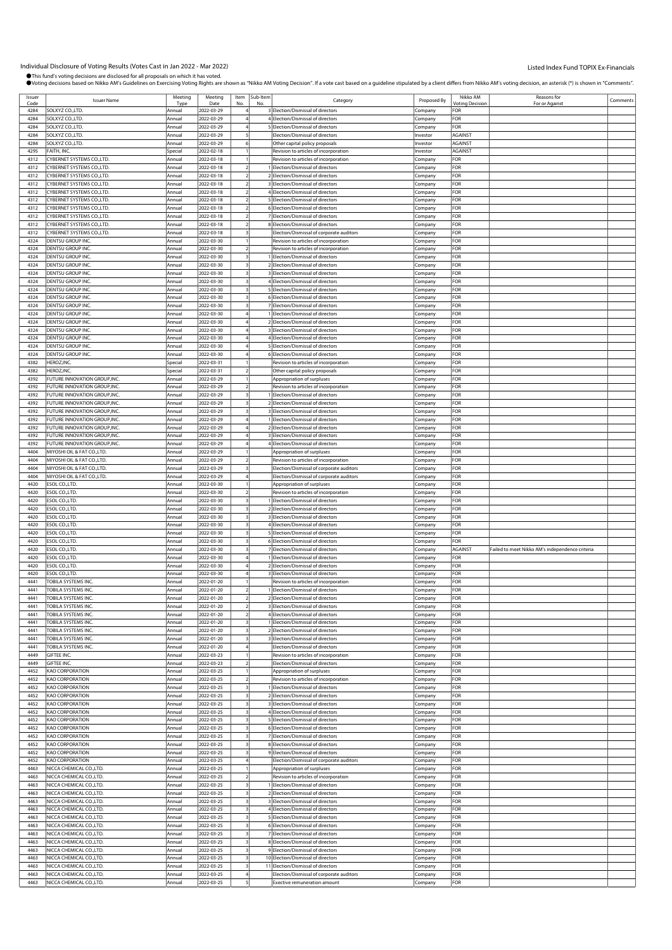| Issuer |                                  | Meeting | Meeting    | Item | Sub-Item |                                          |             | Nikko AM       | Reasons for                                     |          |
|--------|----------------------------------|---------|------------|------|----------|------------------------------------------|-------------|----------------|-------------------------------------------------|----------|
| Code   | <b>Issuer Name</b>               | Tvp     | Date       |      |          | Category                                 | Proposed By | Votina Decisio | For or Against                                  | Comments |
| 4284   | SOLXYZ CO.,LTD.                  | Annual  | 2022-03-29 |      |          | 3 Election/Dismissal of directors        | Company     | FOR            |                                                 |          |
|        |                                  |         |            |      |          |                                          |             |                |                                                 |          |
| 4284   | SOLXYZ CO.,LTD.                  | Annua   | 2022-03-29 |      |          | 4 Election/Dismissal of directors        | Company     | FOR            |                                                 |          |
| 4284   | SOLXYZ CO.,LTD.                  | Annua   | 2022-03-29 |      |          | 5 Election/Dismissal of directors        | Company     | FOR            |                                                 |          |
| 4284   | SOLXYZ CO.,LTD.                  | Annual  | 2022-03-29 |      |          | Election/Dismissal of directors          | nvestor     | <b>AGAINST</b> |                                                 |          |
| 4284   | SOLXYZ CO.,LTD.                  | Annual  | 2022-03-29 |      |          | Other capital policy proposals           | Investor    | AGAINST        |                                                 |          |
| 4295   | FAITH, INC.                      | Special | 2022-02-18 |      |          | Revision to articles of incorporation    | Investor    | <b>AGAINST</b> |                                                 |          |
| 4312   | YBERNET SYSTEMS CO.,LTD.         | Annual  | 2022-03-18 |      |          | Revision to articles of incorporation    | Company     | FOR            |                                                 |          |
|        |                                  |         |            |      |          |                                          |             |                |                                                 |          |
| 4312   | YBERNET SYSTEMS CO.,LTD.         | Annua   | 2022-03-18 |      |          | 1 Election/Dismissal of directors        | Company     | FOR            |                                                 |          |
| 4312   | CYBERNET SYSTEMS CO.,LTD.        | Annua   | 2022-03-18 |      |          | 2 Election/Dismissal of directors        | Company     | FOR            |                                                 |          |
| 4312   | YBERNET SYSTEMS CO.,LTD.         | Annual  | 2022-03-18 |      |          | 3 Election/Dismissal of directors        | .cmpany     | FOR            |                                                 |          |
| 4312   | CYBERNET SYSTEMS CO.,LTD.        | Annual  | 2022-03-18 |      |          | 4 Election/Dismissal of directors        | Company     | FOR            |                                                 |          |
| 4312   | YBERNET SYSTEMS CO.,LTD.         | Annua   | 2022-03-18 |      |          | 5 Election/Dismissal of directors        | Company     | FOR            |                                                 |          |
|        |                                  |         |            |      |          |                                          |             |                |                                                 |          |
| 4312   | CYBERNET SYSTEMS CO.,LTD.        | Annua   | 2022-03-18 |      |          | 6 Election/Dismissal of directors        | Company     | FOR            |                                                 |          |
| 4312   | CYBERNET SYSTEMS CO.,LTD.        | Annua   | 2022-03-18 |      |          | 7 Election/Dismissal of directors        | Company     | FOR            |                                                 |          |
| 4312   | <b>CYBERNET SYSTEMS CO.,LTD.</b> | Annual  | 2022-03-18 |      |          | 8 Election/Dismissal of directors        | Company     | FOR            |                                                 |          |
| 4312   | CYBERNET SYSTEMS CO.,LTD.        | Annual  | 2022-03-18 |      |          | Election/Dismissal of corporate auditors | Company     | FOR            |                                                 |          |
| 4324   | DENTSU GROUP INC.                | Annual  | 2022-03-30 |      |          | Revision to articles of incorporation    | Company     | FOR            |                                                 |          |
|        |                                  |         |            |      |          |                                          |             |                |                                                 |          |
| 4324   | DENTSU GROUP INC                 | Annua   | 2022-03-30 |      |          | Revision to articles of incorporation    | Company     | FOR            |                                                 |          |
| 4324   | DENTSU GROUP INC                 | Annual  | 2022-03-30 |      |          | 1 Election/Dismissal of directors        | Company     | FOR            |                                                 |          |
| 4324   | DENTSU GROUP INC                 | Annual  | 2022-03-30 |      |          | 2 Election/Dismissal of directors        | Company     | FOR            |                                                 |          |
| 4324   | DENTSU GROUP INC                 | Annual  | 2022-03-30 |      |          | 3 Election/Dismissal of directors        | Company     | FOR            |                                                 |          |
| 4324   | DENTSU GROUP INC.                | Annua   | 2022-03-30 |      |          | 4 Election/Dismissal of directors        | Company     | FOR            |                                                 |          |
|        |                                  |         |            |      |          |                                          |             |                |                                                 |          |
| 4324   | DENTSU GROUP INC                 | Annual  | 2022-03-30 |      |          | 5 Election/Dismissal of directors        | Company     | FOR            |                                                 |          |
| 4324   | <b>DENTSU GROUP INC</b>          | Annua   | 2022-03-30 |      |          | 6 Election/Dismissal of directors        | Company     | FOR            |                                                 |          |
| 4324   | DENTSU GROUP INC.                | Annual  | 2022-03-30 |      |          | 7 Election/Dismissal of directors        | .cmpany     | FOR            |                                                 |          |
| 4324   | <b>DENTSU GROUP INC</b>          | Annual  | 2022-03-30 |      |          | 1 Election/Dismissal of directors        | Company     | FOR            |                                                 |          |
| 4324   | DENTSU GROUP INC                 | Annual  | 2022-03-30 |      |          | 2 Election/Dismissal of directors        | Company     | FOR            |                                                 |          |
| 4324   | DENTSU GROUP INC                 | Annual  | 2022-03-30 |      |          | 3 Election/Dismissal of directors        | Company     | FOR            |                                                 |          |
|        |                                  |         |            |      |          |                                          |             |                |                                                 |          |
| 4324   | <b>DENTSU GROUP INC</b>          | Annua   | 2022-03-30 |      |          | 4 Election/Dismissal of directors        | Company     | FOR            |                                                 |          |
| 4324   | DENTSU GROUP INC.                | Annual  | 2022-03-30 |      |          | 5 Election/Dismissal of directors        | Company     | FOR            |                                                 |          |
| 4324   | DENTSU GROUP INC                 | Annual  | 2022-03-30 |      |          | 6 Election/Dismissal of directors        | Company     | FOR            |                                                 |          |
| 4382   | <b>HEROZ, INC</b>                | Special | 2022-03-31 |      |          | Revision to articles of incorporation    | Company     | FOR            |                                                 |          |
| 4382   | HEROZ,INC.                       | Special | 2022-03-31 |      |          |                                          |             | FOR            |                                                 |          |
|        |                                  |         |            |      |          | Other capital policy proposals           | Company     |                |                                                 |          |
| 4392   | FUTURE INNOVATION GROUP,INC.     | Annua   | 2022-03-29 |      |          | Appropriation of surpluses               | Company     | FOR            |                                                 |          |
| 4392   | FUTURE INNOVATION GROUP.INC.     | Annual  | 2022-03-29 |      |          | Revision to articles of incorporation    | Company     | FOR            |                                                 |          |
| 4392   | FUTURE INNOVATION GROUP, INC.    | Annua   | 2022-03-29 |      |          | Election/Dismissal of directors          | Company     | FOR            |                                                 |          |
| 4392   | FUTURE INNOVATION GROUP, INC.    | Annual  | 2022-03-29 |      |          | 2 Election/Dismissal of directors        | Company     | FOR            |                                                 |          |
| 4392   | FUTURE INNOVATION GROUP, INC.    | Annual  | 2022-03-29 |      |          | 3 Election/Dismissal of directors        |             | FOR            |                                                 |          |
|        |                                  |         |            |      |          |                                          | Company     |                |                                                 |          |
| 4392   | FUTURE INNOVATION GROUP, INC.    | Annua   | 2022-03-29 |      |          | 1 Election/Dismissal of directors        | Company     | FOR            |                                                 |          |
| 4392   | UTURE INNOVATION GROUP, INC.     | Annual  | 2022-03-29 |      |          | 2 Election/Dismissal of directors        | Company     | FOR            |                                                 |          |
| 4392   | FUTURE INNOVATION GROUP, INC.    | Annua   | 2022-03-29 |      |          | 3 Election/Dismissal of directors        | .cmpany     | FOR            |                                                 |          |
| 4392   | UTURE INNOVATION GROUP, INC.     | Annual  | 2022-03-29 |      |          | 4 Election/Dismissal of directors        | Company     | FOR            |                                                 |          |
| 4404   | MIYOSHI OIL & FAT CO.,LTD.       | Annua   | 2022-03-29 |      |          | Appropriation of surpluses               |             | FOR            |                                                 |          |
|        |                                  |         |            |      |          |                                          | .cmpany     |                |                                                 |          |
| 4404   | MIYOSHI OIL & FAT CO.,LTD.       | Annua   | 2022-03-29 |      |          | Revision to articles of incorporation    | Company     | FOR            |                                                 |          |
| 4404   | MIYOSHI OIL & FAT CO.,LTD.       | Annual  | 2022-03-29 |      |          | Election/Dismissal of corporate auditors | Company     | FOR            |                                                 |          |
| 4404   | MIYOSHI OIL & FAT CO.,LTD.       | Annua   | 2022-03-29 |      |          | Election/Dismissal of corporate auditors | Company     | FOR            |                                                 |          |
| 4420   | ESOL CO.,LTD                     | Annual  | 2022-03-30 |      |          | Appropriation of surpluses               | Company     | FOR            |                                                 |          |
| 4420   | ESOL CO.,LTD                     | Annua   | 2022-03-30 |      |          | Revision to articles of incorporation    | .cmpany     | FOR            |                                                 |          |
| 4420   | ESOL CO.,LTD                     | Annual  | 2022-03-30 |      |          | 1 Election/Dismissal of directors        |             | FOR            |                                                 |          |
|        |                                  |         |            |      |          |                                          | Company     |                |                                                 |          |
| 4420   | ESOL CO., LTD.                   | Annual  | 2022-03-30 |      |          | 2 Election/Dismissal of directors        | Company     | FOR            |                                                 |          |
| 4420   | ESOL CO.,LTD                     | Annual  | 2022-03-30 |      |          | 3 Election/Dismissal of directors        | Company     | FOR            |                                                 |          |
| 4420   | SOL CO.,LTD                      | Annual  | 2022-03-30 |      |          | 4 Election/Dismissal of directors        | Company     | FOR            |                                                 |          |
| 4420   | ESOL CO.,LTD                     | Annual  | 2022-03-30 |      |          | 5 Election/Dismissal of directors        | Company     | FOR            |                                                 |          |
| 4420   | ESOL CO., LTD                    | Annua   | 2022-03-30 |      |          | 6 Election/Dismissal of directors        | Company     | FOR            |                                                 |          |
| 4420   | ESOL CO., LTD.                   | Annual  | 2022-03-30 |      |          | 7 Election/Dismissal of directors        | Company     | AGAINST        | Failed to meet Nikko AM's independence criteria |          |
|        |                                  |         |            |      |          |                                          |             |                |                                                 |          |
| 4420   | ESOL CO., LTD                    | Annua   | 2022-03-30 |      |          | 1 Election/Dismissal of directors        | .cmpany     | FOR            |                                                 |          |
| 4420   | SOL CO.,LTD                      | Annual  | 2022-03-30 |      |          | 2 Election/Dismissal of directors        | Company     | FOR            |                                                 |          |
| 4420   | ESOL CO.,LTD.                    | Annua   | 2022-03-30 |      |          | 3 Election/Dismissal of directors        | .cmpany     | FOR            |                                                 |          |
| 4441   | TOBILA SYSTEMS INC.              | Annua   | 2022-01-20 |      |          | Revision to articles of incorporation    | Company     | FOR            |                                                 |          |
| 4441   | <b>TOBILA SYSTEMS INC.</b>       | Annual  | 2022-01-20 |      |          | Election/Dismissal of directors          | Company     | FOR            |                                                 |          |
| 4441   | <b>TOBILA SYSTEMS INC</b>        | Annual  | 2022-01-20 |      |          |                                          |             | FOR            |                                                 |          |
|        |                                  |         |            |      |          | 2 Election/Dismissal of directors        | Company     |                |                                                 |          |
| 4441   | TOBILA SYSTEMS INC.              | Annual  | 2022-01-20 |      |          | 3 Election/Dismissal of directors        | Company     | FOR            |                                                 |          |
| 4441   | TOBILA SYSTEMS INC               | Annual  | 2022-01-20 |      |          | 4 Election/Dismissal of directors        | Company     | FOR            |                                                 |          |
| 4441   | TOBILA SYSTEMS INC.              | Annual  | 2022-01-20 |      |          | 1 Election/Dismissal of directors        | Company     | FOR            |                                                 |          |
| 4441   | <b>TOBILA SYSTEMS INC.</b>       | Annual  | 2022-01-20 |      |          | 2 Election/Dismissal of directors        | Company     | FOR            |                                                 |          |
| 4441   | TOBILA SYSTEMS INC               | Annual  | 2022-01-20 |      |          | 3 Election/Dismissal of directors        | Company     | FOR            |                                                 |          |
| 4441   | TOBILA SYSTEMS INC.              | Annual  | 2022-01-20 |      |          | Election/Dismissal of directors          | Company     | FOR            |                                                 |          |
| 4449   |                                  |         |            |      |          |                                          |             | FOR            |                                                 |          |
|        | GIFTEE INC.                      | Annual  | 2022-03-23 |      |          | Revision to articles of incorporation    | Company     |                |                                                 |          |
| 4449   | GIFTEE INC.                      | Annual  | 2022-03-23 |      |          | Election/Dismissal of directors          | Company     | FOR            |                                                 |          |
| 4452   | KAO CORPORATION                  | Annual  | 2022-03-25 |      |          | Appropriation of surpluses               | Company     | FOR            |                                                 |          |
| 4452   | KAO CORPORATION                  | Annual  | 2022-03-25 |      |          | Revision to articles of incorporation    | Company     | FOR            |                                                 |          |
| 4452   | KAO CORPORATION                  | Annual  | 2022-03-25 |      |          | Election/Dismissal of directors          | Company     | FOR            |                                                 |          |
| 4452   | KAO CORPORATION                  | Annual  | 2022-03-25 |      |          | 2 Election/Dismissal of directors        | Company     | FOR            |                                                 |          |
| 4452   | KAO CORPORATION                  | Annual  |            |      |          |                                          |             | FOR            |                                                 |          |
|        |                                  |         | 2022-03-25 |      |          | 3 Election/Dismissal of directors        | Company     |                |                                                 |          |
| 4452   | <b>(AO CORPORATION</b>           | Annual  | 2022-03-25 |      |          | 4 Election/Dismissal of directors        | Company     | FOR            |                                                 |          |
| 4452   | KAO CORPORATION                  | Annual  | 2022-03-25 |      |          | 5 Election/Dismissal of directors        | Company     | FOR            |                                                 |          |
| 4452   | KAO CORPORATION                  | Annual  | 2022-03-25 |      |          | 6 Election/Dismissal of directors        | Company     | FOR            |                                                 |          |
| 4452   | KAO CORPORATION                  | Annual  | 2022-03-25 |      |          | 7 Election/Dismissal of directors        | Company     | FOR            |                                                 |          |
| 4452   | KAO CORPORATION                  | Annual  | 2022-03-25 |      |          | 8 Election/Dismissal of directors        |             | FOR            |                                                 |          |
|        |                                  |         |            |      |          |                                          | Company     |                |                                                 |          |
| 4452   | KAO CORPORATION                  | Annual  | 2022-03-25 |      |          | 9 Election/Dismissal of directors        | Company     | FOR            |                                                 |          |
| 4452   | KAO CORPORATION                  | Annua   | 2022-03-25 |      |          | Election/Dismissal of corporate auditors | Company     | FOR            |                                                 |          |
| 4463   | NICCA CHEMICAL CO.,LTD.          | Annual  | 2022-03-25 |      |          | Appropriation of surpluses               | Company     | FOR            |                                                 |          |
| 4463   | NICCA CHEMICAL CO.,LTD.          | Annual  | 2022-03-25 |      |          | Revision to articles of incorporation    | Company     | FOR            |                                                 |          |
| 4463   | NICCA CHEMICAL CO.,LTD.          | Annual  | 2022-03-25 |      |          | 1 Election/Dismissal of directors        | Company     | FOR            |                                                 |          |
|        |                                  |         |            |      |          |                                          |             |                |                                                 |          |
| 4463   | NICCA CHEMICAL CO., LTD.         | Annual  | 2022-03-25 |      |          | 2 Election/Dismissal of directors        | Company     | FOR            |                                                 |          |
| 4463   | NICCA CHEMICAL CO.,LTD.          | Annual  | 2022-03-25 |      |          | 3 Election/Dismissal of directors        | Company     | FOR            |                                                 |          |
| 4463   | NICCA CHEMICAL CO.,LTD.          | Annual  | 2022-03-25 |      |          | 4 Election/Dismissal of directors        | Company     | FOR            |                                                 |          |
| 4463   | NICCA CHEMICAL CO.,LTD.          | Annual  | 2022-03-25 |      |          | 5 Election/Dismissal of directors        | Company     | FOR            |                                                 |          |
| 4463   | NICCA CHEMICAL CO.,LTD.          | Annual  | 2022-03-25 |      |          | 6 Election/Dismissal of directors        | Company     | FOR            |                                                 |          |
| 4463   | NICCA CHEMICAL CO.,LTD.          | Annual  | 2022-03-25 |      |          | 7 Election/Dismissal of directors        |             | FOR            |                                                 |          |
|        |                                  |         |            |      |          |                                          | Company     |                |                                                 |          |
| 4463   | NICCA CHEMICAL CO.,LTD.          | Annual  | 2022-03-25 |      |          | 8 Election/Dismissal of directors        | Company     | FOR            |                                                 |          |
| 4463   | NICCA CHEMICAL CO.,LTD.          | Annual  | 2022-03-25 |      |          | 9 Election/Dismissal of directors        | Company     | FOR            |                                                 |          |
| 4463   | NICCA CHEMICAL CO.,LTD.          | Annual  | 2022-03-25 |      |          | 10 Election/Dismissal of directors       | Company     | FOR            |                                                 |          |
| 4463   | NICCA CHEMICAL CO., LTD.         | Annual  | 2022-03-25 |      |          | 11 Election/Dismissal of directors       | Company     | FOR            |                                                 |          |
| 4463   | NICCA CHEMICAL CO.,LTD.          | Annual  | 2022-03-25 |      |          | Election/Dismissal of corporate auditors | Company     | FOR            |                                                 |          |
| 4463   | NICCA CHEMICAL CO.,LTD.          | Annual  | 2022-03-25 |      |          | <b>Exective remuneration amount</b>      | Company     | FOR            |                                                 |          |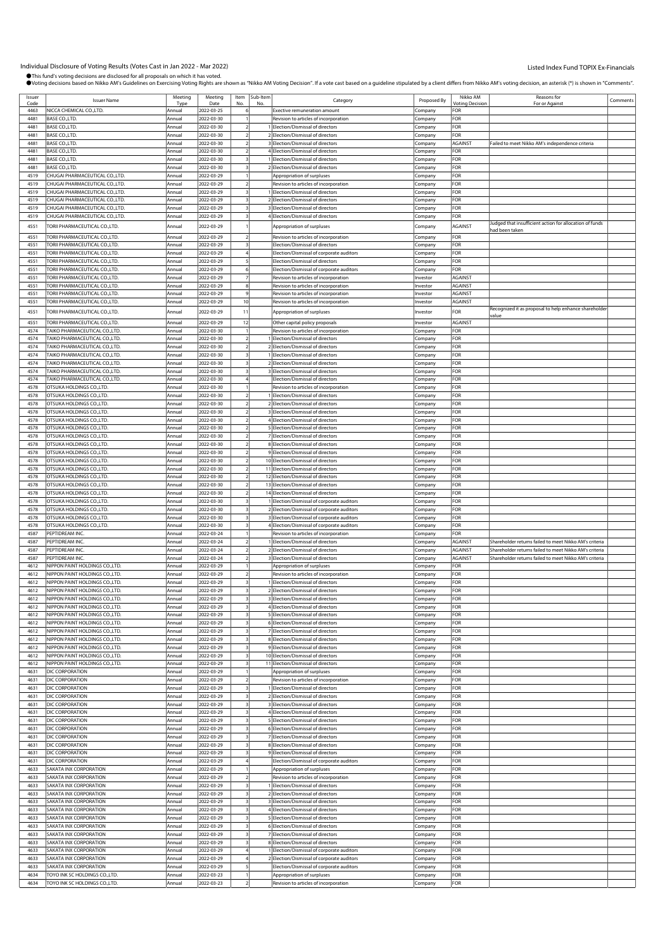| Issuer<br>Code | <b>Issuer Name</b>                                                 | Meeting<br>Tvn   | Meeting<br>Date          | Item | Sub-Item<br>No | Category                                                                            | Proposed By        | Nikko AM<br>Votina Decision | Reasons for<br>For or Agains                            | Comments |
|----------------|--------------------------------------------------------------------|------------------|--------------------------|------|----------------|-------------------------------------------------------------------------------------|--------------------|-----------------------------|---------------------------------------------------------|----------|
| 4463           | NICCA CHEMICAL CO.,LTD.                                            | Annual           | 2022-03-25               |      |                | <b>Exective remuneration amount</b>                                                 | Company            | <b>FOR</b>                  |                                                         |          |
| 4481           | BASE CO., LTD.                                                     | Annual           | 2022-03-30               |      |                | Revision to articles of incorporation                                               | Company            | <b>OR</b>                   |                                                         |          |
| 4481           | BASE CO.,LTD.                                                      | Annual           | 2022-03-30               |      |                | Election/Dismissal of directors                                                     | Company            | FOR                         |                                                         |          |
| 4481           | BASE CO., LTD.                                                     | Annual           | 2022-03-30               |      |                | 2 Election/Dismissal of directors                                                   | Company            | FOR                         |                                                         |          |
| 4481           | BASE CO., LTD.                                                     | Annual           | 2022-03-30               |      |                | 3 Election/Dismissal of directors                                                   | Company            | AGAINST                     | Failed to meet Nikko AM's independence criteria         |          |
| 4481           | <b>BASE CO.,LTD.</b>                                               | Annual           | 2022-03-30               |      |                | 4 Election/Dismissal of directors                                                   | Company            | FOR                         |                                                         |          |
| 4481           | BASE CO., LTD.                                                     | Annual           | 2022-03-30               |      |                | 1 Election/Dismissal of directors                                                   | Company            | FOR                         |                                                         |          |
| 4481           | BASE CO., LTD.                                                     | Annual           | 2022-03-30               |      |                | Election/Dismissal of directors                                                     | Company            | FOR                         |                                                         |          |
| 4519<br>4519   | CHUGAI PHARMACEUTICAL CO.,LTD.<br>CHUGAI PHARMACEUTICAL CO., LTD.  | Annual<br>Annual | 2022-03-29<br>2022-03-29 |      |                | Appropriation of surpluses                                                          | Company            | For<br>FOR                  |                                                         |          |
| 4519           | CHUGAI PHARMACEUTICAL CO.,LTD.                                     | Annual           | 2022-03-29               |      |                | Revision to articles of incorporation<br>Election/Dismissal of directors            | Company<br>Company | FOR                         |                                                         |          |
| 4519           | CHUGAI PHARMACEUTICAL CO.,LTD.                                     | Annual           | 2022-03-29               |      |                | 2 Election/Dismissal of directors                                                   | Company            | FOR                         |                                                         |          |
| 4519           | CHUGAI PHARMACEUTICAL CO.,LTD.                                     | Annual           | 2022-03-29               |      |                | 3 Election/Dismissal of directors                                                   | Company            | FOR                         |                                                         |          |
| 4519           | CHUGAI PHARMACEUTICAL CO.,LTD.                                     | Annual           | 2022-03-29               |      |                | 4 Election/Dismissal of directors                                                   | Company            | FOR                         |                                                         |          |
| 4551           | TORII PHARMACEUTICAL CO.,LTD.                                      | Annual           | 2022-03-29               |      |                | Appropriation of surpluses                                                          | .cmpany            | AGAINST                     | Judged that insufficient action for allocation of funds |          |
|                |                                                                    |                  |                          |      |                |                                                                                     |                    |                             | had been taken                                          |          |
| 4551<br>4551   | FORII PHARMACEUTICAL CO.,LTD.<br>TORII PHARMACEUTICAL CO.,LTD.     | Annual<br>Annual | 2022-03-29<br>2022-03-29 |      |                | Revision to articles of incorporation<br>Election/Dismissal of directors            | Company<br>Company | FOR<br>FOR                  |                                                         |          |
| 4551           | TORII PHARMACEUTICAL CO.,LTD.                                      | Annual           | 2022-03-29               |      |                | Election/Dismissal of corporate auditors                                            | Company            | FOR                         |                                                         |          |
| 4551           | <b>FORII PHARMACEUTICAL CO.,LTD.</b>                               | Annual           | 2022-03-29               |      |                | Election/Dismissal of directors                                                     | Company            | FOR                         |                                                         |          |
| 4551           | TORII PHARMACEUTICAL CO.,LTD.                                      | Annual           | 2022-03-29               |      |                | Election/Dismissal of corporate auditors                                            | Company            | FOR                         |                                                         |          |
| 4551           | FORII PHARMACEUTICAL CO.,LTD.                                      | Annual           | 2022-03-29               |      |                | Revision to articles of incorporation                                               | nvestor            | <b>AGAINST</b>              |                                                         |          |
| 4551           | TORII PHARMACEUTICAL CO.,LTD.                                      | Annual           | 2022-03-29               |      |                | Revision to articles of incorporation                                               | Investor           | AGAINST                     |                                                         |          |
| 4551           | TORII PHARMACEUTICAL CO.,LTD.                                      | Annual           | 2022-03-29               |      |                | Revision to articles of incorporation                                               | Investor           | AGAINST                     |                                                         |          |
| 4551           | TORII PHARMACEUTICAL CO.,LTD.                                      | Annual           | 2022-03-29               | 10   |                | Revision to articles of incorporation                                               | Investor           | AGAINST                     |                                                         |          |
| 4551           | TORII PHARMACEUTICAL CO.,LTD.                                      | Annual           | 2022-03-29               | 11   |                | Appropriation of surpluses                                                          | Investor           | FOR                         | Recognized it as proposal to help enhance shareholder   |          |
| 4551           | TORII PHARMACEUTICAL CO.,LTD.                                      | Annual           | 2022-03-29               | 12   |                | Other capital policy proposals                                                      | Investor           | AGAINST                     | value                                                   |          |
| 4574           | TAIKO PHARMACEUTICAL CO.,LTD.                                      | Annual           | 2022-03-30               |      |                | Revision to articles of incorporation                                               | Company            | FOR                         |                                                         |          |
| 4574           | TAIKO PHARMACEUTICAL CO.,LTD.                                      | Annual           | 2022-03-30               |      |                | Election/Dismissal of directors                                                     | Company            | FOR                         |                                                         |          |
| 4574           | TAIKO PHARMACEUTICAL CO.,LTD.                                      | Annual           | 2022-03-30               |      |                | 2 Election/Dismissal of directors                                                   | Company            | FOR                         |                                                         |          |
| 4574           | TAIKO PHARMACEUTICAL CO.,LTD.                                      | Annual           | 2022-03-30               |      |                | 1 Election/Dismissal of directors                                                   | Company            | FOR                         |                                                         |          |
| 4574           | TAIKO PHARMACEUTICAL CO.,LTD.                                      | Annual           | 2022-03-30               |      |                | 2 Election/Dismissal of directors                                                   | Company            | FOR                         |                                                         |          |
| 4574           | TAIKO PHARMACEUTICAL CO.,LTD.                                      | Annual           | 2022-03-30               |      |                | 3 Election/Dismissal of directors                                                   | Company            | FOR                         |                                                         |          |
| 4574           | TAIKO PHARMACEUTICAL CO.,LTD.                                      | Annual           | 2022-03-30               |      |                | Election/Dismissal of directors                                                     | Company            | FOR                         |                                                         |          |
| 4578           | OTSUKA HOLDINGS CO., LTD.                                          | Annual           | 2022-03-30               |      |                | Revision to articles of incorporation                                               | Company            | FOR                         |                                                         |          |
| 4578           | OTSUKA HOLDINGS CO., LTD.                                          | Annual           | 2022-03-30               |      |                | Election/Dismissal of directors                                                     | .cmpany            | FOR                         |                                                         |          |
| 4578<br>4578   | OTSUKA HOLDINGS CO., LTD.<br>OTSUKA HOLDINGS CO., LTD.             | Annual<br>Annual | 2022-03-30<br>2022-03-30 |      |                | 2 Election/Dismissal of directors<br>3 Election/Dismissal of directors              | Company            | FOR<br>FOR                  |                                                         |          |
| 4578           | OTSUKA HOLDINGS CO., LTD.                                          | Annual           | 2022-03-30               |      |                | 4 Election/Dismissal of directors                                                   | Company<br>Company | FOR                         |                                                         |          |
| 4578           | OTSUKA HOLDINGS CO., LTD.                                          | Annual           | 2022-03-30               |      |                | 5 Election/Dismissal of directors                                                   | Company            | FOR                         |                                                         |          |
| 4578           | OTSUKA HOLDINGS CO., LTD.                                          | Annual           | 2022-03-30               |      |                | 7 Election/Dismissal of directors                                                   | .cmpany            | FOR                         |                                                         |          |
| 4578           | OTSUKA HOLDINGS CO., LTD.                                          | Annual           | 2022-03-30               |      |                | 8 Election/Dismissal of directors                                                   | Company            | FOR                         |                                                         |          |
| 4578           | OTSUKA HOLDINGS CO., LTD.                                          | Annual           | 2022-03-30               |      |                | 9 Election/Dismissal of directors                                                   | Company            | FOR                         |                                                         |          |
| 4578           | OTSUKA HOLDINGS CO., LTD.                                          | Annual           | 2022-03-30               |      |                | 10 Election/Dismissal of directors                                                  | Company            | FOR                         |                                                         |          |
| 4578           | OTSUKA HOLDINGS CO., LTD.                                          | Annual           | 2022-03-30               |      |                | 11 Election/Dismissal of directors                                                  | Company            | For                         |                                                         |          |
| 4578           | OTSUKA HOLDINGS CO., LTD.                                          | Annual           | 2022-03-30               |      |                | 12 Election/Dismissal of directors                                                  | Company            | For                         |                                                         |          |
| 4578           | OTSUKA HOLDINGS CO., LTD.                                          | Annual           | 2022-03-30               |      |                | 13 Election/Dismissal of directors                                                  | Company            | FOR                         |                                                         |          |
| 4578           | OTSUKA HOLDINGS CO., LTD.                                          | Annual           | 2022-03-30               |      |                | 14 Election/Dismissal of directors                                                  | Company            | FOR                         |                                                         |          |
| 4578           | OTSUKA HOLDINGS CO., LTD.                                          | Annual           | 2022-03-30               |      |                | Election/Dismissal of corporate auditors                                            | Company            | FOR                         |                                                         |          |
| 4578           | OTSUKA HOLDINGS CO., LTD                                           | Annual           | 2022-03-30               |      |                | 2 Election/Dismissal of corporate auditors                                          | Company            | FOR                         |                                                         |          |
| 4578<br>4578   | OTSUKA HOLDINGS CO., LTD.                                          | Annual           | 2022-03-30<br>2022-03-30 |      |                | 3 Election/Dismissal of corporate auditors                                          | Company            | FOR<br>FOR                  |                                                         |          |
| 4587           | OTSUKA HOLDINGS CO., LTD.<br>PEPTIDREAM INC.                       | Annual<br>Annual | 2022-03-24               |      |                | 4 Election/Dismissal of corporate auditors<br>Revision to articles of incorporation | Company<br>Company | FOR                         |                                                         |          |
| 4587           | PEPTIDREAM INC.                                                    | Annual           | 2022-03-24               |      |                | Election/Dismissal of directors                                                     | Company            | AGAINST                     | Shareholder returns failed to meet Nikko AM's criteria  |          |
| 4587           | PEPTIDREAM INC                                                     | Annual           | 2022-03-24               |      |                | Election/Dismissal of directors                                                     | Company            | AGAINST                     | Shareholder returns failed to meet Nikko AM's criteria  |          |
| 4587           | PEPTIDREAM INC.                                                    | Annual           | 2022-03-24               |      |                | 3 Election/Dismissal of directors                                                   | Company            | AGAINST                     | Shareholder returns failed to meet Nikko AM's criteria  |          |
| 4612           | NIPPON PAINT HOLDINGS CO.,LTD.                                     | Annual           | 2022-03-29               |      |                | Appropriation of surpluses                                                          | Company            | FOR                         |                                                         |          |
| 4612           | NIPPON PAINT HOLDINGS CO., LTD.                                    | Annual           | 2022-03-29               |      |                | Revision to articles of incorporation                                               | Company            | FOR                         |                                                         |          |
| 4612           | NIPPON PAINT HOLDINGS CO., LTD.                                    | Annual           | 2022-03-29               |      |                | Election/Dismissal of directors                                                     | Company            | FOR                         |                                                         |          |
| 4612           | NIPPON PAINT HOLDINGS CO., LTD                                     |                  | 2022-03-29               |      |                | Election/Dismissal of directors                                                     | Company            | FOR                         |                                                         |          |
| 4612           | NIPPON PAINT HOLDINGS CO., LTD.                                    | Annual           | 2022-03-29               |      |                | Election/Dismissal of directors                                                     | Company            | FOR                         |                                                         |          |
| 4612<br>4612   | NIPPON PAINT HOLDINGS CO., LTD.                                    | Annual<br>Annual | 2022-03-29               |      |                | 4 Election/Dismissal of directors                                                   | Company            | FOR<br>FOR                  |                                                         |          |
| 4612           | NIPPON PAINT HOLDINGS CO., LTD.<br>NIPPON PAINT HOLDINGS CO., LTD. | Annual           | 2022-03-29<br>2022-03-29 |      |                | 5 Election/Dismissal of directors<br>6 Election/Dismissal of directors              | Company            | FOR                         |                                                         |          |
| 4612           | NIPPON PAINT HOLDINGS CO., LTD.                                    | Annual           | 2022-03-29               |      |                | 7 Election/Dismissal of directors                                                   | Company<br>Company | FOR                         |                                                         |          |
| 4612           | NIPPON PAINT HOLDINGS CO., LTD.                                    | Annual           | 2022-03-29               |      |                | 8 Election/Dismissal of directors                                                   | Company            | FOR                         |                                                         |          |
| 4612           | NIPPON PAINT HOLDINGS CO., LTD.                                    | Annual           | 2022-03-29               |      |                | 9 Election/Dismissal of directors                                                   | Company            | FOR                         |                                                         |          |
| 4612           | NIPPON PAINT HOLDINGS CO., LTD.                                    | Annual           | 2022-03-29               |      |                | 10 Election/Dismissal of directors                                                  | Company            | FOR                         |                                                         |          |
| 4612           | NIPPON PAINT HOLDINGS CO., LTD.                                    | Annual           | 2022-03-29               |      |                | 11 Election/Dismissal of directors                                                  | Company            | FOR                         |                                                         |          |
| 4631           | DIC CORPORATION                                                    | Annual           | 2022-03-29               |      |                | Appropriation of surpluses                                                          | Company            | FOR                         |                                                         |          |
| 4631           | DIC CORPORATION                                                    | Annual           | 2022-03-29               |      |                | Revision to articles of incorporation                                               | Company            | FOR                         |                                                         |          |
| 4631           | DIC CORPORATION                                                    | Annual           | 2022-03-29               |      |                | Election/Dismissal of directors                                                     | Company            | FOR                         |                                                         |          |
| 4631           | DIC CORPORATION                                                    | Annual           | 2022-03-29               |      |                | 2 Election/Dismissal of directors                                                   | Company            | FOR                         |                                                         |          |
| 4631<br>4631   | DIC CORPORATION<br>DIC CORPORATION                                 | Annual<br>Annual | 2022-03-29<br>2022-03-29 |      |                | 3 Election/Dismissal of directors<br>4 Election/Dismissal of directors              | Company<br>Company | FOR<br>FOR                  |                                                         |          |
| 4631           | DIC CORPORATION                                                    | Annual           | 2022-03-29               |      |                | 5 Election/Dismissal of directors                                                   | Company            | For                         |                                                         |          |
| 4631           | DIC CORPORATION                                                    | Annual           | 2022-03-29               |      |                | 6 Election/Dismissal of directors                                                   | Company            | FOR                         |                                                         |          |
| 4631           | DIC CORPORATION                                                    | Annual           | 2022-03-29               |      |                | 7 Election/Dismissal of directors                                                   | Company            | FOR                         |                                                         |          |
| 4631           | DIC CORPORATION                                                    | Annual           | 2022-03-29               |      |                | 8 Election/Dismissal of directors                                                   | Company            | FOR                         |                                                         |          |
| 4631           | <b>DIC CORPORATION</b>                                             | Annual           | 2022-03-29               |      |                | 9 Election/Dismissal of directors                                                   | Company            | FOR                         |                                                         |          |
| 4631           | DIC CORPORATION                                                    | Annual           | 2022-03-29               |      |                | Election/Dismissal of corporate auditors                                            | Company            | For                         |                                                         |          |
| 4633           | SAKATA INX CORPORATION                                             | Annual           | 2022-03-29               |      |                | Appropriation of surpluses                                                          | Company            | FOR                         |                                                         |          |
| 4633           | SAKATA INX CORPORATION                                             | Annual           | 2022-03-29               |      |                | Revision to articles of incorporation                                               | Company            | FOR                         |                                                         |          |
| 4633           | SAKATA INX CORPORATION                                             | Annual           | 2022-03-29               |      |                | Election/Dismissal of directors                                                     | Company            | FOR                         |                                                         |          |
| 4633           | SAKATA INX CORPORATION                                             | Annual           | 2022-03-29               |      |                | 2 Election/Dismissal of directors                                                   | Company            | FOR                         |                                                         |          |
| 4633           | SAKATA INX CORPORATION                                             | Annual           | 2022-03-29               |      |                | 3 Election/Dismissal of directors<br>4 Election/Dismissal of directors              | Company            | FOR                         |                                                         |          |
| 4633<br>4633   | SAKATA INX CORPORATION<br>SAKATA INX CORPORATION                   | Annual<br>Annual | 2022-03-29<br>2022-03-29 |      |                | 5 Election/Dismissal of directors                                                   | Company            | FOR<br>FOR                  |                                                         |          |
| 4633           | SAKATA INX CORPORATION                                             | Annual           | 2022-03-29               |      |                | 6 Election/Dismissal of directors                                                   | Company<br>Company | FOR                         |                                                         |          |
| 4633           | SAKATA INX CORPORATION                                             | Annual           | 2022-03-29               |      |                | 7 Election/Dismissal of directors                                                   | Company            | FOR                         |                                                         |          |
| 4633           | SAKATA INX CORPORATION                                             | Annual           | 2022-03-29               |      |                | 8 Election/Dismissal of directors                                                   | Company            | FOR                         |                                                         |          |
| 4633           | SAKATA INX CORPORATION                                             | Annual           | 2022-03-29               |      |                | Election/Dismissal of corporate auditors                                            | Company            | FOR                         |                                                         |          |
| 4633           | SAKATA INX CORPORATION                                             | Annual           | 2022-03-29               |      |                | 2 Election/Dismissal of corporate auditors                                          | Company            | FOR                         |                                                         |          |
| 4633           | SAKATA INX CORPORATION                                             | Annual           | 2022-03-29               |      |                | Election/Dismissal of corporate auditors                                            | Company            | FOR                         |                                                         |          |
| 4634           | TOYO INK SC HOLDINGS CO., LTD.                                     | Annual           | 2022-03-23               |      |                | Appropriation of surpluses                                                          | Company            | FOR                         |                                                         |          |
| 4634           | TOYO INK SC HOLDINGS CO., LTD.                                     | Annual           | 2022-03-23               |      |                | Revision to articles of incorporation                                               | Company            | FOR                         |                                                         |          |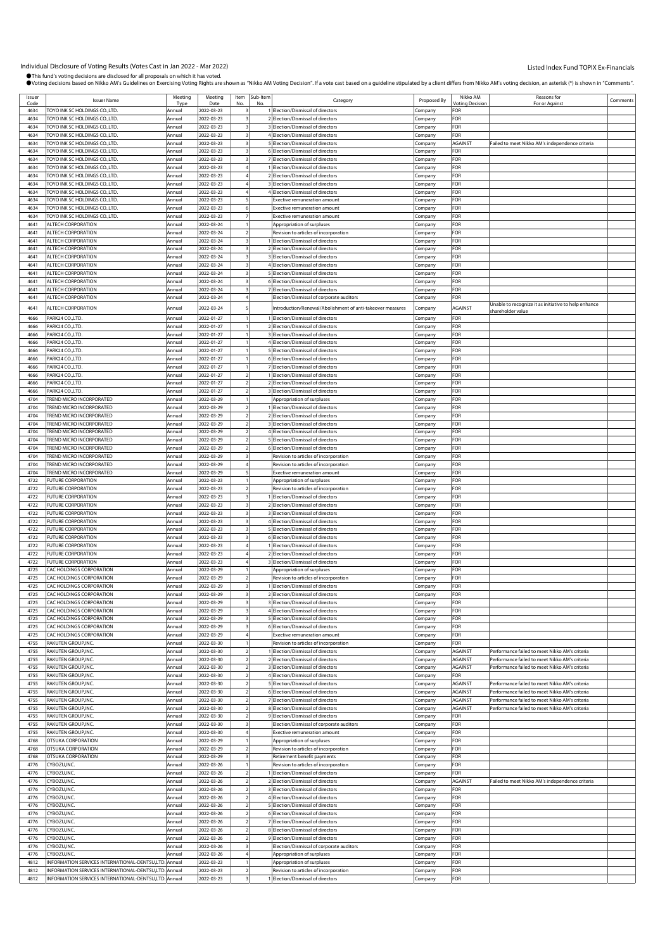| Issuer<br>Code | <b>Issuer Name</b>                                                    | Meeting<br>Tvn   | Meeting<br>Date          |                | Item Sub-Item | Category                                                                   | Proposed By        | Nikko AM<br>Votina Decision | Reasons for<br>For or Agains                         | Comments |
|----------------|-----------------------------------------------------------------------|------------------|--------------------------|----------------|---------------|----------------------------------------------------------------------------|--------------------|-----------------------------|------------------------------------------------------|----------|
| 4634           | TOYO INK SC HOLDINGS CO.,LTD.                                         | Annual           | 2022-03-23               |                |               | 1 Election/Dismissal of directors                                          | Company            | FOR                         |                                                      |          |
| 4634           | <b>FOYO INK SC HOLDINGS CO.,LTD.</b>                                  | Annual           | 2022-03-23               |                |               | 2 Election/Dismissal of directors                                          | Company            | FOR                         |                                                      |          |
| 4634           | TOYO INK SC HOLDINGS CO.,LTD.                                         | Annual           | 2022-03-23               |                |               | 3 Election/Dismissal of directors                                          | Company            | FOR                         |                                                      |          |
| 4634<br>4634   | FOYO INK SC HOLDINGS CO.,LTD.<br>TOYO INK SC HOLDINGS CO.,LTD.        | Annual<br>Annual | 2022-03-23<br>2022-03-23 |                |               | 4 Election/Dismissal of directors<br>5 Election/Dismissal of directors     | .cmpany<br>Company | FOR<br><b>AGAINST</b>       | Failed to meet Nikko AM's independence criteria      |          |
| 4634           | FOYO INK SC HOLDINGS CO.,LTD.                                         | Annua            | 2022-03-23               |                |               | 6 Election/Dismissal of directors                                          | Company            | FOR                         |                                                      |          |
| 4634           | TOYO INK SC HOLDINGS CO.,LTD.                                         | Annual           | 2022-03-23               |                |               | 7 Election/Dismissal of directors                                          | Company            | FOR                         |                                                      |          |
| 4634           | TOYO INK SC HOLDINGS CO.,LTD.                                         | Annual           | 2022-03-23               |                |               | Election/Dismissal of directors                                            | Company            | FOR                         |                                                      |          |
| 4634           | TOYO INK SC HOLDINGS CO.,LTD.                                         | Annual           | 2022-03-23               |                |               | 2 Election/Dismissal of directors                                          | Company            | FOR                         |                                                      |          |
| 4634<br>4634   | TOYO INK SC HOLDINGS CO.,LTD.<br>FOYO INK SC HOLDINGS CO.,LTD.        | Annual<br>Annual | 2022-03-23<br>2022-03-23 |                |               | 3 Election/Dismissal of directors<br>4 Election/Dismissal of directors     | Company            | FOR<br>FOR                  |                                                      |          |
| 4634           | TOYO INK SC HOLDINGS CO.,LTD.                                         | Annual           | 2022-03-23               |                |               | Exective remuneration amount                                               | Company<br>Company | FOR                         |                                                      |          |
| 4634           | TOYO INK SC HOLDINGS CO.,LTD                                          | Annual           | 2022-03-23               |                |               | <b>Exective remuneration amount</b>                                        | Company            | FOR                         |                                                      |          |
| 4634           | TOYO INK SC HOLDINGS CO.,LTD.                                         | Annual           | 2022-03-23               |                |               | <b>Exective remuneration amount</b>                                        | .ompany            | FOR                         |                                                      |          |
| 4641           | ALTECH CORPORATION                                                    | Annual           | 2022-03-24               |                |               | Appropriation of surpluses                                                 | Company            | FOR                         |                                                      |          |
| 4641           | ALTECH CORPORATION                                                    | Annua            | 2022-03-24               |                |               | Revision to articles of incorporation                                      | Company            | FOR                         |                                                      |          |
| 4641<br>4641   | ALTECH CORPORATION<br>ALTECH CORPORATION                              | Annual           | 2022-03-24<br>2022-03-24 |                |               | Election/Dismissal of directors<br>2 Election/Dismissal of directors       | Company            | FOR<br>FOR                  |                                                      |          |
| 4641           | ALTECH CORPORATION                                                    | Annual<br>Annual | 2022-03-24               |                |               | 3 Election/Dismissal of directors                                          | Company<br>Company | FOR                         |                                                      |          |
| 4641           | ALTECH CORPORATION                                                    | Annual           | 2022-03-24               |                |               | 4 Election/Dismissal of directors                                          | Company            | FOR                         |                                                      |          |
| 4641           | ALTECH CORPORATION                                                    | Annual           | 2022-03-24               |                |               | 5 Election/Dismissal of directors                                          | Company            | FOR                         |                                                      |          |
| 4641           | ALTECH CORPORATION                                                    | Annual           | 2022-03-24               |                |               | 6 Election/Dismissal of directors                                          | .cmpany            | FOR                         |                                                      |          |
| 4641           | ALTECH CORPORATION                                                    | Annual           | 2022-03-24               |                |               | 7 Election/Dismissal of directors                                          | Company            | FOR                         |                                                      |          |
| 4641           | ALTECH CORPORATION                                                    | Annual           | 2022-03-24               |                |               | Election/Dismissal of corporate auditors                                   | Company            | FOR                         | Unable to recognize it as initiative to help enhance |          |
| 4641           | ALTECH CORPORATION                                                    | Annual           | 2022-03-24               |                |               | Introduction/Renewal/Abolishment of anti-takeover measures                 | Company            | AGAINST                     | shareholder value                                    |          |
| 4666           | PARK24 CO.,LTD.                                                       | Annual           | 2022-01-27               |                |               | Election/Dismissal of directors                                            | Company            | FOR                         |                                                      |          |
| 4666<br>4666   | PARK24 CO.,LTD.<br>PARK24 CO.,LTD.                                    | Annual<br>Annua  | 2022-01-27<br>2022-01-27 |                |               | 2 Election/Dismissal of directors<br>3 Election/Dismissal of directors     | Company            | FOR<br>FOR                  |                                                      |          |
| 4666           | ARK24 CO.LTD.                                                         | Annual           | 2022-01-27               |                |               | 4 Election/Dismissal of directors                                          | Company<br>Company | FOR                         |                                                      |          |
| 4666           | PARK24 CO.,LTD.                                                       | Annua            | 2022-01-27               |                |               | 5 Election/Dismissal of directors                                          | Company            | FOR                         |                                                      |          |
| 4666           | PARK24 CO.,LTD.                                                       | Annual           | 2022-01-27               |                |               | 6 Election/Dismissal of directors                                          | Company            | FOR                         |                                                      |          |
| 4666           | PARK24 CO.,LTD.                                                       | Annual           | 2022-01-27               |                |               | 7 Election/Dismissal of directors                                          | Company            | FOR                         |                                                      |          |
| 4666           | PARK24 CO.,LTD.                                                       | Annual           | 2022-01-27               |                |               | Election/Dismissal of directors                                            | Company            | FOR                         |                                                      |          |
| 4666           | ARK24 CO.,LTD.                                                        | Annual           | 2022-01-27               |                |               | 2 Election/Dismissal of directors                                          | Company            | FOR                         |                                                      |          |
| 4666<br>4704   | PARK24 CO.,LTD.<br>TREND MICRO INCORPORATED                           | Annua<br>Annual  | 2022-01-27<br>2022-03-29 |                |               | 3 Election/Dismissal of directors<br>Appropriation of surpluses            | Company<br>Company | FOR<br>FOR                  |                                                      |          |
| 4704           | FREND MICRO INCORPORATED                                              | Annual           | 2022-03-29               |                |               | Election/Dismissal of directors                                            | Company            | For                         |                                                      |          |
| 4704           | TREND MICRO INCORPORATED                                              | Annual           | 2022-03-29               |                |               | 2 Election/Dismissal of directors                                          | Company            | FOR                         |                                                      |          |
| 4704           | <b>FREND MICRO INCORPORATED</b>                                       | Annual           | 2022-03-29               |                |               | 3 Election/Dismissal of directors                                          | .cmpany            | FOR                         |                                                      |          |
| 4704           | TREND MICRO INCORPORATED                                              | Annua            | 2022-03-29               |                |               | 4 Election/Dismissal of directors                                          | Company            | FOR                         |                                                      |          |
| 4704           | <b>FREND MICRO INCORPORATED</b>                                       | Annual           | 2022-03-29               |                |               | 5 Election/Dismissal of directors                                          | Company            | FOR                         |                                                      |          |
| 4704<br>4704   | TREND MICRO INCORPORATED<br>TREND MICRO INCORPORATED                  | Annual<br>Annua  | 2022-03-29<br>2022-03-29 |                |               | 6 Election/Dismissal of directors<br>Revision to articles of incorporation | Company<br>Company | FOR<br>FOR                  |                                                      |          |
| 4704           | TREND MICRO INCORPORATED                                              | Annual           | 2022-03-29               |                |               | Revision to articles of incorporation                                      | Company            | FOR                         |                                                      |          |
| 4704           | TREND MICRO INCORPORATED                                              | Annua            | 2022-03-29               |                |               | Exective remuneration amount                                               | Company            | FOR                         |                                                      |          |
| 4722           | UTURE CORPORATION                                                     | Annual           | 2022-03-23               |                |               | Appropriation of surpluses                                                 | Company            | FOR                         |                                                      |          |
| 4722           | <b>FUTURE CORPORATION</b>                                             | Annual           | 2022-03-23               |                |               | Revision to articles of incorporation                                      | .cmpany            | FOR                         |                                                      |          |
| 4722<br>4722   | <b>FUTURE CORPORATION</b><br>UTURE CORPORATION                        | Annua<br>Annual  | 2022-03-23<br>2022-03-23 |                |               | Election/Dismissal of directors<br>2 Election/Dismissal of directors       | Company            | FOR<br>FOR                  |                                                      |          |
| 4722           | <b>FUTURE CORPORATION</b>                                             | Annual           | 2022-03-23               |                |               | 3 Election/Dismissal of directors                                          | .cmpany<br>Company | FOR                         |                                                      |          |
| 4722           | UTURE CORPORATION                                                     | Annual           | 2022-03-23               |                |               | 4 Election/Dismissal of directors                                          | Company            | FOR                         |                                                      |          |
| 4722           | <b>FUTURE CORPORATION</b>                                             | Annual           | 2022-03-23               |                |               | 5 Election/Dismissal of directors                                          | Company            | FOR                         |                                                      |          |
| 4722           | <b>FUTURE CORPORATION</b>                                             | Annua            | 2022-03-23               |                |               | 6 Election/Dismissal of directors                                          | Company            | FOR                         |                                                      |          |
| 4722           | UTURE CORPORATION                                                     | Annual           | 2022-03-23               |                |               | Election/Dismissal of directors                                            | .cmpany            | FOR                         |                                                      |          |
| 4722           | UTURE CORPORATION                                                     | Annua            | 2022-03-23               |                |               | 2 Election/Dismissal of directors                                          | Company            | FOR                         |                                                      |          |
| 4722<br>4725   | UTURE CORPORATION<br>CAC HOLDINGS CORPORATION                         | Annual<br>Annual | 2022-03-23<br>2022-03-29 |                |               | 3 Election/Dismissal of directors<br>Appropriation of surpluses            | Company<br>Company | FOR<br>FOR                  |                                                      |          |
| 4725           | CAC HOLDINGS CORPORATION                                              | Annua            | 2022-03-29               |                |               | Revision to articles of incorporation                                      | Company            | FOR                         |                                                      |          |
| 4725           | CAC HOLDINGS CORPORATION                                              | Annual           | 2022-03-29               |                |               | Election/Dismissal of directors                                            | Company            | FOR                         |                                                      |          |
| 4725           | CAC HOLDINGS CORPORATION                                              | Annua            | 2022-03-29               |                |               | 2 Election/Dismissal of directors                                          | Company            | FOR                         |                                                      |          |
| 4725           | CAC HOLDINGS CORPORATION                                              | Annual           | 2022-03-29               |                |               | 3 Election/Dismissal of directors                                          | Company            | FOR                         |                                                      |          |
| 4725           | CAC HOLDINGS CORPORATION                                              | Annual           | 2022-03-29               |                |               | 4 Election/Dismissal of directors                                          | Company            | FOR                         |                                                      |          |
| 4725           | CAC HOLDINGS CORPORATION<br>CAC HOLDINGS CORPORATION                  | Annual           | 2022-03-29               |                |               | 5 Election/Dismissal of directors                                          | Company            | FOR                         |                                                      |          |
| 4725<br>4725   | CAC HOLDINGS CORPORATION                                              | Annual<br>Annual | 2022-03-29<br>2022-03-29 |                |               | 6 Election/Dismissal of directors<br>Exective remuneration amount          | Company<br>Company | FOR<br>FOR                  |                                                      |          |
| 4755           | RAKUTEN GROUP,INC.                                                    | Annual           | 2022-03-30               |                |               | Revision to articles of incorporation                                      | Company            | FOR                         |                                                      |          |
| 4755           | RAKUTEN GROUP, INC.                                                   | Annual           | 2022-03-30               |                |               | Election/Dismissal of directors                                            | Company            | AGAINST                     | Performance failed to meet Nikko AM's criteria       |          |
| 4755           | RAKUTEN GROUP, INC.                                                   | Annual           | 2022-03-30               |                |               | 2 Election/Dismissal of directors                                          | Company            | <b>AGAINST</b>              | Performance failed to meet Nikko AM's criteria       |          |
| 4755           | RAKUTEN GROUP, INC.                                                   | Annual           | 2022-03-30               |                |               | 3 Election/Dismissal of directors                                          | Company            | AGAINST                     | Performance failed to meet Nikko AM's criteria       |          |
| 4755<br>4755   | RAKUTEN GROUP, INC.<br>RAKUTEN GROUP,INC.                             | Annual<br>Annual | 2022-03-30<br>2022-03-30 |                |               | 4 Election/Dismissal of directors<br>5 Election/Dismissal of directors     | Company            | <b>FOR</b><br>AGAINST       | Performance failed to meet Nikko AM's criteria       |          |
| 4755           | RAKUTEN GROUP,INC.                                                    | Annual           | 2022-03-30               |                |               | 6 Election/Dismissal of directors                                          | Company<br>Company | AGAINST                     | Performance failed to meet Nikko AM's criteria       |          |
| 4755           | RAKUTEN GROUP, INC.                                                   | Annual           | 2022-03-30               |                |               | 7 Election/Dismissal of directors                                          | Company            | <b>AGAINST</b>              | Performance failed to meet Nikko AM's criteria       |          |
| 4755           | RAKUTEN GROUP, INC.                                                   | Annual           | 2022-03-30               |                |               | 8 Election/Dismissal of directors                                          | Company            | AGAINST                     | Performance failed to meet Nikko AM's criteria       |          |
| 4755           | RAKUTEN GROUP, INC.                                                   | Annual           | 2022-03-30               | $\overline{z}$ |               | 9 Election/Dismissal of directors                                          | Company            | FOR                         |                                                      |          |
| 4755           | RAKUTEN GROUP,INC.                                                    | Annual           | 2022-03-30               |                |               | Election/Dismissal of corporate auditors                                   | Company            | FOR                         |                                                      |          |
| 4755<br>4768   | RAKUTEN GROUP, INC.<br>OTSUKA CORPORATION                             | Annual<br>Annual | 2022-03-30<br>2022-03-29 |                |               | Exective remuneration amount                                               | Company            | FOR<br>FOR                  |                                                      |          |
| 4768           | OTSUKA CORPORATION                                                    | Annual           | 2022-03-29               |                |               | Appropriation of surpluses<br>Revision to articles of incorporation        | Company<br>Company | FOR                         |                                                      |          |
| 4768           | OTSUKA CORPORATION                                                    | Annual           | 2022-03-29               |                |               | Retirement benefit payments                                                | Company            | FOR                         |                                                      |          |
| 4776           | CYBOZU, INC.                                                          | Annual           | 2022-03-26               |                |               | Revision to articles of incorporation                                      | Company            | FOR                         |                                                      |          |
| 4776           | CYBOZU, INC.                                                          | Annual           | 2022-03-26               |                |               | Election/Dismissal of directors                                            | Company            | FOR                         |                                                      |          |
| 4776           | CYBOZU, INC.                                                          | Annual           | 2022-03-26               |                |               | 2 Election/Dismissal of directors                                          | Company            | AGAINST                     | Failed to meet Nikko AM's independence criteria      |          |
| 4776           | <b>TYBOZU,INC.</b>                                                    | Annual           | 2022-03-26               |                |               | 3 Election/Dismissal of directors                                          | Company            | FOR                         |                                                      |          |
| 4776<br>4776   | CYBOZU, INC.<br>CYBOZU, INC.                                          | Annual<br>Annual | 2022-03-26<br>2022-03-26 |                |               | 4 Election/Dismissal of directors<br>5 Election/Dismissal of directors     | Company<br>Company | FOR<br>FOR                  |                                                      |          |
| 4776           | CYBOZU, INC.                                                          | Annual           | 2022-03-26               |                |               | 6 Election/Dismissal of directors                                          | Company            | FOR                         |                                                      |          |
| 4776           | CYBOZU, INC.                                                          | Annual           | 2022-03-26               |                |               | 7 Election/Dismissal of directors                                          | Company            | FOR                         |                                                      |          |
| 4776           | <b>TYBOZU,INC.</b>                                                    | Annual           | 2022-03-26               |                |               | 8 Election/Dismissal of directors                                          | Company            | FOR                         |                                                      |          |
| 4776           | CYBOZU, INC.                                                          | Annual           | 2022-03-26               |                |               | 9 Election/Dismissal of directors                                          | Company            | FOR                         |                                                      |          |
| 4776           | CYBOZU, INC.                                                          | Annual           | 2022-03-26               |                |               | Election/Dismissal of corporate auditors                                   | Company            | FOR                         |                                                      |          |
| 4776<br>4812   | CYBOZU, INC.<br>INFORMATION SERVICES INTERNATIONAL-DENTSU,LTD. Annual | Annual           | 2022-03-26               |                |               | Appropriation of surpluses                                                 | Company            | FOR<br>FOR                  |                                                      |          |
| 4812           | INFORMATION SERVICES INTERNATIONAL-DENTSU,LTD. Annual                 |                  | 2022-03-23<br>2022-03-23 |                |               | Appropriation of surpluses<br>Revision to articles of incorporation        | Company<br>Company | FOR                         |                                                      |          |
| 4812           | INFORMATION SERVICES INTERNATIONAL-DENTSU,LTD. Annual                 |                  | 2022-03-23               |                |               | Election/Dismissal of directors                                            | Company            | FOR                         |                                                      |          |
|                |                                                                       |                  |                          |                |               |                                                                            |                    |                             |                                                      |          |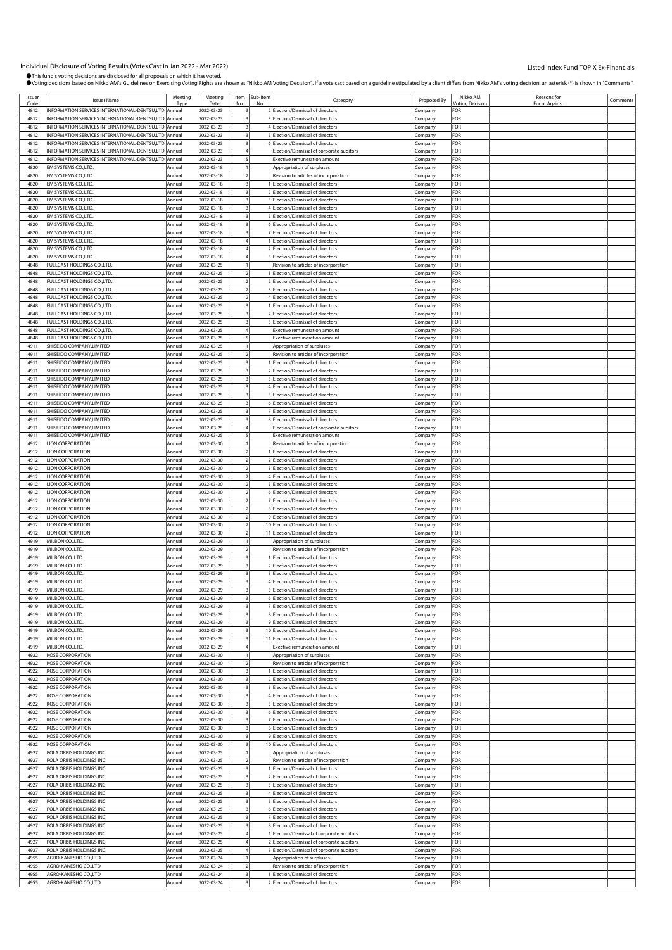| Issuer | <b>Issuer Name</b>                                    | Meeting | Meeting    | Item | Sub-Item | Category                                   | Proposed By | Nikko AM        | Reasons for   | Comments |
|--------|-------------------------------------------------------|---------|------------|------|----------|--------------------------------------------|-------------|-----------------|---------------|----------|
| Code   |                                                       | Type    | Date       |      | N        |                                            |             | Votina Decision | For or Agains |          |
| 4812   | INFORMATION SERVICES INTERNATIONAL-DENTSU,LTD. Annual |         | 2022-03-23 |      |          | 2 Election/Dismissal of directors          | Company     | FOR             |               |          |
| 4812   | INFORMATION SERVICES INTERNATIONAL-DENTSU,LTD. Annual |         | 2022-03-23 |      |          | 3 Election/Dismissal of directors          | Company     | FOR             |               |          |
| 4812   | INFORMATION SERVICES INTERNATIONAL-DENTSU,LTD. Annual |         | 2022-03-23 |      |          | 4 Election/Dismissal of directors          | ompany.     | <b>OR</b>       |               |          |
| 4812   | INFORMATION SERVICES INTERNATIONAL-DENTSU,LTD. Annual |         | 2022-03-23 |      |          | 5 Election/Dismissal of directors          | :ompany     | FOR             |               |          |
| 4812   | INFORMATION SERVICES INTERNATIONAL-DENTSU,LTD. Annual |         | 2022-03-23 |      |          | 6 Election/Dismissal of directors          | Company     | FOR             |               |          |
| 4812   | INFORMATION SERVICES INTERNATIONAL-DENTSU.LTD. Annual |         | 2022-03-23 |      |          | Election/Dismissal of corporate auditors   | Company     | <b>OR</b>       |               |          |
|        |                                                       |         |            |      |          |                                            |             |                 |               |          |
| 4812   | INFORMATION SERVICES INTERNATIONAL-DENTSU,LTD. Annual |         | 2022-03-23 |      |          | Exective remuneration amount               | Company     | FOR             |               |          |
| 4820   | EM SYSTEMS CO.,LTD.                                   | Annual  | 2022-03-18 |      |          | Appropriation of surpluses                 | ompany:     | <b>OR</b>       |               |          |
| 4820   | EM SYSTEMS CO., LTD.                                  | Annual  | 2022-03-18 |      |          | Revision to articles of incorporation      | :ompany     | :OR             |               |          |
| 4820   | EM SYSTEMS CO., LTD.                                  | Annual  | 2022-03-18 |      |          | 1 Election/Dismissal of directors          | .ompany     | <b>OR</b>       |               |          |
| 4820   | EM SYSTEMS CO., LTD.                                  | Annual  | 2022-03-18 |      |          | 2 Election/Dismissal of directors          | Company     | <b>OR</b>       |               |          |
|        |                                                       |         |            |      |          |                                            |             |                 |               |          |
| 4820   | EM SYSTEMS CO., LTD.                                  | Annual  | 2022-03-18 |      |          | 3 Election/Dismissal of directors          | Company     | <b>OR</b>       |               |          |
| 4820   | EM SYSTEMS CO.,LTD.                                   | Annual  | 2022-03-18 |      |          | 4 Election/Dismissal of directors          | .cmpany     | <b>OR</b>       |               |          |
| 4820   | EM SYSTEMS CO., LTD.                                  | Annual  | 2022-03-18 |      |          | 5 Election/Dismissal of directors          | :ompany     | -or             |               |          |
| 4820   | EM SYSTEMS CO., LTD.                                  | Annual  | 2022-03-18 |      |          | 6 Election/Dismissal of directors          | .ompany     | <b>OR</b>       |               |          |
| 4820   | EM SYSTEMS CO.,LTD.                                   | Annual  | 2022-03-18 |      |          | 7 Election/Dismissal of directors          | Company     | <b>OR</b>       |               |          |
|        |                                                       |         |            |      |          |                                            |             |                 |               |          |
| 4820   | EM SYSTEMS CO., LTD.                                  | Annual  | 2022-03-18 |      |          | 1 Election/Dismissal of directors          | Company     | <b>OR</b>       |               |          |
| 4820   | EM SYSTEMS CO., LTD.                                  | Annual  | 2022-03-18 |      |          | 2 Election/Dismissal of directors          | ompany:     | <b>OR</b>       |               |          |
| 4820   | EM SYSTEMS CO., LTD.                                  | Annual  | 2022-03-18 |      |          | 3 Election/Dismissal of directors          | :ompany     | -or             |               |          |
| 4848   | FULLCAST HOLDINGS CO., LTD.                           | Annual  | 2022-03-25 |      |          | Revision to articles of incorporation      | .ompany     | <b>OR</b>       |               |          |
| 4848   | FULLCAST HOLDINGS CO.,LTD.                            | Annual  | 2022-03-25 |      |          | 1 Election/Dismissal of directors          |             | <b>OR</b>       |               |          |
|        |                                                       |         |            |      |          |                                            | :ompany     |                 |               |          |
| 4848   | FULLCAST HOLDINGS CO., LTD.                           | Annual  | 2022-03-25 |      |          | 2 Election/Dismissal of directors          | Company     | <b>OR</b>       |               |          |
| 4848   | FULLCAST HOLDINGS CO.,LTD.                            | Annual  | 2022-03-25 |      |          | 3 Election/Dismissal of directors          | ompany.     | <b>OR</b>       |               |          |
| 4848   | FULLCAST HOLDINGS CO.,LTD.                            | Annual  | 2022-03-25 |      |          | 4 Election/Dismissal of directors          | :ompany     | -or             |               |          |
| 4848   | FULLCAST HOLDINGS CO.,LTD.                            | Annual  | 2022-03-25 |      |          | 1 Election/Dismissal of directors          | .ompany     | <b>OR</b>       |               |          |
| 4848   |                                                       | Annual  |            |      |          | 2 Election/Dismissal of directors          |             | <b>OR</b>       |               |          |
|        | FULLCAST HOLDINGS CO.,LTD.                            |         | 2022-03-25 |      |          |                                            | Company     |                 |               |          |
| 4848   | <b>FULLCAST HOLDINGS CO.,LTD.</b>                     | Annual  | 2022-03-25 |      |          | 3 Election/Dismissal of directors          | Company     | <b>OR</b>       |               |          |
| 4848   | FULLCAST HOLDINGS CO.,LTD.                            | Annual  | 2022-03-25 |      |          | Exective remuneration amount               | Company     | <b>OR</b>       |               |          |
| 4848   | FULLCAST HOLDINGS CO., LTD.                           | Annual  | 2022-03-25 |      |          | Exective remuneration amount               | .<br>ompany | FOR             |               |          |
| 4911   | SHISEIDO COMPANY, LIMITED                             | Annual  | 2022-03-25 |      |          | Appropriation of surpluses                 | Company     | FOR             |               |          |
|        | SHISEIDO COMPANY.LIMITED                              |         |            |      |          |                                            |             |                 |               |          |
| 4911   |                                                       | Annual  | 2022-03-25 |      |          | Revision to articles of incorporation      | Company     | FOR             |               |          |
| 4911   | SHISEIDO COMPANY, LIMITED                             | Annual  | 2022-03-25 |      |          | 1 Election/Dismissal of directors          | Company     | FOR             |               |          |
| 4911   | SHISEIDO COMPANY, LIMITED                             | Annual  | 2022-03-25 |      |          | 2 Election/Dismissal of directors          | ompany:     | <b>OR</b>       |               |          |
| 4911   | SHISEIDO COMPANY, LIMITED                             | Annual  | 2022-03-25 |      |          | 3 Election/Dismissal of directors          | .ompany     | FOR             |               |          |
| 4911   | SHISEIDO COMPANY, LIMITED                             | Annual  | 2022-03-25 |      |          | 4 Election/Dismissal of directors          | .ompany     | FOR             |               |          |
|        |                                                       |         |            |      |          |                                            |             |                 |               |          |
| 4911   | SHISEIDO COMPANY.LIMITED                              | Annual  | 2022-03-25 |      |          | 5 Election/Dismissal of directors          | Company     | <b>OR</b>       |               |          |
| 4911   | SHISEIDO COMPANY, LIMITED                             | Annual  | 2022-03-25 |      |          | 6 Election/Dismissal of directors          | .cmpany     | FOR             |               |          |
| 4911   | SHISEIDO COMPANY, LIMITED                             | Annual  | 2022-03-25 |      |          | 7 Election/Dismissal of directors          | ompany.     | FOR             |               |          |
| 4911   | SHISEIDO COMPANY, LIMITED                             | Annual  | 2022-03-25 |      |          | 8 Election/Dismissal of directors          | :ompany     | FOR             |               |          |
| 4911   | SHISEIDO COMPANY, LIMITED                             | Annual  |            |      |          |                                            |             | FOR             |               |          |
|        |                                                       |         | 2022-03-25 |      |          | Election/Dismissal of corporate auditors   | Company     |                 |               |          |
| 4911   | SHISEIDO COMPANY, LIMITED                             | Annual  | 2022-03-25 |      |          | Exective remuneration amount               | Company     | <b>OR</b>       |               |          |
| 4912   | <b>LION CORPORATION</b>                               | Annual  | 2022-03-30 |      |          | Revision to articles of incorporation      | Company     | <b>OR</b>       |               |          |
| 4912   | <b>LION CORPORATION</b>                               | Annual  | 2022-03-30 |      |          | 1 Election/Dismissal of directors          | ompany.     | <b>OR</b>       |               |          |
| 4912   | <b>LION CORPORATION</b>                               | Annual  | 2022-03-30 |      |          | 2 Election/Dismissal of directors          | :ompany     | FOR             |               |          |
|        |                                                       |         |            |      |          |                                            |             |                 |               |          |
| 4912   | <b>LION CORPORATION</b>                               | Annual  | 2022-03-30 |      |          | 3 Election/Dismissal of directors          | .ompany     | FOR             |               |          |
| 4912   | <b>LION CORPORATION</b>                               | Annual  | 2022-03-30 |      |          | 4 Election/Dismissal of directors          | .ompany     | FOR             |               |          |
| 4912   | <b>LION CORPORATION</b>                               | Annual  | 2022-03-30 |      |          | 5 Election/Dismissal of directors          | .cmpany     | FOR             |               |          |
| 4912   | <b>LION CORPORATION</b>                               | Annual  | 2022-03-30 |      |          | 6 Election/Dismissal of directors          | ompany:     | FOR             |               |          |
| 4912   | <b>LION CORPORATION</b>                               | Annual  | 2022-03-30 |      |          | 7 Election/Dismissal of directors          | :ompany     | FOR             |               |          |
|        |                                                       |         |            |      |          |                                            |             |                 |               |          |
| 4912   | <b>LION CORPORATION</b>                               | Annual  | 2022-03-30 |      |          | 8 Election/Dismissal of directors          | .ompany     | FOR             |               |          |
| 4912   | <b>LION CORPORATION</b>                               | Annual  | 2022-03-30 |      |          | 9 Election/Dismissal of directors          | .cmpany     | FOR             |               |          |
| 4912   | <b>LION CORPORATION</b>                               | Annual  | 2022-03-30 |      |          | 10 Election/Dismissal of directors         | Company     | FOR             |               |          |
| 4912   | <b>LION CORPORATION</b>                               | Annual  | 2022-03-30 |      |          | 11 Election/Dismissal of directors         | ompany:     | FOR             |               |          |
| 4919   | MILBON CO., LTD.                                      | Annual  | 2022-03-29 |      |          | Appropriation of surpluses                 | .ompany     | FOR             |               |          |
|        |                                                       |         |            |      |          |                                            |             |                 |               |          |
| 4919   | MILBON CO.,LTD.                                       | Annual  | 2022-03-29 |      |          | Revision to articles of incorporation      | .ompany     | FOR             |               |          |
| 4919   | MILBON CO., LTD.                                      | Annual  | 2022-03-29 |      |          | 1 Election/Dismissal of directors          | .cmpany     | <b>OR</b>       |               |          |
| 4919   | MILBON CO.,LTD.                                       | Annual  | 2022-03-29 |      |          | 2 Election/Dismissal of directors          | Company     | <b>OR</b>       |               |          |
| 4919   | MILBON CO.,LTD.                                       | Annual  | 2022-03-29 |      |          | 3 Election/Dismissal of directors          | ompany:     | <b>OR</b>       |               |          |
| 4919   | MILBON CO., LTD.                                      | Annual  | 2022-03-29 |      |          | 4 Election/Dismissal of directors          | :ompany     | -or             |               |          |
|        | MILBON CO.,LTD.                                       |         |            |      |          | 5 Election/Dismissal of directors          |             | FOR             |               |          |
| 4919   |                                                       | Annual  | 2022-03-29 |      |          |                                            | Company     |                 |               |          |
| 4919   | MILBON CO.,LTD.                                       | Annual  | 2022-03-29 |      |          | 6 Election/Dismissal of directors          | Company     | FOR             |               |          |
| 4919   | MILBON CO., LTD.                                      | Annual  | 2022-03-29 |      |          | 7 Election/Dismissal of directors          | Company     | <b>OR</b>       |               |          |
| 4919   | MILBON CO., LTD.                                      | Annual  | 2022-03-29 |      |          | 8 Election/Dismissal of directors          | Company     | <b>OR</b>       |               |          |
| 4919   | MILBON CO., LTD.                                      | Annual  | 2022-03-29 |      |          | 9 Election/Dismissal of directors          | :ompany     | <b>OR</b>       |               |          |
| 4919   | MILBON CO., LTD.                                      | Annual  | 2022-03-29 |      |          | 10 Election/Dismissal of directors         | Company     | FOR             |               |          |
|        |                                                       |         |            |      |          |                                            |             |                 |               |          |
| 4919   | MILBON CO., LTD.                                      | Annual  | 2022-03-29 |      |          | 11 Election/Dismissal of directors         | .cmpany     | FOR             |               |          |
| 4919   | MILBON CO., LTD.                                      | Annual  | 2022-03-29 |      |          | <b>Exective remuneration amount</b>        | Company     | FOR             |               |          |
| 4922   | KOSE CORPORATION                                      | Annual  | 2022-03-30 |      |          | Appropriation of surpluses                 | Company     | FOR             |               |          |
| 4922   | KOSE CORPORATION                                      | Annual  | 2022-03-30 |      |          | Revision to articles of incorporation      | :ompany     | OR:             |               |          |
| 4922   | <b>KOSE CORPORATION</b>                               | Annual  | 2022-03-30 |      |          | 1 Election/Dismissal of directors          | Company     | FOR             |               |          |
| 4922   | KOSE CORPORATION                                      | Annual  | 2022-03-30 |      |          | 2 Election/Dismissal of directors          | Company     | FOR             |               |          |
|        |                                                       |         |            |      |          |                                            |             |                 |               |          |
| 4922   | <b>KOSE CORPORATION</b>                               | Annual  | 2022-03-30 |      |          | 3 Election/Dismissal of directors          | Company     | FOR             |               |          |
| 4922   | KOSE CORPORATION                                      | Annual  | 2022-03-30 |      |          | 4 Election/Dismissal of directors          | ompany.     | FOR             |               |          |
| 4922   | KOSE CORPORATION                                      | Annual  | 2022-03-30 |      |          | 5 Election/Dismissal of directors          | :ompany     | FOR             |               |          |
| 4922   | <b>KOSE CORPORATION</b>                               | Annual  | 2022-03-30 |      |          | 6 Election/Dismissal of directors          | Company     | FOR             |               |          |
| 4922   | <b>KOSE CORPORATION</b>                               | Annual  | 2022-03-30 |      |          | 7 Election/Dismissal of directors          | Company     | OR-             |               |          |
|        |                                                       |         |            |      |          |                                            |             |                 |               |          |
| 4922   | <b>KOSE CORPORATION</b>                               | Annual  | 2022-03-30 |      |          | 8 Election/Dismissal of directors          | Company     | OR-             |               |          |
| 4922   | KOSE CORPORATION                                      | Annual  | 2022-03-30 |      |          | 9 Election/Dismissal of directors          | company     | FOR             |               |          |
| 4922   | KOSE CORPORATION                                      | Annual  | 2022-03-30 |      |          | 10 Election/Dismissal of directors         | :ompany     | FOR             |               |          |
| 4927   | POLA ORBIS HOLDINGS INC                               | Annual  | 2022-03-25 |      |          | Appropriation of surpluses                 | :ompany     | FOR             |               |          |
| 4927   | POLA ORBIS HOLDINGS INC.                              | Annual  | 2022-03-25 |      |          | Revision to articles of incorporation      |             | <b>OR</b>       |               |          |
|        |                                                       |         |            |      |          |                                            | Company     |                 |               |          |
| 4927   | POLA ORBIS HOLDINGS INC.                              | Annual  | 2022-03-25 |      |          | 1 Election/Dismissal of directors          | Company     | OR-             |               |          |
| 4927   | POLA ORBIS HOLDINGS INC.                              | Annual  | 2022-03-25 |      |          | 2 Election/Dismissal of directors          | company     | -or             |               |          |
| 4927   | POLA ORBIS HOLDINGS INC.                              | Annual  | 2022-03-25 |      |          | 3 Election/Dismissal of directors          | :ompany     | <b>OR</b>       |               |          |
| 4927   | POLA ORBIS HOLDINGS INC                               | Annual  | 2022-03-25 |      |          | 4 Election/Dismissal of directors          | :ompany     | <b>OR</b>       |               |          |
| 4927   | POLA ORBIS HOLDINGS INC.                              | Annual  | 2022-03-25 |      |          | 5 Election/Dismissal of directors          |             | OR-             |               |          |
|        |                                                       |         |            |      |          |                                            | Company     |                 |               |          |
| 4927   | POLA ORBIS HOLDINGS INC.                              | Annual  | 2022-03-25 |      |          | 6 Election/Dismissal of directors          | Company     | <b>OR</b>       |               |          |
| 4927   | POLA ORBIS HOLDINGS INC.                              | Annual  | 2022-03-25 |      |          | 7 Election/Dismissal of directors          | company     | <b>OR</b>       |               |          |
| 4927   | POLA ORBIS HOLDINGS INC.                              | Annual  | 2022-03-25 |      |          | 8 Election/Dismissal of directors          | :ompany     | <b>OR</b>       |               |          |
| 4927   | POLA ORBIS HOLDINGS INC                               | Annual  | 2022-03-25 |      |          | 1 Election/Dismissal of corporate auditors | .<br>ompany | FOR             |               |          |
| 4927   | POLA ORBIS HOLDINGS INC.                              | Annual  | 2022-03-25 |      |          | 2 Election/Dismissal of corporate auditors |             | OR-             |               |          |
|        |                                                       |         |            |      |          |                                            | Company     |                 |               |          |
| 4927   | POLA ORBIS HOLDINGS INC.                              | Annual  | 2022-03-25 |      |          | 3 Election/Dismissal of corporate auditors | Company     | FOR             |               |          |
| 4955   | AGRO-KANESHO CO.,LTD.                                 | Annual  | 2022-03-24 |      |          | Appropriation of surpluses                 | ompany.     | FOR             |               |          |
| 4955   | AGRO-KANESHO CO.,LTD.                                 | Annual  | 2022-03-24 |      |          | Revision to articles of incorporation      | :ompany     | OR:             |               |          |
| 4955   | AGRO-KANESHO CO., LTD.                                | Annual  | 2022-03-24 |      |          | 1 Election/Dismissal of directors          | :ompany     | FOR             |               |          |
|        |                                                       |         |            |      |          |                                            |             |                 |               |          |
| 4955   | AGRO-KANESHO CO., LTD.                                | Annual  | 2022-03-24 |      |          | 2 Election/Dismissal of directors          | Company     | FOR             |               |          |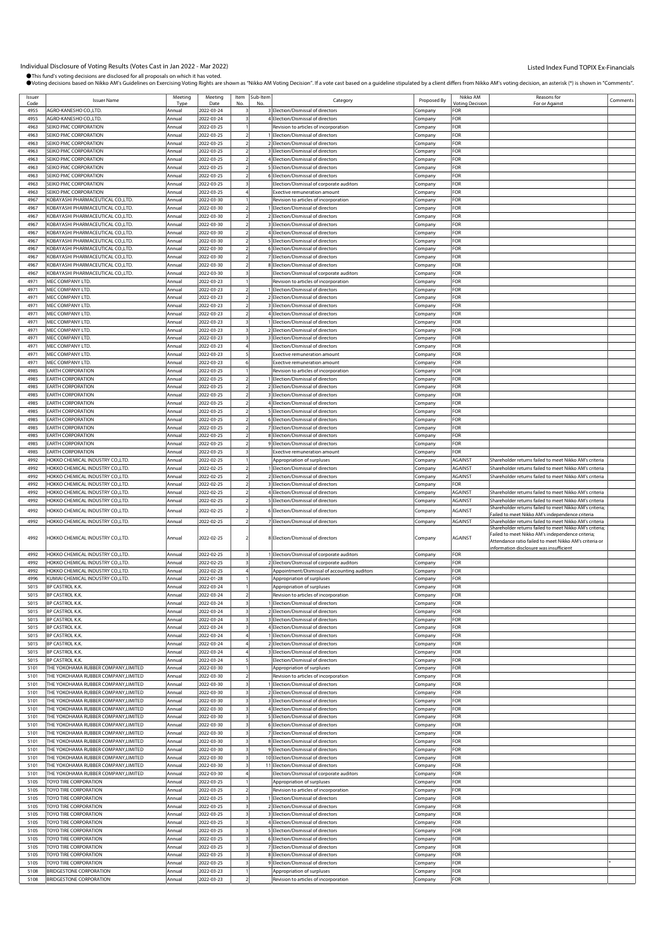| Issuer<br>Code | <b>Issuer Name</b>                                                           | Meeting<br>Tvn   | Meeting<br>Date          |                         | Item Sub-Item | Category                                                                       | Proposed By        | Nikko AM<br><b><i>Intina Decision</i></b> | Reasons for<br>For or Agains                                                                               | Comments |
|----------------|------------------------------------------------------------------------------|------------------|--------------------------|-------------------------|---------------|--------------------------------------------------------------------------------|--------------------|-------------------------------------------|------------------------------------------------------------------------------------------------------------|----------|
| 4955           | AGRO-KANESHO CO., LTD.                                                       | Annual           | 2022-03-24               |                         |               | 3 Election/Dismissal of directors                                              | Company            | FOR                                       |                                                                                                            |          |
| 4955           | AGRO-KANESHO CO.,LTD.                                                        | Annual           | 2022-03-24               |                         |               | 4 Election/Dismissal of directors                                              | Company            | FOR                                       |                                                                                                            |          |
| 4963           | SEIKO PMC CORPORATION                                                        | Annual           | 2022-03-25               |                         |               | Revision to articles of incorporation                                          | Company            | FOR                                       |                                                                                                            |          |
| 4963           | SEIKO PMC CORPORATION                                                        | Annual           | 2022-03-25               |                         |               | 1 Election/Dismissal of directors                                              | Company            | FOR                                       |                                                                                                            |          |
| 4963           | SEIKO PMC CORPORATION                                                        | Annual           | 2022-03-25               |                         |               | 2 Election/Dismissal of directors                                              | Company            | FOR                                       |                                                                                                            |          |
| 4963           | SEIKO PMC CORPORATION                                                        | Annual           | 2022-03-25               |                         |               | 3 Election/Dismissal of directors                                              | Company            | FOR                                       |                                                                                                            |          |
| 4963           | SEIKO PMC CORPORATION                                                        | Annual           | 2022-03-25               |                         |               | 4 Election/Dismissal of directors                                              | Company            | FOR                                       |                                                                                                            |          |
| 4963           | SEIKO PMC CORPORATION                                                        | Annual           | 2022-03-25               |                         |               | 5 Election/Dismissal of directors                                              | Company            | FOR                                       |                                                                                                            |          |
| 4963           | SEIKO PMC CORPORATION                                                        | Annual           | 2022-03-25               |                         |               | 6 Election/Dismissal of directors                                              | :ompany            | FOR                                       |                                                                                                            |          |
| 4963           | SEIKO PMC CORPORATION                                                        | Annual           | 2022-03-25               |                         |               | Election/Dismissal of corporate auditors                                       | Company            | FOR                                       |                                                                                                            |          |
| 4963           | SEIKO PMC CORPORATION                                                        | Annual           | 2022-03-25               |                         |               | Exective remuneration amount                                                   | Company            | FOR                                       |                                                                                                            |          |
| 4967           | KOBAYASHI PHARMACEUTICAL CO.,LTD.                                            | Annual           | 2022-03-30               |                         |               | Revision to articles of incorporation                                          | Company            | FOR                                       |                                                                                                            |          |
| 4967           | KOBAYASHI PHARMACEUTICAL CO.,LTD.                                            | Annual           | 2022-03-30               |                         |               | 1 Election/Dismissal of directors                                              | Company            | FOR                                       |                                                                                                            |          |
| 4967<br>4967   | KOBAYASHI PHARMACEUTICAL CO.,LTD.<br>KOBAYASHI PHARMACEUTICAL CO.,LTD.       | Annual<br>Annual | 2022-03-30<br>2022-03-30 |                         |               | 2 Election/Dismissal of directors<br>3 Election/Dismissal of directors         | :ompany            | FOR<br>FOR                                |                                                                                                            |          |
| 4967           | KOBAYASHI PHARMACEUTICAL CO.,LTD.                                            | Annual           | 2022-03-30               |                         |               | 4 Election/Dismissal of directors                                              | Company<br>Company | FOR                                       |                                                                                                            |          |
| 4967           | KOBAYASHI PHARMACEUTICAL CO.,LTD.                                            | Annual           | 2022-03-30               | $\overline{z}$          |               | 5 Election/Dismissal of directors                                              | Company            | FOR                                       |                                                                                                            |          |
| 4967           | KOBAYASHI PHARMACEUTICAL CO.,LTD.                                            | Annual           | 2022-03-30               |                         |               | 6 Election/Dismissal of directors                                              | Company            | FOR                                       |                                                                                                            |          |
| 4967           | KOBAYASHI PHARMACEUTICAL CO.,LTD.                                            | Annual           | 2022-03-30               |                         |               | 7 Election/Dismissal of directors                                              | :ompany            | FOR                                       |                                                                                                            |          |
| 4967           | KOBAYASHI PHARMACEUTICAL CO.,LTD.                                            | Annual           | 2022-03-30               |                         |               | 8 Election/Dismissal of directors                                              | Company            | FOR                                       |                                                                                                            |          |
| 4967           | KOBAYASHI PHARMACEUTICAL CO.,LTD.                                            | Annual           | 2022-03-30               |                         |               | Election/Dismissal of corporate auditors                                       | Company            | FOR                                       |                                                                                                            |          |
| 4971           | MEC COMPANY LTD.                                                             | Annual           | 2022-03-23               |                         |               | Revision to articles of incorporation                                          | Company            | FOR                                       |                                                                                                            |          |
| 4971           | MEC COMPANY LTD.                                                             | Annual           | 2022-03-23               |                         |               | 1 Election/Dismissal of directors                                              | Company            | FOR                                       |                                                                                                            |          |
| 4971           | MEC COMPANY LTD.                                                             | Annual           | 2022-03-23               |                         |               | 2 Election/Dismissal of directors                                              | Company            | FOR                                       |                                                                                                            |          |
| 4971           | MEC COMPANY LTD.                                                             | Annual           | 2022-03-23               |                         |               | 3 Election/Dismissal of directors                                              | Company            | FOR                                       |                                                                                                            |          |
| 4971           | MEC COMPANY LTD.                                                             | Annual           | 2022-03-23               |                         |               | 4 Election/Dismissal of directors                                              | Company            | FOR                                       |                                                                                                            |          |
| 4971           | MEC COMPANY LTD.                                                             | Annual           | 2022-03-23               |                         |               | 1 Election/Dismissal of directors                                              | Company            | FOR                                       |                                                                                                            |          |
| 4971           | MEC COMPANY LTD.                                                             | Annual           | 2022-03-23               |                         |               | 2 Election/Dismissal of directors                                              | Company            | FOR                                       |                                                                                                            |          |
| 4971           | MEC COMPANY LTD.                                                             | Annual           | 2022-03-23               |                         |               | 3 Election/Dismissal of directors                                              | :ompany            | FOR                                       |                                                                                                            |          |
| 4971           | MEC COMPANY LTD.                                                             | Annual           | 2022-03-23               |                         |               | Election/Dismissal of directors                                                | Company            | FOR                                       |                                                                                                            |          |
| 4971           | MEC COMPANY LTD.                                                             | Annual           | 2022-03-23               |                         |               | Exective remuneration amount                                                   | Company            | FOR                                       |                                                                                                            |          |
| 4971           | MEC COMPANY LTD.                                                             | Annual           | 2022-03-23               |                         |               | <b>Exective remuneration amount</b>                                            | Company            | FOR                                       |                                                                                                            |          |
| 4985<br>4985   | <b>EARTH CORPORATION</b>                                                     | Annual           | 2022-03-25               |                         |               | Revision to articles of incorporation                                          | Company            | FOR                                       |                                                                                                            |          |
|                | <b>EARTH CORPORATION</b>                                                     | Annual           | 2022-03-25               |                         |               | 1 Election/Dismissal of directors<br>2 Election/Dismissal of directors         | :ompany            | FOR<br>FOR                                |                                                                                                            |          |
| 4985<br>4985   | <b>EARTH CORPORATION</b><br><b>EARTH CORPORATION</b>                         | Annual<br>Annual | 2022-03-25<br>2022-03-25 |                         |               | 3 Election/Dismissal of directors                                              | Company<br>Company | FOR                                       |                                                                                                            |          |
| 4985           | <b>EARTH CORPORATION</b>                                                     | Annual           | 2022-03-25               | 2                       |               | 4 Election/Dismissal of directors                                              | Company            | FOR                                       |                                                                                                            |          |
| 4985           | <b>EARTH CORPORATION</b>                                                     | Annual           | 2022-03-25               |                         |               | 5 Election/Dismissal of directors                                              | Company            | FOR                                       |                                                                                                            |          |
| 4985           | <b>EARTH CORPORATION</b>                                                     | Annual           | 2022-03-25               |                         |               | 6 Election/Dismissal of directors                                              | :ompany            | FOR                                       |                                                                                                            |          |
| 4985           | <b>EARTH CORPORATION</b>                                                     | Annual           | 2022-03-25               |                         |               | 7 Election/Dismissal of directors                                              | Company            | FOR                                       |                                                                                                            |          |
| 4985           | <b>EARTH CORPORATION</b>                                                     | Annual           | 2022-03-25               |                         |               | 8 Election/Dismissal of directors                                              | Company            | FOR                                       |                                                                                                            |          |
| 4985           | <b>EARTH CORPORATION</b>                                                     | Annual           | 2022-03-25               | $\overline{2}$          |               | 9 Election/Dismissal of directors                                              | Company            | FOR                                       |                                                                                                            |          |
| 4985           | <b>EARTH CORPORATION</b>                                                     | Annual           | 2022-03-25               |                         |               | Exective remuneration amount                                                   | Company            | FOR                                       |                                                                                                            |          |
| 4992           | HOKKO CHEMICAL INDUSTRY CO.,LTD.                                             | Annual           | 2022-02-25               |                         |               | Appropriation of surpluses                                                     | Company            | <b>AGAINST</b>                            | Shareholder returns failed to meet Nikko AM's criteria                                                     |          |
| 4992           | HOKKO CHEMICAL INDUSTRY CO., LTD.                                            | Annual           | 2022-02-25               |                         |               | 1 Election/Dismissal of directors                                              | Company            | <b>AGAINST</b>                            | Shareholder returns failed to meet Nikko AM's criteria                                                     |          |
| 4992           | HOKKO CHEMICAL INDUSTRY CO.,LTD.                                             | Annual           | 2022-02-25               |                         |               | 2 Election/Dismissal of directors                                              | Company            | <b>AGAINST</b>                            | Shareholder returns failed to meet Nikko AM's criteria                                                     |          |
| 4992           | HOKKO CHEMICAL INDUSTRY CO.,LTD.                                             | Annual           | 2022-02-25               | $\overline{2}$          |               | 3 Election/Dismissal of directors                                              | Company            | FOR                                       |                                                                                                            |          |
| 4992           | HOKKO CHEMICAL INDUSTRY CO.,LTD.                                             | Annual           | 2022-02-25               |                         |               | 4 Election/Dismissal of directors                                              | Company            | AGAINST                                   | Shareholder returns failed to meet Nikko AM's criteria                                                     |          |
| 4992           | HOKKO CHEMICAL INDUSTRY CO.,LTD.                                             | Annual           | 2022-02-25               |                         |               | 5 Election/Dismissal of directors                                              | Company            | <b>AGAINST</b>                            | Shareholder returns failed to meet Nikko AM's criteria                                                     |          |
| 4992           | HOKKO CHEMICAL INDUSTRY CO.,LTD.                                             | Annual           | 2022-02-25               |                         |               | 6 Election/Dismissal of directors                                              | .ompany            | AGAINST                                   | Shareholder returns failed to meet Nikko AM's criteria;<br>ailed to meet Nikko AM's independence criteria  |          |
| 4992           | HOKKO CHEMICAL INDUSTRY CO.,LTD.                                             | Annual           | 2022-02-25               |                         |               | 7 Election/Dismissal of directors                                              | Company            | <b>AGAINST</b>                            | Shareholder returns failed to meet Nikko AM's criteria                                                     |          |
|                |                                                                              |                  |                          |                         |               |                                                                                |                    |                                           | Shareholder returns failed to meet Nikko AM's criteria;                                                    |          |
| 4992           | HOKKO CHEMICAL INDUSTRY CO.,LTD.                                             | Annual           | 2022-02-25               |                         |               | 8 Election/Dismissal of directors                                              | Company            | <b>AGAINST</b>                            | Failed to meet Nikko AM's independence criteria;<br>Attendance ratio failed to meet Nikko AM's criteria or |          |
|                |                                                                              |                  |                          |                         |               |                                                                                |                    |                                           | information disclosure was insufficient                                                                    |          |
| 4992           | HOKKO CHEMICAL INDUSTRY CO.,LTD.                                             | Annual           | 2022-02-25               |                         |               | 1 Election/Dismissal of corporate auditors                                     | Company            | FOR                                       |                                                                                                            |          |
| 4992           | HOKKO CHEMICAL INDUSTRY CO.,LTD.                                             | Annual           | 2022-02-25               |                         |               | 2 Election/Dismissal of corporate auditors                                     | Company            | FOR                                       |                                                                                                            |          |
| 4992           | HOKKO CHEMICAL INDUSTRY CO.,LTD.                                             | Annual           | 2022-02-25               |                         |               | Appointment/Dismissal of accounting auditors                                   | Company            | FOR                                       |                                                                                                            |          |
| 4996           | KUMIAI CHEMICAL INDUSTRY CO.,LTD.                                            | Annual           | 2022-01-28               |                         |               | Appropriation of surpluses                                                     | Company            | FOR                                       |                                                                                                            |          |
| 5015           | BP CASTROL K.K.                                                              | Annual           | 2022-03-24               |                         |               | Appropriation of surpluses                                                     | Company            | FOR                                       |                                                                                                            |          |
| 5015           | BP CASTROL K.K.                                                              | Annual           | 2022-03-24               |                         |               | Revision to articles of incorporation                                          | Company            | FOR                                       |                                                                                                            |          |
| 5015           | <b>BP CASTROL K.K.</b>                                                       | Annual           | 2022-03-24               | 3                       |               | 1 Election/Dismissal of directors                                              | Company            | FOR                                       |                                                                                                            |          |
| 5015           | <b>BP CASTROL K.K.</b>                                                       | Annual           | 2022-03-24               | 3                       |               | 2 Election/Dismissal of directors<br>3 Election/Dismissal of directors         | Company            | FOR                                       |                                                                                                            |          |
| 5015<br>5015   | <b>BP CASTROL K.K.</b><br><b>BP CASTROL K.K.</b>                             | Annual<br>Annual | 2022-03-24<br>2022-03-24 |                         |               | 4 Election/Dismissal of directors                                              | Company            | FOR<br>FOR                                |                                                                                                            |          |
| 5015           | <b>BP CASTROL K.K.</b>                                                       | Annual           | 2022-03-24               |                         |               | 1 Election/Dismissal of directors                                              | Company<br>Company | FOR                                       |                                                                                                            |          |
| 5015           | <b>BP CASTROL K.K.</b>                                                       | Annual           | 2022-03-24               |                         |               | 2 Election/Dismissal of directors                                              | Company            | FOR                                       |                                                                                                            |          |
| 5015           | <b>BP CASTROL K.K.</b>                                                       | Annual           | 2022-03-24               |                         |               | 3 Election/Dismissal of directors                                              | Company            | FOR                                       |                                                                                                            |          |
| 5015           | <b>BP CASTROL K.K.</b>                                                       | Annual           | 2022-03-24               |                         |               | Election/Dismissal of directors                                                | Company            | FOR                                       |                                                                                                            |          |
| 5101           | THE YOKOHAMA RUBBER COMPANY, LIMITED                                         | Annual           | 2022-03-30               |                         |               | Appropriation of surpluses                                                     | Company            | FOR                                       |                                                                                                            |          |
| 5101           | THE YOKOHAMA RUBBER COMPANY.LIMITED                                          | Annual           | 2022-03-30               |                         |               | Revision to articles of incorporation                                          | Company            | FOR                                       |                                                                                                            |          |
| 5101           | THE YOKOHAMA RUBBER COMPANY, LIMITED                                         | Annual           | 2022-03-30               | 3                       |               | 1 Election/Dismissal of directors                                              | Company            | FOR                                       |                                                                                                            |          |
| 5101           | THE YOKOHAMA RUBBER COMPANY, LIMITED                                         | Annual           | 2022-03-30               | $\overline{\mathbf{3}}$ |               | 2 Election/Dismissal of directors                                              | Company            | FOR                                       |                                                                                                            |          |
| 5101           | THE YOKOHAMA RUBBER COMPANY, LIMITED                                         | Annual           | 2022-03-30               | 3                       |               | 3 Election/Dismissal of directors                                              | Company            | FOR                                       |                                                                                                            |          |
| 5101           | THE YOKOHAMA RUBBER COMPANY, LIMITED                                         | Annual           | 2022-03-30               |                         |               | 4 Election/Dismissal of directors                                              | Company            | FOR                                       |                                                                                                            |          |
| 5101           | THE YOKOHAMA RUBBER COMPANY, LIMITED                                         | Annual           | 2022-03-30               | 3                       |               | 5 Election/Dismissal of directors                                              | Company            | FOR                                       |                                                                                                            |          |
| 5101           | THE YOKOHAMA RUBBER COMPANY, LIMITED                                         | Annual           | 2022-03-30               | $\overline{\mathbf{3}}$ |               | 6 Election/Dismissal of directors                                              | Company            | FOR                                       |                                                                                                            |          |
| 5101           | THE YOKOHAMA RUBBER COMPANY, LIMITED                                         | Annual           | 2022-03-30               | 3                       |               | 7 Election/Dismissal of directors                                              | Company            | FOR                                       |                                                                                                            |          |
| 5101           | THE YOKOHAMA RUBBER COMPANY, LIMITED                                         | Annual           | 2022-03-30               | 3                       |               | 8 Election/Dismissal of directors                                              | Company            | FOR                                       |                                                                                                            |          |
| 5101           | THE YOKOHAMA RUBBER COMPANY, LIMITED                                         | Annual           | 2022-03-30               |                         |               | 9 Election/Dismissal of directors                                              | :ompany            | FOR<br>FOR                                |                                                                                                            |          |
| 5101           | THE YOKOHAMA RUBBER COMPANY, LIMITED                                         | Annual           | 2022-03-30               |                         |               | 10 Election/Dismissal of directors                                             | Company            |                                           |                                                                                                            |          |
| 5101<br>5101   | THE YOKOHAMA RUBBER COMPANY, LIMITED<br>THE YOKOHAMA RUBBER COMPANY, LIMITED | Annual<br>Annual | 2022-03-30<br>2022-03-30 | $\overline{\mathbf{3}}$ |               | 11 Election/Dismissal of directors<br>Election/Dismissal of corporate auditors | Company            | FOR<br>FOR                                |                                                                                                            |          |
| 5105           | TOYO TIRE CORPORATION                                                        | Annual           | 2022-03-25               |                         |               | Appropriation of surpluses                                                     | Company<br>Company | FOR                                       |                                                                                                            |          |
| 5105           | TOYO TIRE CORPORATION                                                        | Annual           | 2022-03-25               |                         |               | Revision to articles of incorporation                                          | Company            | FOR                                       |                                                                                                            |          |
| 5105           | TOYO TIRE CORPORATION                                                        | Annual           | 2022-03-25               |                         |               | 1 Election/Dismissal of directors                                              | Company            | FOR                                       |                                                                                                            |          |
| 5105           | TOYO TIRE CORPORATION                                                        | Annual           | 2022-03-25               | 3                       |               | 2 Election/Dismissal of directors                                              | Company            | FOR                                       |                                                                                                            |          |
| 5105           | TOYO TIRE CORPORATION                                                        | Annual           | 2022-03-25               | $\overline{\mathbf{3}}$ |               | 3 Election/Dismissal of directors                                              | Company            | FOR                                       |                                                                                                            |          |
| 5105           | TOYO TIRE CORPORATION                                                        | Annual           | 2022-03-25               | 3                       |               | 4 Election/Dismissal of directors                                              | Company            | FOR                                       |                                                                                                            |          |
| 5105           | TOYO TIRE CORPORATION                                                        | Annual           | 2022-03-25               |                         |               | 5 Election/Dismissal of directors                                              | Company            | FOR                                       |                                                                                                            |          |
| 5105           | TOYO TIRE CORPORATION                                                        | Annual           | 2022-03-25               |                         |               | 6 Election/Dismissal of directors                                              | Company            | FOR                                       |                                                                                                            |          |
| 5105           | TOYO TIRE CORPORATION                                                        | Annual           | 2022-03-25               | 3                       |               | 7 Election/Dismissal of directors                                              | Company            | FOR                                       |                                                                                                            |          |
| 5105           | TOYO TIRE CORPORATION                                                        | Annual           | 2022-03-25               | $\overline{\mathbf{3}}$ |               | 8 Election/Dismissal of directors                                              | Company            | FOR                                       |                                                                                                            |          |
| 5105           | TOYO TIRE CORPORATION                                                        | Annual           | 2022-03-25               | 3                       |               | 9 Election/Dismissal of directors                                              | Company            | FOR                                       |                                                                                                            |          |
| 5108           | <b>BRIDGESTONE CORPORATION</b>                                               | Annual           | 2022-03-23               |                         |               | Appropriation of surpluses                                                     | Company            | FOR                                       |                                                                                                            |          |
| 5108           | <b>BRIDGESTONE CORPORATION</b>                                               | Annual           | 2022-03-23               |                         |               | Revision to articles of incorporation                                          | Company            | FOR                                       |                                                                                                            |          |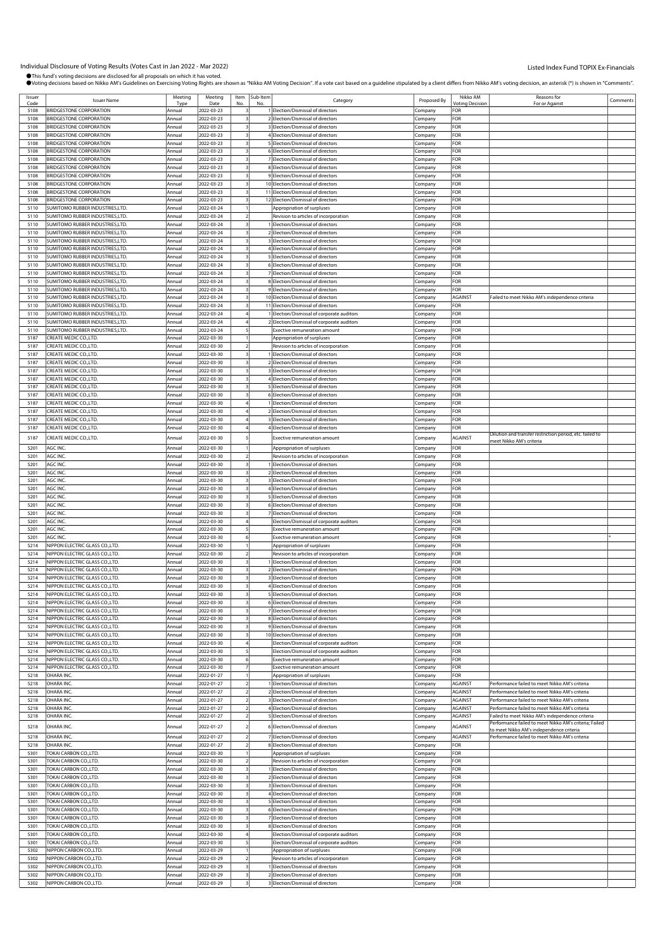| Issuer | <b>Issuer Name</b>                     | Meeting | Meeting    | Item | Sub-Item | Category                                   | Proposed By | Nikko AM               | Reasons for                                                                               | Comments |
|--------|----------------------------------------|---------|------------|------|----------|--------------------------------------------|-------------|------------------------|-------------------------------------------------------------------------------------------|----------|
| Code   |                                        | Typ     | Date       |      | No       |                                            |             | <b>/oting Decision</b> | For or Against                                                                            |          |
| 5108   | BRIDGESTONE CORPORATION                | Annual  | 2022-03-23 |      |          | 1 Election/Dismissal of directors          | Company     | FOR                    |                                                                                           |          |
| 5108   | BRIDGESTONE CORPORATION                | Annual  | 2022-03-23 |      |          | 2 Election/Dismissal of directors          | Company     | FOR                    |                                                                                           |          |
| 5108   | BRIDGESTONE CORPORATION                | Annual  | 2022-03-23 |      |          | 3 Election/Dismissal of directors          | Company     | FOR                    |                                                                                           |          |
| 5108   | BRIDGESTONE CORPORATION                | Annual  | 2022-03-23 |      |          | 4 Election/Dismissal of directors          | Company     | FOR                    |                                                                                           |          |
| 5108   | BRIDGESTONE CORPORATION                | Annual  | 2022-03-23 |      |          | 5 Election/Dismissal of directors          | Company     | FOR                    |                                                                                           |          |
| 5108   | <b>BRIDGESTONE CORPORATION</b>         | Annual  | 2022-03-23 |      |          | 6 Election/Dismissal of directors          |             | FOR                    |                                                                                           |          |
|        |                                        |         |            |      |          |                                            | .cmpany     |                        |                                                                                           |          |
| 5108   | BRIDGESTONE CORPORATION                | Annua   | 2022-03-23 |      |          | 7 Election/Dismissal of directors          | Company     | FOR                    |                                                                                           |          |
| 5108   | BRIDGESTONE CORPORATION                | Annua   | 2022-03-23 |      |          | 8 Election/Dismissal of directors          | Company     | FOR                    |                                                                                           |          |
| 5108   | BRIDGESTONE CORPORATION                | Annual  | 2022-03-23 |      |          | 9 Election/Dismissal of directors          | Company     | FOR                    |                                                                                           |          |
| 5108   | BRIDGESTONE CORPORATION                | Annual  | 2022-03-23 |      |          | 10 Election/Dismissal of directors         | Company     | FOR                    |                                                                                           |          |
| 5108   | BRIDGESTONE CORPORATION                | Annual  | 2022-03-23 |      |          | 11 Election/Dismissal of directors         | Company     | FOR                    |                                                                                           |          |
| 5108   | BRIDGESTONE CORPORATION                | Annua   | 2022-03-23 |      |          | 12 Election/Dismissal of directors         |             | FOR                    |                                                                                           |          |
|        |                                        |         |            |      |          |                                            | Company     |                        |                                                                                           |          |
| 5110   | SUMITOMO RUBBER INDUSTRIES,LTD.        | Annual  | 2022-03-24 |      |          | Appropriation of surpluses                 | Company     | FOR                    |                                                                                           |          |
| 5110   | SUMITOMO RUBBER INDUSTRIES,LTD.        | Annual  | 2022-03-24 |      |          | Revision to articles of incorporation      | .cmpany     | FOR                    |                                                                                           |          |
| 5110   | SUMITOMO RUBBER INDUSTRIES,LTD.        | Annual  | 2022-03-24 |      |          | 1 Election/Dismissal of directors          | Company     | FOR                    |                                                                                           |          |
| 5110   | <b>SUMITOMO RUBBER INDUSTRIES,LTD.</b> | Annual  | 2022-03-24 |      |          | 2 Election/Dismissal of directors          | Company     | FOR                    |                                                                                           |          |
| 5110   | SUMITOMO RUBBER INDUSTRIES,LTD.        | Annual  | 2022-03-24 |      |          | 3 Election/Dismissal of directors          | Company     | FOR                    |                                                                                           |          |
| 5110   | SUMITOMO RUBBER INDUSTRIES,LTD.        | Annual  | 2022-03-24 |      |          | 4 Election/Dismissal of directors          | Company     | FOR                    |                                                                                           |          |
|        | SUMITOMO RUBBER INDUSTRIES,LTD.        |         |            |      |          |                                            |             |                        |                                                                                           |          |
| 5110   |                                        | Annual  | 2022-03-24 |      |          | 5 Election/Dismissal of directors          | .cmpany     | FOR                    |                                                                                           |          |
| 5110   | SUMITOMO RUBBER INDUSTRIES,LTD.        | Annual  | 2022-03-24 |      |          | 6 Election/Dismissal of directors          | Company     | FOR                    |                                                                                           |          |
| 5110   | <b>SUMITOMO RUBBER INDUSTRIES,LTD.</b> | Annual  | 2022-03-24 |      |          | 7 Election/Dismissal of directors          | Company     | FOR                    |                                                                                           |          |
| 5110   | SUMITOMO RUBBER INDUSTRIES,LTD.        | Annua   | 2022-03-24 |      |          | 8 Election/Dismissal of directors          | Company     | FOR                    |                                                                                           |          |
| 5110   | <b>SUMITOMO RUBBER INDUSTRIES,LTD.</b> | Annual  | 2022-03-24 |      |          | 9 Election/Dismissal of directors          | Company     | FOR                    |                                                                                           |          |
| 5110   | SUMITOMO RUBBER INDUSTRIES,LTD.        | Annual  | 2022-03-24 |      |          | 10 Election/Dismissal of directors         | Company     | AGAINST                | Failed to meet Nikko AM's independence criteria                                           |          |
| 5110   | SUMITOMO RUBBER INDUSTRIES,LTD.        | Annua   | 2022-03-24 |      |          | 11 Election/Dismissal of directors         |             | FOR                    |                                                                                           |          |
|        |                                        |         | 2022-03-24 |      |          |                                            | Company     |                        |                                                                                           |          |
| 5110   | <b>SUMITOMO RUBBER INDUSTRIES,LTD.</b> | Annual  |            |      |          | Election/Dismissal of corporate auditors   | Company     | FOR                    |                                                                                           |          |
| 5110   | <b>SUMITOMO RUBBER INDUSTRIES,LTD.</b> | Annua   | 2022-03-24 |      |          | 2 Election/Dismissal of corporate auditors | Company     | FOR                    |                                                                                           |          |
| 5110   | SUMITOMO RUBBER INDUSTRIES,LTD.        | Annual  | 2022-03-24 |      |          | xective remuneration amount                | Company     | FOR                    |                                                                                           |          |
| 5187   | CREATE MEDIC CO., LTD.                 | Annua   | 2022-03-30 |      |          | Appropriation of surpluses                 | .cmpany     | FOR                    |                                                                                           |          |
| 5187   | CREATE MEDIC CO.,LTD                   | Annual  | 2022-03-30 |      |          | Revision to articles of incorporation      | Company     | FOR                    |                                                                                           |          |
| 5187   | CREATE MEDIC CO.,LTD.                  | Annual  | 2022-03-30 |      |          | I Election/Dismissal of directors          | Company     | FOR                    |                                                                                           |          |
|        |                                        |         |            |      |          |                                            |             |                        |                                                                                           |          |
| 5187   | CREATE MEDIC CO.,LTD.                  | Annual  | 2022-03-30 |      |          | 2 Election/Dismissal of directors          | Company     | FOR                    |                                                                                           |          |
| 5187   | CREATE MEDIC CO.,LTD.                  | Annual  | 2022-03-30 |      |          | 3 Election/Dismissal of directors          | Company     | FOR                    |                                                                                           |          |
| 5187   | CREATE MEDIC CO., LTD                  | Annual  | 2022-03-30 |      |          | 4 Election/Dismissal of directors          | .cmpany     | FOR                    |                                                                                           |          |
| 5187   | CREATE MEDIC CO.,LTD                   | Annual  | 2022-03-30 |      |          | 5 Election/Dismissal of directors          | Company     | FOR                    |                                                                                           |          |
| 5187   | <b>CREATE MEDIC CO.,LTD.</b>           | Annual  | 2022-03-30 |      |          | 6 Election/Dismissal of directors          | Company     | FOR                    |                                                                                           |          |
| 5187   | CREATE MEDIC CO.,LTD.                  | Annua   | 2022-03-30 |      |          | 1 Election/Dismissal of directors          | Company     | FOR                    |                                                                                           |          |
| 5187   | CREATE MEDIC CO.,LTD.                  |         | 2022-03-30 |      |          | 2 Election/Dismissal of directors          |             | FOR                    |                                                                                           |          |
|        |                                        | Annual  |            |      |          |                                            | Company     |                        |                                                                                           |          |
| 5187   | CREATE MEDIC CO.,LTD                   | Annual  | 2022-03-30 |      |          | 3 Election/Dismissal of directors          | .cmpany     | FOR                    |                                                                                           |          |
| 5187   | CREATE MEDIC CO.,LTD                   | Annual  | 2022-03-30 |      |          | 4 Election/Dismissal of directors          | Company     | FOR                    |                                                                                           |          |
| 5187   | CREATE MEDIC CO.,LTD.                  | Annua   | 2022-03-30 |      |          | <b>Exective remuneration amount</b>        | Company     | AGAINST                | Dilution and transfer restriction period, etc. failed to                                  |          |
|        |                                        |         |            |      |          |                                            |             |                        | neet Nikko AM's criteria                                                                  |          |
| 5201   | AGC INC.                               | Annua   | 2022-03-30 |      |          | Appropriation of surpluses                 | Company     | FOR                    |                                                                                           |          |
| 5201   | AGC INC.                               | Annual  | 2022-03-30 |      |          | Revision to articles of incorporation      | Company     | FOR                    |                                                                                           |          |
| 5201   | AGC INC.                               | Annual  | 2022-03-30 |      |          | 1 Election/Dismissal of directors          | Company     | FOR                    |                                                                                           |          |
| 5201   | AGC INC.                               | Annual  | 2022-03-30 |      |          | 2 Election/Dismissal of directors          | Company     | FOR                    |                                                                                           |          |
| 5201   | AGC INC.                               | Annual  | 2022-03-30 |      |          | 3 Election/Dismissal of directors          | Company     | FOR                    |                                                                                           |          |
| 5201   | AGC INC.                               |         | 2022-03-30 |      |          | 4 Election/Dismissal of directors          |             | FOR                    |                                                                                           |          |
|        |                                        | Annua   |            |      |          |                                            | Company     |                        |                                                                                           |          |
| 5201   | AGC INC.                               | Annual  | 2022-03-30 |      |          | 5 Election/Dismissal of directors          | Company     | FOR                    |                                                                                           |          |
| 5201   | AGC INC.                               | Annual  | 2022-03-30 |      |          | 6 Election/Dismissal of directors          | Company     | FOR                    |                                                                                           |          |
| 5201   | AGC INC.                               | Annual  | 2022-03-30 |      |          | 7 Election/Dismissal of directors          | .cmpany     | FOR                    |                                                                                           |          |
| 5201   | AGC INC.                               | Annual  | 2022-03-30 |      |          | Election/Dismissal of corporate auditors   | Company     | FOR                    |                                                                                           |          |
| 5201   | AGC INC.                               | Annua   | 2022-03-30 |      |          | <b>Exective remuneration amount</b>        | Company     | FOR                    |                                                                                           |          |
| 5201   | AGC INC.                               | Annual  | 2022-03-30 |      |          | <b>Exective remuneration amount</b>        |             | FOR                    |                                                                                           |          |
|        | NIPPON ELECTRIC GLASS CO.,LTD.         |         | 2022-03-30 |      |          |                                            | Company     |                        |                                                                                           |          |
| 5214   |                                        | Annual  |            |      |          | Appropriation of surpluses                 | Company     | FOR                    |                                                                                           |          |
| 5214   | <b>NIPPON ELECTRIC GLASS CO.,LTD.</b>  | Annual  | 2022-03-30 |      |          | Revision to articles of incorporation      | Company     | FOR                    |                                                                                           |          |
| 5214   | NIPPON ELECTRIC GLASS CO.,LTD.         | Annual  | 2022-03-30 |      |          | Election/Dismissal of directors            | Company     | FOR                    |                                                                                           |          |
| 5214   | NIPPON ELECTRIC GLASS CO., LTD.        | Annua   | 2022-03-30 |      |          | 2 Election/Dismissal of directors          | .cmpany     | FOR                    |                                                                                           |          |
| 5214   | NIPPON ELECTRIC GLASS CO., LTD.        | Annual  | 2022-03-30 |      |          | 3 Election/Dismissal of directors          | .cmpany     | FOR                    |                                                                                           |          |
| 5214   | NIPPON ELECTRIC GLASS CO.,LTD.         | Annual  | 2022-03-30 |      |          | 4 Election/Dismissal of directors          | Company     | FOR                    |                                                                                           |          |
|        | NIPPON ELECTRIC GLASS COLTD            |         |            |      |          |                                            |             |                        |                                                                                           |          |
| 5214   |                                        | Annual  | 2022-03-30 |      |          | 5 [Election/Dismissal of directors         | Company     | ⊦ок                    |                                                                                           |          |
| 5214   | NIPPON ELECTRIC GLASS CO., LTD.        | Annual  | 2022-03-30 |      |          | 6 Election/Dismissal of directors          | Company     | FOR                    |                                                                                           |          |
| 5214   | NIPPON ELECTRIC GLASS CO., LTD.        | Annual  | 2022-03-30 |      |          | 7 Election/Dismissal of directors          | Company     | FOR                    |                                                                                           |          |
| 5214   | NIPPON ELECTRIC GLASS CO., LTD.        | Annual  | 2022-03-30 |      |          | 8 Election/Dismissal of directors          | Company     | FOR                    |                                                                                           |          |
| 5214   | NIPPON ELECTRIC GLASS CO., LTD.        | Annual  | 2022-03-30 |      |          | 9 Election/Dismissal of directors          | Company     | FOR                    |                                                                                           |          |
| 5214   | NIPPON ELECTRIC GLASS CO., LTD.        | Annual  | 2022-03-30 |      |          | 10 Election/Dismissal of directors         | Company     | FOR                    |                                                                                           |          |
| 5214   | NIPPON ELECTRIC GLASS CO., LTD.        | Annual  | 2022-03-30 |      |          | Election/Dismissal of corporate auditors   | Company     | FOR                    |                                                                                           |          |
| 5214   | NIPPON ELECTRIC GLASS CO., LTD.        | Annual  | 2022-03-30 |      |          | Election/Dismissal of corporate auditors   | Company     | FOR                    |                                                                                           |          |
| 5214   | NIPPON ELECTRIC GLASS CO., LTD.        | Annual  | 2022-03-30 |      |          | <b>Exective remuneration amount</b>        |             | FOR                    |                                                                                           |          |
|        |                                        |         |            |      |          |                                            | Company     |                        |                                                                                           |          |
| 5214   | NIPPON ELECTRIC GLASS CO., LTD.        | Annual  | 2022-03-30 |      |          | Exective remuneration amount               | Company     | FOR                    |                                                                                           |          |
| 5218   | OHARA INC.                             | Annual  | 2022-01-27 |      |          | Appropriation of surpluses                 | Company     | FOR                    |                                                                                           |          |
| 5218   | OHARA INC.                             | Annual  | 2022-01-27 |      |          | 1 Election/Dismissal of directors          | Company     | <b>AGAINST</b>         | Performance failed to meet Nikko AM's criteria                                            |          |
| 5218   | OHARA INC.                             | Annual  | 2022-01-27 |      |          | 2 Election/Dismissal of directors          | Company     | AGAINST                | Performance failed to meet Nikko AM's criteria                                            |          |
| 5218   | OHARA INC.                             | Annual  | 2022-01-27 |      |          | 3 Election/Dismissal of directors          | Company     | <b>AGAINST</b>         | Performance failed to meet Nikko AM's criteria                                            |          |
| 5218   | OHARA INC                              | Annual  | 2022-01-27 |      |          | 4 Election/Dismissal of directors          | Company     | AGAINST                | Performance failed to meet Nikko AM's criteria                                            |          |
|        |                                        |         | 2022-01-27 |      |          |                                            |             |                        |                                                                                           |          |
| 5218   | OHARA INC.                             | Annual  |            |      |          | 5 Election/Dismissal of directors          | Company     | AGAINST                | Failed to meet Nikko AM's independence criteria                                           |          |
| 5218   | OHARA INC.                             | Annual  | 2022-01-27 |      |          | 6 Election/Dismissal of directors          | Company     | AGAINST                | Performance failed to meet Nikko AM's criteria; Failed                                    |          |
| 5218   | OHARA INC.                             | Annual  | 2022-01-27 |      |          | 7 Election/Dismissal of directors          | Company     | AGAINST                | o meet Nikko AM's independence criteria<br>Performance failed to meet Nikko AM's criteria |          |
|        |                                        |         |            |      |          |                                            |             |                        |                                                                                           |          |
| 5218   | OHARA INC                              | Annual  | 2022-01-27 |      |          | 8 Election/Dismissal of directors          | Company     | FOR                    |                                                                                           |          |
| 5301   | TOKAI CARBON CO.,LTD.                  | Annual  | 2022-03-30 |      |          | Appropriation of surpluses                 | Company     | FOR                    |                                                                                           |          |
| 5301   | TOKAI CARBON CO.,LTD.                  | Annual  | 2022-03-30 |      |          | Revision to articles of incorporation      | Company     | FOR                    |                                                                                           |          |
| 5301   | TOKAI CARBON CO.,LTD.                  | Annual  | 2022-03-30 |      |          | 1 Election/Dismissal of directors          | Company     | FOR                    |                                                                                           |          |
| 5301   | <b>TOKAI CARBON CO.,LTD.</b>           | Annual  | 2022-03-30 |      |          | 2 Election/Dismissal of directors          | Company     | FOR                    |                                                                                           |          |
| 5301   | TOKAI CARBON CO.,LTD.                  | Annual  | 2022-03-30 |      |          | 3 Election/Dismissal of directors          | Company     | FOR                    |                                                                                           |          |
|        |                                        |         |            |      |          |                                            |             |                        |                                                                                           |          |
| 5301   | TOKAI CARBON CO.,LTD.                  | Annual  | 2022-03-30 |      |          | 4 Election/Dismissal of directors          | Company     | FOR                    |                                                                                           |          |
| 5301   | <b>TOKAI CARBON CO., LTD.</b>          | Annual  | 2022-03-30 |      |          | 5 Election/Dismissal of directors          | Company     | FOR                    |                                                                                           |          |
| 5301   | TOKAI CARBON CO.,LTD.                  | Annual  | 2022-03-30 |      |          | 6 Election/Dismissal of directors          | Company     | FOR                    |                                                                                           |          |
| 5301   | <b>TOKAI CARBON CO., LTD.</b>          | Annual  | 2022-03-30 |      |          | 7 Election/Dismissal of directors          | Company     | FOR                    |                                                                                           |          |
| 5301   | TOKAI CARBON CO.,LTD.                  | Annual  | 2022-03-30 |      |          | 8 Election/Dismissal of directors          | Company     | FOR                    |                                                                                           |          |
| 5301   | TOKAI CARBON CO.,LTD.                  | Annual  | 2022-03-30 |      |          | Election/Dismissal of corporate auditors   | Company     | FOR                    |                                                                                           |          |
| 5301   | TOKAI CARBON CO.,LTD.                  |         | 2022-03-30 |      |          | Election/Dismissal of corporate auditors   |             | FOR                    |                                                                                           |          |
|        |                                        | Annual  |            |      |          |                                            | Company     |                        |                                                                                           |          |
| 5302   | NIPPON CARBON CO.,LTD.                 | Annual  | 2022-03-29 |      |          | Appropriation of surpluses                 | Company     | FOR                    |                                                                                           |          |
| 5302   |                                        |         | 2022-03-29 |      |          | Revision to articles of incorporation      | Company     | FOR                    |                                                                                           |          |
|        | NIPPON CARBON CO.,LTD.                 | Annual  |            |      |          |                                            |             |                        |                                                                                           |          |
| 5302   | NIPPON CARBON CO.,LTD.                 | Annual  | 2022-03-29 |      |          | 1 Election/Dismissal of directors          | Company     | FOR                    |                                                                                           |          |
| 5302   | NIPPON CARBON CO.,LTD.                 | Annual  | 2022-03-29 |      |          | 2 Election/Dismissal of directors          | Company     | FOR                    |                                                                                           |          |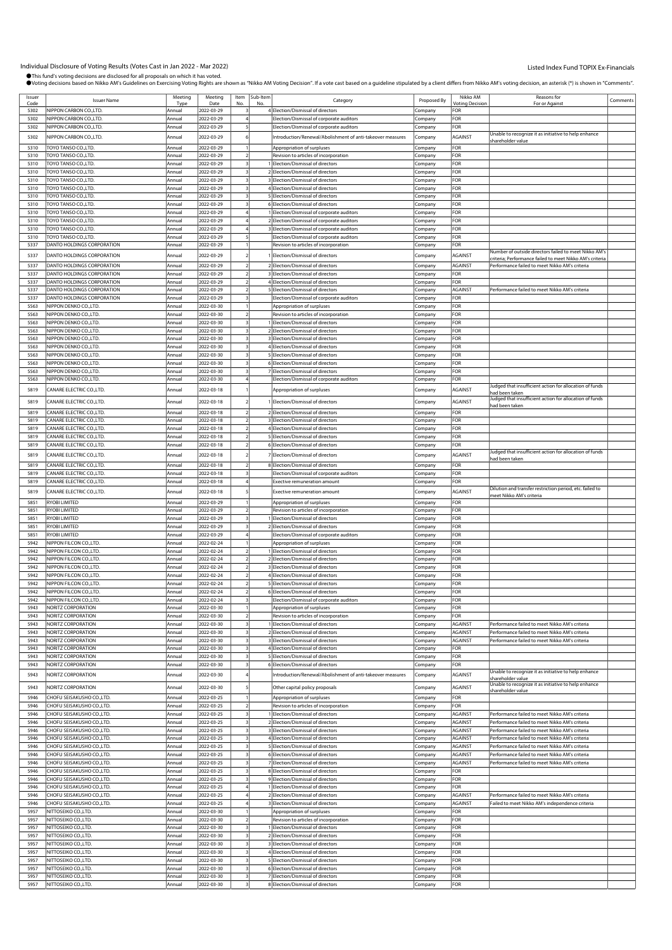| Issuer       | <b>Issuer Name</b>                           | Meeting          | Meeting                  | Item           | Sub-Item | Category                                                               | Proposed By        | Nikko AM                      | Reasons for                                                                                               | Comments |
|--------------|----------------------------------------------|------------------|--------------------------|----------------|----------|------------------------------------------------------------------------|--------------------|-------------------------------|-----------------------------------------------------------------------------------------------------------|----------|
| Code<br>5302 | NIPPON CARBON CO.,LTD.                       | Type<br>Annual   | Date<br>2022-03-29       | No             | No       | 4 Election/Dismissal of directors                                      | Company            | <b>Voting Decision</b><br>FOR | For or Against                                                                                            |          |
|              |                                              |                  |                          |                |          | Election/Dismissal of corporate auditors                               |                    |                               |                                                                                                           |          |
| 5302         | NIPPON CARBON CO., LTD.                      | Annual           | 2022-03-29               |                |          |                                                                        | Company            | FOR                           |                                                                                                           |          |
| 5302         | NIPPON CARBON CO., LTD.                      | Annual           | 2022-03-29               |                |          | Election/Dismissal of corporate auditors                               | Company            | FOR                           | Unable to recognize it as initiative to help enhance                                                      |          |
| 5302         | NIPPON CARBON CO.,LTD.                       | Annual           | 2022-03-29               |                |          | Introduction/Renewal/Abolishment of anti-takeover measures             | Company            | <b>AGAINST</b>                | shareholder value                                                                                         |          |
| 5310         | TOYO TANSO CO.,LTD.                          | Annual           | 2022-03-29               |                |          | Appropriation of surpluses                                             | Company            | FOR                           |                                                                                                           |          |
| 5310         | TOYO TANSO CO.,LTD.                          | Annual           | 2022-03-29               |                |          | Revision to articles of incorporation                                  | Company            | FOR                           |                                                                                                           |          |
| 5310         | TOYO TANSO CO.,LTD.                          | Annual           | 2022-03-29               |                |          | 1 Election/Dismissal of directors                                      | Company            | FOR                           |                                                                                                           |          |
| 5310         | TOYO TANSO CO.,LTD.                          | Annual           | 2022-03-29               |                |          | 2 Election/Dismissal of directors                                      | Company            | FOR                           |                                                                                                           |          |
| 5310         | TOYO TANSO CO.,LTD.                          | Annual           | 2022-03-29               |                |          | 3 Election/Dismissal of directors                                      | Company            | FOR                           |                                                                                                           |          |
| 5310         | TOYO TANSO CO.,LTD.                          | Annual           | 2022-03-29               |                |          | 4 Election/Dismissal of directors                                      | Company            | FOR                           |                                                                                                           |          |
| 5310         | TOYO TANSO CO.,LTD.                          | Annual           | 2022-03-29               |                |          | 5 Election/Dismissal of directors                                      | Company            | FOR                           |                                                                                                           |          |
| 5310         | TOYO TANSO CO.,LTD.                          | Annual           | 2022-03-29               |                |          | 6 Election/Dismissal of directors                                      | Company            | FOR                           |                                                                                                           |          |
| 5310         | TOYO TANSO CO.,LTD.                          | Annual           | 2022-03-29               |                |          | 1 Election/Dismissal of corporate auditors                             | Company            | FOR                           |                                                                                                           |          |
| 5310         | TOYO TANSO CO.,LTD.                          | Annual           | 2022-03-29               |                |          | 2 Election/Dismissal of corporate auditors                             | Company            | FOR                           |                                                                                                           |          |
| 5310         | TOYO TANSO CO.,LTD.                          | Annual           | 2022-03-29               |                |          | 3 Election/Dismissal of corporate auditors                             | Company            | FOR                           |                                                                                                           |          |
| 5310         | TOYO TANSO CO.,LTD.                          | Annual           | 2022-03-29               |                |          | Election/Dismissal of corporate auditors                               | Company            | FOR                           |                                                                                                           |          |
| 5337         | DANTO HOLDINGS CORPORATION                   | Annual           | 2022-03-29               |                |          | Revision to articles of incorporation                                  | Company            | FOR                           |                                                                                                           |          |
| 5337         | DANTO HOLDINGS CORPORATION                   | Annual           | 2022-03-29               |                |          | Election/Dismissal of directors                                        | Company            | <b>AGAINST</b>                | Number of outside directors failed to meet Nikko AM's                                                     |          |
| 5337         | DANTO HOLDINGS CORPORATION                   | Annual           | 2022-03-29               |                |          | 2 Election/Dismissal of directors                                      | Company            | AGAINST                       | riteria; Performance failed to meet Nikko AM's criteria<br>Performance failed to meet Nikko AM's criteria |          |
| 5337         | DANTO HOLDINGS CORPORATION                   | Annual           | 2022-03-29               |                |          | 3 Election/Dismissal of directors                                      | Company            | FOR                           |                                                                                                           |          |
| 5337         | DANTO HOLDINGS CORPORATION                   | Annual           | 2022-03-29               |                |          | 4 Election/Dismissal of directors                                      | Company            | FOR                           |                                                                                                           |          |
| 5337         | DANTO HOLDINGS CORPORATION                   | Annual           | 2022-03-29               |                |          | 5 Election/Dismissal of directors                                      | Company            | <b>AGAINST</b>                | Performance failed to meet Nikko AM's criteria                                                            |          |
| 5337         | DANTO HOLDINGS CORPORATION                   | Annual           | 2022-03-29               |                |          | Election/Dismissal of corporate auditors                               | Company            | FOR                           |                                                                                                           |          |
| 5563         | NIPPON DENKO CO.,LTD.                        | Annual           | 2022-03-30               |                |          | Appropriation of surpluses                                             | Company            | FOR                           |                                                                                                           |          |
| 5563         | NIPPON DENKO CO.,LTD.                        | Annual           | 2022-03-30               |                |          | Revision to articles of incorporation                                  | Company            | FOR                           |                                                                                                           |          |
| 5563         | NIPPON DENKO CO.,LTD.                        | Annual           | 2022-03-30               |                |          | Election/Dismissal of directors                                        | Company            | FOR                           |                                                                                                           |          |
| 5563         | NIPPON DENKO CO.,LTD.                        | Annual           | 2022-03-30               |                |          | 2 Election/Dismissal of directors                                      | Company            | FOR                           |                                                                                                           |          |
| 5563         | NIPPON DENKO CO.,LTD.                        | Annual           | 2022-03-30               |                |          | 3 Election/Dismissal of directors                                      | Company            | FOR                           |                                                                                                           |          |
| 5563         | NIPPON DENKO CO.,LTD.                        | Annual           | 2022-03-30               |                |          | 4 Election/Dismissal of directors                                      | Company            | FOR                           |                                                                                                           |          |
| 5563         | NIPPON DENKO CO.,LTD.                        | Annual           | 2022-03-30               |                |          | 5 Election/Dismissal of directors                                      | Company            | FOR                           |                                                                                                           |          |
| 5563         | <b>NIPPON DENKO CO.,LTD.</b>                 | Annual           | 2022-03-30               |                |          | 6 Election/Dismissal of directors                                      | Company            | FOR                           |                                                                                                           |          |
| 5563         | NIPPON DENKO CO.,LTD.                        | Annual           | 2022-03-30               |                |          | 7 Election/Dismissal of directors                                      | Company            | FOR                           |                                                                                                           |          |
| 5563         | NIPPON DENKO CO.,LTD.                        | Annual           | 2022-03-30               |                |          | Election/Dismissal of corporate auditors                               | Company            | FOR                           |                                                                                                           |          |
|              |                                              |                  |                          |                |          |                                                                        |                    |                               | ludged that insufficient action for allocation of funds                                                   |          |
| 5819         | CANARE ELECTRIC CO., LTD.                    | Annual           | 2022-03-18               |                |          | Appropriation of surpluses                                             | Company            | <b>AGAINST</b>                | ad been taken                                                                                             |          |
| 5819         | CANARE ELECTRIC CO.,LTD.                     | Annual           | 2022-03-18               |                |          | 1 Election/Dismissal of directors                                      | Company            | <b>AGAINST</b>                | Judged that insufficient action for allocation of funds<br>ad been taken                                  |          |
| 5819         | CANARE ELECTRIC CO., LTD.                    | Annual           | 2022-03-18               |                |          | 2 Election/Dismissal of directors                                      | Company            | FOR                           |                                                                                                           |          |
| 5819         | CANARE ELECTRIC CO., LTD.                    | Annual           | 2022-03-18               |                |          | 3 Election/Dismissal of directors                                      | Company            | FOR                           |                                                                                                           |          |
| 5819         | CANARE ELECTRIC CO., LTD.                    | Annual           | 2022-03-18               |                |          | 4 Election/Dismissal of directors                                      | Company            | FOR                           |                                                                                                           |          |
| 5819         | CANARE ELECTRIC CO., LTD.                    | Annual           | 2022-03-18               |                |          | 5 Election/Dismissal of directors                                      | Company            | FOR                           |                                                                                                           |          |
| 5819         | CANARE ELECTRIC CO., LTD.                    | Annual           | 2022-03-18               |                |          | 6 Election/Dismissal of directors                                      | Company            | FOR                           |                                                                                                           |          |
|              |                                              |                  |                          |                |          |                                                                        |                    |                               | Judged that insufficient action for allocation of funds                                                   |          |
| 5819         | CANARE ELECTRIC CO., LTD.                    | Annual           | 2022-03-18               |                |          | Election/Dismissal of directors                                        | Company            | AGAINST                       | had been taken                                                                                            |          |
| 5819         | CANARE ELECTRIC CO., LTD.                    | Annual           | 2022-03-18               |                |          | 8 Election/Dismissal of directors                                      | Company            | FOR                           |                                                                                                           |          |
| 5819         | CANARE ELECTRIC CO., LTD.                    | Annual           | 2022-03-18               |                |          | Election/Dismissal of corporate auditors                               | Company            | FOR                           |                                                                                                           |          |
| 5819         | CANARE ELECTRIC CO.,LTD.                     | Annual           | 2022-03-18               |                |          | <b>Exective remuneration amount</b>                                    | Company            | FOR                           |                                                                                                           |          |
| 5819         | CANARE ELECTRIC CO., LTD.                    | Annual           | 2022-03-18               |                |          | <b>Exective remuneration amount</b>                                    | Company            | <b>AGAINST</b>                | Dilution and transfer restriction period, etc. failed to<br>meet Nikko AM's criteria                      |          |
| 5851         | RYOBI LIMITED                                | <b>Annual</b>    | 2022-03-29               |                |          | Appropriation of surpluses                                             | Company            | FOR                           |                                                                                                           |          |
| 5851         | RYOBI LIMITED                                | Annual           | 2022-03-29               |                |          | Revision to articles of incorporation                                  | Company            | FOR                           |                                                                                                           |          |
| 5851         | RYOBI LIMITED                                | Annual           | 2022-03-29               |                |          | Election/Dismissal of directors                                        | Company            | FOR                           |                                                                                                           |          |
| 5851         | RYOBI LIMITED                                | Annual           | 2022-03-29               |                |          | 2 Election/Dismissal of directors                                      | Company            | FOR                           |                                                                                                           |          |
| 5851         | RYOBI LIMITED                                | Annual           | 2022-03-29               |                |          | Election/Dismissal of corporate auditors                               | Company            | FOR                           |                                                                                                           |          |
| 5942         | NIPPON FILCON CO.,LTD.                       | Annual           | 2022-02-24               |                |          | Appropriation of surpluses                                             | Company            | FOR                           |                                                                                                           |          |
| 5942         | NIPPON FILCON CO., LTD.                      | Annual           | 2022-02-24               |                |          | 1 Election/Dismissal of directors                                      | Company            | FOR                           |                                                                                                           |          |
| 5942         | NIPPON FILCON CO.,LTD.                       | Annual           | 2022-02-24               |                |          | 2 Election/Dismissal of directors                                      | Company            | FOR                           |                                                                                                           |          |
| 5942         | NIPPON FILCON CO.,LTD.                       | Annual           | 2022-02-24               |                |          | 3 Election/Dismissal of directors                                      | Company            | FOR                           |                                                                                                           |          |
| 5942         | NIPPON FILCON CO.,LTD.                       | Annual           | 2022-02-24               |                |          | 4 Election/Dismissal of directors                                      | Company            | FOR                           |                                                                                                           |          |
| 5942         | NIPPON FILCON CO., LTD.                      | Annual           | 2022-02-24               |                |          | 5 Election/Dismissal of directors                                      | Company            | FOR                           |                                                                                                           |          |
| 5942         | NIPPON FILCON CO. LTD                        | Annual           | 2022-02-24               |                |          | 6 Flection/Dismissal of directo                                        | ompany             | <b>FOR</b>                    |                                                                                                           |          |
| 5942         | NIPPON FILCON CO.,LTD.                       | Annual           | 2022-02-24               |                |          | Election/Dismissal of corporate auditors                               | Company            | FOR                           |                                                                                                           |          |
| 5943         | NORITZ CORPORATION                           | Annual           | 2022-03-30               |                |          | Appropriation of surpluses                                             | Company            | FOR                           |                                                                                                           |          |
| 5943         | <b>NORITZ CORPORATION</b>                    | Annual           | 2022-03-30               | $\overline{2}$ |          | Revision to articles of incorporation                                  | Company            | FOR                           |                                                                                                           |          |
| 5943         | NORITZ CORPORATION                           | Annual           | 2022-03-30               |                |          | 1 Election/Dismissal of directors                                      | Company            | AGAINST                       | Performance failed to meet Nikko AM's criteria                                                            |          |
| 5943         | NORITZ CORPORATION                           | Annual           | 2022-03-30               |                |          | 2 Election/Dismissal of directors                                      | Company            | AGAINST                       | Performance failed to meet Nikko AM's criteria                                                            |          |
| 5943         | NORITZ CORPORATION                           | Annual           | 2022-03-30               |                |          | 3 Election/Dismissal of directors                                      | Company            | AGAINST                       | Performance failed to meet Nikko AM's criteria                                                            |          |
| 5943         | <b>NORITZ CORPORATION</b>                    | Annual           | 2022-03-30               |                |          | 4 Election/Dismissal of directors                                      | Company            | FOR                           |                                                                                                           |          |
| 5943         | <b>NORITZ CORPORATION</b>                    | Annual           | 2022-03-30               |                |          | 5 Election/Dismissal of directors                                      | Company            | FOR                           |                                                                                                           |          |
| 5943         | NORITZ CORPORATION                           | Annual           | 2022-03-30               |                |          | 6 Election/Dismissal of directors                                      | Company            | FOR                           |                                                                                                           |          |
| 5943         | NORITZ CORPORATION                           | Annual           | 2022-03-30               |                |          | Introduction/Renewal/Abolishment of anti-takeover measures             | Company            | <b>AGAINST</b>                | Unable to recognize it as initiative to help enhance                                                      |          |
|              |                                              |                  |                          |                |          |                                                                        |                    |                               | hareholder value<br>Unable to recognize it as initiative to help enhance                                  |          |
| 5943         | <b>NORITZ CORPORATION</b>                    | Annual           | 2022-03-30               |                |          | Other capital policy proposals                                         | Company            | <b>AGAINST</b>                | shareholder value                                                                                         |          |
| 5946         | CHOFU SEISAKUSHO CO.,LTD.                    | Annual           | 2022-03-25               |                |          | Appropriation of surpluses                                             | Company            | FOR                           |                                                                                                           |          |
| 5946         | CHOFU SEISAKUSHO CO.,LTD.                    | Annual           | 2022-03-25               |                |          | Revision to articles of incorporation                                  | Company            | FOR                           |                                                                                                           |          |
| 5946         | CHOFU SEISAKUSHO CO.,LTD.                    | Annual           | 2022-03-25               |                |          | Election/Dismissal of directors                                        | Company            | <b>AGAINST</b>                | Performance failed to meet Nikko AM's criteria                                                            |          |
| 5946         | CHOFU SEISAKUSHO CO.,LTD.                    | Annual           | 2022-03-25               |                |          | 2 Election/Dismissal of directors                                      | Company            | <b>AGAINST</b>                | Performance failed to meet Nikko AM's criteria                                                            |          |
| 5946         | CHOFU SEISAKUSHO CO.,LTD.                    | Annual           | 2022-03-25               |                |          | 3 Election/Dismissal of directors                                      | Company            | <b>AGAINST</b>                | Performance failed to meet Nikko AM's criteria                                                            |          |
| 5946         | CHOFU SEISAKUSHO CO.,LTD.                    | Annual           | 2022-03-25               |                |          | 4 Election/Dismissal of directors                                      | Company            | <b>AGAINST</b>                | Performance failed to meet Nikko AM's criteria                                                            |          |
| 5946         | CHOFU SEISAKUSHO CO.,LTD.                    | Annual           | 2022-03-25               |                |          | 5 Election/Dismissal of directors                                      | Company            | <b>AGAINST</b>                | Performance failed to meet Nikko AM's criteria                                                            |          |
| 5946         | CHOFU SEISAKUSHO CO.,LTD.                    | Annual           | 2022-03-25               |                |          | 6 Election/Dismissal of directors                                      | Company            | <b>AGAINST</b>                | Performance failed to meet Nikko AM's criteria                                                            |          |
| 5946         | CHOFU SEISAKUSHO CO.,LTD.                    | Annual           | 2022-03-25               |                |          | 7 Election/Dismissal of directors                                      | Company            | <b>AGAINST</b>                | Performance failed to meet Nikko AM's criteria                                                            |          |
| 5946         | CHOFU SEISAKUSHO CO.,LTD.                    | Annual           | 2022-03-25               |                |          | 8 Election/Dismissal of directors                                      | Company            | FOR                           |                                                                                                           |          |
| 5946         | CHOFU SEISAKUSHO CO.,LTD.                    | Annual           | 2022-03-25               |                |          | 9 Election/Dismissal of directors                                      | Company            | FOR<br>FOR                    |                                                                                                           |          |
| 5946         | CHOFU SEISAKUSHO CO.,LTD.                    | Annual           | 2022-03-25               |                |          | 1 Election/Dismissal of directors                                      | Company            |                               |                                                                                                           |          |
| 5946<br>5946 | CHOFU SEISAKUSHO CO.,LTD.                    | Annual           | 2022-03-25               |                |          | 2 Election/Dismissal of directors                                      | Company            | <b>AGAINST</b>                | Performance failed to meet Nikko AM's criteria                                                            |          |
|              | CHOFU SEISAKUSHO CO.,LTD.                    | Annual           | 2022-03-25               |                |          | 3 Election/Dismissal of directors                                      | Company            | <b>AGAINST</b><br>FOR         | Failed to meet Nikko AM's independence criteria                                                           |          |
| 5957<br>5957 | NITTOSEIKO CO., LTD.                         | Annual<br>Annual | 2022-03-30               | $\overline{2}$ |          | Appropriation of surpluses                                             | Company            | FOR                           |                                                                                                           |          |
|              | NITTOSEIKO CO.,LTD.                          |                  | 2022-03-30               |                |          | Revision to articles of incorporation                                  | Company            |                               |                                                                                                           |          |
| 5957         | NITTOSEIKO CO.,LTD.                          | Annual           | 2022-03-30               |                |          | 1 Election/Dismissal of directors                                      | Company            | FOR                           |                                                                                                           |          |
| 5957         | NITTOSEIKO CO.,LTD.                          | Annual           | 2022-03-30               |                |          | 2 Election/Dismissal of directors                                      | Company            | FOR<br>FOR                    |                                                                                                           |          |
| 5957<br>5957 | NITTOSEIKO CO., LTD.                         | Annual<br>Annual | 2022-03-30               |                |          | 3 Election/Dismissal of directors                                      | Company            | FOR                           |                                                                                                           |          |
| 5957         | NITTOSEIKO CO., LTD.<br>NITTOSEIKO CO., LTD. | Annual           | 2022-03-30<br>2022-03-30 |                |          | 4 Election/Dismissal of directors<br>5 Election/Dismissal of directors | Company            | FOR                           |                                                                                                           |          |
|              |                                              | Annual           |                          |                |          |                                                                        | Company            |                               |                                                                                                           |          |
| 5957<br>5957 | NITTOSEIKO CO.,LTD.<br>NITTOSEIKO CO., LTD.  | Annual           | 2022-03-30<br>2022-03-30 |                |          | 6 Election/Dismissal of directors<br>7 Election/Dismissal of directors | Company            | FOR<br>FOR                    |                                                                                                           |          |
| 5957         | NITTOSEIKO CO., LTD.                         | Annual           | 2022-03-30               |                |          | 8 Election/Dismissal of directors                                      | Company<br>Company | FOR                           |                                                                                                           |          |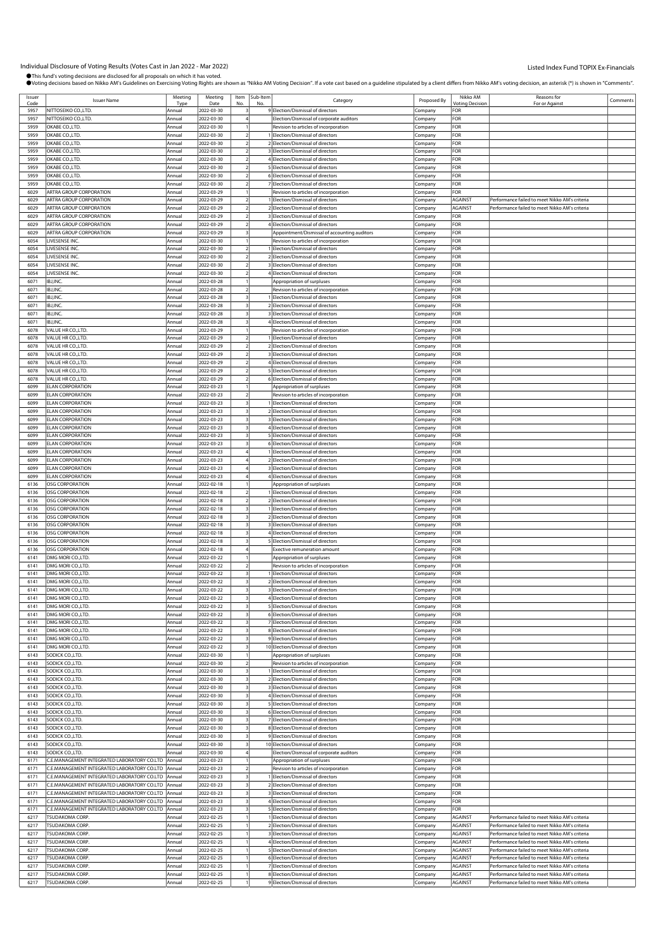| Issuer | <b>Issuer Name</b>                          | Meeting | Meeting    | Item | Sub-Item | Category                                     | Proposed By | Nikko AM               | Reasons for                                    | Comments |
|--------|---------------------------------------------|---------|------------|------|----------|----------------------------------------------|-------------|------------------------|------------------------------------------------|----------|
| Code   |                                             | Typ     | Date       |      | No       |                                              |             | <b>/oting Decision</b> | For or Against                                 |          |
| 5957   | NITTOSEIKO CO.,LTD.                         | Annual  | 2022-03-30 |      |          | 9 Election/Dismissal of directors            | Company     | FOR                    |                                                |          |
| 5957   | NITTOSEIKO CO.,LTD.                         | Annual  | 2022-03-30 |      |          | lection/Dismissal of corporate auditors      | Company     | FOR                    |                                                |          |
| 5959   | OKABE CO.,LTD.                              | Annual  | 2022-03-30 |      |          | Revision to articles of incorporation        | Company     | FOR                    |                                                |          |
| 5959   | OKABE CO., LTD.                             | Annual  | 2022-03-30 |      |          | Election/Dismissal of directors              | Company     | FOR                    |                                                |          |
| 5959   | OKABE CO.,LTD.                              | Annual  | 2022-03-30 |      |          | 2 Election/Dismissal of directors            |             | FOR                    |                                                |          |
|        |                                             |         |            |      |          |                                              | Company     |                        |                                                |          |
| 5959   | OKABE CO.,LTD.                              | Annual  | 2022-03-30 |      |          | 3 Election/Dismissal of directors            | Company     | FOR                    |                                                |          |
| 5959   | OKABE CO., LTD.                             | Annual  | 2022-03-30 |      |          | 4 Election/Dismissal of directors            | Company     | FOR                    |                                                |          |
| 5959   | OKABE CO.,LTD.                              | Annual  | 2022-03-30 |      |          | 5 Election/Dismissal of directors            | Company     | FOR                    |                                                |          |
| 5959   | OKABE CO., LTD.                             | Annual  | 2022-03-30 |      |          | 6 Election/Dismissal of directors            | Company     | FOR                    |                                                |          |
| 5959   | OKABE CO.,LTD.                              | Annual  | 2022-03-30 |      |          | 7 Election/Dismissal of directors            | Company     | FOR                    |                                                |          |
| 6029   | ARTRA GROUP CORPORATION                     | Annual  | 2022-03-29 |      |          | Revision to articles of incorporation        | Company     | FOR                    |                                                |          |
|        |                                             |         |            |      |          |                                              |             |                        |                                                |          |
| 6029   | ARTRA GROUP CORPORATION                     | Annual  | 2022-03-29 |      |          | Election/Dismissal of directors              | Company     | AGAINST                | Performance failed to meet Nikko AM's criteria |          |
| 6029   | ARTRA GROUP CORPORATION                     | Annual  | 2022-03-29 |      |          | 2 Election/Dismissal of directors            | Company     | AGAINST                | Performance failed to meet Nikko AM's criteria |          |
| 6029   | ARTRA GROUP CORPORATION                     | Annual  | 2022-03-29 |      |          | 3 Election/Dismissal of directors            | Company     | FOR                    |                                                |          |
| 6029   | ARTRA GROUP CORPORATION                     | Annual  | 2022-03-29 |      |          | 4 Election/Dismissal of directors            | Company     | FOR                    |                                                |          |
| 6029   | <b>ARTRA GROUP CORPORATION</b>              | Annual  | 2022-03-29 |      |          | Appointment/Dismissal of accounting auditors | Company     | FOR                    |                                                |          |
| 6054   | IVESENSE INC.                               | Annual  | 2022-03-30 |      |          | Revision to articles of incorporation        | Company     | FOR                    |                                                |          |
|        |                                             |         |            |      |          |                                              |             |                        |                                                |          |
| 6054   | LIVESENSE INC.                              | Annual  | 2022-03-30 |      |          | Election/Dismissal of directors              | Company     | FOR                    |                                                |          |
| 6054   | LIVESENSE INC.                              | Annual  | 2022-03-30 |      |          | 2 Election/Dismissal of directors            | Company     | FOR                    |                                                |          |
| 6054   | IVESENSE INC.                               | Annual  | 2022-03-30 |      |          | 3 Election/Dismissal of directors            | Company     | FOR                    |                                                |          |
| 6054   | LIVESENSE INC.                              | Annual  | 2022-03-30 |      |          | 4 Election/Dismissal of directors            | Company     | FOR                    |                                                |          |
| 6071   | BJ,INC.                                     | Annual  | 2022-03-28 |      |          | Appropriation of surpluses                   | Company     | FOR                    |                                                |          |
| 6071   | BJ,INC.                                     | Annua   | 2022-03-28 |      |          | Revision to articles of incorporation        | Company     | FOR                    |                                                |          |
| 6071   | BJ,INC.                                     | Annual  | 2022-03-28 |      |          | Election/Dismissal of directors              |             | FOR                    |                                                |          |
|        |                                             |         |            |      |          |                                              | Company     |                        |                                                |          |
| 6071   | BJ,INC.                                     | Annual  | 2022-03-28 |      |          | 2 Election/Dismissal of directors            | Company     | FOR                    |                                                |          |
| 6071   | BJ,INC.                                     | Annual  | 2022-03-28 |      |          | 3 Election/Dismissal of directors            | Company     | FOR                    |                                                |          |
| 6071   | BJ,INC.                                     | Annual  | 2022-03-28 |      |          | 4 Election/Dismissal of directors            | Company     | FOR                    |                                                |          |
| 6078   | VALUE HR CO.,LTD.                           | Annual  | 2022-03-29 |      |          | Revision to articles of incorporation        | Company     | FOR                    |                                                |          |
| 6078   | VALUE HR CO.,LTD.                           | Annual  | 2022-03-29 |      |          | 1 Election/Dismissal of directors            | Company     | FOR                    |                                                |          |
| 6078   | VALUE HR CO.,LTD.                           | Annual  | 2022-03-29 |      |          | 2 Election/Dismissal of directors            |             | FOR                    |                                                |          |
|        |                                             |         |            |      |          |                                              | Company     |                        |                                                |          |
| 6078   | VALUE HR CO.,LTD.                           | Annual  | 2022-03-29 |      |          | 3 Election/Dismissal of directors            | Company     | FOR                    |                                                |          |
| 6078   | VALUE HR CO.,LTD.                           | Annual  | 2022-03-29 |      |          | 4 Election/Dismissal of directors            | Company     | FOR                    |                                                |          |
| 6078   | VALUE HR CO.,LTD.                           | Annual  | 2022-03-29 |      |          | 5 Election/Dismissal of directors            | Company     | FOR                    |                                                |          |
| 6078   | VALUE HR CO.,LTD.                           | Annual  | 2022-03-29 |      |          | 6 Election/Dismissal of directors            | Company     | FOR                    |                                                |          |
| 6099   | <b>ELAN CORPORATION</b>                     | Annual  | 2022-03-23 |      |          | Appropriation of surpluses                   | Company     | FOR                    |                                                |          |
| 6099   | <b>ELAN CORPORATION</b>                     | Annual  | 2022-03-23 |      |          | Revision to articles of incorporation        | Company     | FOR                    |                                                |          |
|        |                                             |         |            |      |          |                                              |             |                        |                                                |          |
| 6099   | <b>ELAN CORPORATION</b>                     | Annual  | 2022-03-23 |      |          | Election/Dismissal of directors              | Company     | FOR                    |                                                |          |
| 6099   | <b>ELAN CORPORATION</b>                     | Annual  | 2022-03-23 |      |          | 2 Election/Dismissal of directors            | Company     | FOR                    |                                                |          |
| 6099   | <b>ELAN CORPORATION</b>                     | Annual  | 2022-03-23 |      |          | 3 Election/Dismissal of directors            | Company     | FOR                    |                                                |          |
| 6099   | <b>ELAN CORPORATION</b>                     | Annual  | 2022-03-23 |      |          | 4 Election/Dismissal of directors            | Company     | FOR                    |                                                |          |
| 6099   | <b>ELAN CORPORATION</b>                     | Annual  | 2022-03-23 |      |          | 5 Election/Dismissal of directors            | Company     | FOR                    |                                                |          |
| 6099   | <b>ELAN CORPORATION</b>                     | Annual  | 2022-03-23 |      |          | 6 Election/Dismissal of directors            | Company     | FOR                    |                                                |          |
|        |                                             |         |            |      |          |                                              |             | FOR                    |                                                |          |
| 6099   | ELAN CORPORATION                            | Annual  | 2022-03-23 |      |          | Election/Dismissal of directors              | Company     |                        |                                                |          |
| 6099   | <b>ELAN CORPORATION</b>                     | Annual  | 2022-03-23 |      |          | 2 Election/Dismissal of directors            | Company     | FOR                    |                                                |          |
| 6099   | <b>ELAN CORPORATION</b>                     | Annual  | 2022-03-23 |      |          | 3 Election/Dismissal of directors            | Company     | FOR                    |                                                |          |
| 6099   | <b>ELAN CORPORATION</b>                     | Annual  | 2022-03-23 |      |          | 4 Election/Dismissal of directors            | Company     | FOR                    |                                                |          |
| 6136   | <b>OSG CORPORATION</b>                      | Annual  | 2022-02-18 |      |          | Appropriation of surpluses                   | Company     | FOR                    |                                                |          |
| 6136   | OSG CORPORATION                             | Annual  | 2022-02-18 |      |          | Election/Dismissal of directors              | Company     | FOR                    |                                                |          |
| 6136   | OSG CORPORATION                             | Annual  | 2022-02-18 |      |          | 2 Election/Dismissal of directors            | Company     | FOR                    |                                                |          |
| 6136   | <b>OSG CORPORATION</b>                      | Annual  | 2022-02-18 |      |          | Election/Dismissal of directors              |             | FOR                    |                                                |          |
|        |                                             |         |            |      |          |                                              | Company     |                        |                                                |          |
| 6136   | OSG CORPORATION                             | Annual  | 2022-02-18 |      |          | 2 Election/Dismissal of directors            | Company     | FOR                    |                                                |          |
| 6136   | <b>OSG CORPORATION</b>                      | Annual  | 2022-02-18 |      |          | 3 Election/Dismissal of directors            | Company     | FOR                    |                                                |          |
| 6136   | OSG CORPORATION                             | Annual  | 2022-02-18 |      |          | 4 Election/Dismissal of directors            | Company     | FOR                    |                                                |          |
| 6136   | OSG CORPORATION                             | Annual  | 2022-02-18 |      |          | 5 Election/Dismissal of directors            | Company     | FOR                    |                                                |          |
| 6136   | <b>OSG CORPORATION</b>                      | Annual  | 2022-02-18 |      |          | <b>Exective remuneration amount</b>          | Company     | FOR                    |                                                |          |
| 6141   |                                             | Annual  |            |      |          |                                              |             | FOR                    |                                                |          |
|        | DMG MORI CO.,LTD<br>DMG MORI CO.,LTD        |         | 2022-03-22 |      |          | Appropriation of surpluses                   | Company     |                        |                                                |          |
| 6141   |                                             | Annual  | 2022-03-22 |      |          | Revision to articles of incorporation        | Company     | FOR                    |                                                |          |
| 6141   | DMG MORI CO.,LTD                            | Annual  | 2022-03-22 |      |          | Election/Dismissal of directors              | Company     | FOR                    |                                                |          |
| 6141   | DMG MORI CO.,LTD                            | Annual  | 2022-03-22 |      |          | Election/Dismissal of directors              | Company     | FOR                    |                                                |          |
| 6141   | DMG MORI CO.,LTD.                           | Annual  | 2022-03-22 |      |          | 3 Election/Dismissal of directors            | Company     | FOR                    |                                                |          |
| 6141   | DMG MORI CO.,LTD                            | Annual  | 2022-03-22 |      |          | 4 Election/Dismissal of directors            | Company     | FOR                    |                                                |          |
| 6141   | DMG MORI CO., LTD.                          | Annual  | 2022-03-22 |      |          | 5 Election/Dismissal of directors            | Company     | FOR                    |                                                |          |
|        |                                             |         |            |      |          |                                              |             |                        |                                                |          |
| 6141   | DMG MORI CO.,LTD.                           | Annual  | 2022-03-22 |      |          | 6 Election/Dismissal of directors            | Company     | FOR                    |                                                |          |
| 6141   | DMG MORI CO., LTD.                          | Annual  | 2022-03-22 |      |          | 7 Election/Dismissal of directors            | Company     | FOR                    |                                                |          |
| 6141   | DMG MORI CO.,LTD.                           | Annual  | 2022-03-22 |      |          | 8 Election/Dismissal of directors            | Company     | FOR                    |                                                |          |
| 6141   | DMG MORI CO.,LTD                            | Annual  | 2022-03-22 |      |          | 9 Election/Dismissal of directors            | Company     | FOR                    |                                                |          |
| 6141   | DMG MORI CO., LTD.                          | Annual  | 2022-03-22 |      |          | 10 Election/Dismissal of directors           | Company     | FOR                    |                                                |          |
| 6143   | SODICK CO.,LTD.                             | Annual  | 2022-03-30 |      |          | Appropriation of surpluses                   | Company     | FOR                    |                                                |          |
| 6143   | SODICK CO.,LTD.                             | Annual  | 2022-03-30 |      |          | Revision to articles of incorporation        | Company     | FOR                    |                                                |          |
| 6143   | SODICK CO.,LTD.                             | Annual  | 2022-03-30 |      |          | Election/Dismissal of directors              |             | FOR                    |                                                |          |
|        |                                             |         |            |      |          |                                              | Company     |                        |                                                |          |
| 6143   | SODICK CO.,LTD.                             | Annual  | 2022-03-30 |      |          | 2 Election/Dismissal of directors            | Company     | FOR                    |                                                |          |
| 6143   | SODICK CO.,LTD.                             | Annual  | 2022-03-30 |      |          | 3 Election/Dismissal of directors            | Company     | FOR                    |                                                |          |
| 6143   | SODICK CO.,LTD.                             | Annual  | 2022-03-30 |      |          | 4 Election/Dismissal of directors            | Company     | FOR                    |                                                |          |
| 6143   | SODICK CO., LTD.                            | Annual  | 2022-03-30 |      |          | 5 Election/Dismissal of directors            | Company     | FOR                    |                                                |          |
| 6143   | SODICK CO.,LTD.                             | Annual  | 2022-03-30 |      |          | 6 Election/Dismissal of directors            | Company     | FOR                    |                                                |          |
| 6143   | SODICK CO.,LTD.                             | Annual  | 2022-03-30 |      |          | 7 Election/Dismissal of directors            |             | FOR                    |                                                |          |
| 6143   | SODICK CO.,LTD.                             |         |            |      |          |                                              | Company     | FOR                    |                                                |          |
|        |                                             | Annual  | 2022-03-30 |      |          | 8 Election/Dismissal of directors            | Company     |                        |                                                |          |
| 6143   | SODICK CO.,LTD.                             | Annual  | 2022-03-30 |      |          | 9 Election/Dismissal of directors            | Company     | FOR                    |                                                |          |
| 6143   | SODICK CO.,LTD.                             | Annual  | 2022-03-30 |      |          | 10 Election/Dismissal of directors           | Company     | FOR                    |                                                |          |
| 6143   | SODICK CO.,LTD.                             | Annual  | 2022-03-30 |      |          | Election/Dismissal of corporate auditors     | Company     | FOR                    |                                                |          |
| 6171   | C.E.MANAGEMENT INTEGRATED LABORATORY CO.LTD | Annual  | 2022-03-23 |      |          | Appropriation of surpluses                   | Company     | FOR                    |                                                |          |
| 6171   | C.E.MANAGEMENT INTEGRATED LABORATORY CO.LTD | Annual  | 2022-03-23 |      |          | Revision to articles of incorporation        | Company     | FOR                    |                                                |          |
|        |                                             |         |            |      |          |                                              |             | FOR                    |                                                |          |
| 6171   | C.E.MANAGEMENT INTEGRATED LABORATORY CO.LTD | Annual  | 2022-03-23 |      |          | Election/Dismissal of directors              | Company     |                        |                                                |          |
| 6171   | C.E.MANAGEMENT INTEGRATED LABORATORY CO.LTD | Annual  | 2022-03-23 |      |          | 2 Election/Dismissal of directors            | Company     | FOR                    |                                                |          |
| 6171   | C.E.MANAGEMENT INTEGRATED LABORATORY CO.LTD | Annual  | 2022-03-23 |      |          | 3 Election/Dismissal of directors            | Company     | FOR                    |                                                |          |
| 6171   | C.E.MANAGEMENT INTEGRATED LABORATORY CO.LTD | Annual  | 2022-03-23 |      |          | 4 Election/Dismissal of directors            | Company     | FOR                    |                                                |          |
| 6171   | C.E.MANAGEMENT INTEGRATED LABORATORY CO.LTD | Annual  | 2022-03-23 |      |          | 5 Election/Dismissal of directors            | Company     | FOR                    |                                                |          |
| 6217   | TSUDAKOMA CORP.                             | Annual  | 2022-02-25 |      |          | Election/Dismissal of directors              | Company     | AGAINST                | Performance failed to meet Nikko AM's criteria |          |
| 6217   | TSUDAKOMA CORP                              | Annual  | 2022-02-25 |      |          | 2 Election/Dismissal of directors            | Company     | AGAINST                | Performance failed to meet Nikko AM's criteria |          |
|        |                                             |         |            |      |          |                                              |             |                        |                                                |          |
| 6217   | <b>TSUDAKOMA CORP.</b>                      | Annual  | 2022-02-25 |      |          | 3 Election/Dismissal of directors            | Company     | AGAINST                | Performance failed to meet Nikko AM's criteria |          |
| 6217   | <b>TSUDAKOMA CORP.</b>                      | Annual  | 2022-02-25 |      |          | 4 Election/Dismissal of directors            | Company     | AGAINST                | Performance failed to meet Nikko AM's criteria |          |
| 6217   | <b>TSUDAKOMA CORP.</b>                      | Annual  | 2022-02-25 |      |          | 5 Election/Dismissal of directors            | Company     | AGAINST                | Performance failed to meet Nikko AM's criteria |          |
| 6217   | TSUDAKOMA CORP.                             | Annual  | 2022-02-25 |      |          | 6 Election/Dismissal of directors            | Company     | AGAINST                | Performance failed to meet Nikko AM's criteria |          |
| 6217   | <b>TSUDAKOMA CORP</b>                       | Annual  | 2022-02-25 |      |          | 7 Election/Dismissal of directors            | Company     | AGAINST                | Performance failed to meet Nikko AM's criteria |          |
| 6217   | <b>TSUDAKOMA CORP.</b>                      | Annual  | 2022-02-25 |      |          | 8 Election/Dismissal of directors            |             | AGAINST                | Performance failed to meet Nikko AM's criteria |          |
|        |                                             |         |            |      |          |                                              | Company     |                        |                                                |          |
| 6217   | <b>TSUDAKOMA CORP.</b>                      | Annual  | 2022-02-25 |      |          | 9 Election/Dismissal of directors            | Company     | AGAINST                | Performance failed to meet Nikko AM's criteria |          |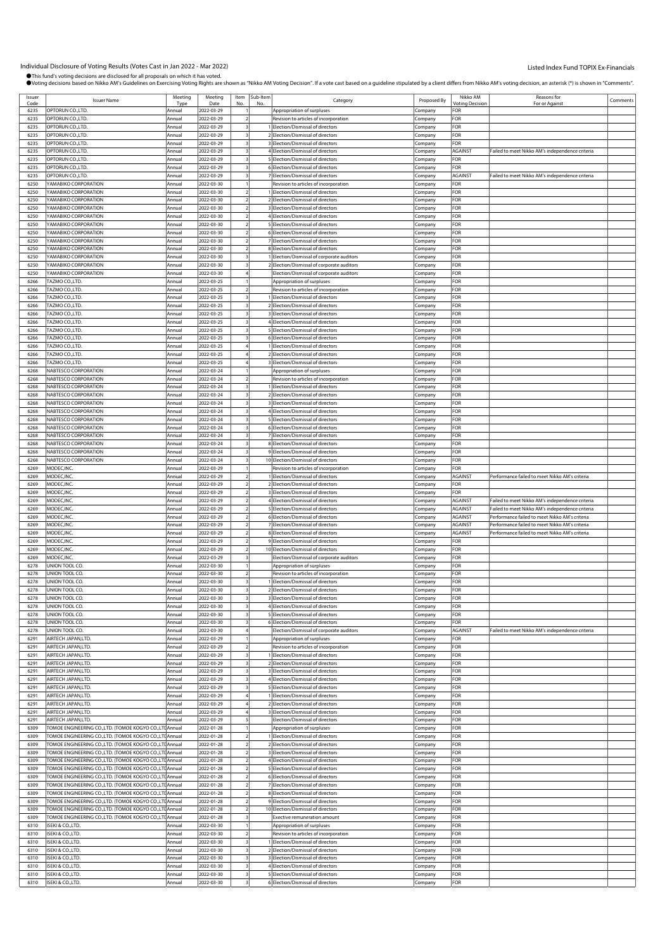| Issuer       | <b>Issuer Name</b>                                                                                              | Meeting          | Meeting                  |    | Item Sub-Item | Category                                                                   | Proposed By        | Nikko AM                      | Reasons for                                     | Comments |
|--------------|-----------------------------------------------------------------------------------------------------------------|------------------|--------------------------|----|---------------|----------------------------------------------------------------------------|--------------------|-------------------------------|-------------------------------------------------|----------|
| Code<br>6235 | OPTORUN CO., LTD.                                                                                               | Tvp<br>Annual    | Date<br>2022-03-29       | No | No            | Appropriation of surpluses                                                 | Company            | <b>Voting Decision</b><br>FOR | For or Against                                  |          |
| 6235         | OPTORUN CO.,LTD.                                                                                                | Annual           | 2022-03-29               |    |               | Revision to articles of incorporation                                      | ompany.            | 'OR                           |                                                 |          |
| 6235         | OPTORUN CO., LTD.                                                                                               | Annual           | 2022-03-29               |    |               | 1 Election/Dismissal of directors                                          | .ompany            | FOR                           |                                                 |          |
| 6235         | OPTORUN CO., LTD.                                                                                               | Annual           | 2022-03-29               |    |               | 2 Election/Dismissal of directors                                          | .cmpany            | FOR                           |                                                 |          |
| 6235         | OPTORUN CO., LTD.                                                                                               | Annual           | 2022-03-29               |    |               | 3 Election/Dismissal of directors                                          | Company            | FOR                           |                                                 |          |
| 6235         | OPTORUN CO., LTD.                                                                                               | Annual           | 2022-03-29               |    |               | 4 Election/Dismissal of directors                                          | Company            | AGAINST                       | Failed to meet Nikko AM's independence criteria |          |
| 6235         | OPTORUN CO.,LTD.                                                                                                | Annual           | 2022-03-29               |    |               | 5 Election/Dismissal of directors                                          | :ompany            | <b>OR</b>                     |                                                 |          |
| 6235         | OPTORUN CO., LTD.                                                                                               | Annual           | 2022-03-29               |    |               | 6 Election/Dismissal of directors                                          | .ompany            | FOR                           |                                                 |          |
| 6235         | OPTORUN CO., LTD.                                                                                               | Annual           | 2022-03-29               |    |               | 7 Election/Dismissal of directors                                          | Company            | AGAINST                       | Failed to meet Nikko AM's independence criteria |          |
| 6250         | YAMABIKO CORPORATION                                                                                            | Annual           | 2022-03-30               |    |               | Revision to articles of incorporation                                      | Company            | <b>OR</b>                     |                                                 |          |
| 6250         | YAMABIKO CORPORATION                                                                                            | Annual           | 2022-03-30               |    |               | 1 Election/Dismissal of directors                                          | Company            | FOR                           |                                                 |          |
| 6250         | YAMABIKO CORPORATION                                                                                            | Annual           | 2022-03-30               |    |               | 2 Election/Dismissal of directors                                          | company            | <b>OR</b>                     |                                                 |          |
| 6250         | YAMABIKO CORPORATION                                                                                            | Annual           | 2022-03-30               |    |               | 3 Election/Dismissal of directors                                          | .ompany            | FOR                           |                                                 |          |
| 6250         | YAMABIKO CORPORATION                                                                                            | Annual           | 2022-03-30               |    |               | 4 Election/Dismissal of directors                                          | .cmpany            | FOR                           |                                                 |          |
| 6250         | YAMABIKO CORPORATION                                                                                            | Annual           | 2022-03-30               |    |               | 5 Election/Dismissal of directors                                          | Company            | FOR                           |                                                 |          |
| 6250         | YAMABIKO CORPORATION                                                                                            | Annual           | 2022-03-30               |    |               | 6 Election/Dismissal of directors                                          | Company            | For                           |                                                 |          |
| 6250         | YAMABIKO CORPORATION                                                                                            | Annual           | 2022-03-30               |    |               | 7 Election/Dismissal of directors                                          | .ompany            | <b>OR</b>                     |                                                 |          |
| 6250         | YAMABIKO CORPORATION                                                                                            | Annual           | 2022-03-30               |    |               | 8 Election/Dismissal of directors                                          | .ompany            | FOR                           |                                                 |          |
| 6250         | YAMABIKO CORPORATION                                                                                            | Annual           | 2022-03-30               |    |               | 1 Election/Dismissal of corporate auditors                                 | Company            | FOR                           |                                                 |          |
| 6250         | YAMABIKO CORPORATION                                                                                            | Annual           | 2022-03-30               |    |               | 2 Election/Dismissal of corporate auditors                                 | Company            | <b>OR</b>                     |                                                 |          |
| 6250         | YAMABIKO CORPORATION                                                                                            | Annual           | 2022-03-30               |    |               | Election/Dismissal of corporate auditors                                   | Company            | For                           |                                                 |          |
| 6266         | TAZMO CO.,LTD.                                                                                                  | Annual           | 2022-03-25               |    |               | Appropriation of surpluses                                                 | :ompany            | <b>OR</b>                     |                                                 |          |
| 6266<br>6266 | TAZMO CO.,LTD.<br>TAZMO CO.,LTD.                                                                                | Annual<br>Annual | 2022-03-25<br>2022-03-25 |    |               | Revision to articles of incorporation<br>1 Election/Dismissal of directors | .ompany            | :OR<br><b>OR</b>              |                                                 |          |
| 6266         | TAZMO CO.,LTD.                                                                                                  | Annual           | 2022-03-25               |    |               | 2 Election/Dismissal of directors                                          | .cmpany<br>Company | <b>OR</b>                     |                                                 |          |
| 6266         | TAZMO CO.,LTD.                                                                                                  | Annual           | 2022-03-25               |    |               | 3 Election/Dismissal of directors                                          | Company            | FOR                           |                                                 |          |
| 6266         | TAZMO CO.,LTD.                                                                                                  | Annual           | 2022-03-25               |    |               | 4 Election/Dismissal of directors                                          | .ompany            | <b>OR</b>                     |                                                 |          |
| 6266         | TAZMO CO.,LTD.                                                                                                  | Annual           | 2022-03-25               |    |               | 5 Election/Dismissal of directors                                          | .ompany            | -or                           |                                                 |          |
| 6266         | TAZMO CO.,LTD.                                                                                                  | Annual           | 2022-03-25               |    |               | 6 Election/Dismissal of directors                                          | .ompany            | <b>OR</b>                     |                                                 |          |
| 6266         | TAZMO CO.,LTD.                                                                                                  | Annual           | 2022-03-25               |    |               | 1 Election/Dismissal of directors                                          | Company            | <b>OR</b>                     |                                                 |          |
| 6266         | TAZMO CO.,LTD.                                                                                                  | Annual           | 2022-03-25               |    |               | 2 Election/Dismissal of directors                                          | Company            | -or                           |                                                 |          |
| 6266         | TAZMO CO.,LTD.                                                                                                  | Annual           | 2022-03-25               |    |               | 3 Election/Dismissal of directors                                          | company            | <b>OR</b>                     |                                                 |          |
| 6268         | NABTESCO CORPORATION                                                                                            | Annual           | 2022-03-24               |    |               | Appropriation of surpluses                                                 | .ompany            | FOR                           |                                                 |          |
| 6268         | NABTESCO CORPORATION                                                                                            | Annual           | 2022-03-24               |    |               | Revision to articles of incorporation                                      | .cmpany            | FOR                           |                                                 |          |
| 6268         | NABTESCO CORPORATION                                                                                            | Annual           | 2022-03-24               |    |               | 1 Election/Dismissal of directors                                          | Company            | <b>OR</b>                     |                                                 |          |
| 6268         | NABTESCO CORPORATION                                                                                            | Annual           | 2022-03-24               |    |               | 2 Election/Dismissal of directors                                          | Company            | For                           |                                                 |          |
| 6268         | NABTESCO CORPORATION                                                                                            | Annual           | 2022-03-24               |    |               | 3 Election/Dismissal of directors                                          | ompany.            | <b>OR</b>                     |                                                 |          |
| 6268         | NABTESCO CORPORATION                                                                                            | Annual           | 2022-03-24               |    |               | 4 Election/Dismissal of directors                                          | .ompany            | FOR                           |                                                 |          |
| 6268         | NABTESCO CORPORATION                                                                                            | Annual           | 2022-03-24               |    |               | 5 Election/Dismissal of directors                                          | .cmpany            | FOR                           |                                                 |          |
| 6268         | NABTESCO CORPORATION                                                                                            | Annual           | 2022-03-24               |    |               | 6 Election/Dismissal of directors                                          | Company            | <b>OR</b>                     |                                                 |          |
| 6268         | NABTESCO CORPORATION                                                                                            | Annual           | 2022-03-24               |    |               | 7 Election/Dismissal of directors                                          | Company            | FOR                           |                                                 |          |
| 6268<br>6268 | NABTESCO CORPORATION<br>NABTESCO CORPORATION                                                                    | Annual<br>Annual | 2022-03-24<br>2022-03-24 |    |               | 8 Election/Dismissal of directors<br>9 Election/Dismissal of directors     | ompany.            | <b>OR</b><br>FOR              |                                                 |          |
| 6268         | NABTESCO CORPORATION                                                                                            | Annual           | 2022-03-24               |    |               | 10 Election/Dismissal of directors                                         | :ompany<br>.cmpany | FOR                           |                                                 |          |
| 6269         | MODEC, INC.                                                                                                     | Annual           | 2022-03-29               |    |               | Revision to articles of incorporation                                      | Company            | FOR                           |                                                 |          |
| 6269         | MODEC, INC.                                                                                                     | Annual           | 2022-03-29               |    |               | 1 Election/Dismissal of directors                                          | Company            | AGAINST                       | Performance failed to meet Nikko AM's criteria  |          |
| 6269         | MODEC, INC.                                                                                                     | Annual           | 2022-03-29               |    |               | 2 Election/Dismissal of directors                                          | Company            | <b>OR</b>                     |                                                 |          |
| 6269         | MODEC, INC.                                                                                                     | Annual           | 2022-03-29               |    |               | 3 Election/Dismissal of directors                                          | :ompany            | FOR                           |                                                 |          |
|              |                                                                                                                 |                  |                          |    |               |                                                                            |                    |                               |                                                 |          |
| 6269         | MODEC, INC.                                                                                                     | Annual           | 2022-03-29               |    |               | 4 Election/Dismissal of directors                                          | Company            | AGAINST                       | Failed to meet Nikko AM's independence criteria |          |
| 6269         | MODEC, INC.                                                                                                     | Annual           | 2022-03-29               |    |               | 5 Election/Dismissal of directors                                          | Company            | AGAINST                       | ailed to meet Nikko AM's independence criteria  |          |
| 6269         | MODEC, INC.                                                                                                     | Annual           | 2022-03-29               |    |               | 6 Election/Dismissal of directors                                          | Company            | AGAINST                       | Performance failed to meet Nikko AM's criteria  |          |
| 6269         | MODEC, INC.                                                                                                     | Annual           | 2022-03-29               |    |               | 7 Election/Dismissal of directors                                          | Company            | <b>AGAINST</b>                | Performance failed to meet Nikko AM's criteria  |          |
| 6269         | MODEC, INC.                                                                                                     | Annual           | 2022-03-29               |    |               | 8 Election/Dismissal of directors                                          | .<br>ompany        | AGAINST                       | Performance failed to meet Nikko AM's criteria  |          |
| 6269<br>6269 | MODEC, INC.<br>MODEC.INC.                                                                                       | Annual<br>Annual | 2022-03-29<br>2022-03-29 |    |               | 9 Election/Dismissal of directors<br>10 Election/Dismissal of directors    | Company            | FOR<br><b>OR</b>              |                                                 |          |
| 6269         | MODEC.INC.                                                                                                      | Annual           | 2022-03-29               |    |               | Election/Dismissal of corporate auditors                                   | Company            | FOR                           |                                                 |          |
| 6278         | UNION TOOL CO.                                                                                                  | Annual           | 2022-03-30               |    |               | Appropriation of surpluses                                                 | Company<br>ompany. | <b>OR</b>                     |                                                 |          |
| 6278         | UNION TOOL CO.                                                                                                  | Annual           | 2022-03-30               |    |               | Revision to articles of incorporation                                      | :ompany            | :OR                           |                                                 |          |
| 6278         | UNION TOOL CO.                                                                                                  | Annual           | 2022-03-30               |    |               | 1 Election/Dismissal of directors                                          | Company            | FOR                           |                                                 |          |
| 6278         | UNION TOOL CO.                                                                                                  | Annual           | 2022-03-30               |    |               | 2 Election/Dismissal of directors                                          | Company            | FOR                           |                                                 |          |
| 6278         | UNION TOOL CO.                                                                                                  | Annual           | 2022-03-30               |    |               | 3 Election/Dismissal of directors                                          | Company            | <b>OR</b>                     |                                                 |          |
| 6278         | UNION TOOL CO.                                                                                                  | Annual           | 2022-03-30               |    |               | 4 Election/Dismissal of directors                                          | Company            | <b>OR</b>                     |                                                 |          |
| 6278         | UNION TOOL CO.                                                                                                  | Annual           | 2022-03-30               |    |               | 5 Election/Dismissal of directors                                          | company            | OR:                           |                                                 |          |
| 6278         | UNION TOOL CO.                                                                                                  | Annual           | 2022-03-30               |    |               | 6 Election/Dismissal of directors                                          | .cmpany            | FOR                           |                                                 |          |
| 6278         | UNION TOOL CO.                                                                                                  | Annual           | 2022-03-30               |    |               | Election/Dismissal of corporate auditors                                   | Company            | AGAINST                       | ailed to meet Nikko AM's independence criteria  |          |
| 6291         | AIRTECH JAPAN,LTD.                                                                                              | Annual           | 2022-03-29               |    |               | Appropriation of surpluses                                                 | Company            | FOR                           |                                                 |          |
| 6291         | AIRTECH JAPAN,LTD.                                                                                              | Annual           | 2022-03-29               |    |               | Revision to articles of incorporation                                      | Company            | <b>OR</b>                     |                                                 |          |
| 6291         | AIRTECH JAPAN,LTD.                                                                                              | Annual           | 2022-03-29               |    |               | 1 Election/Dismissal of directors                                          | :ompany            | FOR                           |                                                 |          |
| 6291         | AIRTECH JAPAN,LTD.                                                                                              | Annual           | 2022-03-29               |    |               | 2 Election/Dismissal of directors                                          | .cmpany            | FOR                           |                                                 |          |
| 6291<br>6291 | AIRTECH JAPAN,LTD.                                                                                              | Annual<br>Annual | 2022-03-29               |    |               | 3 Election/Dismissal of directors<br>4 Election/Dismissal of directors     | Company            | FOR<br>FOR                    |                                                 |          |
|              | AIRTECH JAPAN,LTD.                                                                                              | Annual           | 2022-03-29               |    |               | 5 Election/Dismissal of directors                                          | .cmpany            |                               |                                                 |          |
| 6291<br>6291 | AIRTECH JAPAN,LTD.<br>AIRTECH JAPAN,LTD.                                                                        | Annual           | 2022-03-29<br>2022-03-29 |    |               | 1 Election/Dismissal of directors                                          | ompany.<br>:ompany | <b>OR</b><br>FOR              |                                                 |          |
| 6291         | AIRTECH JAPAN,LTD.                                                                                              | Annual           | 2022-03-29               |    |               | 2 Election/Dismissal of directors                                          | .cmpany            | FOR                           |                                                 |          |
| 6291         | AIRTECH JAPAN,LTD.                                                                                              | Annual           | 2022-03-29               |    |               | 3 Election/Dismissal of directors                                          | Company            | FOR                           |                                                 |          |
| 6291         | AIRTECH JAPAN,LTD.                                                                                              | Annual           | 2022-03-29               |    |               | Election/Dismissal of directors                                            | .cmpany            | FOR                           |                                                 |          |
| 6309         | TOMOE ENGINEERING CO.,LTD. (TOMOE KOGYO CO.,LTI Annual                                                          |                  | 2022-01-28               |    |               | Appropriation of surpluses                                                 | ompany.            | <b>OR</b>                     |                                                 |          |
| 6309         | TOMOE ENGINEERING CO.,LTD. (TOMOE KOGYO CO.,LTI Annual                                                          |                  | 2022-01-28               |    |               | 1 Election/Dismissal of directors                                          | :ompany            | -or                           |                                                 |          |
| 6309         | TOMOE ENGINEERING CO.,LTD. (TOMOE KOGYO CO.,LTI Annual                                                          |                  | 2022-01-28               |    |               | 2 Election/Dismissal of directors                                          | .cmpany            | <b>OR</b>                     |                                                 |          |
| 6309         | TOMOE ENGINEERING CO.,LTD. (TOMOE KOGYO CO.,LTL Annual                                                          |                  | 2022-01-28               |    |               | 3 Election/Dismissal of directors                                          | .cmpany            | <b>OR</b>                     |                                                 |          |
| 6309         | TOMOE ENGINEERING CO.,LTD. (TOMOE KOGYO CO.,LTI Annual                                                          |                  | 2022-01-28               |    |               | 4 Election/Dismissal of directors                                          | .cmpany            | <b>OR</b>                     |                                                 |          |
| 6309         | TOMOE ENGINEERING CO.,LTD. (TOMOE KOGYO CO.,LTI Annual                                                          |                  | 2022-01-28               |    |               | 5 Election/Dismissal of directors                                          | Company            | <b>OR</b>                     |                                                 |          |
| 6309<br>6309 | TOMOE ENGINEERING CO.,LTD. (TOMOE KOGYO CO.,LTI Annual<br>TOMOE ENGINEERING CO.,LTD. (TOMOE KOGYO CO.,LTLAnnual |                  | 2022-01-28               |    |               | 6 Election/Dismissal of directors<br>7 Election/Dismissal of directors     | :ompany            | -or<br>FOR                    |                                                 |          |
| 6309         | TOMOE ENGINEERING CO.,LTD. (TOMOE KOGYO CO.,LTL Annual                                                          |                  | 2022-01-28<br>2022-01-28 |    |               | 8 Election/Dismissal of directors                                          | .cmpany<br>Company | OR-                           |                                                 |          |
| 6309         | TOMOE ENGINEERING CO.,LTD. (TOMOE KOGYO CO.,LTI Annual                                                          |                  | 2022-01-28               |    |               | 9 Election/Dismissal of directors                                          | Company            | <b>OR</b>                     |                                                 |          |
| 6309         | TOMOE ENGINEERING CO.,LTD. (TOMOE KOGYO CO.,LTD                                                                 | Annual           | 2022-01-28               |    |               | 10 Election/Dismissal of directors                                         | Company            | FOR                           |                                                 |          |
| 6309         | TOMOE ENGINEERING CO.,LTD. (TOMOE KOGYO CO.,LTI Annual                                                          |                  | 2022-01-28               |    |               | Exective remuneration amount                                               | .<br>ompany        | FOR                           |                                                 |          |
| 6310         | ISEKI & CO., LTD.                                                                                               | Annual           | 2022-03-30               |    |               | Appropriation of surpluses                                                 | .cmpany            | FOR                           |                                                 |          |
| 6310         | ISEKI & CO.,LTD.                                                                                                | Annual           | 2022-03-30               |    |               | Revision to articles of incorporation                                      | .cmpany            | <b>OR</b>                     |                                                 |          |
| 6310         | ISEKI & CO.,LTD.                                                                                                | Annual           | 2022-03-30               |    |               | 1 Election/Dismissal of directors                                          | Company            | <b>OR</b>                     |                                                 |          |
| 6310         | ISEKI & CO.,LTD.                                                                                                | Annual           | 2022-03-30               |    |               | 2 Election/Dismissal of directors                                          | ompany.            | <b>OR</b>                     |                                                 |          |
| 6310<br>6310 | ISEKI & CO.,LTD.<br>ISEKI & CO.,LTD.                                                                            | Annual<br>Annual | 2022-03-30<br>2022-03-30 |    |               | 3 Election/Dismissal of directors<br>4 Election/Dismissal of directors     | :ompany<br>.cmpany | -or<br>FOR                    |                                                 |          |
| 6310         | ISEKI & CO., LTD.                                                                                               | Annual           | 2022-03-30               |    |               | 5 Election/Dismissal of directors                                          | .cmpany            | <b>OR</b>                     |                                                 |          |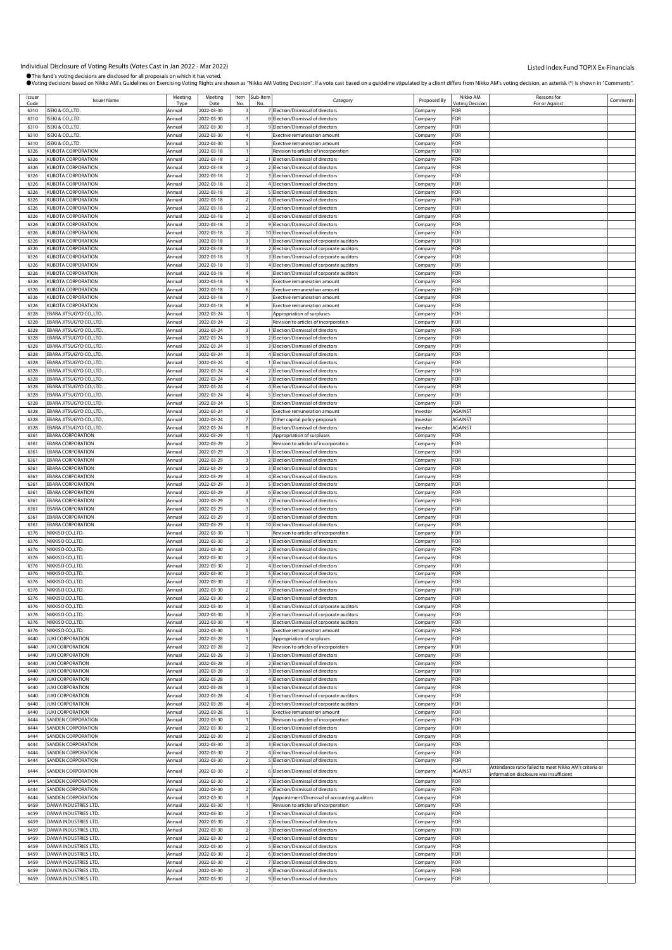| Issuer | <b>Issuer Name</b>        | Meeting | Meeting    | Item Sub-Item | Category                                     | Proposed By | Nikko AM<br><b>Otina Decision</b> | Reasons for                                            | Comments |
|--------|---------------------------|---------|------------|---------------|----------------------------------------------|-------------|-----------------------------------|--------------------------------------------------------|----------|
| Code   | SEKI & CO., LTD.          | Tyn     | Date       |               | 7 Election/Dismissal of directors            |             | FOR                               | For or Against                                         |          |
| 6310   |                           | Annual  | 2022-03-30 |               |                                              | Company     |                                   |                                                        |          |
| 6310   | SEKI & CO., LTD.          | Annual  | 2022-03-30 |               | 8 Election/Dismissal of directors            | Company     | FOR                               |                                                        |          |
| 6310   | SEKI & CO., LTD.          | Annual  | 2022-03-30 |               | 9 Election/Dismissal of directors            | Company     | FOR                               |                                                        |          |
| 6310   | SEKI & CO., LTD.          | Annual  | 2022-03-30 |               | <b>Exective remuneration amount</b>          | Company     | FOR                               |                                                        |          |
| 6310   | SEKI & CO.,LTD.           | Annual  | 2022-03-30 |               | Exective remuneration amount                 | Company     | FOR                               |                                                        |          |
| 6326   | KUBOTA CORPORATION        | Annual  | 2022-03-18 |               | Revision to articles of incorporation        | Company     | FOR                               |                                                        |          |
| 6326   | <b>(UBOTA CORPORATION</b> | Annual  | 2022-03-18 |               | 1 Election/Dismissal of directors            | Company     | FOR                               |                                                        |          |
| 6326   | <b>(UBOTA CORPORATION</b> | Annual  | 2022-03-18 |               | 2 Election/Dismissal of directors            | Company     | FOR                               |                                                        |          |
| 6326   | KUBOTA CORPORATION        | Annual  | 2022-03-18 |               | 3 Election/Dismissal of directors            | Company     | FOR                               |                                                        |          |
| 6326   | <b>(UBOTA CORPORATION</b> | Annual  | 2022-03-18 |               | 4 Election/Dismissal of directors            | Company     | FOR                               |                                                        |          |
| 6326   | <b>KUBOTA CORPORATION</b> | Annual  | 2022-03-18 |               | 5 Election/Dismissal of directors            |             | FOR                               |                                                        |          |
|        |                           |         |            |               |                                              | Company     |                                   |                                                        |          |
| 6326   | <b>(UBOTA CORPORATION</b> | Annual  | 2022-03-18 |               | 6 Election/Dismissal of directors            | Company     | FOR                               |                                                        |          |
| 6326   | <b>(UBOTA CORPORATION</b> | Annual  | 2022-03-18 |               | 7 Election/Dismissal of directors            | Company     | FOR                               |                                                        |          |
| 6326   | <b>(UBOTA CORPORATION</b> | Annual  | 2022-03-18 |               | 8 Election/Dismissal of directors            | Company     | FOR                               |                                                        |          |
| 6326   | KUBOTA CORPORATION        | Annual  | 2022-03-18 |               | 9 Election/Dismissal of directors            | Company     | FOR                               |                                                        |          |
| 6326   | KUBOTA CORPORATION        | Annual  | 2022-03-18 |               | 10 Election/Dismissal of directors           | Company     | FOR                               |                                                        |          |
| 6326   | <b>KUBOTA CORPORATION</b> | Annual  | 2022-03-18 |               | 1 Election/Dismissal of corporate auditors   | Company     | FOR                               |                                                        |          |
| 6326   | <b>(UBOTA CORPORATION</b> | Annual  | 2022-03-18 |               | 2 Election/Dismissal of corporate auditors   | Company     | FOR                               |                                                        |          |
| 6326   | KUBOTA CORPORATION        | Annual  | 2022-03-18 |               | 3 Election/Dismissal of corporate auditors   | Company     | FOR                               |                                                        |          |
| 6326   | <b>KUBOTA CORPORATION</b> | Annual  | 2022-03-18 |               | 4 Election/Dismissal of corporate auditors   | Company     | FOR                               |                                                        |          |
| 6326   | KUBOTA CORPORATION        | Annual  | 2022-03-18 |               | Election/Dismissal of corporate auditors     | Company     | FOR                               |                                                        |          |
| 6326   | <b>KUBOTA CORPORATION</b> | Annual  | 2022-03-18 |               | <b>Exective remuneration amount</b>          |             | FOR                               |                                                        |          |
|        |                           |         |            |               |                                              | Company     |                                   |                                                        |          |
| 6326   | <b>(UBOTA CORPORATION</b> | Annual  | 2022-03-18 |               | <b>Exective remuneration amount</b>          | Company     | FOR                               |                                                        |          |
| 6326   | KUBOTA CORPORATION        | Annual  | 2022-03-18 |               | <b>Exective remuneration amount</b>          | Company     | FOR                               |                                                        |          |
| 6326   | <b>KUBOTA CORPORATION</b> | Annual  | 2022-03-18 |               | <b>Exective remuneration amount</b>          | Company     | FOR                               |                                                        |          |
| 6328   | EBARA JITSUGYO CO.,LTD.   | Annual  | 2022-03-24 |               | Appropriation of surpluses                   | Company     | FOR                               |                                                        |          |
| 6328   | BARA JITSUGYO CO.,LTD.    | Annual  | 2022-03-24 |               | Revision to articles of incorporation        | Company     | FOR                               |                                                        |          |
| 6328   | EBARA JITSUGYO CO.,LTD.   | Annual  | 2022-03-24 |               | 1 Election/Dismissal of directors            | Company     | FOR                               |                                                        |          |
| 6328   | EBARA JITSUGYO CO.,LTD.   | Annual  | 2022-03-24 |               | 2 Election/Dismissal of directors            | Company     | FOR                               |                                                        |          |
| 6328   | EBARA JITSUGYO CO.,LTD.   | Annual  | 2022-03-24 |               | 3 Election/Dismissal of directors            | Company     | FOR                               |                                                        |          |
| 6328   | EBARA JITSUGYO CO.,LTD.   | Annual  | 2022-03-24 |               | 4 Election/Dismissal of directors            | Company     | FOR                               |                                                        |          |
| 6328   | EBARA JITSUGYO CO.,LTD.   | Annual  | 2022-03-24 |               | 1 Election/Dismissal of directors            | Company     | FOR                               |                                                        |          |
| 6328   | EBARA JITSUGYO CO.,LTD.   | Annual  | 2022-03-24 |               | 2 Election/Dismissal of directors            | Company     | FOR                               |                                                        |          |
| 6328   | EBARA JITSUGYO CO.,LTD.   | Annual  | 2022-03-24 |               | 3 Election/Dismissal of directors            | Company     | FOR                               |                                                        |          |
| 6328   | EBARA JITSUGYO CO.,LTD.   | Annual  | 2022-03-24 |               | 4 Election/Dismissal of directors            |             | FOR                               |                                                        |          |
|        |                           |         |            |               |                                              | .cmpany     | FOR                               |                                                        |          |
| 6328   | EBARA JITSUGYO CO.,LTD.   | Annua   | 2022-03-24 |               | 5 Election/Dismissal of directors            | Company     |                                   |                                                        |          |
| 6328   | EBARA JITSUGYO CO.,LTD.   | Annual  | 2022-03-24 |               | Election/Dismissal of directors              | Company     | FOR                               |                                                        |          |
| 6328   | EBARA JITSUGYO CO.,LTD.   | Annual  | 2022-03-24 |               | <b>Exective remuneration amount</b>          | Investor    | AGAINST                           |                                                        |          |
| 6328   | EBARA JITSUGYO CO.,LTD.   | Annual  | 2022-03-24 |               | Other capital policy proposals               | Investor    | <b>AGAINST</b>                    |                                                        |          |
| 6328   | EBARA JITSUGYO CO.,LTD.   | Annual  | 2022-03-24 |               | Election/Dismissal of directors              | Investor    | <b>AGAINST</b>                    |                                                        |          |
| 6361   | <b>EBARA CORPORATION</b>  | Annua   | 2022-03-29 |               | Appropriation of surpluses                   | Company     | FOR                               |                                                        |          |
| 6361   | <b>EBARA CORPORATION</b>  | Annual  | 2022-03-29 |               | Revision to articles of incorporation        | Company     | FOR                               |                                                        |          |
| 6361   | <b>EBARA CORPORATION</b>  | Annual  | 2022-03-29 |               | 1 Election/Dismissal of directors            | Company     | FOR                               |                                                        |          |
| 6361   | <b>EBARA CORPORATION</b>  | Annual  | 2022-03-29 |               | 2 Election/Dismissal of directors            | Company     | FOR                               |                                                        |          |
| 6361   | <b>EBARA CORPORATION</b>  | Annual  | 2022-03-29 |               | 3 Election/Dismissal of directors            | Company     | FOR                               |                                                        |          |
| 6361   | <b>EBARA CORPORATION</b>  | Annua   | 2022-03-29 |               | 4 Election/Dismissal of directors            | Company     | FOR                               |                                                        |          |
| 6361   | EBARA CORPORATION         | Annual  | 2022-03-29 |               | 5 Election/Dismissal of directors            | Company     | FOR                               |                                                        |          |
| 6361   | <b>EBARA CORPORATION</b>  | Annual  | 2022-03-29 |               | 6 Election/Dismissal of directors            | Company     | FOR                               |                                                        |          |
| 6361   | EBARA CORPORATION         | Annual  | 2022-03-29 |               | 7 Election/Dismissal of directors            | Company     | FOR                               |                                                        |          |
| 6361   | <b>EBARA CORPORATION</b>  | Annual  | 2022-03-29 |               | 8 Election/Dismissal of directors            |             | FOR                               |                                                        |          |
|        |                           |         |            |               |                                              | Company     |                                   |                                                        |          |
| 6361   | <b>EBARA CORPORATION</b>  | Annua   | 2022-03-29 |               | 9 Election/Dismissal of directors            | :ompany     | FOR                               |                                                        |          |
| 6361   | EBARA CORPORATION         | Annual  | 2022-03-29 |               | 10 Election/Dismissal of directors           | Company     | FOR                               |                                                        |          |
| 6376   | NIKKISO CO.,LTD.          | Annual  | 2022-03-30 |               | Revision to articles of incorporation        | Company     | FOR                               |                                                        |          |
| 6376   | NIKKISO CO.,LTD.          | Annual  | 2022-03-30 |               | I Election/Dismissal of directors            | Company     | FOR                               |                                                        |          |
| 6376   | NIKKISO CO.,LTD.          | Annual  | 2022-03-30 |               | 2 Election/Dismissal of directors            | .cmpany     | FOR                               |                                                        |          |
| 6376   | NIKKISO CO.,LTD           | Annual  | 2022-03-30 |               | 3 Election/Dismissal of directors            | Company     | FOR                               |                                                        |          |
| 6376   | NIKKISO CO.,LTD.          | Annual  | 2022-03-30 |               | 4 Election/Dismissal of directors            | Company     | FOR                               |                                                        |          |
| 6376   | NIKKISO CO.,LTD.          | Annual  | 2022-03-30 |               | 5 Election/Dismissal of directors            | Company     | FOR                               |                                                        |          |
| 6376   | NIKKISO CO.,LTD.          | Annual  | 2022-03-30 |               | 6 Election/Dismissal of directors            | Company     | FOR                               |                                                        |          |
| 6376   | NIKKISO CO.,LTD.          | Annual  | 2022-03-30 |               | 7 Election/Dismissal of directors            | Company     | FOR                               |                                                        |          |
| 6376   | NIKKISO CO., LTD.         | Annual  | 2022-03-30 |               | 8 Election/Dismissal of directors            | Company     | FOR                               |                                                        |          |
| 6376   | NIKKISO CO.,LTD.          | Annual  | 2022-03-30 |               | 1 Election/Dismissal of corporate auditors   | Company     | FOR                               |                                                        |          |
| 6376   | NIKKISO CO.,LTD.          | Annual  | 2022-03-30 |               | 2 Election/Dismissal of corporate auditors   | Company     | FOR                               |                                                        |          |
| 6376   | NIKKISO CO., LTD.         | Annual  | 2022-03-30 |               | Election/Dismissal of corporate auditors     | Company     | FOR                               |                                                        |          |
| 6376   | NIKKISO CO.,LTD.          | Annual  | 2022-03-30 |               | <b>Exective remuneration amount</b>          | Company     | FOR                               |                                                        |          |
| 6440   | <b>UKI CORPORATION</b>    |         |            |               |                                              |             | FOR                               |                                                        |          |
|        | <b>JUKI CORPORATION</b>   | Annual  | 2022-03-28 |               | Appropriation of surpluses                   | Company     | FOR                               |                                                        |          |
| 6440   |                           | Annual  | 2022-03-28 |               | Revision to articles of incorporation        | Company     |                                   |                                                        |          |
| 6440   | <b>UKI CORPORATION</b>    | Annual  | 2022-03-28 |               | 1 Election/Dismissal of directors            | Company     | FOR                               |                                                        |          |
| 6440   | <b>UKI CORPORATION</b>    | Annual  | 2022-03-28 |               | 2 Election/Dismissal of directors            | Company     | FOR                               |                                                        |          |
| 6440   | <b>UKI CORPORATION</b>    | Annual  | 2022-03-28 |               | 3 Election/Dismissal of directors            | Company     | FOR                               |                                                        |          |
| 6440   | <b>UKI CORPORATION</b>    | Annua   | 2022-03-28 |               | 4 Election/Dismissal of directors            | Company     | FOR                               |                                                        |          |
| 6440   | <b>JUKI CORPORATION</b>   | Annual  | 2022-03-28 |               | 5 Election/Dismissal of directors            | Company     | FOR                               |                                                        |          |
| 6440   | <b>UKI CORPORATION</b>    | Annual  | 2022-03-28 |               | 1 Election/Dismissal of corporate auditors   | Company     | FOR                               |                                                        |          |
| 6440   | <b>JUKI CORPORATION</b>   | Annual  | 2022-03-28 |               | 2 Election/Dismissal of corporate auditors   | Company     | FOR                               |                                                        |          |
| 6440   | <b>UKI CORPORATION</b>    | Annual  | 2022-03-28 |               | Exective remuneration amount                 | Company     | FOR                               |                                                        |          |
| 6444   | <b>SANDEN CORPORATION</b> | Annual  | 2022-03-30 |               | Revision to articles of incorporation        | Company     | FOR                               |                                                        |          |
| 6444   | SANDEN CORPORATION        | Annual  | 2022-03-30 |               | 1 Election/Dismissal of directors            | Company     | FOR                               |                                                        |          |
| 6444   | <b>SANDEN CORPORATION</b> | Annual  | 2022-03-30 |               | 2 Election/Dismissal of directors            | Company     | FOR                               |                                                        |          |
| 6444   | <b>SANDEN CORPORATION</b> | Annual  | 2022-03-30 |               | 3 Election/Dismissal of directors            | Company     | FOR                               |                                                        |          |
| 6444   | <b>SANDEN CORPORATION</b> | Annual  | 2022-03-30 |               | 4 Election/Dismissal of directors            | Company     | FOR                               |                                                        |          |
| 6444   | SANDEN CORPORATION        | Annual  | 2022-03-30 |               | 5 Election/Dismissal of directors            | Company     | FOR                               |                                                        |          |
|        |                           |         |            |               |                                              |             |                                   | Attendance ratio failed to meet Nikko AM's criteria or |          |
| 6444   | SANDEN CORPORATION        | Annual  | 2022-03-30 |               | 6 Election/Dismissal of directors            | Company     | AGAINST                           | information disclosure was insufficient                |          |
| 6444   | <b>SANDEN CORPORATION</b> | Annual  | 2022-03-30 |               | 7 Election/Dismissal of directors            | Company     | FOR                               |                                                        |          |
| 6444   | SANDEN CORPORATION        | Annual  | 2022-03-30 |               | 8 Election/Dismissal of directors            | Company     | FOR                               |                                                        |          |
| 6444   | SANDEN CORPORATION        | Annual  | 2022-03-30 |               | Appointment/Dismissal of accounting auditors | Company     | FOR                               |                                                        |          |
| 6459   | DAIWA INDUSTRIES LTD.     | Annual  | 2022-03-30 |               | Revision to articles of incorporation        | Company     | FOR                               |                                                        |          |
| 6459   | DAIWA INDUSTRIES LTD.     | Annual  | 2022-03-30 |               | 1 Election/Dismissal of directors            | Company     | FOR                               |                                                        |          |
| 6459   | DAIWA INDUSTRIES LTD.     | Annual  | 2022-03-30 |               | 2 Election/Dismissal of directors            | Company     | FOR                               |                                                        |          |
| 6459   | DAIWA INDUSTRIES LTD.     | Annual  | 2022-03-30 |               | 3 Election/Dismissal of directors            | Company     | FOR                               |                                                        |          |
| 6459   | DAIWA INDUSTRIES LTD.     | Annual  | 2022-03-30 |               | 4 Election/Dismissal of directors            |             | FOR                               |                                                        |          |
| 6459   | DAIWA INDUSTRIES LTD.     | Annual  | 2022-03-30 |               | 5 Election/Dismissal of directors            | Company     | FOR                               |                                                        |          |
|        |                           |         |            |               |                                              | Company     |                                   |                                                        |          |
| 6459   | DAIWA INDUSTRIES LTD.     | Annual  | 2022-03-30 |               | 6 Election/Dismissal of directors            | Company     | FOR                               |                                                        |          |
| 6459   | DAIWA INDUSTRIES LTD.     | Annual  | 2022-03-30 |               | 7 Election/Dismissal of directors            | Company     | FOR                               |                                                        |          |
| 6459   | DAIWA INDUSTRIES LTD.     | Annual  | 2022-03-30 |               | 8 Election/Dismissal of directors            | Company     | FOR                               |                                                        |          |
| 6459   | DAIWA INDUSTRIES LTD.     | Annual  | 2022-03-30 |               | 9 Election/Dismissal of directors            | Company     | FOR                               |                                                        |          |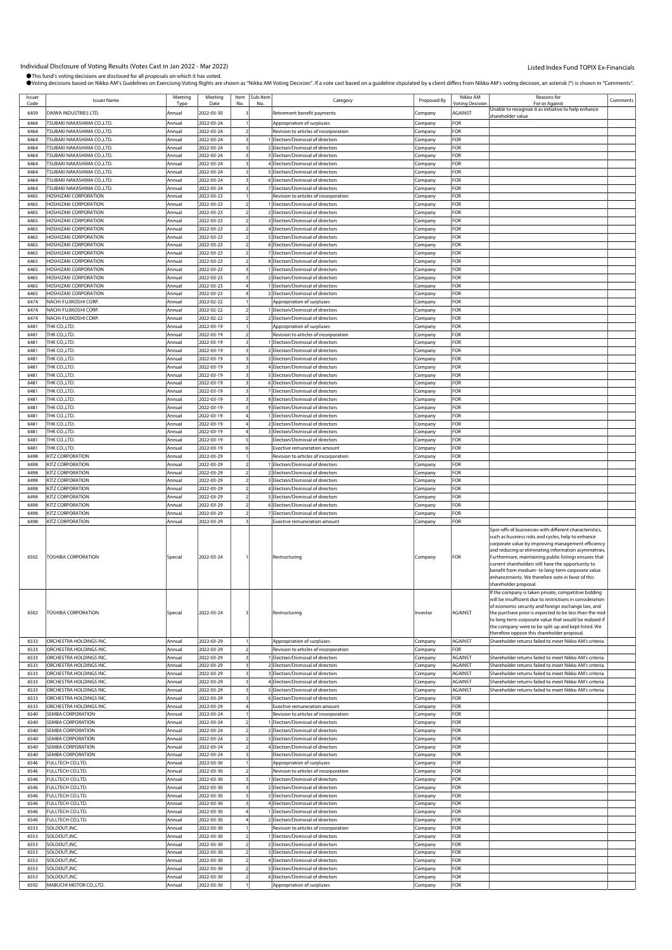Individual Disclosure of Voting Results (Votes Cast in Jan 2022 - Mar 2022)<br>●This fund's voting decisions are disclosed for all proposals on which it has voted. .<br>"Nikko AM Voting Decision". If a vote cast based on a quideline stipulated by a client differs from Nikko AM's voting decision. an asterisk (\*) is shown in "Comments".

|                |                                                                 |                  |                          |     |                      | , voting decisions based on Nikko AM S Guidelines on Exercising Voting Rights are shown as "Nikko AM Voting Decision". If a vote cast based on a guideline stipulated by a client differs from Nikko AM S Voting decision, an |                    |                                    |                                                                                                                                                                                                                                                                                                                                                                                                                                                                              |          |
|----------------|-----------------------------------------------------------------|------------------|--------------------------|-----|----------------------|-------------------------------------------------------------------------------------------------------------------------------------------------------------------------------------------------------------------------------|--------------------|------------------------------------|------------------------------------------------------------------------------------------------------------------------------------------------------------------------------------------------------------------------------------------------------------------------------------------------------------------------------------------------------------------------------------------------------------------------------------------------------------------------------|----------|
| Issuer<br>Code | <b>Issuer Name</b>                                              | Meeting<br>Type  | Meeting<br>Date          | No. | Item Sub-Item<br>No. | Category                                                                                                                                                                                                                      | Proposed By        | Nikko AM<br><b>Voting Decision</b> | Reasons for<br>For or Against                                                                                                                                                                                                                                                                                                                                                                                                                                                | Comments |
| 6459           | DAIWA INDUSTRIES LTD.                                           | Annual           | 2022-03-30               |     |                      | Retirement benefit payments                                                                                                                                                                                                   | Company            | AGAINST                            | Jnable to recognize it as initiative to help enhance                                                                                                                                                                                                                                                                                                                                                                                                                         |          |
| 6464           | <b>TSUBAKI NAKASHIMA CO.,LTD.</b>                               | Annual           | 2022-03-24               |     |                      | Appropriation of surpluses                                                                                                                                                                                                    | Company            | FOR                                | hareholder value                                                                                                                                                                                                                                                                                                                                                                                                                                                             |          |
| 6464           | TSUBAKI NAKASHIMA CO.,LTD.                                      | Annual           | 2022-03-24               |     |                      | Revision to articles of incorporation                                                                                                                                                                                         | Company            | FOR                                |                                                                                                                                                                                                                                                                                                                                                                                                                                                                              |          |
| 6464           | TSUBAKI NAKASHIMA CO.,LTD.                                      | Annual           | 2022-03-24               |     |                      | Election/Dismissal of directors                                                                                                                                                                                               | Company            | FOR                                |                                                                                                                                                                                                                                                                                                                                                                                                                                                                              |          |
| 6464           | <b>TSUBAKI NAKASHIMA CO.,LTD.</b>                               | Annual           | 2022-03-24               |     |                      | 2 Election/Dismissal of directors                                                                                                                                                                                             | Company            | FOR                                |                                                                                                                                                                                                                                                                                                                                                                                                                                                                              |          |
| 6464           | TSUBAKI NAKASHIMA CO.,LTD.                                      | Annual           | 2022-03-24               |     |                      | 3 Election/Dismissal of directors                                                                                                                                                                                             | Company            | FOR                                |                                                                                                                                                                                                                                                                                                                                                                                                                                                                              |          |
| 6464<br>6464   | <b>ISUBAKI NAKASHIMA CO.,LTD.</b><br>TSUBAKI NAKASHIMA CO.,LTD. | Annual<br>Annual | 2022-03-24<br>2022-03-24 |     |                      | 4 Election/Dismissal of directors<br>5 Election/Dismissal of directors                                                                                                                                                        | Company<br>ompany  | FOR<br>FOR                         |                                                                                                                                                                                                                                                                                                                                                                                                                                                                              |          |
| 6464           | TSUBAKI NAKASHIMA CO.,LTD                                       | Annual           | 2022-03-24               |     |                      | 6 Election/Dismissal of directors                                                                                                                                                                                             | Company            | FOR                                |                                                                                                                                                                                                                                                                                                                                                                                                                                                                              |          |
| 6464           | TSUBAKI NAKASHIMA CO.,LTD.                                      | Annual           | 2022-03-24               |     |                      | Election/Dismissal of directors                                                                                                                                                                                               | Company            | FOR                                |                                                                                                                                                                                                                                                                                                                                                                                                                                                                              |          |
| 6465           | <b>HOSHIZAKI CORPORATION</b>                                    | Annual           | 2022-03-23               |     |                      | Revision to articles of incorporation                                                                                                                                                                                         | Company            | FOR                                |                                                                                                                                                                                                                                                                                                                                                                                                                                                                              |          |
| 6465           | <b>IOSHIZAKI CORPORATION</b>                                    | Annual           | 2022-03-23               |     |                      | Election/Dismissal of directors                                                                                                                                                                                               | Company            | FOR                                |                                                                                                                                                                                                                                                                                                                                                                                                                                                                              |          |
| 6465           | <b>HOSHIZAKI CORPORATION</b>                                    | Annual           | 2022-03-23               |     |                      | 2 Election/Dismissal of directors                                                                                                                                                                                             | Company            | FOR                                |                                                                                                                                                                                                                                                                                                                                                                                                                                                                              |          |
| 6465<br>6465   | <b>HOSHIZAKI CORPORATION</b><br>HOSHIZAKI CORPORATION           | Annual<br>Annual | 2022-03-23<br>2022-03-23 |     |                      | 3 Election/Dismissal of directors<br>4 Election/Dismissal of directors                                                                                                                                                        | .cmpany<br>Company | FOR<br>FOR                         |                                                                                                                                                                                                                                                                                                                                                                                                                                                                              |          |
| 6465           | HOSHIZAKI CORPORATION                                           | Annual           | 2022-03-23               |     |                      | 5 Election/Dismissal of directors                                                                                                                                                                                             | Company            | FOR                                |                                                                                                                                                                                                                                                                                                                                                                                                                                                                              |          |
| 6465           | <b>HOSHIZAKI CORPORATION</b>                                    | Annual           | 2022-03-23               |     |                      | 6 Election/Dismissal of directors                                                                                                                                                                                             | Company            | FOR                                |                                                                                                                                                                                                                                                                                                                                                                                                                                                                              |          |
| 6465           | HOSHIZAKI CORPORATION                                           | Annual           | 2022-03-23               |     |                      | 7 Election/Dismissal of directors                                                                                                                                                                                             | ompany             | FOR                                |                                                                                                                                                                                                                                                                                                                                                                                                                                                                              |          |
| 6465           | <b>HOSHIZAKI CORPORATION</b>                                    | Annual           | 2022-03-23               |     |                      | 8 Election/Dismissal of directors                                                                                                                                                                                             | Company            | FOR                                |                                                                                                                                                                                                                                                                                                                                                                                                                                                                              |          |
| 6465           | <b>IOSHIZAKI CORPORATION</b>                                    | Annual           | 2022-03-23               |     |                      | Election/Dismissal of directors                                                                                                                                                                                               | Company            | FOR                                |                                                                                                                                                                                                                                                                                                                                                                                                                                                                              |          |
| 6465<br>6465   | <b>HOSHIZAKI CORPORATION</b><br><b>IOSHIZAKI CORPORATION</b>    | Annual<br>Annual | 2022-03-23<br>2022-03-23 |     |                      | 2 Election/Dismissal of directors<br>Election/Dismissal of directors                                                                                                                                                          | Company<br>Company | FOR<br>FOR                         |                                                                                                                                                                                                                                                                                                                                                                                                                                                                              |          |
| 6465           | HOSHIZAKI CORPORATION                                           | Annual           | 2022-03-23               |     |                      | 2 Election/Dismissal of directors                                                                                                                                                                                             | Company            | FOR                                |                                                                                                                                                                                                                                                                                                                                                                                                                                                                              |          |
| 6474           | NACHI-FUJIKOSHI CORP.                                           | Annual           | 2022-02-22               |     |                      | Appropriation of surpluses                                                                                                                                                                                                    | .cmpany            | FOR                                |                                                                                                                                                                                                                                                                                                                                                                                                                                                                              |          |
| 6474           | NACHI-FUJIKOSHI CORP.                                           | Annual           | 2022-02-22               |     |                      | Election/Dismissal of directors                                                                                                                                                                                               | Company            | FOR                                |                                                                                                                                                                                                                                                                                                                                                                                                                                                                              |          |
| 6474           | NACHI-FUJIKOSHI CORP.                                           | Annual           | 2022-02-22               |     |                      | 2 Election/Dismissal of directors                                                                                                                                                                                             | Company            | FOR                                |                                                                                                                                                                                                                                                                                                                                                                                                                                                                              |          |
| 6481           | THK CO.,LTD.                                                    | Annual           | 2022-03-19               |     |                      | Appropriation of surpluses                                                                                                                                                                                                    | Company            | FOR                                |                                                                                                                                                                                                                                                                                                                                                                                                                                                                              |          |
| 6481<br>6481   | THK CO.,LTD.<br>THK CO.,LTD.                                    | Annual<br>Annual | 2022-03-19<br>2022-03-19 |     |                      | Revision to articles of incorporation<br>Election/Dismissal of directors                                                                                                                                                      | ompany             | FOR<br>FOR                         |                                                                                                                                                                                                                                                                                                                                                                                                                                                                              |          |
| 6481           | THK CO.,LTD.                                                    | Annual           | 2022-03-19               |     |                      | 2 Election/Dismissal of directors                                                                                                                                                                                             | Company<br>.cmpany | FOR                                |                                                                                                                                                                                                                                                                                                                                                                                                                                                                              |          |
| 6481           | THK CO.,LTD.                                                    | Annual           | 2022-03-19               |     |                      | 3 Election/Dismissal of directors                                                                                                                                                                                             | Company            | FOR                                |                                                                                                                                                                                                                                                                                                                                                                                                                                                                              |          |
| 6481           | THK CO.,LTD.                                                    | Annual           | 2022-03-19               |     |                      | 4 Election/Dismissal of directors                                                                                                                                                                                             | Company            | FOR                                |                                                                                                                                                                                                                                                                                                                                                                                                                                                                              |          |
| 6481           | THK CO.,LTD.                                                    | Annual           | 2022-03-19               |     |                      | 5 Election/Dismissal of directors                                                                                                                                                                                             | Company            | FOR                                |                                                                                                                                                                                                                                                                                                                                                                                                                                                                              |          |
| 6481           | THK CO.,LTD.                                                    | Annual           | 2022-03-19               |     |                      | 6 Election/Dismissal of directors                                                                                                                                                                                             | .cmpany            | FOR                                |                                                                                                                                                                                                                                                                                                                                                                                                                                                                              |          |
| 6481<br>6481   | THK CO.,LTD.                                                    | Annual<br>Annual | 2022-03-19               |     |                      | 7 Election/Dismissal of directors                                                                                                                                                                                             | Company            | FOR<br>FOR                         |                                                                                                                                                                                                                                                                                                                                                                                                                                                                              |          |
| 6481           | THK CO.,LTD.<br>THK CO.,LTD.                                    | Annual           | 2022-03-19<br>2022-03-19 |     |                      | 8 Election/Dismissal of directors<br>9 Election/Dismissal of directors                                                                                                                                                        | Company<br>Company | FOR                                |                                                                                                                                                                                                                                                                                                                                                                                                                                                                              |          |
| 6481           | THK CO.,LTD.                                                    | Annual           | 2022-03-19               |     |                      | Election/Dismissal of directors                                                                                                                                                                                               | ompany             | FOR                                |                                                                                                                                                                                                                                                                                                                                                                                                                                                                              |          |
| 6481           | THK CO.,LTD.                                                    | Annual           | 2022-03-19               |     |                      | 2 Election/Dismissal of directors                                                                                                                                                                                             | Company            | FOR                                |                                                                                                                                                                                                                                                                                                                                                                                                                                                                              |          |
| 6481           | THK CO.,LTD.                                                    | Annual           | 2022-03-19               |     |                      | 3 Election/Dismissal of directors                                                                                                                                                                                             | .cmpany            | FOR                                |                                                                                                                                                                                                                                                                                                                                                                                                                                                                              |          |
| 6481           | THK CO.,LTD.                                                    | Annual           | 2022-03-19               |     |                      | Election/Dismissal of directors                                                                                                                                                                                               | Company            | FOR                                |                                                                                                                                                                                                                                                                                                                                                                                                                                                                              |          |
| 6481<br>6498   | THK CO.,LTD.<br>KITZ CORPORATION                                | Annual<br>Annual | 2022-03-19<br>2022-03-29 |     |                      | Exective remuneration amount<br>Revision to articles of incorporation                                                                                                                                                         | Company            | FOR<br>FOR                         |                                                                                                                                                                                                                                                                                                                                                                                                                                                                              |          |
| 6498           | KITZ CORPORATION                                                | Annual           | 2022-03-29               |     |                      | Election/Dismissal of directors                                                                                                                                                                                               | Company<br>.cmpany | FOR                                |                                                                                                                                                                                                                                                                                                                                                                                                                                                                              |          |
| 6498           | KITZ CORPORATION                                                | Annual           | 2022-03-29               |     |                      | 2 Election/Dismissal of directors                                                                                                                                                                                             | Company            | FOR                                |                                                                                                                                                                                                                                                                                                                                                                                                                                                                              |          |
| 6498           | KITZ CORPORATION                                                | Annual           | 2022-03-29               |     |                      | 3 Election/Dismissal of directors                                                                                                                                                                                             | Company            | FOR                                |                                                                                                                                                                                                                                                                                                                                                                                                                                                                              |          |
| 6498           | KITZ CORPORATION                                                | Annual           | 2022-03-29               |     |                      | 4 Election/Dismissal of directors                                                                                                                                                                                             | Company            | FOR                                |                                                                                                                                                                                                                                                                                                                                                                                                                                                                              |          |
| 6498           | KITZ CORPORATION                                                | Annual           | 2022-03-29               |     |                      | 5 Election/Dismissal of directors                                                                                                                                                                                             | ompany             | FOR                                |                                                                                                                                                                                                                                                                                                                                                                                                                                                                              |          |
| 6498<br>6498   | KITZ CORPORATION<br>KITZ CORPORATION                            | Annual<br>Annual | 2022-03-29<br>2022-03-29 |     |                      | 6 Election/Dismissal of directors<br>Flection/Dismissal of directors                                                                                                                                                          | Company            | FOR<br>FOR                         |                                                                                                                                                                                                                                                                                                                                                                                                                                                                              |          |
| 6498           | KITZ CORPORATION                                                | Annual           | 2022-03-29               |     |                      | Exective remuneration amount                                                                                                                                                                                                  | .cmpany<br>Company | FOR                                |                                                                                                                                                                                                                                                                                                                                                                                                                                                                              |          |
| 6502           | <b>TOSHIBA CORPORATION</b>                                      | Special          | 2022-03-24               |     |                      | Restructuring                                                                                                                                                                                                                 | Company            | FOR                                | Spin-offs of businesses with different characteristics,<br>such as business risks and cycles, help to enhance<br>corporate value by improving management efficiency<br>and reducing or eliminating information asymmetries.<br>Furthermore, maintaining public listings ensures that<br>current shareholders still have the opportunity to<br>benefit from medium- to long-term corporate value<br>enhancements. We therefore vote in favor of this<br>shareholder proposal. |          |
| 6502           | TOSHIBA CORPORATION<br>ORCHESTRA HOLDINGS INC.                  | Special          | 2022-03-24               | 3   |                      | Restructuring                                                                                                                                                                                                                 | Investor           | AGAINST                            | If the company is taken private, competitive bidding<br>will be insufficient due to restrictions in consideration<br>of economic security and foreign exchange law, and<br>the purchase price is expected to be less than the mid-<br>to long-term corporate value that would be realized if<br>the company were to be split up and kept listed. We<br>therefore oppose this shareholder proposal.                                                                           |          |
| 6533<br>6533   | ORCHESTRA HOLDINGS INC.                                         | Annual<br>Annual | 2022-03-29<br>2022-03-29 |     |                      | Appropriation of surpluses<br>Revision to articles of incorporation                                                                                                                                                           | Company<br>Company | AGAINST<br>FOR                     | Shareholder returns failed to meet Nikko AM's criteria                                                                                                                                                                                                                                                                                                                                                                                                                       |          |
| 6533           | ORCHESTRA HOLDINGS INC.                                         | Annual           | 2022-03-29               |     |                      | Election/Dismissal of directors                                                                                                                                                                                               | Company            | AGAINST                            | Shareholder returns failed to meet Nikko AM's criteria                                                                                                                                                                                                                                                                                                                                                                                                                       |          |
| 6533           | ORCHESTRA HOLDINGS INC.                                         | Annual           | 2022-03-29               |     |                      | 2 Election/Dismissal of directors                                                                                                                                                                                             | Company            | AGAINST                            | Shareholder returns failed to meet Nikko AM's criteria                                                                                                                                                                                                                                                                                                                                                                                                                       |          |
| 6533           | ORCHESTRA HOLDINGS INC.                                         | Annual           | 2022-03-29               |     |                      | 3 Election/Dismissal of directors                                                                                                                                                                                             | Company            | AGAINST                            | Shareholder returns failed to meet Nikko AM's criteria                                                                                                                                                                                                                                                                                                                                                                                                                       |          |
| 6533           | ORCHESTRA HOLDINGS INC.                                         | Annual           | 2022-03-29               |     |                      | 4 Election/Dismissal of directors                                                                                                                                                                                             | Company            | AGAINST                            | Shareholder returns failed to meet Nikko AM's criteria                                                                                                                                                                                                                                                                                                                                                                                                                       |          |
| 6533           | ORCHESTRA HOLDINGS INC.                                         | Annual           | 2022-03-29               |     |                      | 5 Election/Dismissal of directors<br>6 Election/Dismissal of directors                                                                                                                                                        | Company            | AGAINST<br>FOR                     | Shareholder returns failed to meet Nikko AM's criteria                                                                                                                                                                                                                                                                                                                                                                                                                       |          |
| 6533<br>6533   | ORCHESTRA HOLDINGS INC.<br>ORCHESTRA HOLDINGS INC.              | Annual<br>Annual | 2022-03-29<br>2022-03-29 |     |                      | Exective remuneration amount                                                                                                                                                                                                  | ompany.<br>Company | FOR                                |                                                                                                                                                                                                                                                                                                                                                                                                                                                                              |          |
| 6540           | SEMBA CORPORATION                                               | Annual           | 2022-03-24               |     |                      | Revision to articles of incorporation                                                                                                                                                                                         | .<br>ompany        | FOR                                |                                                                                                                                                                                                                                                                                                                                                                                                                                                                              |          |
| 6540           | SEMBA CORPORATION                                               | Annual           | 2022-03-24               |     |                      | Election/Dismissal of directors                                                                                                                                                                                               | Company            | FOR                                |                                                                                                                                                                                                                                                                                                                                                                                                                                                                              |          |
| 6540           | SEMBA CORPORATION                                               | Annual           | 2022-03-24               |     |                      | 2 Election/Dismissal of directors                                                                                                                                                                                             | Company            | FOR                                |                                                                                                                                                                                                                                                                                                                                                                                                                                                                              |          |
| 6540           | SEMBA CORPORATION                                               | Annual           | 2022-03-24               |     |                      | 3 Election/Dismissal of directors                                                                                                                                                                                             | ompany.            | FOR                                |                                                                                                                                                                                                                                                                                                                                                                                                                                                                              |          |
| 6540           | SEMBA CORPORATION                                               | Annual           | 2022-03-24               |     |                      | 4 Election/Dismissal of directors                                                                                                                                                                                             | Company            | FOR                                |                                                                                                                                                                                                                                                                                                                                                                                                                                                                              |          |
| 6540<br>6546   | SEMBA CORPORATION<br>FULLTECH CO.LTD.                           | Annual<br>Annual | 2022-03-24<br>2022-03-30 |     |                      | Election/Dismissal of directors<br>Appropriation of surpluses                                                                                                                                                                 | Company            | FOR<br>FOR                         |                                                                                                                                                                                                                                                                                                                                                                                                                                                                              |          |
| 6546           | FULLTECH CO.LTD.                                                | Annual           | 2022-03-30               |     |                      | Revision to articles of incorporation                                                                                                                                                                                         | Company<br>Company | FOR                                |                                                                                                                                                                                                                                                                                                                                                                                                                                                                              |          |
| 6546           | FULLTECH CO.LTD.                                                | Annual           | 2022-03-30               |     |                      | Election/Dismissal of directors                                                                                                                                                                                               | ompany             | FOR                                |                                                                                                                                                                                                                                                                                                                                                                                                                                                                              |          |
| 6546           | FULLTECH CO.LTD.                                                | Annual           | 2022-03-30               |     |                      | Election/Dismissal of directors                                                                                                                                                                                               | .cmpany            | FOR                                |                                                                                                                                                                                                                                                                                                                                                                                                                                                                              |          |
| 6546           | FULLTECH CO.LTD.                                                | Annual           | 2022-03-30               |     |                      | 3 Election/Dismissal of directors                                                                                                                                                                                             | .<br>ompany        | FOR                                |                                                                                                                                                                                                                                                                                                                                                                                                                                                                              |          |
| 6546           | FULLTECH CO.LTD.                                                | Annual           | 2022-03-30               |     |                      | 4 Election/Dismissal of directors                                                                                                                                                                                             | Company            | FOR                                |                                                                                                                                                                                                                                                                                                                                                                                                                                                                              |          |
| 6546<br>6546   | FULLTECH CO.LTD.<br>FULLTECH CO.LTD.                            | Annual<br>Annual | 2022-03-30<br>2022-03-30 |     |                      | Election/Dismissal of directors<br>2 Election/Dismissal of directors                                                                                                                                                          | Company            | FOR<br>FOR                         |                                                                                                                                                                                                                                                                                                                                                                                                                                                                              |          |
| 6553           | SOLDOUT, INC.                                                   | Annual           | 2022-03-30               |     |                      | Revision to articles of incorporation                                                                                                                                                                                         | ompany<br>.cmpany  | FOR                                |                                                                                                                                                                                                                                                                                                                                                                                                                                                                              |          |
| 6553           | SOLDOUT, INC.                                                   | Annual           | 2022-03-30               |     |                      | Election/Dismissal of directors                                                                                                                                                                                               | Company            | FOR                                |                                                                                                                                                                                                                                                                                                                                                                                                                                                                              |          |
| 6553           | SOLDOUT, INC.                                                   | Annual           | 2022-03-30               |     |                      | 2 Election/Dismissal of directors                                                                                                                                                                                             | Company            | FOR                                |                                                                                                                                                                                                                                                                                                                                                                                                                                                                              |          |
| 6553           | SOLDOUT, INC.                                                   | Annual           | 2022-03-30               |     |                      | 3 Election/Dismissal of directors                                                                                                                                                                                             | Company            | FOR                                |                                                                                                                                                                                                                                                                                                                                                                                                                                                                              |          |
| 6553           | SOLDOUT, INC.                                                   | Annual           | 2022-03-30               |     |                      | 4 Election/Dismissal of directors                                                                                                                                                                                             | ompany             | FOR                                |                                                                                                                                                                                                                                                                                                                                                                                                                                                                              |          |
| 6553<br>6553   | SOLDOUT, INC.                                                   | Annual<br>Annual | 2022-03-30               |     |                      | 5 Election/Dismissal of directors                                                                                                                                                                                             | .cmpany            | FOR<br>FOR                         |                                                                                                                                                                                                                                                                                                                                                                                                                                                                              |          |
| 6592           | SOLDOUT, INC.<br>MABUCHI MOTOR CO., LTD.                        | Annual           | 2022-03-30<br>2022-03-30 |     |                      | 6 Election/Dismissal of directors<br>Appropriation of surpluses                                                                                                                                                               | Company<br>Company | FOR                                |                                                                                                                                                                                                                                                                                                                                                                                                                                                                              |          |
|                |                                                                 |                  |                          |     |                      |                                                                                                                                                                                                                               |                    |                                    |                                                                                                                                                                                                                                                                                                                                                                                                                                                                              |          |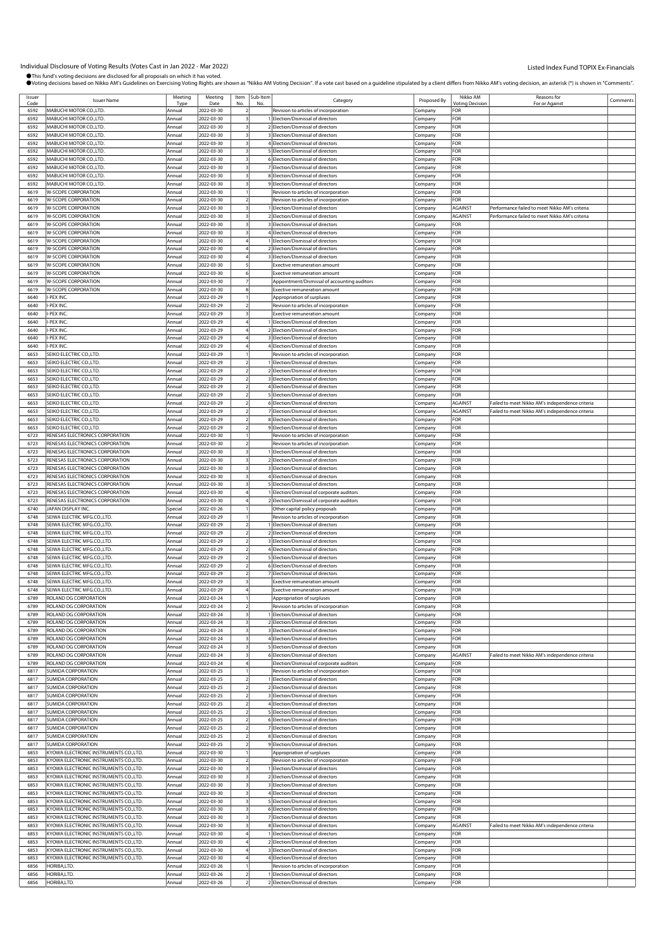| Issuer | <b>Issuer Name</b>                     | Meeting | Meeting    | Item | Sub-Item | Category                                     | Proposed By | Nikko AM       | Reasons for                                     | Comments |
|--------|----------------------------------------|---------|------------|------|----------|----------------------------------------------|-------------|----------------|-------------------------------------------------|----------|
| Code   |                                        | Type    | Date       |      |          |                                              |             | Votina Decisio | For or Against                                  |          |
| 6592   | MABUCHI MOTOR CO., LTD.                | Annual  | 2022-03-30 |      |          | Revision to articles of incorporation        | Company     | FOR            |                                                 |          |
| 6592   | MABUCHI MOTOR CO., LTD.                | Annual  | 2022-03-30 |      |          | Election/Dismissal of directors              | Company     | For            |                                                 |          |
| 6592   | MABUCHI MOTOR CO., LTD.                | Annual  | 2022-03-30 |      |          | Election/Dismissal of directors              | Company     | FOR            |                                                 |          |
| 6592   | MABUCHI MOTOR CO.,LTD.                 | Annual  | 2022-03-30 |      |          | Election/Dismissal of directors              | Company     | FOR            |                                                 |          |
| 6592   | MABUCHI MOTOR CO., LTD.                | Annual  | 2022-03-30 |      |          | 4 Election/Dismissal of directors            | Company     | FOR            |                                                 |          |
| 6592   | MABUCHI MOTOR CO., LTD.                | Annual  | 2022-03-30 |      |          | 5 Election/Dismissal of directors            | Company     | FOR            |                                                 |          |
|        |                                        |         |            |      |          |                                              |             |                |                                                 |          |
| 6592   | MABUCHI MOTOR CO., LTD.                | Annual  | 2022-03-30 |      |          | 6 Election/Dismissal of directors            | Company     | FOR            |                                                 |          |
| 6592   | MABUCHI MOTOR CO., LTD.                | Annual  | 2022-03-30 |      |          | 7 Election/Dismissal of directors            | Company     | FOR            |                                                 |          |
| 6592   | MABUCHI MOTOR CO., LTD.                | Annual  | 2022-03-30 |      |          | 8 Election/Dismissal of directors            | Company     | FOR            |                                                 |          |
| 6592   | MABUCHI MOTOR CO., LTD.                | Annual  | 2022-03-30 |      |          | 9 Election/Dismissal of directors            | Company     | FOR            |                                                 |          |
| 6619   | <b>W-SCOPE CORPORATION</b>             | Annual  | 2022-03-30 |      |          | Revision to articles of incorporation        | Company     | FOR            |                                                 |          |
| 6619   | W-SCOPE CORPORATION                    | Annual  | 2022-03-30 |      |          | Revision to articles of incorporation        | Company     | FOR            |                                                 |          |
| 6619   | <b>W-SCOPE CORPORATION</b>             | Annual  | 2022-03-30 |      |          | Election/Dismissal of directors              |             | AGAINST        | Performance failed to meet Nikko AM's criteria  |          |
|        |                                        |         |            |      |          |                                              | Company     |                |                                                 |          |
| 6619   | <b>W-SCOPE CORPORATION</b>             | Annual  | 2022-03-30 |      |          | 2 Election/Dismissal of directors            | Company     | AGAINST        | Performance failed to meet Nikko AM's criteria  |          |
| 6619   | <b>W-SCOPE CORPORATION</b>             | Annual  | 2022-03-30 |      |          | 3 Election/Dismissal of directors            | Company     | FOR            |                                                 |          |
| 6619   | <b>W-SCOPE CORPORATION</b>             | Annual  | 2022-03-30 |      |          | 4 Election/Dismissal of directors            | Company     | FOR            |                                                 |          |
| 6619   | <b>W-SCOPE CORPORATION</b>             | Annual  | 2022-03-30 |      |          | Election/Dismissal of directors              | Company     | FOR            |                                                 |          |
| 6619   | W-SCOPE CORPORATION                    | Annual  | 2022-03-30 |      |          | Election/Dismissal of directors              | Company     | FOR            |                                                 |          |
| 6619   | <b>W-SCOPE CORPORATION</b>             | Annual  | 2022-03-30 |      |          | 3 Election/Dismissal of directors            | Company     | FOR            |                                                 |          |
|        |                                        |         |            |      |          |                                              |             |                |                                                 |          |
| 6619   | <b>W-SCOPE CORPORATION</b>             | Annual  | 2022-03-30 |      |          | Exective remuneration amount                 | Company     | FOR            |                                                 |          |
| 6619   | <b>W-SCOPE CORPORATION</b>             | Annual  | 2022-03-30 |      |          | Exective remuneration amount                 | Company     | FOR            |                                                 |          |
| 6619   | <b>W-SCOPE CORPORATION</b>             | Annual  | 2022-03-30 |      |          | Appointment/Dismissal of accounting auditors | Company     | FOR            |                                                 |          |
| 6619   | <b>W-SCOPE CORPORATION</b>             | Annual  | 2022-03-30 |      |          | <b>Exective remuneration amount</b>          | Company     | FOR            |                                                 |          |
| 6640   | -PEX INC.                              | Annual  | 2022-03-29 |      |          | Appropriation of surpluses                   | Company     | FOR            |                                                 |          |
| 6640   | -PEX INC                               | Annual  | 2022-03-29 |      |          | Revision to articles of incorporation        | Company     | FOR            |                                                 |          |
|        |                                        |         |            |      |          |                                              |             |                |                                                 |          |
| 6640   | I-PEX INC.                             | Annual  | 2022-03-29 |      |          | Exective remuneration amount                 | Company     | FOR            |                                                 |          |
| 6640   | I-PEX INC                              | Annual  | 2022-03-29 |      |          | 1 Election/Dismissal of directors            | Company     | FOR            |                                                 |          |
| 6640   | <b>-PEX INC</b>                        | Annual  | 2022-03-29 |      |          | 2 Election/Dismissal of directors            | Company     | FOR            |                                                 |          |
| 6640   | -PEX INC.                              | Annual  | 2022-03-29 |      |          | 3 Election/Dismissal of directors            | Company     | <b>OR</b>      |                                                 |          |
| 6640   | I-PEX INC                              | Annual  | 2022-03-29 |      |          | 4 Election/Dismissal of directors            | Company     | FOR            |                                                 |          |
| 6653   | SEIKO ELECTRIC CO.,LTD.                | Annual  | 2022-03-29 |      |          | Revision to articles of incorporation        | .cmpany     | FOR            |                                                 |          |
|        |                                        |         |            |      |          |                                              |             |                |                                                 |          |
| 6653   | SEIKO ELECTRIC CO.,LTD.                | Annual  | 2022-03-29 |      |          | Election/Dismissal of directors              | Company     | FOR            |                                                 |          |
| 6653   | SEIKO ELECTRIC CO., LTD.               | Annual  | 2022-03-29 |      |          | 2 Election/Dismissal of directors            | Company     | FOR            |                                                 |          |
| 6653   | SEIKO ELECTRIC CO.,LTD.                | Annual  | 2022-03-29 |      |          | 3 Election/Dismissal of directors            | Company     | FOR            |                                                 |          |
| 6653   | SEIKO ELECTRIC CO., LTD.               | Annual  | 2022-03-29 |      |          | 4 Election/Dismissal of directors            | Company     | FOR            |                                                 |          |
| 6653   | SEIKO ELECTRIC CO., LTD.               | Annual  | 2022-03-29 |      |          | 5 Election/Dismissal of directors            | Company     | FOR            |                                                 |          |
| 6653   | SEIKO ELECTRIC CO.,LTD.                | Annual  | 2022-03-29 |      |          | 6 Election/Dismissal of directors            | Company     | <b>AGAINST</b> | Failed to meet Nikko AM's independence criteria |          |
| 6653   | SEIKO ELECTRIC CO.,LTD.                | Annual  | 2022-03-29 |      |          | 7 Election/Dismissal of directors            |             | <b>AGAINST</b> | Failed to meet Nikko AM's independence criteria |          |
|        |                                        |         |            |      |          |                                              | Company     |                |                                                 |          |
| 6653   | SEIKO ELECTRIC CO., LTD.               | Annual  | 2022-03-29 |      |          | 8 Election/Dismissal of directors            | Company     | FOR            |                                                 |          |
| 6653   | SEIKO ELECTRIC CO., LTD.               | Annual  | 2022-03-29 |      |          | 9 Election/Dismissal of directors            | Company     | FOR            |                                                 |          |
| 6723   | RENESAS ELECTRONICS CORPORATION        | Annual  | 2022-03-30 |      |          | Revision to articles of incorporation        | Company     | FOR            |                                                 |          |
| 6723   | RENESAS ELECTRONICS CORPORATION        | Annual  | 2022-03-30 |      |          | Revision to articles of incorporation        | Company     | FOR            |                                                 |          |
| 6723   | RENESAS ELECTRONICS CORPORATION        | Annual  | 2022-03-30 |      |          | Election/Dismissal of directors              | Company     | FOR            |                                                 |          |
| 6723   | RENESAS ELECTRONICS CORPORATION        | Annual  | 2022-03-30 |      |          | 2 Election/Dismissal of directors            | Company     | FOR            |                                                 |          |
|        | RENESAS ELECTRONICS CORPORATION        |         |            |      |          |                                              |             | FOR            |                                                 |          |
| 6723   |                                        | Annual  | 2022-03-30 |      |          | 3 Election/Dismissal of directors            | Company     |                |                                                 |          |
| 6723   | RENESAS ELECTRONICS CORPORATION        | Annual  | 2022-03-30 |      |          | 4 Election/Dismissal of directors            | Company     | FOR            |                                                 |          |
| 6723   | RENESAS ELECTRONICS CORPORATION        | Annual  | 2022-03-30 |      |          | 5 Election/Dismissal of directors            | Company     | FOR            |                                                 |          |
| 6723   | RENESAS ELECTRONICS CORPORATION        | Annual  | 2022-03-30 |      |          | 1 Election/Dismissal of corporate auditors   | Company     | FOR            |                                                 |          |
| 6723   | RENESAS ELECTRONICS CORPORATION        | Annual  | 2022-03-30 |      |          | 2 Election/Dismissal of corporate auditors   | Company     | FOR            |                                                 |          |
| 6740   | JAPAN DISPLAY INC                      | Special | 2022-03-26 |      |          | Other capital policy proposals               | Company     | FOR            |                                                 |          |
|        |                                        |         |            |      |          |                                              |             |                |                                                 |          |
| 6748   | SEIWA ELECTRIC MFG.CO.,LTD.            | Annual  | 2022-03-29 |      |          | Revision to articles of incorporation        | Company     | FOR            |                                                 |          |
| 6748   | SEIWA ELECTRIC MFG.CO.,LTD.            | Annual  | 2022-03-29 |      |          | 1 Election/Dismissal of directors            | Company     | FOR            |                                                 |          |
| 6748   | SEIWA ELECTRIC MFG.CO.,LTD.            | Annual  | 2022-03-29 |      |          | 2 Election/Dismissal of directors            | Company     | FOR            |                                                 |          |
| 6748   | SEIWA ELECTRIC MFG.CO.,LTD.            | Annual  | 2022-03-29 |      |          | 3 Election/Dismissal of directors            | Company     | <b>OR</b>      |                                                 |          |
| 6748   | SEIWA ELECTRIC MFG.CO.,LTD.            | Annual  | 2022-03-29 |      |          | 4 Election/Dismissal of directors            | Company     | FOR            |                                                 |          |
| 6748   | SEIWA ELECTRIC MFG.CO.,LTD.            | Annual  | 2022-03-29 |      |          | 5 Election/Dismissal of directors            | Company     | FOR            |                                                 |          |
| 6748   | SEIWA ELECTRIC MFG.CO.,LTD.            | Annual  | 2022-03-29 |      |          | 6 Election/Dismissal of directors            |             | FOR            |                                                 |          |
| 6748   | SEIWA ELECTRIC MFG.CO.,LTD.            |         |            |      |          |                                              | Company     |                |                                                 |          |
|        |                                        | Annual  | 2022-03-29 |      |          | 7 Election/Dismissal of directors            | Company     | FOR            |                                                 |          |
| 6748   | SEIWA ELECTRIC MFG.CO.,LTD.            | Annual  | 2022-03-29 |      |          | <b>Exective remuneration amount</b>          | Company     | FOR            |                                                 |          |
| 6748   | SEIWA ELECTRIC MFG.CO.,LTD.            | Annual  | 2022-03-29 |      |          | Exective remuneration amount                 | Company     | FOR            |                                                 |          |
| 6789   | ROLAND DG CORPORATION                  | Annual  | 2022-03-24 |      |          | Appropriation of surpluses                   | Company     | FOR            |                                                 |          |
| 6789   | ROLAND DG CORPORATION                  | Annual  | 2022-03-24 |      |          | Revision to articles of incorporation        | Company     | FOR            |                                                 |          |
| 6789   | ROLAND DG CORPORATION                  | Annual  | 2022-03-24 |      |          | Election/Dismissal of directors              | Company     | FOR            |                                                 |          |
| 6789   | ROLAND DG CORPORATION                  | Annual  | 2022-03-24 |      |          | Election/Dismissal of directors              |             | FOR            |                                                 |          |
|        |                                        |         |            |      |          |                                              | Company     |                |                                                 |          |
| 6789   | ROLAND DG CORPORATION                  | Annual  | 2022-03-24 |      |          | 3 Election/Dismissal of directors            | Company     | FOR            |                                                 |          |
| 6789   | ROLAND DG CORPORATION                  | Annual  | 2022-03-24 |      |          | 4 Election/Dismissal of directors            | Company     | FOR            |                                                 |          |
| 6789   | ROLAND DG CORPORATION                  | Annual  | 2022-03-24 |      |          | 5 Election/Dismissal of directors            | Company     | FOR            |                                                 |          |
| 6789   | ROLAND DG CORPORATION                  | Annual  | 2022-03-24 |      |          | 6 Election/Dismissal of directors            | Company     | AGAINST        | Failed to meet Nikko AM's independence criteria |          |
| 6789   | ROLAND DG CORPORATION                  | Annual  | 2022-03-24 |      |          | Election/Dismissal of corporate auditors     | Company     | FOR            |                                                 |          |
| 6817   | SUMIDA CORPORATION                     | Annual  | 2022-03-25 |      |          | Revision to articles of incorporation        | Company     | FOR            |                                                 |          |
| 6817   | SUMIDA CORPORATION                     |         | 2022-03-25 |      |          |                                              |             | FOR            |                                                 |          |
|        |                                        | Annual  |            |      |          | Election/Dismissal of directors              | Company     |                |                                                 |          |
| 6817   | SUMIDA CORPORATION                     | Annual  | 2022-03-25 |      |          | 2 Election/Dismissal of directors            | Company     | FOR            |                                                 |          |
| 6817   | SUMIDA CORPORATION                     | Annual  | 2022-03-25 |      |          | 3 Election/Dismissal of directors            | Company     | FOR            |                                                 |          |
| 6817   | SUMIDA CORPORATION                     | Annual  | 2022-03-25 |      |          | 4 Election/Dismissal of directors            | Company     | FOR            |                                                 |          |
| 6817   | SUMIDA CORPORATION                     | Annual  | 2022-03-25 |      |          | 5 Election/Dismissal of directors            | Company     | FOR            |                                                 |          |
| 6817   | SUMIDA CORPORATION                     | Annual  | 2022-03-25 |      |          | 6 Election/Dismissal of directors            | Company     | FOR            |                                                 |          |
| 6817   | SUMIDA CORPORATION                     | Annual  | 2022-03-25 |      |          | 7 Election/Dismissal of directors            | Company     | For            |                                                 |          |
| 6817   | SUMIDA CORPORATION                     | Annual  | 2022-03-25 |      |          | 8 Election/Dismissal of directors            |             | FOR            |                                                 |          |
|        |                                        |         |            |      |          |                                              | Company     |                |                                                 |          |
| 6817   | SUMIDA CORPORATION                     | Annual  | 2022-03-25 |      |          | 9 Election/Dismissal of directors            | Company     | FOR            |                                                 |          |
| 6853   | KYOWA ELECTRONIC INSTRUMENTS CO., LTD. | Annual  | 2022-03-30 |      |          | Appropriation of surpluses                   | Company     | FOR            |                                                 |          |
| 6853   | KYOWA ELECTRONIC INSTRUMENTS CO.,LTD.  | Annual  | 2022-03-30 |      |          | Revision to articles of incorporation        | Company     | FOR            |                                                 |          |
| 6853   | KYOWA ELECTRONIC INSTRUMENTS CO., LTD. | Annual  | 2022-03-30 |      |          | Election/Dismissal of directors              | Company     | FOR            |                                                 |          |
| 6853   | KYOWA ELECTRONIC INSTRUMENTS CO., LTD. | Annual  | 2022-03-30 |      |          | 2 Election/Dismissal of directors            | Company     | FOR            |                                                 |          |
| 6853   | KYOWA ELECTRONIC INSTRUMENTS CO.,LTD.  | Annual  | 2022-03-30 |      |          | 3 Election/Dismissal of directors            | Company     | FOR            |                                                 |          |
|        |                                        |         |            |      |          |                                              |             |                |                                                 |          |
| 6853   | KYOWA ELECTRONIC INSTRUMENTS CO., LTD. | Annual  | 2022-03-30 |      |          | 4 Election/Dismissal of directors            | Company     | FOR            |                                                 |          |
| 6853   | KYOWA ELECTRONIC INSTRUMENTS CO.,LTD.  | Annual  | 2022-03-30 |      |          | 5 Election/Dismissal of directors            | Company     | FOR            |                                                 |          |
| 6853   | KYOWA ELECTRONIC INSTRUMENTS CO., LTD. | Annual  | 2022-03-30 |      |          | 6 Election/Dismissal of directors            | Company     | FOR            |                                                 |          |
| 6853   | KYOWA ELECTRONIC INSTRUMENTS CO., LTD. | Annual  | 2022-03-30 |      |          | 7 Election/Dismissal of directors            | Company     | FOR            |                                                 |          |
| 6853   | KYOWA ELECTRONIC INSTRUMENTS CO.,LTD.  | Annual  | 2022-03-30 |      |          | 8 Election/Dismissal of directors            | Company     | AGAINST        | Failed to meet Nikko AM's independence criteria |          |
| 6853   | KYOWA ELECTRONIC INSTRUMENTS CO., LTD. | Annual  | 2022-03-30 |      |          | 1 Election/Dismissal of directors            | Company     | FOR            |                                                 |          |
| 6853   | KYOWA ELECTRONIC INSTRUMENTS CO., LTD. | Annual  | 2022-03-30 |      |          | 2 Election/Dismissal of directors            | Company     | FOR            |                                                 |          |
|        |                                        |         |            |      |          |                                              |             |                |                                                 |          |
| 6853   | KYOWA ELECTRONIC INSTRUMENTS CO., LTD. | Annual  | 2022-03-30 |      |          | 3 Election/Dismissal of directors            | Company     | FOR            |                                                 |          |
| 6853   | KYOWA ELECTRONIC INSTRUMENTS CO., LTD. | Annual  | 2022-03-30 |      |          | 4 Election/Dismissal of directors            | Company     | FOR            |                                                 |          |
| 6856   | HORIBA,LTD.                            | Annual  | 2022-03-26 |      |          | Revision to articles of incorporation        | Company     | FOR            |                                                 |          |
| 6856   | HORIBA,LTD.                            | Annual  | 2022-03-26 |      |          | Election/Dismissal of directors              | Company     | FOR            |                                                 |          |
| 6856   | HORIBA,LTD.                            | Annual  | 2022-03-26 |      |          | Election/Dismissal of directors              | Company     | FOR            |                                                 |          |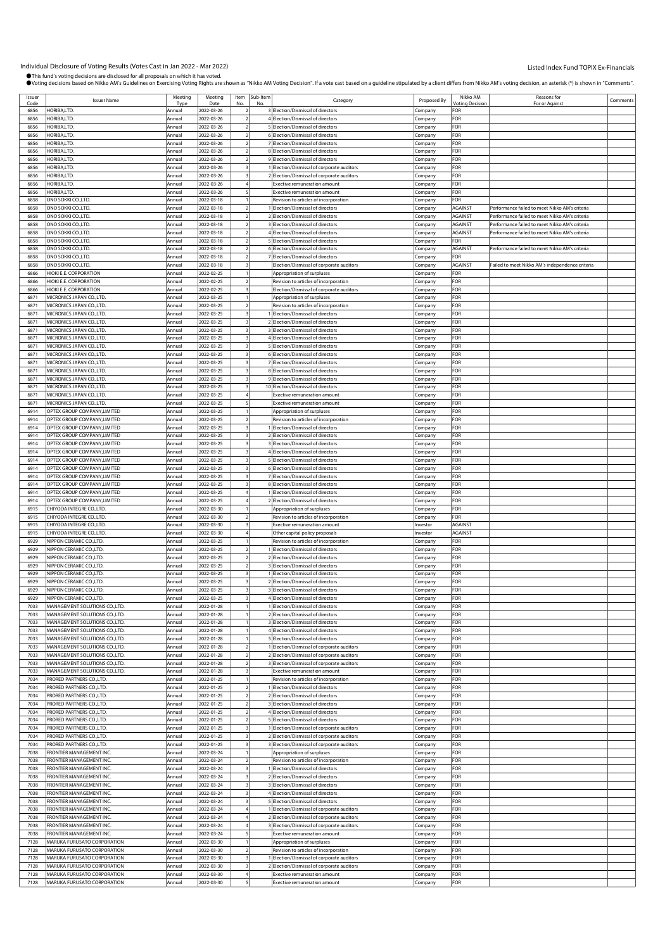| Issuer       | <b>Issuer Name</b>             | Meeting | Meeting    | Item Sub-Item | Category                                   | Proposed By | Nikko AM<br><b><i><u>Intina</u></i></b> Decision | Reasons for                                     | Comments |
|--------------|--------------------------------|---------|------------|---------------|--------------------------------------------|-------------|--------------------------------------------------|-------------------------------------------------|----------|
| Code<br>6856 | HORIBA,LTD                     | Tyne    | Date       |               | 3 Election/Dismissal of directors          |             | FOR                                              | For or Against                                  |          |
|              |                                | Annual  | 2022-03-26 |               |                                            | Company     |                                                  |                                                 |          |
| 6856         | HORIBA,LTD.                    | Annual  | 2022-03-26 |               | 4 Election/Dismissal of directors          | Company     | FOR                                              |                                                 |          |
| 6856         | HORIBA.LTD.                    | Annual  | 2022-03-26 |               | 5 Election/Dismissal of directors          | Company     | FOR                                              |                                                 |          |
| 6856         | HORIBA,LTD.                    | Annual  | 2022-03-26 |               | 6 Election/Dismissal of directors          | Company     | FOR                                              |                                                 |          |
| 6856         | HORIBA,LTD.                    | Annual  | 2022-03-26 |               | 7 Election/Dismissal of directors          | .cmpany     | FOR                                              |                                                 |          |
| 6856         | HORIBA,LTD                     | Annual  | 2022-03-26 |               | 8 Election/Dismissal of directors          | .cmpany     | FOR                                              |                                                 |          |
| 6856         | HORIBA,LTD.                    | Annual  | 2022-03-26 |               | 9 Election/Dismissal of directors          | .cmpany     | FOR                                              |                                                 |          |
| 6856         | HORIBA,LTD                     | Annual  |            |               |                                            |             | FOR                                              |                                                 |          |
|              |                                |         | 2022-03-26 |               | 1 Election/Dismissal of corporate auditors | Company     |                                                  |                                                 |          |
| 6856         | HORIBA,LTD.                    | Annual  | 2022-03-26 |               | 2 Election/Dismissal of corporate auditors | Company     | FOR                                              |                                                 |          |
| 6856         | HORIBA,LTD.                    | Annual  | 2022-03-26 |               | Exective remuneration amount               | Company     | FOR                                              |                                                 |          |
| 6856         | HORIBA,LTD                     | Annual  | 2022-03-26 |               | Exective remuneration amount               | Company     | FOR                                              |                                                 |          |
| 6858         | ONO SOKKI CO.,LTD.             | Annual  | 2022-03-18 |               | Revision to articles of incorporation      | Company     | FOR                                              |                                                 |          |
| 6858         | ONO SOKKI CO., LTD.            | Annual  | 2022-03-18 |               | 1 Election/Dismissal of directors          | Company     | AGAINST                                          | Performance failed to meet Nikko AM's criteria  |          |
| 6858         | ONO SOKKI CO., LTD.            | Annual  | 2022-03-18 |               | 2 Election/Dismissal of directors          | Company     | AGAINST                                          | Performance failed to meet Nikko AM's criteria  |          |
|              |                                |         |            |               |                                            |             |                                                  |                                                 |          |
| 6858         | ONO SOKKI CO., LTD             | Annual  | 2022-03-18 |               | 3 Election/Dismissal of directors          | Company     | AGAINST                                          | Performance failed to meet Nikko AM's criteria  |          |
| 6858         | ONO SOKKI CO., LTD             | Annual  | 2022-03-18 |               | 4 Election/Dismissal of directors          | Company     | <b>AGAINST</b>                                   | Performance failed to meet Nikko AM's criteria  |          |
| 6858         | ONO SOKKI CO.,LTD.             | Annual  | 2022-03-18 |               | 5 Election/Dismissal of directors          | Company     | FOR                                              |                                                 |          |
| 6858         | ONO SOKKI CO., LTD.            | Annual  | 2022-03-18 |               | 6 Election/Dismissal of directors          | Company     | AGAINST                                          | Performance failed to meet Nikko AM's criteria  |          |
| 6858         | ONO SOKKI CO.,LTD.             | Annual  | 2022-03-18 |               | 7 Election/Dismissal of directors          | Company     | FOR                                              |                                                 |          |
| 6858         | ONO SOKKI CO.,LTD              | Annual  | 2022-03-18 |               | Election/Dismissal of corporate auditors   | Company     | AGAINST                                          | Failed to meet Nikko AM's independence criteria |          |
| 6866         |                                |         |            |               |                                            |             | FOR                                              |                                                 |          |
|              | HIOKI E.E. CORPORATION         | Annual  | 2022-02-25 |               | Appropriation of surpluses                 | .cmpany     |                                                  |                                                 |          |
| 6866         | HIOKI E.E. CORPORATION         | Annual  | 2022-02-25 |               | Revision to articles of incorporation      | Company     | <b>OR</b>                                        |                                                 |          |
| 6866         | HIOKI E.E. CORPORATION         | Annual  | 2022-02-25 |               | Election/Dismissal of corporate auditors   | Company     | FOR                                              |                                                 |          |
| 6871         | MICRONICS JAPAN CO., LTD.      | Annual  | 2022-03-25 |               | Appropriation of surpluses                 | Company     | FOR                                              |                                                 |          |
| 6871         | MICRONICS JAPAN CO.,LTD.       | Annual  | 2022-03-25 |               | Revision to articles of incorporation      | .ompany     | FOR                                              |                                                 |          |
| 6871         | MICRONICS JAPAN CO., LTD.      | Annual  | 2022-03-25 |               | Election/Dismissal of directors            | .cmpany     | FOR                                              |                                                 |          |
|              | MICRONICS JAPAN CO., LTD.      |         |            |               |                                            |             |                                                  |                                                 |          |
| 6871         |                                | Annual  | 2022-03-25 |               | 2 Election/Dismissal of directors          | .cmpany     | <b>OR</b>                                        |                                                 |          |
| 6871         | MICRONICS JAPAN CO.,LTD.       | Annual  | 2022-03-25 |               | 3 Election/Dismissal of directors          | Company     | FOR                                              |                                                 |          |
| 687          | MICRONICS JAPAN CO., LTD.      | Annual  | 2022-03-25 |               | 4 Election/Dismissal of directors          | Company     | FOR                                              |                                                 |          |
| 6871         | MICRONICS JAPAN CO.,LTD.       | Annual  | 2022-03-25 |               | 5 Election/Dismissal of directors          | .cmpany     | FOR                                              |                                                 |          |
| 6871         | MICRONICS JAPAN CO., LTD.      | Annual  | 2022-03-25 |               | 6 Election/Dismissal of directors          | .cmpany     | FOR                                              |                                                 |          |
| 6871         | MICRONICS JAPAN CO., LTD.      | Annual  | 2022-03-25 |               | 7 Election/Dismissal of directors          | .cmpany     | <b>OR</b>                                        |                                                 |          |
| 6871         | MICRONICS JAPAN CO.,LTD.       | Annual  | 2022-03-25 |               | 8 Election/Dismissal of directors          |             | FOR                                              |                                                 |          |
|              |                                |         |            |               |                                            | Company     |                                                  |                                                 |          |
| 687          | MICRONICS JAPAN CO., LTD.      | Annual  | 2022-03-25 |               | 9 Election/Dismissal of directors          | Company     | FOR                                              |                                                 |          |
| 6871         | MICRONICS JAPAN CO.,LTD.       | Annual  | 2022-03-25 |               | 10 Election/Dismissal of directors         | .cmpany     | FOR                                              |                                                 |          |
| 6871         | MICRONICS JAPAN CO., LTD.      | Annual  | 2022-03-25 |               | <b>Exective remuneration amount</b>        | Company     | FOR                                              |                                                 |          |
| 6871         | MICRONICS JAPAN CO., LTD.      | Annual  | 2022-03-25 |               | <b>Exective remuneration amount</b>        | Company     | FOR                                              |                                                 |          |
| 6914         | OPTEX GROUP COMPANY, LIMITED   | Annual  | 2022-03-25 |               | Appropriation of surpluses                 | Company     | FOR                                              |                                                 |          |
| 6914         | OPTEX GROUP COMPANY, LIMITED   | Annual  | 2022-03-25 |               | Revision to articles of incorporation      | Company     | FOR                                              |                                                 |          |
|              |                                |         |            |               |                                            |             |                                                  |                                                 |          |
| 6914         | OPTEX GROUP COMPANY, LIMITED   | Annual  | 2022-03-25 |               | Election/Dismissal of directors            | .cmpany     | FOR                                              |                                                 |          |
| 6914         | OPTEX GROUP COMPANY, LIMITED   | Annual  | 2022-03-25 |               | 2 Election/Dismissal of directors          | Company     | FOR                                              |                                                 |          |
| 6914         | OPTEX GROUP COMPANY, LIMITED   | Annual  | 2022-03-25 |               | 3 Election/Dismissal of directors          | .cmpany     | <b>OR</b>                                        |                                                 |          |
| 6914         | OPTEX GROUP COMPANY, LIMITED   | Annual  | 2022-03-25 |               | 4 Election/Dismissal of directors          | Company     | FOR                                              |                                                 |          |
| 6914         | OPTEX GROUP COMPANY, LIMITED   | Annual  | 2022-03-25 |               | 5 Election/Dismissal of directors          | Company     | FOR                                              |                                                 |          |
| 6914         | OPTEX GROUP COMPANY, LIMITED   | Annual  | 2022-03-25 |               | 6 Election/Dismissal of directors          | .cmpany     | FOR                                              |                                                 |          |
|              |                                |         |            |               |                                            |             |                                                  |                                                 |          |
| 6914         | OPTEX GROUP COMPANY, LIMITED   | Annual  | 2022-03-25 |               | 7 Election/Dismissal of directors          | Company     | FOR                                              |                                                 |          |
| 6914         | OPTEX GROUP COMPANY, LIMITED   | Annual  | 2022-03-25 |               | 8 Election/Dismissal of directors          | .cmpany     | FOR                                              |                                                 |          |
| 6914         | OPTEX GROUP COMPANY, LIMITED   | Annual  | 2022-03-25 |               | Election/Dismissal of directors            | Company     | FOR                                              |                                                 |          |
| 6914         | OPTEX GROUP COMPANY, LIMITED   | Annual  | 2022-03-25 |               | Election/Dismissal of directors            | Company     | FOR                                              |                                                 |          |
| 6915         | CHIYODA INTEGRE CO.,LTD.       | Annual  | 2022-03-30 |               | Appropriation of surpluses                 | .ompany     | FOR                                              |                                                 |          |
| 6915         | CHIYODA INTEGRE CO.,LTD.       | Annual  | 2022-03-30 |               | Revision to articles of incorporation      | Company     | FOR                                              |                                                 |          |
|              | CHIYODA INTEGRE CO.,LTD.       |         |            |               | <b>Exective remuneration amount</b>        |             |                                                  |                                                 |          |
| 6915         |                                | Annual  | 2022-03-30 |               |                                            | nvestor     | <b>AGAINST</b>                                   |                                                 |          |
| 6915         | CHIYODA INTEGRE CO., LTD.      | Annual  | 2022-03-30 |               | Other capital policy proposals             | nvestor     | <b>AGAINST</b>                                   |                                                 |          |
| 6929         | NIPPON CERAMIC CO., LTD.       | Annual  | 2022-03-25 |               | Revision to articles of incorporation      | Company     | FOR                                              |                                                 |          |
| 6929         | NIPPON CERAMIC CO.,LTD.        | Annual  | 2022-03-25 |               | Election/Dismissal of directors            | .ompany     | For                                              |                                                 |          |
| 6929         | NIPPON CERAMIC CO., LTD.       | Annual  | 2022-03-25 |               | 2 Election/Dismissal of directors          | Company     | FOR                                              |                                                 |          |
| 6929         | NIPPON CERAMIC CO.,LTD.        | Annual  | 2022-03-25 |               | 3 Election/Dismissal of directors          | .cmpany     | FOR                                              |                                                 |          |
| 6929         | NIPPON CERAMIC CO.,LTD.        | Annual  | 2022-03-25 |               | Election/Dismissal of directors            |             | FOR                                              |                                                 |          |
|              |                                |         |            |               |                                            | Company     |                                                  |                                                 |          |
| 6929         | NIPPON CERAMIC CO., LTD.       | Annual  | 2022-03-25 |               | Election/Dismissal of directors            | Company     | FOR                                              |                                                 |          |
| 6929         | NIPPON CERAMIC CO., LTD.       | Annual  | 2022-03-25 |               | 3 Election/Dismissal of directors          | Company     | FOR                                              |                                                 |          |
| 6929         | NIPPON CERAMIC CO., LTD.       | Annual  | 2022-03-25 |               | 4 Election/Dismissal of directors          | Company     | FOR                                              |                                                 |          |
| 7033         | MANAGEMENT SOLUTIONS CO., LTD. | Annual  | 2022-01-28 |               | Election/Dismissal of directors            | Company     | FOR                                              |                                                 |          |
| 7033         | MANAGEMENT SOLUTIONS CO., LTD. | Annual  | 2022-01-28 |               | 2 Election/Dismissal of directors          | Company     | FOR                                              |                                                 |          |
| 7033         | MANAGEMENT SOLUTIONS CO., LTD. | Annual  | 2022-01-28 |               | 3 Election/Dismissal of directors          | Company     | FOR                                              |                                                 |          |
|              |                                |         |            |               |                                            |             |                                                  |                                                 |          |
| 7033         | MANAGEMENT SOLUTIONS CO., LTD. | Annual  | 2022-01-28 |               | 4 Election/Dismissal of directors          | Company     | FOR                                              |                                                 |          |
| 7033         | MANAGEMENT SOLUTIONS CO., LTD. | Annual  | 2022-01-28 |               | 5 Election/Dismissal of directors          | Company     | FOR                                              |                                                 |          |
| 7033         | MANAGEMENT SOLUTIONS CO., LTD. | Annual  | 2022-01-28 |               | Election/Dismissal of corporate auditors   | Company     | FOR                                              |                                                 |          |
| 7033         | MANAGEMENT SOLUTIONS CO., LTD. | Annual  | 2022-01-28 |               | 2 Election/Dismissal of corporate auditors | Company     | FOR                                              |                                                 |          |
| 7033         | MANAGEMENT SOLUTIONS CO., LTD. | Annual  | 2022-01-28 |               | 3 Election/Dismissal of corporate auditors | Company     | FOR                                              |                                                 |          |
| 7033         | MANAGEMENT SOLUTIONS CO., LTD. | Annual  | 2022-01-28 |               | Exective remuneration amount               | Company     | FOR                                              |                                                 |          |
| 7034         | PRORED PARTNERS CO., LTD.      | Annual  | 2022-01-25 |               | Revision to articles of incorporation      | Company     | FOR                                              |                                                 |          |
|              | PRORED PARTNERS CO., LTD.      |         |            |               |                                            |             | FOR                                              |                                                 |          |
| 7034         |                                | Annual  | 2022-01-25 |               | Election/Dismissal of directors            | Company     |                                                  |                                                 |          |
| 7034         | PRORED PARTNERS CO., LTD.      | Annual  | 2022-01-25 |               | 2 Election/Dismissal of directors          | Company     | FOR                                              |                                                 |          |
| 7034         | PRORED PARTNERS CO., LTD.      | Annual  | 2022-01-25 |               | 3 Election/Dismissal of directors          | Company     | FOR                                              |                                                 |          |
| 7034         | PRORED PARTNERS CO., LTD.      | Annual  | 2022-01-25 |               | 4 Election/Dismissal of directors          | Company     | FOR                                              |                                                 |          |
| 7034         | PRORED PARTNERS CO., LTD       | Annual  | 2022-01-25 |               | 5 Election/Dismissal of directors          | Company     | FOR                                              |                                                 |          |
| 7034         | PRORED PARTNERS CO., LTD.      | Annual  | 2022-01-25 |               | 1 Election/Dismissal of corporate auditors | Company     | FOR                                              |                                                 |          |
| 7034         | PRORED PARTNERS CO., LTD.      | Annual  | 2022-01-25 |               | 2 Election/Dismissal of corporate auditors | Company     | FOR                                              |                                                 |          |
|              |                                |         |            |               |                                            |             |                                                  |                                                 |          |
| 7034         | PRORED PARTNERS CO., LTD.      | Annual  | 2022-01-25 |               | 3 Election/Dismissal of corporate auditors | Company     | FOR                                              |                                                 |          |
| 7038         | FRONTIER MANAGEMENT INC        | Annual  | 2022-03-24 |               | Appropriation of surpluses                 | Company     | FOR                                              |                                                 |          |
| 7038         | FRONTIER MANAGEMENT INC.       | Annual  | 2022-03-24 |               | Revision to articles of incorporation      | Company     | FOR                                              |                                                 |          |
| 7038         | FRONTIER MANAGEMENT INC.       | Annual  | 2022-03-24 |               | Election/Dismissal of directors            | Company     | FOR                                              |                                                 |          |
| 7038         | FRONTIER MANAGEMENT INC.       | Annual  | 2022-03-24 |               | 2 Election/Dismissal of directors          | Company     | FOR                                              |                                                 |          |
| 7038         | FRONTIER MANAGEMENT INC.       | Annual  | 2022-03-24 |               | 3 Election/Dismissal of directors          | Company     | FOR                                              |                                                 |          |
|              |                                |         |            |               |                                            |             |                                                  |                                                 |          |
| 7038         | FRONTIER MANAGEMENT INC.       | Annual  | 2022-03-24 |               | 4 Election/Dismissal of directors          | Company     | FOR                                              |                                                 |          |
| 7038         | FRONTIER MANAGEMENT INC.       | Annual  | 2022-03-24 |               | 5 Election/Dismissal of directors          | Company     | FOR                                              |                                                 |          |
| 7038         | FRONTIER MANAGEMENT INC.       | Annual  | 2022-03-24 |               | 1 Election/Dismissal of corporate auditors | Company     | FOR                                              |                                                 |          |
| 7038         | FRONTIER MANAGEMENT INC.       | Annual  | 2022-03-24 |               | 2 Election/Dismissal of corporate auditors | Company     | FOR                                              |                                                 |          |
| 7038         | FRONTIER MANAGEMENT INC.       | Annual  | 2022-03-24 |               | 3 Election/Dismissal of corporate auditors | Company     | FOR                                              |                                                 |          |
| 7038         | FRONTIER MANAGEMENT INC.       | Annual  | 2022-03-24 |               | Exective remuneration amount               | Company     | FOR                                              |                                                 |          |
| 7128         | MARUKA FURUSATO CORPORATION    |         | 2022-03-30 |               |                                            |             | FOR                                              |                                                 |          |
|              |                                | Annual  |            |               | Appropriation of surpluses                 | Company     |                                                  |                                                 |          |
| 7128         | MARUKA FURUSATO CORPORATION    | Annual  | 2022-03-30 |               | Revision to articles of incorporation      | Company     | FOR                                              |                                                 |          |
| 7128         | MARUKA FURUSATO CORPORATION    | Annual  | 2022-03-30 |               | Election/Dismissal of corporate auditors   | Company     | FOR                                              |                                                 |          |
| 7128         | MARUKA FURUSATO CORPORATION    | Annual  | 2022-03-30 |               | Election/Dismissal of corporate auditors   | Company     | FOR                                              |                                                 |          |
| 7128         | MARUKA FURUSATO CORPORATION    | Annual  | 2022-03-30 |               | Exective remuneration amount               | Company     | FOR                                              |                                                 |          |
| 7128         | MARUKA FURUSATO CORPORATION    | Annual  | 2022-03-30 |               | Exective remuneration amount               | Company     | FOR                                              |                                                 |          |
|              |                                |         |            |               |                                            |             |                                                  |                                                 |          |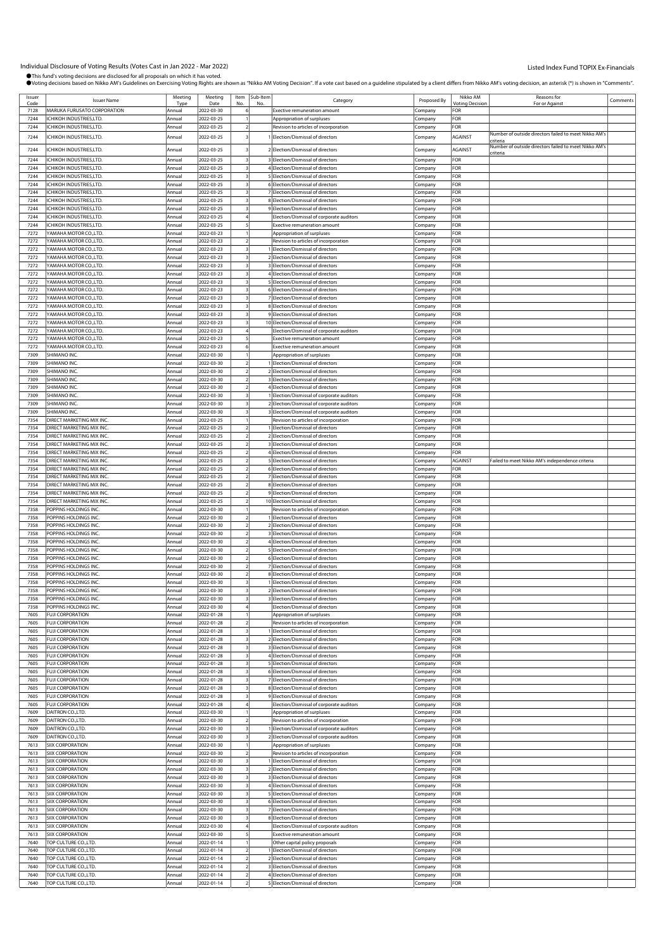| Issuer<br>Code | <b>Issuer Name</b>                            | Meeting<br>Type  | Meeting<br>Date          | Item<br>No              | Sub-Item<br>No | Category                                                               | Proposed By | Nikko AM<br>/oting Decisio | Reasons for<br>For or Agains                          | Comments |
|----------------|-----------------------------------------------|------------------|--------------------------|-------------------------|----------------|------------------------------------------------------------------------|-------------|----------------------------|-------------------------------------------------------|----------|
| 7128           | MARUKA FURUSATO CORPORATION                   | Annual           | 2022-03-30               | 6                       |                | <b>Exective remuneration amount</b>                                    | Company     | FOR                        |                                                       |          |
| 7244           | CHIKOH INDUSTRIES,LTD.                        | Annual           | 2022-03-25               |                         |                | Appropriation of surpluses                                             | Company     | FOR                        |                                                       |          |
| 7244           | CHIKOH INDUSTRIES,LTD.                        | Annual           | 2022-03-25               |                         |                | Revision to articles of incorporation                                  | Company     | FOR                        |                                                       |          |
|                |                                               |                  |                          |                         |                |                                                                        |             |                            | Number of outside directors failed to meet Nikko AM's |          |
| 7244           | CHIKOH INDUSTRIES.LTD                         | Annual           | 2022-03-25               |                         |                | Election/Dismissal of directors                                        | Company     | AGAINST                    | <b>riteria</b>                                        |          |
| 7244           | CHIKOH INDUSTRIES,LTD.                        | Annual           | 2022-03-25               |                         |                | 2 Election/Dismissal of directors                                      | Company     | AGAINST                    | Number of outside directors failed to meet Nikko AM's |          |
| 7244           | <b>ICHIKOH INDUSTRIES.LTD.</b>                | Annual           | 2022-03-25               |                         |                | 3 Election/Dismissal of directors                                      |             | FOR                        | criteria                                              |          |
|                | CHIKOH INDUSTRIES.LTD.                        | Annual           | 2022-03-25               |                         |                | 4 Election/Dismissal of directors                                      | Company     | FOR                        |                                                       |          |
| 7244           |                                               |                  |                          |                         |                |                                                                        | Company     |                            |                                                       |          |
| 7244           | CHIKOH INDUSTRIES,LTD.                        | Annual           | 2022-03-25               |                         |                | 5 Election/Dismissal of directors                                      | Company     | FOR                        |                                                       |          |
| 7244           | ICHIKOH INDUSTRIES,LTD.                       | Annual           | 2022-03-25               |                         |                | 6 Election/Dismissal of directors                                      | Company     | FOR                        |                                                       |          |
| 7244           | CHIKOH INDUSTRIES,LTD.                        | Annual           | 2022-03-25               |                         |                | 7 Election/Dismissal of directors                                      | Company     | FOR                        |                                                       |          |
| 7244           | <b>CHIKOH INDUSTRIES.LTD.</b>                 | Annual           | 2022-03-25               | $\overline{3}$          |                | 8 Election/Dismissal of directors                                      | Company     | FOR                        |                                                       |          |
| 7244           | CHIKOH INDUSTRIES,LTD.                        | Annual           | 2022-03-25               |                         |                | 9 Election/Dismissal of directors                                      | Company     | FOR                        |                                                       |          |
| 7244           | CHIKOH INDUSTRIES,LTD.                        | Annual           | 2022-03-25               |                         |                | Election/Dismissal of corporate auditors                               | Company     | FOR                        |                                                       |          |
| 7244           | ICHIKOH INDUSTRIES,LTD.                       | Annual           | 2022-03-25               |                         |                | <b>Exective remuneration amount</b>                                    | Company     | FOR                        |                                                       |          |
| 7272           | YAMAHA MOTOR CO.,LTD.                         | Annual           | 2022-03-23               |                         |                | Appropriation of surpluses                                             | Company     | FOR                        |                                                       |          |
| 7272           | YAMAHA MOTOR CO., LTD.                        | Annual           | 2022-03-23               |                         |                | Revision to articles of incorporation                                  | Company     | FOR                        |                                                       |          |
| 7272           | YAMAHA MOTOR CO.,LTD.                         | Annual           | 2022-03-23               |                         |                | Election/Dismissal of directors                                        | Company     | FOR                        |                                                       |          |
| 7272           | YAMAHA MOTOR CO.,LTD.                         | Annual           | 2022-03-23               |                         |                | 2 Election/Dismissal of directors                                      | Company     | FOR                        |                                                       |          |
| 7272           | YAMAHA MOTOR CO.,LTD.                         | Annual           | 2022-03-23               |                         |                | 3 Election/Dismissal of directors                                      | :ompany     | FOR                        |                                                       |          |
| 7272           | YAMAHA MOTOR CO.,LTD.                         | Annual           | 2022-03-23               |                         |                | 4 Election/Dismissal of directors                                      | Company     | FOR                        |                                                       |          |
| 7272           | YAMAHA MOTOR CO., LTD.                        | Annual           | 2022-03-23               |                         |                | 5 Election/Dismissal of directors                                      | Company     | FOR                        |                                                       |          |
| 7272           | YAMAHA MOTOR CO.,LTD.                         | Annual           | 2022-03-23               |                         |                | 6 Election/Dismissal of directors                                      | Company     | FOR                        |                                                       |          |
| 7272           | YAMAHA MOTOR CO.,LTD.                         | Annual           | 2022-03-23               |                         |                | 7 Election/Dismissal of directors                                      | .cmpany     | FOR                        |                                                       |          |
| 7272           | YAMAHA MOTOR CO.,LTD.                         | Annual           | 2022-03-23               |                         |                | 8 Election/Dismissal of directors                                      | Company     | FOR                        |                                                       |          |
| 7272           | YAMAHA MOTOR CO.,LTD.                         | Annual           | 2022-03-23               |                         |                | 9 Election/Dismissal of directors                                      | Company     | FOR                        |                                                       |          |
| 7272           | YAMAHA MOTOR CO.,LTD.                         | Annual           | 2022-03-23               |                         |                | 10 Election/Dismissal of directors                                     | Company     | FOR                        |                                                       |          |
| 7272           | YAMAHA MOTOR CO.,LTD.                         | Annual           | 2022-03-23               |                         |                | Election/Dismissal of corporate auditors                               | Company     | FOR                        |                                                       |          |
| 7272           | YAMAHA MOTOR CO.,LTD.                         | Annual           | 2022-03-23               |                         |                | <b>Exective remuneration amount</b>                                    | Company     | FOR                        |                                                       |          |
| 7272           | YAMAHA MOTOR CO.,LTD.                         |                  | 2022-03-23               |                         |                | <b>Exective remuneration amount</b>                                    |             | FOR                        |                                                       |          |
| 7309           | SHIMANO INC.                                  | Annual<br>Annual |                          |                         |                |                                                                        | Company     | FOR                        |                                                       |          |
|                | SHIMANO INC.                                  |                  | 2022-03-30               |                         |                | Appropriation of surpluses<br>1 Election/Dismissal of directors        | Company     |                            |                                                       |          |
| 7309           |                                               | Annual           | 2022-03-30<br>2022-03-30 |                         |                | 2 Election/Dismissal of directors                                      | Company     | FOR                        |                                                       |          |
| 7309           | SHIMANO INC.                                  | Annual           |                          |                         |                |                                                                        | Company     | <b>OR</b>                  |                                                       |          |
| 7309           | SHIMANO INC.                                  | Annual           | 2022-03-30               |                         |                | 3 Election/Dismissal of directors                                      | Company     | -or                        |                                                       |          |
| 7309           | SHIMANO INC                                   | Annual           | 2022-03-30               |                         |                | 4 Election/Dismissal of directors                                      | Company     | FOR                        |                                                       |          |
| 7309           | SHIMANO INC.                                  | Annual           | 2022-03-30               |                         |                | 1 Election/Dismissal of corporate auditors                             | Company     | FOR                        |                                                       |          |
| 7309           | SHIMANO INC.                                  | Annual           | 2022-03-30               |                         |                | 2 Election/Dismissal of corporate auditors                             | Company     | FOR                        |                                                       |          |
| 7309           | SHIMANO INC.                                  | Annual           | 2022-03-30               |                         |                | 3 Election/Dismissal of corporate auditors                             | Company     | FOR                        |                                                       |          |
| 7354           | DIRECT MARKETING MIX INC.                     | Annual           | 2022-03-25               |                         |                | Revision to articles of incorporation                                  | Company     | FOR                        |                                                       |          |
| 7354           | DIRECT MARKETING MIX INC.                     | Annual           | 2022-03-25               |                         |                | Election/Dismissal of directors                                        | ompany.     | FOR                        |                                                       |          |
| 7354           | DIRECT MARKETING MIX INC.                     | Annual           | 2022-03-25               |                         |                | 2 Election/Dismissal of directors                                      | Company     | FOR                        |                                                       |          |
| 7354           | DIRECT MARKETING MIX INC.                     | Annual           | 2022-03-25               |                         |                | 3 Election/Dismissal of directors                                      | Company     | FOR                        |                                                       |          |
| 7354           | DIRECT MARKETING MIX INC.                     | Annual           | 2022-03-25               |                         |                | 4 Election/Dismissal of directors                                      | Company     | FOR                        |                                                       |          |
| 7354           | DIRECT MARKETING MIX INC.                     | Annual           | 2022-03-25               |                         |                | 5 Election/Dismissal of directors                                      | Company     | AGAINST                    | Failed to meet Nikko AM's independence criteria       |          |
| 7354           | DIRECT MARKETING MIX INC.                     | Annual           | 2022-03-25               |                         |                | 6 Election/Dismissal of directors                                      | :ompany     | For                        |                                                       |          |
| 7354           | DIRECT MARKETING MIX INC.                     | Annual           | 2022-03-25               |                         |                | 7 Election/Dismissal of directors                                      | Company     | FOR                        |                                                       |          |
| 7354           | DIRECT MARKETING MIX INC.                     | Annual           | 2022-03-25               |                         |                | 8 Election/Dismissal of directors                                      | Company     | FOR                        |                                                       |          |
| 7354           | DIRECT MARKETING MIX INC.                     | Annual           | 2022-03-25               |                         |                | 9 Election/Dismissal of directors                                      | Company     | FOR                        |                                                       |          |
| 7354           | DIRECT MARKETING MIX INC.                     | Annual           | 2022-03-25               |                         |                | 10 Election/Dismissal of directors                                     | Company     | FOR                        |                                                       |          |
| 7358           | POPPINS HOLDINGS INC                          | Annual           | 2022-03-30               |                         |                | Revision to articles of incorporation                                  | Company     | FOR                        |                                                       |          |
| 7358           | POPPINS HOLDINGS INC.                         | Annual           | 2022-03-30               |                         |                | 1 Election/Dismissal of directors                                      | Company     | FOR                        |                                                       |          |
| 7358           | POPPINS HOLDINGS INC.                         | Annual           | 2022-03-30               |                         |                | 2 Election/Dismissal of directors                                      | Company     | FOR                        |                                                       |          |
| 7358           | POPPINS HOLDINGS INC.                         | Annual           | 2022-03-30               |                         |                | 3 Election/Dismissal of directors                                      | Company     | FOR                        |                                                       |          |
| 7358           | POPPINS HOLDINGS INC.                         | Annual           | 2022-03-30               |                         |                | 4 Election/Dismissal of directors                                      |             | <b>OR</b>                  |                                                       |          |
| 7358           |                                               |                  | 2022-03-30               |                         |                | 5 Election/Dismissal of directors                                      | Company     | FOR                        |                                                       |          |
| 7358           | POPPINS HOLDINGS INC<br>POPPINS HOLDINGS INC. | Annual           |                          |                         |                |                                                                        | Company     | <b>OR</b>                  |                                                       |          |
|                |                                               | Annual           | 2022-03-30               |                         |                | 6 Election/Dismissal of directors                                      | Company     |                            |                                                       |          |
| 7358           | POPPINS HOLDINGS INC.                         | Annual           | 2022-03-30<br>2022-03-30 |                         |                | 7 Election/Dismissal of directors<br>8 Election/Dismissal of directors | Company     | FOR                        |                                                       |          |
| 7358           | POPPINS HOLDINGS INC                          | Annual           |                          |                         |                |                                                                        | Company     | <b>OR</b>                  |                                                       |          |
| 7358           | POPPINS HOLDINGS INC.                         | Annual           | 2022-03-30               |                         |                | I Election/Dismissal of directors                                      | Company     | FOR                        |                                                       |          |
| 7358           | POPPINS HOLDINGS INC.                         | Annual           | 2022-03-30               | $\overline{\mathbf{3}}$ |                | 2 Election/Dismissal of directors                                      | Company     | FOR                        |                                                       |          |
| 7358           | POPPINS HOLDINGS INC.                         | Annual           | 2022-03-30               |                         |                | 3 Election/Dismissal of directors                                      | Company     | FOR                        |                                                       |          |
| 7358           | POPPINS HOLDINGS INC.                         | Annual           | 2022-03-30               |                         |                | Election/Dismissal of directors                                        | Company     | FOR                        |                                                       |          |
| 7605           | <b>FUJI CORPORATION</b>                       | Annual           | 2022-01-28               |                         |                | Appropriation of surpluses                                             | Company     | FOR                        |                                                       |          |
| 7605           | <b>FUJI CORPORATION</b>                       | Annual           | 2022-01-28               |                         |                | Revision to articles of incorporation                                  | Company     | FOR                        |                                                       |          |
| 7605           | <b>FUJI CORPORATION</b>                       | Annual           | 2022-01-28               |                         |                | Election/Dismissal of directors                                        | Company     | FOR                        |                                                       |          |
| 7605           | <b>FUJI CORPORATION</b>                       | Annual           | 2022-01-28               |                         |                | 2 Election/Dismissal of directors                                      | Company     | FOR                        |                                                       |          |
| 7605           | <b>FUJI CORPORATION</b>                       | Annual           | 2022-01-28               |                         |                | 3 Election/Dismissal of directors                                      | Company     | FOR                        |                                                       |          |
| 7605           | <b>FUJI CORPORATION</b>                       | Annual           | 2022-01-28               |                         |                | 4 Election/Dismissal of directors                                      | Company     | FOR                        |                                                       |          |
| 7605           | <b>FUJI CORPORATION</b>                       | Annual           | 2022-01-28               |                         |                | 5 Election/Dismissal of directors                                      | Company     | For                        |                                                       |          |
| 7605           | <b>FUJI CORPORATION</b>                       | Annual           | 2022-01-28               |                         |                | 6 Election/Dismissal of directors                                      | Company     | For                        |                                                       |          |
| 7605           | <b>FUJI CORPORATION</b>                       | Annual           | 2022-01-28               |                         |                | 7 Election/Dismissal of directors                                      | Company     | OR-                        |                                                       |          |
| 7605           | <b>FUJI CORPORATION</b>                       | Annual           | 2022-01-28               |                         |                | 8 Election/Dismissal of directors                                      | Company     | FOR                        |                                                       |          |
| 7605           | <b>FUJI CORPORATION</b>                       | Annual           | 2022-01-28               |                         |                | 9 Election/Dismissal of directors                                      | Company     | FOR                        |                                                       |          |
| 7605           | <b>FUJI CORPORATION</b>                       | Annual           | 2022-01-28               |                         |                | Election/Dismissal of corporate auditors                               | Company     | FOR                        |                                                       |          |
| 7609           | DAITRON CO., LTD.                             | Annual           | 2022-03-30               |                         |                | Appropriation of surpluses                                             | Company     | For                        |                                                       |          |
| 7609           | DAITRON CO., LTD.                             | Annual           | 2022-03-30               |                         |                | Revision to articles of incorporation                                  | Company     | FOR                        |                                                       |          |
| 7609           | DAITRON CO., LTD.                             | Annual           | 2022-03-30               |                         |                | 1 Election/Dismissal of corporate auditors                             | Company     | FOR                        |                                                       |          |
| 7609           | DAITRON CO., LTD.                             | Annual           | 2022-03-30               |                         |                | 2 Election/Dismissal of corporate auditors                             | Company     | FOR                        |                                                       |          |
| 7613           | <b>SIIX CORPORATION</b>                       | Annual           | 2022-03-30               |                         |                | Appropriation of surpluses                                             | Company     | FOR                        |                                                       |          |
| 7613           | <b>SIIX CORPORATION</b>                       | Annual           | 2022-03-30               | $\overline{2}$          |                | Revision to articles of incorporation                                  | Company     | FOR                        |                                                       |          |
| 7613           | SIIX CORPORATION                              | Annual           | 2022-03-30               |                         |                | 1 Election/Dismissal of directors                                      |             | FOR                        |                                                       |          |
| 7613           |                                               | Annual           |                          |                         |                |                                                                        | Company     | FOR                        |                                                       |          |
|                | SIIX CORPORATION                              |                  | 2022-03-30               |                         |                | 2 Election/Dismissal of directors                                      | Company     |                            |                                                       |          |
| 7613           | SIIX CORPORATION                              | Annual           | 2022-03-30               |                         |                | 3 Election/Dismissal of directors                                      | Company     | FOR                        |                                                       |          |
| 7613           | SIIX CORPORATION                              | Annual           | 2022-03-30               |                         |                | 4 Election/Dismissal of directors                                      | Company     | FOR                        |                                                       |          |
| 7613           | SIIX CORPORATION                              | Annual           | 2022-03-30               |                         |                | 5 Election/Dismissal of directors                                      | Company     | FOR                        |                                                       |          |
| 7613           | <b>SIIX CORPORATION</b>                       | Annual           | 2022-03-30               |                         |                | 6 Election/Dismissal of directors                                      | Company     | FOR                        |                                                       |          |
| 7613           | SIIX CORPORATION                              | Annual           | 2022-03-30               |                         |                | 7 Election/Dismissal of directors                                      | Company     | FOR                        |                                                       |          |
| 7613           | SIIX CORPORATION                              | Annual           | 2022-03-30               |                         |                | 8 Election/Dismissal of directors                                      | Company     | FOR                        |                                                       |          |
| 7613           | <b>SIIX CORPORATION</b>                       | Annual           | 2022-03-30               |                         |                | Election/Dismissal of corporate auditors                               | Company     | For                        |                                                       |          |
| 7613           | <b>SIIX CORPORATION</b>                       | Annual           | 2022-03-30               |                         |                | <b>Exective remuneration amount</b>                                    | Company     | For                        |                                                       |          |
| 7640           | TOP CULTURE CO., LTD.                         | Annual           | 2022-01-14               |                         |                | Other capital policy proposals                                         | Company     | FOR                        |                                                       |          |
| 7640           | TOP CULTURE CO., LTD.                         | Annual           | 2022-01-14               |                         |                | I Election/Dismissal of directors                                      | Company     | FOR                        |                                                       |          |
| 7640           | TOP CULTURE CO.,LTD.                          | Annual           | 2022-01-14               | $\overline{2}$          |                | 2 Election/Dismissal of directors                                      | Company     | <b>OR</b>                  |                                                       |          |
| 7640           | TOP CULTURE CO., LTD.                         | Annual           | 2022-01-14               | $\overline{2}$          |                | 3 Election/Dismissal of directors                                      | Company     | FOR                        |                                                       |          |
| 7640           | TOP CULTURE CO., LTD.                         | Annual           | 2022-01-14               |                         |                | 4 Election/Dismissal of directors                                      | Company     | FOR                        |                                                       |          |
| 7640           | TOP CULTURE CO., LTD.                         | Annual           | 2022-01-14               |                         |                | 5 Election/Dismissal of directors                                      | Company     | FOR                        |                                                       |          |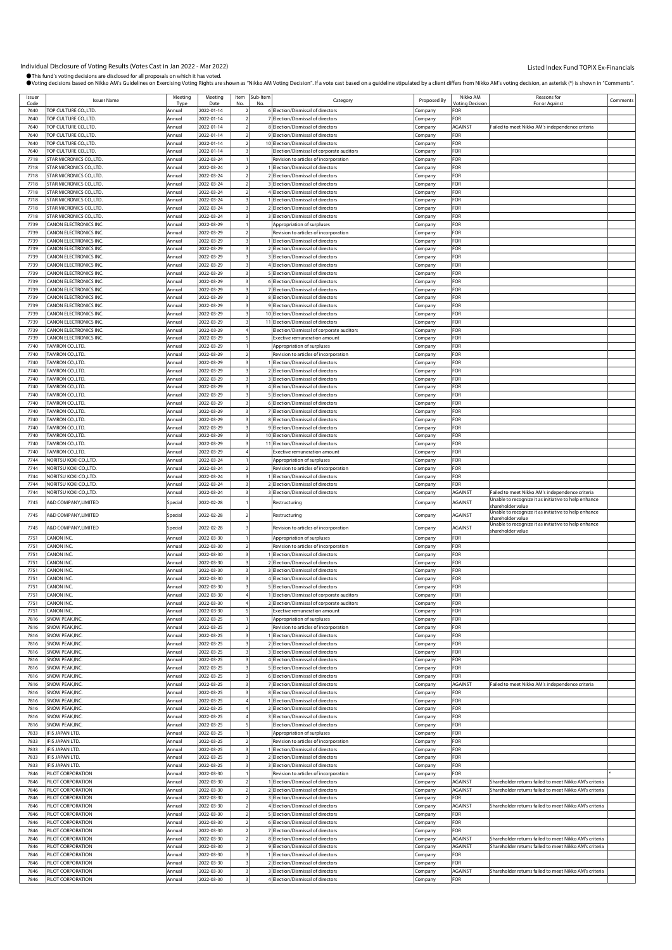| Issuer       | <b>Issuer Name</b>                           | Meeting          | Meeting                  | Item Sub-Item | Category                                                                       | Proposed By        | Nikko AM                                    | Reasons for                                                               | Comments |
|--------------|----------------------------------------------|------------------|--------------------------|---------------|--------------------------------------------------------------------------------|--------------------|---------------------------------------------|---------------------------------------------------------------------------|----------|
| Code<br>7640 | TOP CULTURE CO., LTD.                        | Tvr<br>Annual    | Date<br>2022-01-14       |               | 6 Election/Dismissal of directors                                              | Company            | <b><i><u>Intina</u></i></b> Decision<br>FOR | For or Against                                                            |          |
| 7640         | TOP CULTURE CO., LTD.                        | Annual           | 2022-01-14               |               | 7 Election/Dismissal of directors                                              |                    | <b>OR</b>                                   |                                                                           |          |
| 7640         |                                              |                  |                          |               | 8 Election/Dismissal of directors                                              | Company            |                                             |                                                                           |          |
| 7640         | TOP CULTURE CO.,LTD.                         | Annual           | 2022-01-14               |               | 9 Election/Dismissal of directors                                              | Company            | AGAINST<br>FOR                              | Failed to meet Nikko AM's independence criteria                           |          |
| 7640         | TOP CULTURE CO.,LTD.                         | Annual           | 2022-01-14               |               |                                                                                | :ompany            | FOR                                         |                                                                           |          |
| 7640         | TOP CULTURE CO.,LTD.<br>TOP CULTURE CO.,LTD. | Annual<br>Annual | 2022-01-14<br>2022-01-14 |               | 10 Election/Dismissal of directors<br>Election/Dismissal of corporate auditors | Company<br>Company | FOR                                         |                                                                           |          |
| 7718         | STAR MICRONICS CO., LTD                      | Annual           | 2022-03-24               |               | Revision to articles of incorporation                                          |                    | <b>OR</b>                                   |                                                                           |          |
| 7718         | STAR MICRONICS CO., LTD                      | Annual           | 2022-03-24               |               | I Election/Dismissal of directors                                              | .cmpany<br>Company | FOR                                         |                                                                           |          |
| 7718         | STAR MICRONICS CO., LTD                      | Annual           | 2022-03-24               |               | 2 Election/Dismissal of directors                                              | :ompany            | FOR                                         |                                                                           |          |
| 7718         | STAR MICRONICS CO., LTD.                     | Annual           | 2022-03-24               |               | 3 Election/Dismissal of directors                                              |                    | FOR                                         |                                                                           |          |
| 7718         | STAR MICRONICS CO., LTD.                     | Annual           | 2022-03-24               |               | 4 Election/Dismissal of directors                                              | .cmpany<br>Company | FOR                                         |                                                                           |          |
| 7718         | <b>STAR MICRONICS CO.,LTD.</b>               | Annual           | 2022-03-24               |               | 1 Election/Dismissal of directors                                              | Company            | <b>OR</b>                                   |                                                                           |          |
| 7718         | STAR MICRONICS CO., LTD.                     | Annual           | 2022-03-24               |               | 2 Election/Dismissal of directors                                              | Company            | FOR                                         |                                                                           |          |
| 7718         | STAR MICRONICS CO., LTD.                     | Annual           | 2022-03-24               |               | 3 Election/Dismissal of directors                                              | :ompany            | FOR                                         |                                                                           |          |
| 7739         | CANON ELECTRONICS INC.                       | Annual           | 2022-03-29               |               | Appropriation of surpluses                                                     | .cmpany            | FOR                                         |                                                                           |          |
| 7739         | CANON ELECTRONICS INC.                       | Annual           | 2022-03-29               |               | Revision to articles of incorporation                                          | Company            | FOR                                         |                                                                           |          |
| 7739         | CANON ELECTRONICS INC.                       | Annual           | 2022-03-29               |               | Election/Dismissal of directors                                                | Company            | <b>OR</b>                                   |                                                                           |          |
| 7739         | CANON ELECTRONICS INC.                       | Annual           | 2022-03-29               |               | 2 Election/Dismissal of directors                                              | Company            | FOR                                         |                                                                           |          |
| 7739         | CANON ELECTRONICS INC.                       | Annual           | 2022-03-29               |               | 3 Election/Dismissal of directors                                              | :ompany            | FOR                                         |                                                                           |          |
| 7739         | CANON ELECTRONICS INC.                       | Annual           | 2022-03-29               |               | 4 Election/Dismissal of directors                                              | .cmpany            | FOR                                         |                                                                           |          |
| 7739         | CANON ELECTRONICS INC.                       | Annual           | 2022-03-29               |               | 5 Election/Dismissal of directors                                              | Company            | FOR                                         |                                                                           |          |
| 7739         | CANON ELECTRONICS INC.                       | Annual           | 2022-03-29               |               | 6 Election/Dismissal of directors                                              | .cmpany            | <b>OR</b>                                   |                                                                           |          |
| 7739         | CANON ELECTRONICS INC.                       | Annual           | 2022-03-29               |               | 7 Election/Dismissal of directors                                              | Company            | FOR                                         |                                                                           |          |
| 7739         | CANON ELECTRONICS INC.                       | Annual           | 2022-03-29               |               | 8 Election/Dismissal of directors                                              | :ompany            | FOR                                         |                                                                           |          |
| 7739         | CANON ELECTRONICS INC.                       | Annual           | 2022-03-29               |               | 9 Election/Dismissal of directors                                              | .cmpany            | FOR                                         |                                                                           |          |
| 7739         | CANON ELECTRONICS INC.                       | Annual           | 2022-03-29               |               | 10 Election/Dismissal of directors                                             | Company            | FOR                                         |                                                                           |          |
| 7739         | CANON ELECTRONICS INC.                       | Annual           | 2022-03-29               |               | 11 Election/Dismissal of directors                                             | Company            | FOR                                         |                                                                           |          |
| 7739         | CANON ELECTRONICS INC.                       | Annual           | 2022-03-29               |               | Election/Dismissal of corporate auditors                                       | Company            | FOR                                         |                                                                           |          |
| 7739         | CANON ELECTRONICS INC.                       | Annual           | 2022-03-29               |               | <b>Exective remuneration amount</b>                                            | .<br>ompany        | FOR                                         |                                                                           |          |
| 7740         | TAMRON CO.,LTD.                              | Annual           | 2022-03-29               |               | Appropriation of surpluses                                                     | .cmpany            | FOR                                         |                                                                           |          |
| 7740         | <b>FAMRON CO.,LTD.</b>                       | Annual           | 2022-03-29               |               | Revision to articles of incorporation                                          | Company            | FOR                                         |                                                                           |          |
| 7740         | <b>FAMRON CO.,LTD.</b>                       | Annual           | 2022-03-29               |               | Election/Dismissal of directors                                                | Company            | FOR                                         |                                                                           |          |
| 7740         | TAMRON CO.,LTD.                              | Annual           | 2022-03-29               |               | 2 Election/Dismissal of directors                                              | Company            | FOR                                         |                                                                           |          |
| 7740         | TAMRON CO.,LTD.                              | Annual           | 2022-03-29               |               | 3 Election/Dismissal of directors                                              | :ompany            | FOR                                         |                                                                           |          |
| 7740         | TAMRON CO.,LTD.                              | Annual           | 2022-03-29               |               | 4 Election/Dismissal of directors                                              | .cmpany            | FOR                                         |                                                                           |          |
| 7740         | TAMRON CO.,LTD.                              | Annual           | 2022-03-29               |               | 5 Election/Dismissal of directors                                              | Company            | FOR                                         |                                                                           |          |
| 7740         | <b>FAMRON CO.,LTD.</b>                       | Annual           | 2022-03-29               |               | 6 Election/Dismissal of directors                                              | Company            | <b>OR</b>                                   |                                                                           |          |
| 7740         | TAMRON CO.,LTD.                              | Annual           | 2022-03-29               |               | 7 Election/Dismissal of directors                                              | Company            | FOR                                         |                                                                           |          |
| 7740         | TAMRON CO.,LTD.                              | Annual           | 2022-03-29               |               | 8 Election/Dismissal of directors                                              | :ompany            | FOR                                         |                                                                           |          |
| 7740         | TAMRON CO.,LTD.                              | Annual           | 2022-03-29               |               | 9 Election/Dismissal of directors                                              | .cmpany            | FOR                                         |                                                                           |          |
| 7740         | TAMRON CO.,LTD.                              | Annual           | 2022-03-29               |               | 10 Election/Dismissal of directors                                             | Company            | FOR                                         |                                                                           |          |
| 7740         | TAMRON CO.,LTD.                              | Annual           | 2022-03-29               |               | 11 Election/Dismissal of directors                                             | .cmpany            | FOR                                         |                                                                           |          |
| 7740         | TAMRON CO.,LTD.                              | Annual           | 2022-03-29               |               | <b>Exective remuneration amount</b>                                            | Company            | FOR                                         |                                                                           |          |
| 7744         | NORITSU KOKI CO.,LTD                         | Annual           | 2022-03-24               |               | Appropriation of surpluses                                                     | :ompany            | FOR                                         |                                                                           |          |
| 7744         | NORITSU KOKI CO.,LTD.                        | Annual           | 2022-03-24               |               | Revision to articles of incorporation                                          | .cmpany            | FOR                                         |                                                                           |          |
| 7744         | NORITSU KOKI CO.,LTD                         | Annual           | 2022-03-24               |               | 1 Election/Dismissal of directors                                              | Company            | FOR                                         |                                                                           |          |
| 7744         | <b>VORITSU KOKI CO.,LTD.</b>                 | Annual           | 2022-03-24               |               | 2 Election/Dismissal of directors                                              | Company            | FOR                                         |                                                                           |          |
|              |                                              |                  |                          |               |                                                                                |                    |                                             |                                                                           |          |
| 7744         | NORITSU KOKI CO.,LTD                         | Annual           | 2022-03-24               |               | 3 Election/Dismissal of directors                                              | Company            | <b>AGAINST</b>                              | Failed to meet Nikko AM's independence criteria                           |          |
| 7745         | A&D COMPANY,LIMITED                          | Special          | 2022-02-28               |               | Restructuring                                                                  | Company            | AGAINST                                     | Unable to recognize it as initiative to help enhance                      |          |
|              |                                              |                  |                          |               |                                                                                |                    |                                             | shareholder value<br>Unable to recognize it as initiative to help enhance |          |
| 7745         | A&D COMPANY, LIMITED                         | Special          | 2022-02-28               |               | Restructuring                                                                  | Company            | <b>AGAINST</b>                              | hareholder value                                                          |          |
| 7745         | A&D COMPANY, LIMITED                         | Special          | 2022-02-28               |               | Revision to articles of incorporation                                          | .cmpany            | AGAINST                                     | Unable to recognize it as initiative to help enhance                      |          |
| 7751         | CANON INC.                                   | Annual           | 2022-03-30               |               | Appropriation of surpluses                                                     | Company            | FOR                                         | shareholder value                                                         |          |
| 7751         | CANON INC.                                   | Annual           | 2022-03-30               |               | Revision to articles of incorporation                                          | .ompany            | FOR                                         |                                                                           |          |
| 7751         | CANON INC.                                   | Annual           | 2022-03-30               |               | 1 Election/Dismissal of directors                                              | Company            | FOR                                         |                                                                           |          |
| 7751         | CANON INC.                                   | Annual           | 2022-03-30               |               | 2 Election/Dismissal of directors                                              | Company            | <b>OR</b>                                   |                                                                           |          |
| 7751         | CANON INC.                                   | Annual           | 2022-03-30               |               | 3 Election/Dismissal of directors                                              | Company            | FOR                                         |                                                                           |          |
| 7751         | CANON INC.                                   | Annual           | 2022-03-30               |               | 4 Election/Dismissal of directors                                              | Company            | FOR                                         |                                                                           |          |
| 7751         | CANON INC.                                   | Annual           | 2022-03-30               |               | 5 Election/Dismissal of directors                                              | Company            | FOR                                         |                                                                           |          |
| 7751         | CANON INC                                    | Annual           | 2022-03-30               |               | 1 Election/Dismissal of corporate auditors                                     | Company            | FOR                                         |                                                                           |          |
| 7751         | CANON INC.                                   | Annual           | 2022-03-30               |               | 2 Election/Dismissal of corporate auditors                                     | Company            | FOR                                         |                                                                           |          |
| 7751         | CANON INC.                                   | Annual           | 2022-03-30               |               | Exective remuneration amount                                                   | Company            | FOR                                         |                                                                           |          |
| 7816         | SNOW PEAK, INC.                              | Annual           | 2022-03-25               |               | Appropriation of surpluses                                                     | Company            | FOR                                         |                                                                           |          |
| 7816         | SNOW PEAK, INC.                              | Annual           | 2022-03-25               |               | Revision to articles of incorporation                                          | Company            | FOR                                         |                                                                           |          |
| 7816         | SNOW PEAK, INC.                              | Annual           | 2022-03-25               |               | 1 Election/Dismissal of directors                                              | Company            | FOR                                         |                                                                           |          |
| 7816         | SNOW PEAK, INC.                              | Annual           | 2022-03-25               |               | 2 Election/Dismissal of directors                                              | Company            | FOR                                         |                                                                           |          |
| 7816         | SNOW PEAK, INC.                              | Annual           | 2022-03-25               |               | 3 Election/Dismissal of directors                                              | Company            | FOR                                         |                                                                           |          |
| 7816         | SNOW PEAK, INC.                              | Annual           | 2022-03-25               |               | 4 Election/Dismissal of directors                                              | Company            | <b>OR</b>                                   |                                                                           |          |
| 7816         | SNOW PEAK, INC.<br>SNOW PEAK, INC.           | Annual           | 2022-03-25               |               | 5 Election/Dismissal of directors                                              | Company            | FOR<br>FOR                                  |                                                                           |          |
| 7816<br>7816 | SNOW PEAK, INC.                              | Annual<br>Annual | 2022-03-25<br>2022-03-25 |               | 6 Election/Dismissal of directors<br>7 Election/Dismissal of directors         | Company<br>Company | <b>AGAINST</b>                              | Failed to meet Nikko AM's independence criteria                           |          |
| 7816         | SNOW PEAK, INC.                              | Annual           | 2022-03-25               |               | 8 Election/Dismissal of directors                                              | Company            | FOR                                         |                                                                           |          |
| 7816         | SNOW PEAK, INC.                              | Annual           | 2022-03-25               |               | 1 Election/Dismissal of directors                                              | Company            | FOR                                         |                                                                           |          |
| 7816         | SNOW PEAK, INC.                              | Annual           | 2022-03-25               |               | 2 Election/Dismissal of directors                                              | .cmpany            | FOR                                         |                                                                           |          |
| 7816         | SNOW PEAK, INC.                              | Annual           | 2022-03-25               |               | 3 Election/Dismissal of directors                                              | Company            | FOR                                         |                                                                           |          |
| 7816         | SNOW PEAK.INC.                               | Annual           | 2022-03-25               |               | Election/Dismissal of directors                                                | Company            | FOR                                         |                                                                           |          |
| 7833         | IFIS JAPAN LTD.                              | Annual           | 2022-03-25               |               | Appropriation of surpluses                                                     | Company            | FOR                                         |                                                                           |          |
| 7833         | IFIS JAPAN LTD.                              | Annual           | 2022-03-25               |               | Revision to articles of incorporation                                          | Company            | FOR                                         |                                                                           |          |
| 7833         | IFIS JAPAN LTD.                              | Annual           | 2022-03-25               |               | Election/Dismissal of directors                                                | .cmpany            | FOR                                         |                                                                           |          |
| 7833         | IFIS JAPAN LTD.                              | Annual           | 2022-03-25               |               | 2 Election/Dismissal of directors                                              | Company            | FOR                                         |                                                                           |          |
| 7833         | IFIS JAPAN LTD.                              | Annual           | 2022-03-25               |               | 3 Election/Dismissal of directors                                              | Company            | FOR                                         |                                                                           |          |
| 7846         | PILOT CORPORATION                            | Annual           | 2022-03-30               |               | Revision to articles of incorporation                                          | Company            | FOR                                         |                                                                           |          |
| 7846         | PILOT CORPORATION                            | Annual           | 2022-03-30               |               | 1 Election/Dismissal of directors                                              | Company            | AGAINST                                     | Shareholder returns failed to meet Nikko AM's criteria                    |          |
| 7846         | PILOT CORPORATION                            | Annual           | 2022-03-30               |               | 2 Election/Dismissal of directors                                              | .cmpany            | <b>AGAINST</b>                              | Shareholder returns failed to meet Nikko AM's criteria                    |          |
| 7846         | PILOT CORPORATION                            | Annual           | 2022-03-30               |               | 3 Election/Dismissal of directors                                              | Company            | FOR                                         |                                                                           |          |
| 7846         | PILOT CORPORATION                            | Annual           | 2022-03-30               |               | 4 Election/Dismissal of directors                                              | Company            | <b>AGAINST</b>                              | Shareholder returns failed to meet Nikko AM's criteria                    |          |
| 7846         | PILOT CORPORATION                            | Annual           | 2022-03-30               |               | 5 Election/Dismissal of directors                                              | Company            | FOR                                         |                                                                           |          |
| 7846         | PILOT CORPORATION                            | Annual           | 2022-03-30               |               | 6 Election/Dismissal of directors                                              | Company            | FOR                                         |                                                                           |          |
| 7846         | PILOT CORPORATION                            | Annual           | 2022-03-30               |               | 7 Election/Dismissal of directors                                              | Company            | FOR                                         |                                                                           |          |
| 7846         | PILOT CORPORATION                            | Annual           | 2022-03-30               |               | 8 Election/Dismissal of directors                                              | Company            | <b>AGAINST</b>                              | Shareholder returns failed to meet Nikko AM's criteria                    |          |
| 7846         | PILOT CORPORATION                            | Annual           | 2022-03-30               |               | 9 Election/Dismissal of directors                                              | Company            | <b>AGAINST</b>                              | Shareholder returns failed to meet Nikko AM's criteria                    |          |
| 7846         | PILOT CORPORATION                            | Annual           | 2022-03-30               |               | 1 Election/Dismissal of directors                                              | Company            | FOR                                         |                                                                           |          |
| 7846<br>7846 | PILOT CORPORATION<br>PILOT CORPORATION       | Annual<br>Annual | 2022-03-30<br>2022-03-30 |               | 2 Election/Dismissal of directors<br>3 Election/Dismissal of directors         | Company<br>Company | FOR<br><b>AGAINST</b>                       | Shareholder returns failed to meet Nikko AM's criteria                    |          |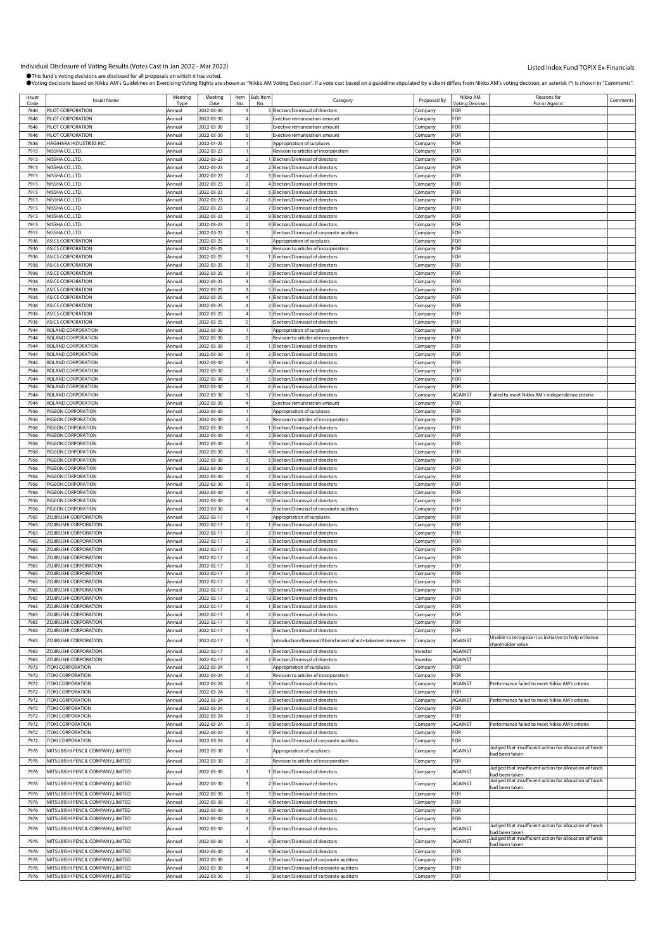| Issuer | <b>Issuer Name</b>                 | Meeting | Meeting    |                | Item Sub-Item | Category                                                   | Proposed By | Nikko AM               | Reasons for                                             | Comments |
|--------|------------------------------------|---------|------------|----------------|---------------|------------------------------------------------------------|-------------|------------------------|---------------------------------------------------------|----------|
| Code   |                                    | Type    | Date       | No.            | No            |                                                            |             | <b>Voting Decision</b> | For or Against                                          |          |
| 7846   | PILOT CORPORATION                  | Annual  | 2022-03-30 |                |               | 5 Election/Dismissal of directors                          | Company     | <b>FOR</b>             |                                                         |          |
| 7846   | PILOT CORPORATION                  | Annual  | 2022-03-30 |                |               | xective remuneration amount:                               | Company     | FOR                    |                                                         |          |
| 7846   | PILOT CORPORATION                  | Annual  | 2022-03-30 |                |               | <b>Exective remuneration amount</b>                        | Company     | FOR                    |                                                         |          |
| 7846   | PILOT CORPORATION                  | Annual  | 2022-03-30 |                |               | Exective remuneration amount                               | Company     | FOR                    |                                                         |          |
| 7856   | HAGIHARA INDUSTRIES INC.           | Annual  | 2022-01-25 |                |               | Appropriation of surpluses                                 | Company     | FOR                    |                                                         |          |
|        |                                    |         |            |                |               |                                                            |             |                        |                                                         |          |
| 7915   | NISSHA CO.,LTD.                    | Annual  | 2022-03-23 |                |               | Revision to articles of incorporation                      | Company     | FOR                    |                                                         |          |
| 7915   | NISSHA CO.,LTD.                    | Annual  | 2022-03-23 |                |               | Election/Dismissal of directors                            | .cmpany     | FOR                    |                                                         |          |
| 7915   | NISSHA CO.,LTD.                    | Annual  | 2022-03-23 |                |               | Election/Dismissal of directors                            | Company     | FOR                    |                                                         |          |
| 7915   | NISSHA CO.,LTD.                    | Annual  | 2022-03-23 |                |               | 3 Election/Dismissal of directors                          | Company     | FOR                    |                                                         |          |
| 7915   | NISSHA CO.,LTD.                    | Annual  | 2022-03-23 |                |               | 4 Election/Dismissal of directors                          | Company     | FOR                    |                                                         |          |
| 7915   |                                    |         | 2022-03-23 |                |               |                                                            |             | FOR                    |                                                         |          |
|        | NISSHA CO.,LTD.                    | Annual  |            |                |               | 5 Election/Dismissal of directors                          | Company     |                        |                                                         |          |
| 7915   | NISSHA CO.,LTD.                    | Annual  | 2022-03-23 |                |               | 6 Election/Dismissal of directors                          | Company     | FOR                    |                                                         |          |
| 7915   | NISSHA CO.,LTD.                    | Annual  | 2022-03-23 |                |               | 7 Election/Dismissal of directors                          | Company     | FOR                    |                                                         |          |
| 7915   | NISSHA CO.,LTD.                    | Annual  | 2022-03-23 |                |               | 8 Election/Dismissal of directors                          | Company     | FOR                    |                                                         |          |
| 7915   | NISSHA CO.,LTD.                    | Annual  | 2022-03-23 |                |               | 9 Election/Dismissal of directors                          | Company     | FOR                    |                                                         |          |
| 7915   | NISSHA CO.,LTD.                    | Annual  | 2022-03-23 |                |               | Election/Dismissal of corporate auditors                   | Company     | For                    |                                                         |          |
| 7936   | <b>ASICS CORPORATION</b>           |         | 2022-03-25 |                |               |                                                            |             | FOR                    |                                                         |          |
|        |                                    | Annual  |            |                |               | Appropriation of surpluses                                 | Company     |                        |                                                         |          |
| 7936   | <b>ASICS CORPORATION</b>           | Annual  | 2022-03-25 |                |               | Revision to articles of incorporation                      | Company     | FOR                    |                                                         |          |
| 7936   | <b>ASICS CORPORATION</b>           | Annual  | 2022-03-25 |                |               | Election/Dismissal of directors                            | Company     | FOR                    |                                                         |          |
| 7936   | <b>ASICS CORPORATION</b>           | Annual  | 2022-03-25 |                |               | 2 Election/Dismissal of directors                          | Company     | FOR                    |                                                         |          |
| 7936   | <b>ASICS CORPORATION</b>           | Annual  | 2022-03-25 |                |               | 3 Election/Dismissal of directors                          | Company     | For                    |                                                         |          |
| 7936   | <b>ASICS CORPORATION</b>           | Annual  | 2022-03-25 |                |               | 4 Election/Dismissal of directors                          | Company     | For                    |                                                         |          |
| 7936   | <b>ASICS CORPORATION</b>           |         | 2022-03-25 |                |               |                                                            |             | FOR                    |                                                         |          |
|        |                                    | Annual  |            |                |               | 5 Election/Dismissal of directors                          | Company     |                        |                                                         |          |
| 7936   | <b>ASICS CORPORATION</b>           | Annual  | 2022-03-25 |                |               | I Election/Dismissal of directors                          | Company     | FOR                    |                                                         |          |
| 7936   | <b>ASICS CORPORATION</b>           | Annual  | 2022-03-25 |                |               | 2 Election/Dismissal of directors                          | Company     | FOR                    |                                                         |          |
| 7936   | <b>ASICS CORPORATION</b>           | Annual  | 2022-03-25 |                |               | 3 Election/Dismissal of directors                          | Company     | For                    |                                                         |          |
| 7936   | <b>ASICS CORPORATION</b>           | Annual  | 2022-03-25 |                |               | Election/Dismissal of directors                            | .cmpany     | For                    |                                                         |          |
| 7944   | ROLAND CORPORATION                 | Annual  | 2022-03-30 |                |               | Appropriation of surpluses                                 | Company     | FOR                    |                                                         |          |
|        |                                    |         |            |                |               |                                                            |             |                        |                                                         |          |
| 7944   | ROLAND CORPORATION                 | Annual  | 2022-03-30 |                |               | Revision to articles of incorporation                      | Company     | FOR                    |                                                         |          |
| 7944   | ROLAND CORPORATION                 | Annual  | 2022-03-30 |                |               | Election/Dismissal of directors                            | Company     | FOR                    |                                                         |          |
| 7944   | ROLAND CORPORATION                 | Annual  | 2022-03-30 |                |               | 2 Election/Dismissal of directors                          | Company     | FOR                    |                                                         |          |
| 7944   | ROLAND CORPORATION                 | Annual  | 2022-03-30 |                |               | 3 Election/Dismissal of directors                          | Company     | FOR                    |                                                         |          |
| 7944   | ROLAND CORPORATION                 | Annual  | 2022-03-30 |                |               | 4 Election/Dismissal of directors                          | Company     | FOR                    |                                                         |          |
| 7944   | ROLAND CORPORATION                 | Annual  | 2022-03-30 |                |               | 5 Election/Dismissal of directors                          | Company     | FOR                    |                                                         |          |
|        |                                    |         |            |                |               |                                                            |             |                        |                                                         |          |
| 7944   | ROLAND CORPORATION                 | Annual  | 2022-03-30 |                |               | 6 Election/Dismissal of directors                          | Company     | FOR                    |                                                         |          |
| 7944   | ROLAND CORPORATION                 | Annual  | 2022-03-30 |                |               | 7 Election/Dismissal of directors                          | Company     | AGAINST                | Failed to meet Nikko AM's independence criteria         |          |
| 7944   | ROLAND CORPORATION                 | Annual  | 2022-03-30 |                |               | <b>Exective remuneration amount</b>                        | Company     | FOR                    |                                                         |          |
| 7956   | PIGEON CORPORATION                 | Annual  | 2022-03-30 |                |               | Appropriation of surpluses                                 | Company     | FOR                    |                                                         |          |
| 7956   | PIGEON CORPORATION                 | Annual  | 2022-03-30 |                |               | Revision to articles of incorporation                      | Company     | FOR                    |                                                         |          |
|        |                                    |         |            |                |               |                                                            |             |                        |                                                         |          |
| 7956   | PIGEON CORPORATION                 | Annual  | 2022-03-30 |                |               | Election/Dismissal of directors                            | Company     | FOR                    |                                                         |          |
| 7956   | PIGEON CORPORATION                 | Annual  | 2022-03-30 |                |               | 2 Election/Dismissal of directors                          | Company     | For                    |                                                         |          |
| 7956   | PIGEON CORPORATION                 | Annual  | 2022-03-30 |                |               | 3 Election/Dismissal of directors                          | .cmpany     | FOR                    |                                                         |          |
| 7956   | PIGEON CORPORATION                 | Annual  | 2022-03-30 |                |               | 4 Election/Dismissal of directors                          | Company     | FOR                    |                                                         |          |
| 7956   | PIGEON CORPORATION                 | Annual  | 2022-03-30 |                |               | 5 Election/Dismissal of directors                          | Company     | FOR                    |                                                         |          |
|        |                                    |         |            |                |               |                                                            |             |                        |                                                         |          |
| 7956   | PIGEON CORPORATION                 | Annual  | 2022-03-30 |                |               | 6 Election/Dismissal of directors                          | Company     | FOR                    |                                                         |          |
| 7956   | PIGEON CORPORATION                 | Annual  | 2022-03-30 |                |               | 7 Election/Dismissal of directors                          | Company     | FOR                    |                                                         |          |
| 7956   | PIGEON CORPORATION                 | Annual  | 2022-03-30 |                |               | 8 Election/Dismissal of directors                          | Company     | For                    |                                                         |          |
| 7956   | PIGEON CORPORATION                 | Annual  | 2022-03-30 |                |               | 9 Election/Dismissal of directors                          | Company     | FOR                    |                                                         |          |
| 7956   | PIGEON CORPORATION                 | Annual  | 2022-03-30 |                |               | 10 Election/Dismissal of directors                         | Company     | FOR                    |                                                         |          |
|        |                                    |         |            |                |               |                                                            |             | FOR                    |                                                         |          |
| 7956   | PIGEON CORPORATION                 | Annual  | 2022-03-30 |                |               | Election/Dismissal of corporate auditors                   | Company     |                        |                                                         |          |
| 7965   | ZOJIRUSHI CORPORATION              | Annual  | 2022-02-17 |                |               | Appropriation of surpluses                                 | Company     | For                    |                                                         |          |
| 7965   | ZOJIRUSHI CORPORATION              | Annual  | 2022-02-17 |                |               | Election/Dismissal of directors                            | .cmpany     | FOR                    |                                                         |          |
| 7965   | ZOJIRUSHI CORPORATION              | Annual  | 2022-02-17 |                |               | 2 Election/Dismissal of directors                          | Company     | FOR                    |                                                         |          |
| 7965   | ZOJIRUSHI CORPORATION              | Annual  | 2022-02-17 |                |               | 3 Election/Dismissal of directors                          | Company     | FOR                    |                                                         |          |
| 7965   | ZOJIRUSHI CORPORATION              | Annual  | 2022-02-17 |                |               | 4 Election/Dismissal of directors                          | Company     | FOR                    |                                                         |          |
|        |                                    |         |            |                |               |                                                            |             |                        |                                                         |          |
| 7965   | ZOJIRUSHI CORPORATION              | Annual  | 2022-02-17 |                |               | 5 Election/Dismissal of directors                          | Company     | For                    |                                                         |          |
| 7965   | ZOJIRUSHI CORPORATION              | Annual  | 2022-02-17 |                |               | 6 Election/Dismissal of directors                          | .cmpany     | FOR                    |                                                         |          |
| 7965   | ZOJIRUSHI CORPORATION              | Annual  | 2022-02-17 |                |               | 7 Election/Dismissal of directors                          | Company     | FOR                    |                                                         |          |
| 7965   | ZOJIRUSHI CORPORATION              | Annual  | 2022-02-17 |                |               | 8 Election/Dismissal of directors                          | Company     | FOR                    |                                                         |          |
| 7965   | ZOJIRUSHI CORPORATION              | Annual  | 2022-02-17 | $\overline{2}$ |               | 9 Election/Dismissal of directors                          | Company     | FOR                    |                                                         |          |
|        |                                    |         |            |                |               |                                                            |             |                        |                                                         |          |
| 7965   | ZOJIRUSHI CORPORATION              | Annual  | 2022-02-17 |                |               | 10 Election/Dismissal of directors                         | Company     | <b>FOR</b>             |                                                         |          |
| 7965   | ZOJIRUSHI CORPORATION              | Annual  | 2022-02-17 |                |               | 1 Election/Dismissal of directors                          | Company     | FOR                    |                                                         |          |
| 7965   | ZOJIRUSHI CORPORATION              | Annual  | 2022-02-17 |                |               | 2 Election/Dismissal of directors                          | Company     | FOR                    |                                                         |          |
| 7965   | ZOJIRUSHI CORPORATION              | Annual  | 2022-02-17 |                |               | 3 Election/Dismissal of directors                          | Company     | FOR                    |                                                         |          |
| 7965   | ZOJIRUSHI CORPORATION              | Annual  | 2022-02-17 |                |               | Election/Dismissal of directors                            | Company     | <b>FOR</b>             |                                                         |          |
|        |                                    |         |            |                |               |                                                            |             |                        | Unable to recognize it as initiative to help enhance    |          |
| 7965   | ZOJIRUSHI CORPORATION              | Annual  | 2022-02-17 |                |               | Introduction/Renewal/Abolishment of anti-takeover measures | Company     | AGAINST                | shareholder value                                       |          |
| 7965   | ZOJIRUSHI CORPORATION              | Annual  | 2022-02-17 |                |               | Election/Dismissal of directors                            | Investor    | AGAINST                |                                                         |          |
| 7965   | ZOJIRUSHI CORPORATION              | Annual  | 2022-02-17 |                |               | 2 Election/Dismissal of directors                          | Investor    | <b>AGAINST</b>         |                                                         |          |
|        |                                    |         |            |                |               |                                                            |             |                        |                                                         |          |
| 7972   | <b>ITOKI CORPORATION</b>           | Annual  | 2022-03-24 |                |               | Appropriation of surpluses                                 | Company     | FOR                    |                                                         |          |
| 7972   | <b>ITOKI CORPORATION</b>           | Annual  | 2022-03-24 |                |               | Revision to articles of incorporation                      | Company     | FOR                    |                                                         |          |
| 7972   | <b>ITOKI CORPORATION</b>           | Annual  | 2022-03-24 |                |               | 1 Election/Dismissal of directors                          | Company     | AGAINST                | Performance failed to meet Nikko AM's criteria          |          |
| 7972   | <b>ITOKI CORPORATION</b>           | Annual  | 2022-03-24 |                |               | 2 Election/Dismissal of directors                          | Company     | FOR                    |                                                         |          |
| 7972   | <b>ITOKI CORPORATION</b>           | Annual  | 2022-03-24 |                |               | 3 Election/Dismissal of directors                          | Company     | <b>AGAINST</b>         | Performance failed to meet Nikko AM's criteria          |          |
| 7972   | <b>ITOKI CORPORATION</b>           |         | 2022-03-24 |                |               | 4 Election/Dismissal of directors                          |             | FOR                    |                                                         |          |
|        |                                    | Annual  |            |                |               |                                                            | Company     |                        |                                                         |          |
| 7972   | <b>ITOKI CORPORATION</b>           | Annual  | 2022-03-24 |                |               | 5 Election/Dismissal of directors                          | Company     | FOR                    |                                                         |          |
| 7972   | <b>ITOKI CORPORATION</b>           | Annual  | 2022-03-24 |                |               | 6 Election/Dismissal of directors                          | Company     | AGAINST                | Performance failed to meet Nikko AM's criteria          |          |
| 7972   | <b>ITOKI CORPORATION</b>           | Annual  | 2022-03-24 |                |               | Election/Dismissal of directors                            | Company     | FOR                    |                                                         |          |
| 7972   | ITOKI CORPORATION                  | Annual  | 2022-03-24 |                |               | Election/Dismissal of corporate auditors                   | Company     | FOR                    |                                                         |          |
|        |                                    |         |            |                |               |                                                            |             |                        | Judged that insufficient action for allocation of funds |          |
| 7976   | MITSUBISHI PENCIL COMPANY, LIMITED | Annual  | 2022-03-30 |                |               | Appropriation of surpluses                                 | Company     | AGAINST                | had been taken                                          |          |
| 7976   | MITSUBISHI PENCIL COMPANY, LIMITED | Annual  | 2022-03-30 |                |               | Revision to articles of incorporation                      | Company     | FOR                    |                                                         |          |
|        |                                    |         |            |                |               |                                                            |             |                        | Judged that insufficient action for allocation of funds |          |
| 7976   | MITSUBISHI PENCIL COMPANY, LIMITED | Annual  | 2022-03-30 |                |               | 1 Election/Dismissal of directors                          | Company     | AGAINST                | had been taken                                          |          |
|        |                                    |         |            |                |               |                                                            |             |                        | Judged that insufficient action for allocation of funds |          |
| 7976   | MITSUBISHI PENCIL COMPANY, LIMITED | Annual  | 2022-03-30 |                |               | 2 Election/Dismissal of directors                          | Company     | AGAINST                | had been taken                                          |          |
| 7976   | MITSUBISHI PENCIL COMPANY, LIMITED | Annual  | 2022-03-30 |                |               | 3 Election/Dismissal of directors                          | Company     | FOR                    |                                                         |          |
| 7976   | MITSUBISHI PENCIL COMPANY, LIMITED | Annual  | 2022-03-30 |                |               | 4 Election/Dismissal of directors                          | Company     | FOR                    |                                                         |          |
| 7976   | MITSUBISHI PENCIL COMPANY, LIMITED | Annual  | 2022-03-30 |                |               | 5 Election/Dismissal of directors                          |             | FOR                    |                                                         |          |
|        |                                    |         |            |                |               |                                                            | Company     |                        |                                                         |          |
| 7976   | MITSUBISHI PENCIL COMPANY, LIMITED | Annual  | 2022-03-30 |                |               | 6 Election/Dismissal of directors                          | Company     | FOR                    |                                                         |          |
| 7976   | MITSUBISHI PENCIL COMPANY, LIMITED | Annual  | 2022-03-30 |                |               | 7 Election/Dismissal of directors                          | Company     | <b>AGAINST</b>         | Judged that insufficient action for allocation of funds |          |
|        |                                    |         |            |                |               |                                                            |             |                        | ad been taken                                           |          |
| 7976   | MITSUBISHI PENCIL COMPANY, LIMITED | Annual  | 2022-03-30 |                |               | 8 Election/Dismissal of directors                          | Company     | <b>AGAINST</b>         | Judged that insufficient action for allocation of funds |          |
|        |                                    |         |            |                |               |                                                            |             |                        | had been taken                                          |          |
| 7976   | MITSUBISHI PENCIL COMPANY, LIMITED | Annual  | 2022-03-30 |                |               | 9 Election/Dismissal of directors                          | Company     | FOR                    |                                                         |          |
| 7976   | MITSUBISHI PENCIL COMPANY, LIMITED | Annual  | 2022-03-30 |                |               | Election/Dismissal of corporate auditors                   | Company     | FOR                    |                                                         |          |
| 7976   | MITSUBISHI PENCIL COMPANY, LIMITED | Annual  | 2022-03-30 |                |               | 2 Election/Dismissal of corporate auditors                 | Company     | FOR                    |                                                         |          |
| 7976   | MITSUBISHI PENCIL COMPANY, LIMITED | Annual  | 2022-03-30 |                |               | Election/Dismissal of corporate auditors                   | Company     | <b>FOR</b>             |                                                         |          |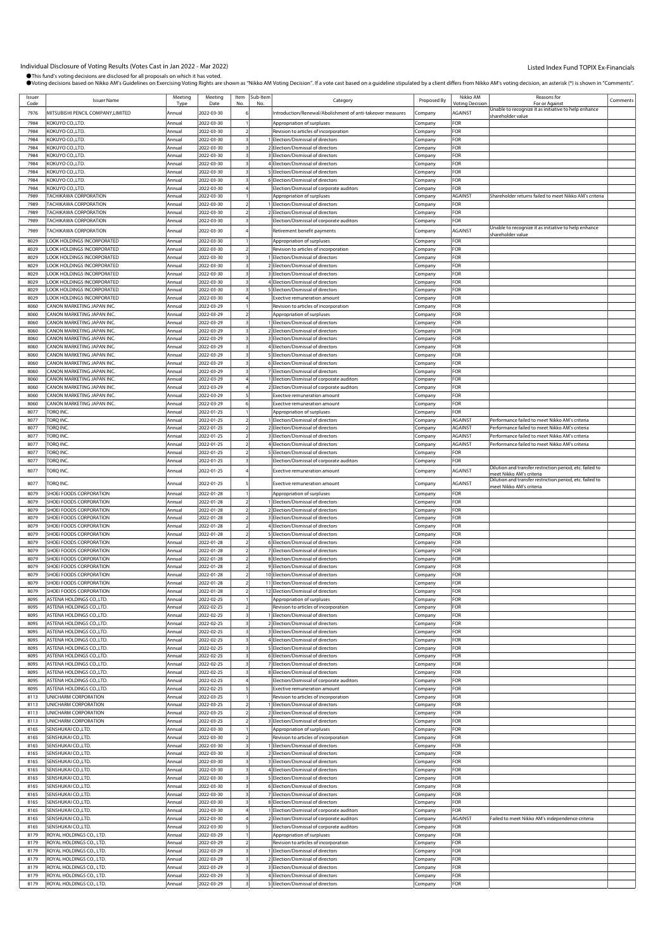Individual Disclosure of Voting Results (Votes Cast in Jan 2022 - Mar 2022)<br>●This fund's voting decisions are disclosed for all proposals on which it has voted. wn as "Nikko AM Voting Decision". If a vote cast based on a quideline stipulated by a client differs from Nikko AM's voting decision, an asterisk (") is shown in "Comments".

|              |                                                          |                  |                          |                         |     | accisions based on mikko and subcrimes on exercising vourights are snown as mikko an vourig becision . If a vote case based on a guideline supulated by a circuit aniers non mikko and svourights sound accision, an ascertion |                    |                   |                                                                                      |          |
|--------------|----------------------------------------------------------|------------------|--------------------------|-------------------------|-----|--------------------------------------------------------------------------------------------------------------------------------------------------------------------------------------------------------------------------------|--------------------|-------------------|--------------------------------------------------------------------------------------|----------|
| Issuer       | <b>Issuer Name</b>                                       | Meeting          | Meeting                  | Item Sub-Item           |     | Category                                                                                                                                                                                                                       | Proposed By        | Nikko AM          | Reasons for                                                                          | Comments |
| Code         |                                                          | Type             | Date                     | No                      | No  |                                                                                                                                                                                                                                |                    | /oting Decisio    | For or Against<br>Unable to recognize it as initiative to help enhance               |          |
| 7976         | MITSUBISHI PENCIL COMPANY, LIMITED                       | Annual           | 2022-03-30               |                         |     | ntroduction/Renewal/Abolishment of anti-takeover measures                                                                                                                                                                      | Company            | <b>AGAINST</b>    | shareholder value                                                                    |          |
| 7984         | KOKUYO CO.,LTD.                                          | Annual           | 2022-03-30               |                         |     | Appropriation of surpluses                                                                                                                                                                                                     | Company            | FOR               |                                                                                      |          |
| 7984         | KOKUYO CO.,LTD.                                          | Annual           | 2022-03-30               |                         |     | Revision to articles of incorporation                                                                                                                                                                                          | Company            | FOR               |                                                                                      |          |
| 7984         | KOKUYO CO.,LTD.                                          | Annual           | 2022-03-30               |                         |     | Election/Dismissal of directors                                                                                                                                                                                                | Company            | FOR               |                                                                                      |          |
| 7984         | KOKUYO CO.,LTD.                                          | Annual           | 2022-03-30               |                         |     | 2 Election/Dismissal of directors                                                                                                                                                                                              | Company            | FOR               |                                                                                      |          |
| 7984         | <b>KOKUYO CO.,LTD.</b>                                   | Annual           | 2022-03-30               |                         |     | 3 Election/Dismissal of directors                                                                                                                                                                                              | Company            | FOR               |                                                                                      |          |
| 7984<br>7984 | KOKUYO CO.,LTD.<br>KOKUYO CO.,LTD.                       | Annual<br>Annual | 2022-03-30<br>2022-03-30 |                         |     | 4 Election/Dismissal of directors<br>5 Election/Dismissal of directors                                                                                                                                                         | Company            | FOR<br>FOR        |                                                                                      |          |
| 7984         | KOKUYO CO.,LTD.                                          | Annual           | 2022-03-30               |                         |     | 6 Election/Dismissal of directors                                                                                                                                                                                              | Company<br>Company | FOR               |                                                                                      |          |
| 7984         | KOKUYO CO.,LTD.                                          | Annual           | 2022-03-30               |                         |     | Election/Dismissal of corporate auditors                                                                                                                                                                                       | Company            | FOR               |                                                                                      |          |
| 7989         | <b><i>FACHIKAWA CORPORATION</i></b>                      | Annual           | 2022-03-30               |                         |     | Appropriation of surpluses                                                                                                                                                                                                     | Company            | <b>AGAINST</b>    | Shareholder returns failed to meet Nikko AM's criteria                               |          |
| 7989         | <b>TACHIKAWA CORPORATION</b>                             | Annual           | 2022-03-30               |                         |     | 1 Election/Dismissal of directors                                                                                                                                                                                              | Company            | FOR               |                                                                                      |          |
| 7989         | <b>TACHIKAWA CORPORATION</b>                             | Annual           | 2022-03-30               |                         |     | 2 Election/Dismissal of directors                                                                                                                                                                                              | Company            | FOR               |                                                                                      |          |
| 7989         | TACHIKAWA CORPORATION                                    | Annual           | 2022-03-30               |                         |     | Election/Dismissal of corporate auditors                                                                                                                                                                                       | Company            | FOR               |                                                                                      |          |
| 7989         | TACHIKAWA CORPORATION                                    | Annual           | 2022-03-30               |                         |     | Retirement benefit payments                                                                                                                                                                                                    | Company            | <b>AGAINST</b>    | Unable to recognize it as initiative to help enhance                                 |          |
|              |                                                          |                  |                          |                         |     |                                                                                                                                                                                                                                |                    |                   | shareholder value                                                                    |          |
| 8029<br>8029 | LOOK HOLDINGS INCORPORATED<br>LOOK HOLDINGS INCORPORATED | Annual<br>Annual | 2022-03-30<br>2022-03-30 |                         |     | Appropriation of surpluses<br>Revision to articles of incorporation                                                                                                                                                            | Company            | FOR<br>FOR        |                                                                                      |          |
| 8029         | LOOK HOLDINGS INCORPORATED                               | Annual           | 2022-03-30               |                         |     | Election/Dismissal of directors                                                                                                                                                                                                | Company<br>Company | FOR               |                                                                                      |          |
| 8029         | OOK HOLDINGS INCORPORATED                                | Annual           | 2022-03-30               |                         |     | 2 Election/Dismissal of directors                                                                                                                                                                                              | Company            | FOR               |                                                                                      |          |
| 8029         | OOK HOLDINGS INCORPORATED                                | Annual           | 2022-03-30               |                         |     | 3 Election/Dismissal of directors                                                                                                                                                                                              | Company            | FOR               |                                                                                      |          |
| 8029         | OOK HOLDINGS INCORPORATED                                | Annual           | 2022-03-30               |                         |     | 4 Election/Dismissal of directors                                                                                                                                                                                              | Company            | FOR               |                                                                                      |          |
| 8029         | LOOK HOLDINGS INCORPORATED                               | Annual           | 2022-03-30               |                         |     | 5 Election/Dismissal of directors                                                                                                                                                                                              | Company            | FOR               |                                                                                      |          |
| 8029         | LOOK HOLDINGS INCORPORATED                               | Annual           | 2022-03-30               |                         |     | Exective remuneration amount                                                                                                                                                                                                   | Company            | FOR               |                                                                                      |          |
| 8060         | CANON MARKETING JAPAN INC.                               | Annual           | 2022-03-29               |                         |     | Revision to articles of incorporation                                                                                                                                                                                          | Company            | FOR               |                                                                                      |          |
| 8060         | CANON MARKETING JAPAN INC.                               | Annual           | 2022-03-29               |                         |     | Appropriation of surpluses                                                                                                                                                                                                     | Company            | FOR               |                                                                                      |          |
| 8060         | CANON MARKETING JAPAN INC.                               | Annual           | 2022-03-29               | $\overline{\mathbf{3}}$ |     | Election/Dismissal of directors                                                                                                                                                                                                | Company            | FOR               |                                                                                      |          |
| 8060         | CANON MARKETING JAPAN INC.                               | Annual           | 2022-03-29               |                         |     | 2 Election/Dismissal of directors                                                                                                                                                                                              | Company            | FOR               |                                                                                      |          |
| 8060         | CANON MARKETING JAPAN INC.                               | Annual           | 2022-03-29               |                         |     | 3 Election/Dismissal of directors                                                                                                                                                                                              | Company            | FOR               |                                                                                      |          |
| 8060         | CANON MARKETING JAPAN INC.                               | Annual           | 2022-03-29               |                         |     | 4 Election/Dismissal of directors                                                                                                                                                                                              | Company            | FOR               |                                                                                      |          |
| 8060         | CANON MARKETING JAPAN INC.                               | Annual           | 2022-03-29               |                         |     | 5 Election/Dismissal of directors                                                                                                                                                                                              | Company            | FOR               |                                                                                      |          |
| 8060         | CANON MARKETING JAPAN INC.                               | Annual           | 2022-03-29               |                         |     | 6 Election/Dismissal of directors                                                                                                                                                                                              | Company            | FOR               |                                                                                      |          |
| 8060         | CANON MARKETING JAPAN INC.                               | Annual           | 2022-03-29               |                         |     | 7 Election/Dismissal of directors                                                                                                                                                                                              | Company            | FOR               |                                                                                      |          |
| 8060         | CANON MARKETING JAPAN INC.                               | Annual           | 2022-03-29               |                         |     | Election/Dismissal of corporate auditors                                                                                                                                                                                       | Company            | <b>FOR</b>        |                                                                                      |          |
| 8060         | CANON MARKETING JAPAN INC.                               | Annual           | 2022-03-29               |                         |     | 2 Election/Dismissal of corporate auditors                                                                                                                                                                                     | Company            | FOR               |                                                                                      |          |
| 8060         | CANON MARKETING JAPAN INC.                               | Annual           | 2022-03-29               |                         |     | Exective remuneration amount                                                                                                                                                                                                   | Company            | FOR               |                                                                                      |          |
| 8060         | CANON MARKETING JAPAN INC.                               | Annual           | 2022-03-29               |                         |     | <b>Exective remuneration amount</b>                                                                                                                                                                                            | Company            | FOR               |                                                                                      |          |
| 8077         | torq inc.                                                | Annual           | 2022-01-25               |                         |     | Appropriation of surpluses                                                                                                                                                                                                     | Company            | FOR               |                                                                                      |          |
| 8077         | torq inc.                                                | Annual           | 2022-01-25               |                         |     | Election/Dismissal of directors                                                                                                                                                                                                | Company            | AGAINST           | Performance failed to meet Nikko AM's criteria                                       |          |
| 8077         | TORQ INC.                                                | Annual           | 2022-01-25               |                         |     | 2 Election/Dismissal of directors                                                                                                                                                                                              | Company            | AGAINST           | Performance failed to meet Nikko AM's criteria                                       |          |
| 8077         | TORQ INC.                                                | Annual           | 2022-01-25               |                         |     | 3 Election/Dismissal of directors                                                                                                                                                                                              | Company            | <b>AGAINST</b>    | Performance failed to meet Nikko AM's criteria                                       |          |
| 8077         | TORQ INC.                                                | Annual           | 2022-01-25               | $\overline{2}$          |     | 4 Election/Dismissal of directors                                                                                                                                                                                              | Company            | <b>AGAINST</b>    | Performance failed to meet Nikko AM's criteria                                       |          |
| 8077         | Torq inc.                                                | Annual           | 2022-01-25               |                         |     | 5 Election/Dismissal of directors                                                                                                                                                                                              | Company            | FOR               |                                                                                      |          |
| 8077         | Torq inc.                                                | Annual           | 2022-01-25               |                         |     | Election/Dismissal of corporate auditors                                                                                                                                                                                       | Company            | FOR               |                                                                                      |          |
| 8077         | Torq inc.                                                | Annual           | 2022-01-25               |                         |     | <b>Exective remuneration amount</b>                                                                                                                                                                                            | Company            | AGAINST           | Dilution and transfer restriction period, etc. failed to<br>meet Nikko AM's criteria |          |
| 8077         | TORQ INC.                                                | Annual           | 2022-01-25               |                         |     | <b>Exective remuneration amount</b>                                                                                                                                                                                            | Company            | AGAINST           | Dilution and transfer restriction period, etc. failed to                             |          |
|              |                                                          |                  |                          |                         |     |                                                                                                                                                                                                                                |                    |                   | meet Nikko AM's criteria                                                             |          |
| 8079         | SHOEI FOODS CORPORATION                                  | Annual           | 2022-01-28               |                         |     | Appropriation of surpluses                                                                                                                                                                                                     | Company            | FOR               |                                                                                      |          |
| 8079         | SHOEI FOODS CORPORATION                                  | Annual           | 2022-01-28               |                         |     | Election/Dismissal of directors                                                                                                                                                                                                | Company            | FOR               |                                                                                      |          |
| 8079         | SHOEI FOODS CORPORATION                                  | Annual           | 2022-01-28               |                         |     | 2 Election/Dismissal of directors                                                                                                                                                                                              | Company            | FOR<br><b>FOR</b> |                                                                                      |          |
| 8079         | SHOEI FOODS CORPORATION<br>SHOEI FOODS CORPORATION       | Annual           | 2022-01-28               |                         |     | 3 Election/Dismissal of directors                                                                                                                                                                                              | Company            | FOR               |                                                                                      |          |
| 8079         |                                                          | Annual           | 2022-01-28               |                         |     | 4 Election/Dismissal of directors<br>5 Election/Dismissal of directors                                                                                                                                                         | Company            |                   |                                                                                      |          |
| 8079<br>8079 | SHOEI FOODS CORPORATION<br>SHOEI FOODS CORPORATION       | Annual           | 2022-01-28<br>2022-01-28 |                         |     | 6 Election/Dismissal of directors                                                                                                                                                                                              | Company            | FOR<br>FOR        |                                                                                      |          |
| 8079         | SHOEI FOODS CORPORATION                                  | Annual<br>Annual | 2022-01-28               |                         |     | 7 Election/Dismissal of directors                                                                                                                                                                                              | Company<br>Company | FOR               |                                                                                      |          |
| 8079         | SHOEI FOODS CORPORATION                                  | Annual           | 2022-01-28               |                         |     | 8 Election/Dismissal of directors                                                                                                                                                                                              | Company            | FOR               |                                                                                      |          |
| 8079         | SHOEI FOODS CORPORATION                                  | Annual           | 2022-01-28               |                         |     | 9 Election/Dismissal of directors                                                                                                                                                                                              | Company            | FOR               |                                                                                      |          |
| 8079         | SHOEI FOODS CORPORATION                                  | Annual           | 2022-01-28               |                         |     | 10 Election/Dismissal of directors                                                                                                                                                                                             | Company            | FOR               |                                                                                      |          |
| 8079         | SHOEI FOODS CORPORATION                                  | Annual           | 2022-01-28               | $\overline{2}$          |     | 11 Election/Dismissal of directors                                                                                                                                                                                             | Company            | FOR               |                                                                                      |          |
|              | HOEI FOODS CORPORATION                                   | nnua             | UZZ-UT-ZC                |                         | 12E | :lection/Dismissal of director:                                                                                                                                                                                                | ompany             |                   |                                                                                      |          |
| 8095         | ASTENA HOLDINGS CO., LTD.                                | Annual           | 2022-02-25               |                         |     | Appropriation of surpluses                                                                                                                                                                                                     | Company            | FOR               |                                                                                      |          |
| 8095         | ASTENA HOLDINGS CO.,LTD.                                 | Annual           | 2022-02-25               |                         |     | Revision to articles of incorporation                                                                                                                                                                                          | Company            | FOR               |                                                                                      |          |
| 8095         | ASTENA HOLDINGS CO.,LTD.                                 | Annual           | 2022-02-25               |                         |     | Election/Dismissal of directors                                                                                                                                                                                                | Company            | FOR               |                                                                                      |          |
| 8095         | ASTENA HOLDINGS CO.,LTD.                                 | Annual           | 2022-02-25               |                         |     | 2 Election/Dismissal of directors                                                                                                                                                                                              | Company            | FOR               |                                                                                      |          |
| 8095         | ASTENA HOLDINGS CO.,LTD.                                 | Annual           | 2022-02-25               |                         |     | 3 Election/Dismissal of directors                                                                                                                                                                                              | Company            | FOR               |                                                                                      |          |
| 8095         | ASTENA HOLDINGS CO., LTD.                                | Annual           | 2022-02-25               |                         |     | 4 Election/Dismissal of directors                                                                                                                                                                                              | Company            | FOR               |                                                                                      |          |
| 8095         | ASTENA HOLDINGS CO.,LTD.                                 | Annual           | 2022-02-25               |                         |     | 5 Election/Dismissal of directors                                                                                                                                                                                              | Company            | FOR               |                                                                                      |          |
| 8095         | ASTENA HOLDINGS CO.,LTD.                                 | Annual           | 2022-02-25               | $\overline{\mathbf{3}}$ |     | 6 Election/Dismissal of directors                                                                                                                                                                                              | Company            | FOR               |                                                                                      |          |
| 8095         | ASTENA HOLDINGS CO.,LTD.                                 | Annual           | 2022-02-25               | $\overline{\mathbf{3}}$ |     | 7 Election/Dismissal of directors                                                                                                                                                                                              | Company            | FOR               |                                                                                      |          |
| 8095         | ASTENA HOLDINGS CO.,LTD.                                 | Annual           | 2022-02-25               |                         |     | 8 Election/Dismissal of directors                                                                                                                                                                                              | Company            | FOR               |                                                                                      |          |
| 8095         | ASTENA HOLDINGS CO.,LTD.                                 | Annual           | 2022-02-25               |                         |     | Election/Dismissal of corporate auditors                                                                                                                                                                                       | Company            | FOR<br>FOR        |                                                                                      |          |
| 8095         | ASTENA HOLDINGS CO.,LTD.                                 | Annual           | 2022-02-25               |                         |     | <b>Exective remuneration amount</b>                                                                                                                                                                                            | Company            |                   |                                                                                      |          |
| 8113         | UNICHARM CORPORATION                                     | Annual           | 2022-03-25               | $\overline{2}$          |     | Revision to articles of incorporation                                                                                                                                                                                          | Company            | FOR               |                                                                                      |          |
| 8113<br>8113 | UNICHARM CORPORATION<br>UNICHARM CORPORATION             | Annual<br>Annual | 2022-03-25<br>2022-03-25 |                         |     | 1 Election/Dismissal of directors<br>2 Election/Dismissal of directors                                                                                                                                                         | Company            | FOR<br>FOR        |                                                                                      |          |
| 8113         | UNICHARM CORPORATION                                     | Annual           | 2022-03-25               |                         |     | 3 Election/Dismissal of directors                                                                                                                                                                                              | Company<br>Company | FOR               |                                                                                      |          |
| 8165         | SENSHUKAI CO.,LTD                                        | Annual           | 2022-03-30               |                         |     | Appropriation of surpluses                                                                                                                                                                                                     | Company            | FOR               |                                                                                      |          |
| 8165         | SENSHUKAI CO.,LTD.                                       | Annual           | 2022-03-30               | $\overline{2}$          |     | Revision to articles of incorporation                                                                                                                                                                                          | Company            | FOR               |                                                                                      |          |
| 8165         | SENSHUKAI CO., LTD.                                      | Annual           | 2022-03-30               | $\overline{\mathbf{3}}$ |     | 1 Election/Dismissal of directors                                                                                                                                                                                              | Company            | FOR               |                                                                                      |          |
| 8165         | SENSHUKAI CO., LTD.                                      | Annual           | 2022-03-30               |                         |     | 2 Election/Dismissal of directors                                                                                                                                                                                              | Company            | FOR               |                                                                                      |          |
| 8165         | SENSHUKAI CO., LTD.                                      | Annual           | 2022-03-30               |                         |     | 3 Election/Dismissal of directors                                                                                                                                                                                              | Company            | FOR               |                                                                                      |          |
| 8165         | SENSHUKAI CO., LTD.                                      | Annual           | 2022-03-30               |                         |     | 4 Election/Dismissal of directors                                                                                                                                                                                              | Company            | FOR               |                                                                                      |          |
| 8165         | SENSHUKAI CO., LTD.                                      | Annual           | 2022-03-30               |                         |     | 5 Election/Dismissal of directors                                                                                                                                                                                              | Company            | FOR               |                                                                                      |          |
| 8165         | SENSHUKAI CO., LTD.                                      | Annual           | 2022-03-30               | $\overline{\mathbf{3}}$ |     | 6 Election/Dismissal of directors                                                                                                                                                                                              | Company            | FOR               |                                                                                      |          |
| 8165         | SENSHUKAI CO., LTD.                                      | Annual           | 2022-03-30               |                         |     | 7 Election/Dismissal of directors                                                                                                                                                                                              | Company            | FOR               |                                                                                      |          |
| 8165         | SENSHUKAI CO., LTD.                                      | Annual           | 2022-03-30               |                         |     | 8 Election/Dismissal of directors                                                                                                                                                                                              | Company            | FOR               |                                                                                      |          |
| 8165         | SENSHUKAI CO.,LTD                                        | Annual           | 2022-03-30               |                         |     | I Election/Dismissal of corporate auditors                                                                                                                                                                                     | Company            | FOR               |                                                                                      |          |
| 8165         | SENSHUKAI CO., LTD.                                      | Annual           | 2022-03-30               |                         |     | 2 Election/Dismissal of corporate auditors                                                                                                                                                                                     | Company            | <b>AGAINST</b>    | Failed to meet Nikko AM's independence criteria                                      |          |
| 8165         | SENSHUKAI CO., LTD.                                      | Annual           | 2022-03-30               | 5                       |     | Election/Dismissal of corporate auditors                                                                                                                                                                                       | Company            | FOR               |                                                                                      |          |
| 8179         | ROYAL HOLDINGS CO., LTD.                                 | Annual           | 2022-03-29               |                         |     | Appropriation of surpluses                                                                                                                                                                                                     | Company            | FOR               |                                                                                      |          |
| 8179         | ROYAL HOLDINGS CO., LTD.                                 | Annual           | 2022-03-29               |                         |     | Revision to articles of incorporation                                                                                                                                                                                          | Company            | FOR               |                                                                                      |          |
| 8179         | ROYAL HOLDINGS CO., LTD.                                 | Annual           | 2022-03-29               |                         |     | 1 Election/Dismissal of directors                                                                                                                                                                                              | Company            | FOR               |                                                                                      |          |
| 8179         | ROYAL HOLDINGS CO., LTD.                                 | Annual           | 2022-03-29               |                         |     | 2 Election/Dismissal of directors                                                                                                                                                                                              | Company            | FOR               |                                                                                      |          |
| 8179         | ROYAL HOLDINGS CO., LTD.                                 | Annual           | 2022-03-29               | $\overline{\mathbf{3}}$ |     | 3 Election/Dismissal of directors                                                                                                                                                                                              | Company            | FOR               |                                                                                      |          |
| 8179         | ROYAL HOLDINGS CO., LTD.                                 | Annual           | 2022-03-29               |                         |     | 4 Election/Dismissal of directors                                                                                                                                                                                              | Company            | FOR               |                                                                                      |          |
| 8179         | ROYAL HOLDINGS CO., LTD.                                 | Annual           | 2022-03-29               | 3                       |     | 5 Election/Dismissal of directors                                                                                                                                                                                              | Company            | FOR               |                                                                                      |          |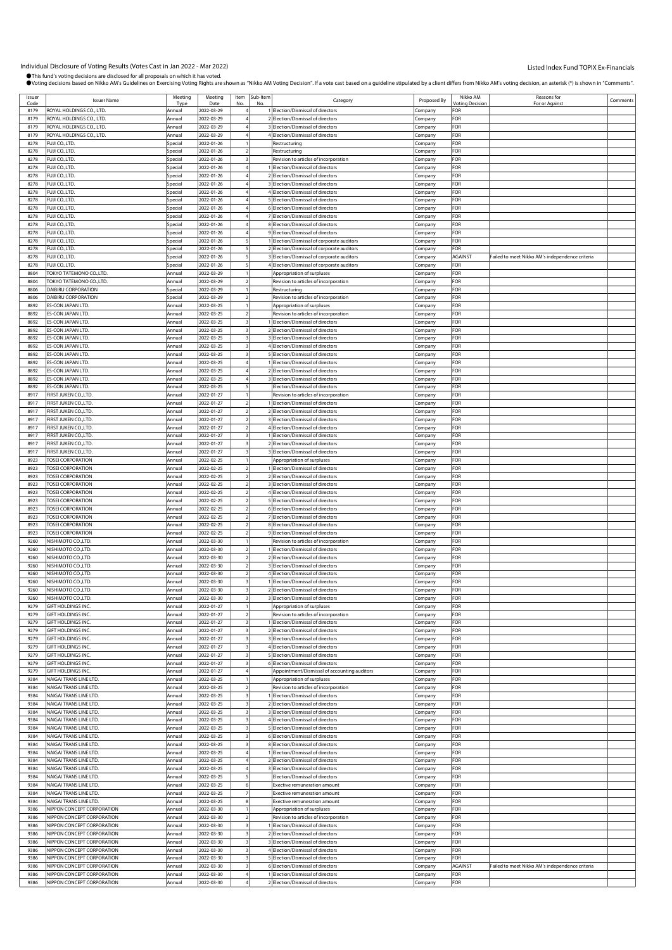| Issuer       | <b>Issuer Name</b>         | Meeting        | Meeting            | Item                    | Sub-Item | Category                                     | Proposed By | Nikko AM                                    | Reasons for                                     | Comments |
|--------------|----------------------------|----------------|--------------------|-------------------------|----------|----------------------------------------------|-------------|---------------------------------------------|-------------------------------------------------|----------|
| Code<br>8179 | ROYAL HOLDINGS CO., LTD.   | Type<br>Annual | Date<br>2022-03-29 |                         |          | 1 Election/Dismissal of directors            |             | <b><i><u>Intina</u></i></b> Decision<br>FOR | For or Agains                                   |          |
|              |                            |                |                    |                         |          |                                              | Company     |                                             |                                                 |          |
| 8179         | ROYAL HOLDINGS CO., LTD.   | Annual         | 2022-03-29         |                         |          | 2 Election/Dismissal of directors            | Company     | FOR                                         |                                                 |          |
| 8179         | ROYAL HOLDINGS CO., LTD.   | Annual         | 2022-03-29         |                         |          | 3 Election/Dismissal of directors            | Company     | FOR                                         |                                                 |          |
| 8179         | ROYAL HOLDINGS CO., LTD.   | Annual         | 2022-03-29         |                         |          | 4 Election/Dismissal of directors            | :ompany     | FOR                                         |                                                 |          |
| 8278         | FUJI CO.,LTD.              | Special        | 2022-01-26         |                         |          | Restructuring                                | Company     | <b>FOR</b>                                  |                                                 |          |
| 8278         | FUJI CO.,LTD.              | Special        | 2022-01-26         |                         |          | Restructuring                                | Company     | FOR                                         |                                                 |          |
|              |                            |                |                    |                         |          | Revision to articles of incorporation        |             |                                             |                                                 |          |
| 8278         | FUJI CO.,LTD.              | Special        | 2022-01-26         |                         |          |                                              | Company     | FOR                                         |                                                 |          |
| 8278         | FUJI CO.,LTD.              | Special        | 2022-01-26         |                         |          | 1 Election/Dismissal of directors            | Company     | FOR                                         |                                                 |          |
| 8278         | FUJI CO.,LTD.              | Special        | 2022-01-26         |                         |          | 2 Election/Dismissal of directors            | :ompany     | FOR                                         |                                                 |          |
| 8278         | FUJI CO.,LTD.              | Special        | 2022-01-26         |                         |          | 3 Election/Dismissal of directors            | Company     | FOR                                         |                                                 |          |
| 8278         | FUJI CO.,LTD.              | Special        | 2022-01-26         |                         |          | 4 Election/Dismissal of directors            | Company     | FOR                                         |                                                 |          |
| 8278         | FUJI CO.,LTD.              | Special        | 2022-01-26         |                         |          | 5 Election/Dismissal of directors            | Company     | FOR                                         |                                                 |          |
| 8278         |                            |                |                    |                         |          |                                              |             | FOR                                         |                                                 |          |
|              | FUJI CO.,LTD.              | Special        | 2022-01-26         |                         |          | 6 Election/Dismissal of directors            | Company     |                                             |                                                 |          |
| 8278         | FUJI CO.,LTD.              | Special        | 2022-01-26         |                         |          | 7 Election/Dismissal of directors            | .ompany     | FOR                                         |                                                 |          |
| 8278         | FUJI CO.,LTD.              | Special        | 2022-01-26         |                         |          | 8 Election/Dismissal of directors            | Company     | FOR                                         |                                                 |          |
| 8278         | FUJI CO.,LTD.              | Special        | 2022-01-26         |                         |          | 9 Election/Dismissal of directors            | Company     | FOR                                         |                                                 |          |
| 8278         | FUJI CO.,LTD.              | Special        | 2022-01-26         |                         |          | 1 Election/Dismissal of corporate auditors   | Company     | FOR                                         |                                                 |          |
| 8278         | FUJI CO.,LTD.              | Special        | 2022-01-26         |                         |          | 2 Election/Dismissal of corporate auditors   | Company     | FOR                                         |                                                 |          |
| 8278         | FUJI CO.,LTD.              | Special        | 2022-01-26         |                         |          | 3 Election/Dismissal of corporate auditors   |             | <b>AGAINST</b>                              | Failed to meet Nikko AM's independence criteria |          |
|              |                            |                |                    |                         |          |                                              | .cmpany     |                                             |                                                 |          |
| 8278         | FUJI CO.,LTD.              | Special        | 2022-01-26         |                         |          | 4 Election/Dismissal of corporate auditors   | Company     | FOR                                         |                                                 |          |
| 8804         | TOKYO TATEMONO CO.,LTD.    | Annual         | 2022-03-29         |                         |          | Appropriation of surpluses                   | Company     | FOR                                         |                                                 |          |
| 8804         | TOKYO TATEMONO CO.,LTD.    | Annual         | 2022-03-29         | 2                       |          | Revision to articles of incorporation        | Company     | FOR                                         |                                                 |          |
| 8806         | DAIBIRU CORPORATION        | Special        | 2022-03-29         |                         |          | Restructuring                                | Company     | FOR                                         |                                                 |          |
| 8806         | DAIBIRU CORPORATION        | Special        | 2022-03-29         |                         |          | Revision to articles of incorporation        | .ompany     | FOR                                         |                                                 |          |
| 8892         | ES-CON JAPAN LTD.          | Annual         | 2022-03-25         |                         |          | Appropriation of surpluses                   | Company     | <b>FOR</b>                                  |                                                 |          |
|              |                            |                |                    | $\overline{z}$          |          |                                              |             |                                             |                                                 |          |
| 8892         | ES-CON JAPAN LTD.          | Annual         | 2022-03-25         |                         |          | Revision to articles of incorporation        | Company     | FOR                                         |                                                 |          |
| 8892         | ES-CON JAPAN LTD.          | Annual         | 2022-03-25         | 3                       |          | 1 Election/Dismissal of directors            | Company     | FOR                                         |                                                 |          |
| 8892         | ES-CON JAPAN LTD.          | Annual         | 2022-03-25         |                         |          | 2 Election/Dismissal of directors            | Company     | FOR                                         |                                                 |          |
| 8892         | ES-CON JAPAN LTD.          | Annual         | 2022-03-25         |                         |          | 3 Election/Dismissal of directors            | .ompany     | FOR                                         |                                                 |          |
| 8892         | ES-CON JAPAN LTD.          | Annual         | 2022-03-25         |                         |          | 4 Election/Dismissal of directors            | Company     | <b>FOR</b>                                  |                                                 |          |
| 8892         | ES-CON JAPAN LTD.          | Annual         | 2022-03-25         |                         |          | 5 Election/Dismissal of directors            | Company     | FOR                                         |                                                 |          |
| 8892         | ES-CON JAPAN LTD.          | Annual         | 2022-03-25         |                         |          | 1 Election/Dismissal of directors            |             | FOR                                         |                                                 |          |
|              |                            |                |                    |                         |          |                                              | Company     |                                             |                                                 |          |
| 8892         | ES-CON JAPAN LTD.          | Annual         | 2022-03-25         |                         |          | 2 Election/Dismissal of directors            | Company     | FOR                                         |                                                 |          |
| 8892         | ES-CON JAPAN LTD.          | Annual         | 2022-03-25         |                         |          | 3 Election/Dismissal of directors            | .ompany     | FOR                                         |                                                 |          |
| 8892         | ES-CON JAPAN LTD.          | Annual         | 2022-03-25         |                         |          | Election/Dismissal of directors              | Company     | FOR                                         |                                                 |          |
| 8917         | FIRST JUKEN CO.,LTD        | Annual         | 2022-01-27         |                         |          | Revision to articles of incorporation        | Company     | FOR                                         |                                                 |          |
| 8917         | FIRST JUKEN CO.,LTD.       | Annual         | 2022-01-27         | $\overline{z}$          |          | 1 Election/Dismissal of directors            | Company     | FOR                                         |                                                 |          |
| 8917         | FIRST JUKEN CO.,LTD        | Annual         | 2022-01-27         |                         |          | 2 Election/Dismissal of directors            | Company     | FOR                                         |                                                 |          |
|              |                            |                |                    |                         |          |                                              |             |                                             |                                                 |          |
| 8917         | FIRST JUKEN CO.,LTD        | Annual         | 2022-01-27         |                         |          | 3 Election/Dismissal of directors            | .ompany     | FOR                                         |                                                 |          |
| 8917         | FIRST JUKEN CO., LTD.      | Annual         | 2022-01-27         |                         |          | 4 Election/Dismissal of directors            | Company     | FOR                                         |                                                 |          |
| 8917         | FIRST JUKEN CO.,LTD        | Annual         | 2022-01-27         |                         |          | 1 Election/Dismissal of directors            | Company     | FOR                                         |                                                 |          |
| 8917         | FIRST JUKEN CO.,LTD.       | Annual         | 2022-01-27         | 3                       |          | 2 Election/Dismissal of directors            | Company     | FOR                                         |                                                 |          |
| 8917         | FIRST JUKEN CO., LTD       | Annual         | 2022-01-27         |                         |          | 3 Election/Dismissal of directors            | Company     | FOR                                         |                                                 |          |
| 8923         | <b>TOSEI CORPORATION</b>   | Annual         | 2022-02-25         |                         |          | Appropriation of surpluses                   | .ompany     | FOR                                         |                                                 |          |
|              |                            |                |                    |                         |          |                                              |             |                                             |                                                 |          |
| 8923         | <b>TOSEI CORPORATION</b>   | Annual         | 2022-02-25         |                         |          | 1 Election/Dismissal of directors            | Company     | FOR                                         |                                                 |          |
| 8923         | <b>TOSEI CORPORATION</b>   | Annual         | 2022-02-25         |                         |          | 2 Election/Dismissal of directors            | Company     | FOR                                         |                                                 |          |
| 8923         | <b>TOSEI CORPORATION</b>   | Annual         | 2022-02-25         | 2                       |          | 3 Election/Dismissal of directors            | Company     | FOR                                         |                                                 |          |
| 8923         | <b>TOSEI CORPORATION</b>   | Annual         | 2022-02-25         | $\overline{2}$          |          | 4 Election/Dismissal of directors            | Company     | FOR                                         |                                                 |          |
| 8923         | <b>TOSEI CORPORATION</b>   | Annual         | 2022-02-25         |                         |          | 5 Election/Dismissal of directors            | .ompany     | FOR                                         |                                                 |          |
| 8923         | <b>TOSEI CORPORATION</b>   | Annual         | 2022-02-25         |                         |          | 6 Election/Dismissal of directors            | Company     | <b>FOR</b>                                  |                                                 |          |
|              |                            |                |                    |                         |          |                                              |             |                                             |                                                 |          |
| 8923         | <b>TOSEI CORPORATION</b>   | Annual         | 2022-02-25         |                         |          | 7 Election/Dismissal of directors            | Company     | FOR                                         |                                                 |          |
| 8923         | <b>TOSEI CORPORATION</b>   | Annual         | 2022-02-25         | $\overline{2}$          |          | 8 Election/Dismissal of directors            | Company     | FOR                                         |                                                 |          |
| 8923         | <b>TOSEI CORPORATION</b>   | Annual         | 2022-02-25         |                         |          | 9 Election/Dismissal of directors            | Company     | FOR                                         |                                                 |          |
| 9260         | NISHIMOTO CO., LTD.        | Annual         | 2022-03-30         |                         |          | Revision to articles of incorporation        | .ompany     | FOR                                         |                                                 |          |
| 9260         | NISHIMOTO CO., LTD.        | Annual         | 2022-03-30         |                         |          | 1 Election/Dismissal of directors            | Company     | FOR                                         |                                                 |          |
| 9260         | NISHIMOTO CO.,LTD.         | Annual         | 2022-03-30         |                         |          | 2 Election/Dismissal of directors            | Company     | FOR                                         |                                                 |          |
| 9260         | NISHIMOTO CO.,LTD.         | Annual         | 2022-03-30         | $\overline{2}$          |          | 3 Election/Dismissal of directors            |             | FOR                                         |                                                 |          |
|              |                            |                |                    |                         |          | 4 Election/Dismissal of directors            | Company     |                                             |                                                 |          |
| 9260         | NISHIMOTO CO.,LTD.         | Annual         | 2022-03-30         |                         |          |                                              | Company     | FOR                                         |                                                 |          |
| 9260         | NISHIMOTO CO., LTD.        | Annual         | 2022-03-30         |                         |          | 1 Election/Dismissal of directors            | :ompany     | FOR                                         |                                                 |          |
| 9260         | NISHIMOTO CO., LTD.        | Annual         | 2022-03-30         | 3                       |          | 2 Election/Dismissal of directors            | Company     | FOR                                         |                                                 |          |
| 9260         | NISHIMOTO CO., LTD.        | Annual         | 2022-03-30         |                         |          | 3 Election/Dismissal of directors            | Company     | FOR                                         |                                                 |          |
| 9279         | GIFT HOLDINGS INC.         | Annual         | 2022-01-27         |                         |          | Appropriation of surpluses                   | Company     | FOR                                         |                                                 |          |
| 9279         | GIFT HOLDINGS INC.         | Annual         | 2022-01-27         |                         |          | Revision to articles of incorporation        | Company     | FOR                                         |                                                 |          |
| 9279         | GIFT HOLDINGS INC.         | Annual         | 2022-01-27         |                         |          | 1 Election/Dismissal of directors            | :ompany     | FOR                                         |                                                 |          |
|              |                            |                |                    |                         |          | 2 Election/Dismissal of directors            |             | FOR                                         |                                                 |          |
| 9279         | GIFT HOLDINGS INC.         | Annual         | 2022-01-27         |                         |          |                                              | Company     |                                             |                                                 |          |
| 9279         | <b>GIFT HOLDINGS INC</b>   | Annual         | 2022-01-27         | 3                       |          | 3 Election/Dismissal of directors            | Company     | FOR                                         |                                                 |          |
| 9279         | GIFT HOLDINGS INC.         | Annual         | 2022-01-27         | 3                       |          | 4 Election/Dismissal of directors            | Company     | FOR                                         |                                                 |          |
| 9279         | GIFT HOLDINGS INC.         | Annual         | 2022-01-27         | 3                       |          | 5 Election/Dismissal of directors            | Company     | FOR                                         |                                                 |          |
| 9279         | GIFT HOLDINGS INC.         | Annual         | 2022-01-27         |                         |          | 6 Election/Dismissal of directors            | :ompany     | FOR                                         |                                                 |          |
| 9279         | GIFT HOLDINGS INC.         | Annual         | 2022-01-27         |                         |          | Appointment/Dismissal of accounting auditors | Company     | FOR                                         |                                                 |          |
| 9384         | NAIGAI TRANS LINE LTD.     | Annual         | 2022-03-25         |                         |          | Appropriation of surpluses                   | Company     | FOR                                         |                                                 |          |
| 9384         | NAIGAI TRANS LINE LTD.     | Annual         | 2022-03-25         | $\overline{2}$          |          | Revision to articles of incorporation        | Company     | FOR                                         |                                                 |          |
| 9384         |                            |                |                    | $\overline{\mathbf{3}}$ |          |                                              |             | FOR                                         |                                                 |          |
|              | NAIGAI TRANS LINE LTD.     | Annual         | 2022-03-25         |                         |          | 1 Election/Dismissal of directors            | Company     |                                             |                                                 |          |
| 9384         | NAIGAI TRANS LINE LTD.     | Annual         | 2022-03-25         |                         |          | 2 Election/Dismissal of directors            | Company     | FOR                                         |                                                 |          |
| 9384         | NAIGAI TRANS LINE LTD.     | Annual         | 2022-03-25         |                         |          | 3 Election/Dismissal of directors            | Company     | <b>FOR</b>                                  |                                                 |          |
| 9384         | NAIGAI TRANS LINE LTD.     | Annual         | 2022-03-25         | 3                       |          | 4 Election/Dismissal of directors            | Company     | FOR                                         |                                                 |          |
| 9384         | NAIGAI TRANS LINE LTD.     | Annual         | 2022-03-25         | 3                       |          | 5 Election/Dismissal of directors            | Company     | FOR                                         |                                                 |          |
| 9384         | NAIGAI TRANS LINE LTD.     | Annual         | 2022-03-25         | 3                       |          | 6 Election/Dismissal of directors            | Company     | FOR                                         |                                                 |          |
| 9384         | NAIGAI TRANS LINE LTD.     | Annual         | 2022-03-25         |                         |          | 8 Election/Dismissal of directors            | Company     | FOR                                         |                                                 |          |
| 9384         | NAIGAI TRANS LINE LTD.     | Annual         | 2022-03-25         |                         |          | 1 Election/Dismissal of directors            |             | FOR                                         |                                                 |          |
|              |                            |                |                    |                         |          |                                              | Company     |                                             |                                                 |          |
| 9384         | NAIGAI TRANS LINE LTD.     | Annual         | 2022-03-25         |                         |          | 2 Election/Dismissal of directors            | Company     | FOR                                         |                                                 |          |
| 9384         | NAIGAI TRANS LINE LTD.     | Annual         | 2022-03-25         |                         |          | 3 Election/Dismissal of directors            | Company     | FOR                                         |                                                 |          |
| 9384         | NAIGAI TRANS LINE LTD.     | Annual         | 2022-03-25         |                         |          | Election/Dismissal of directors              | Company     | FOR                                         |                                                 |          |
| 9384         | NAIGAI TRANS LINE LTD.     | Annual         | 2022-03-25         |                         |          | Exective remuneration amount                 | Company     | FOR                                         |                                                 |          |
| 9384         | NAIGAI TRANS LINE LTD.     | Annual         | 2022-03-25         |                         |          | Exective remuneration amount                 | Company     | FOR                                         |                                                 |          |
| 9384         | NAIGAI TRANS LINE LTD.     | Annual         | 2022-03-25         | 8                       |          | Exective remuneration amount                 | Company     | FOR                                         |                                                 |          |
| 9386         | NIPPON CONCEPT CORPORATION | Annual         | 2022-03-30         |                         |          |                                              |             | FOR                                         |                                                 |          |
|              |                            |                |                    |                         |          | Appropriation of surpluses                   | Company     |                                             |                                                 |          |
| 9386         | NIPPON CONCEPT CORPORATION | Annual         | 2022-03-30         |                         |          | Revision to articles of incorporation        | Company     | FOR                                         |                                                 |          |
| 9386         | NIPPON CONCEPT CORPORATION | Annual         | 2022-03-30         |                         |          | 1 Election/Dismissal of directors            | :ompany     | FOR                                         |                                                 |          |
| 9386         | NIPPON CONCEPT CORPORATION | Annual         | 2022-03-30         |                         |          | 2 Election/Dismissal of directors            | Company     | FOR                                         |                                                 |          |
| 9386         | NIPPON CONCEPT CORPORATION | Annual         | 2022-03-30         | 3                       |          | 3 Election/Dismissal of directors            | Company     | FOR                                         |                                                 |          |
| 9386         | NIPPON CONCEPT CORPORATION | Annual         | 2022-03-30         | 3                       |          | 4 Election/Dismissal of directors            | Company     | FOR                                         |                                                 |          |
| 9386         | NIPPON CONCEPT CORPORATION | Annual         | 2022-03-30         |                         |          | 5 Election/Dismissal of directors            | Company     | FOR                                         |                                                 |          |
| 9386         | NIPPON CONCEPT CORPORATION | Annual         | 2022-03-30         |                         |          | 6 Election/Dismissal of directors            |             | <b>AGAINST</b>                              | Failed to meet Nikko AM's independence criteria |          |
|              |                            |                |                    |                         |          |                                              | Company     |                                             |                                                 |          |
| 9386         | NIPPON CONCEPT CORPORATION | Annual         | 2022-03-30         |                         |          | 1 Election/Dismissal of directors            | Company     | FOR                                         |                                                 |          |
| 9386         | NIPPON CONCEPT CORPORATION | Annual         | 2022-03-30         |                         |          | 2 Election/Dismissal of directors            | Company     | FOR                                         |                                                 |          |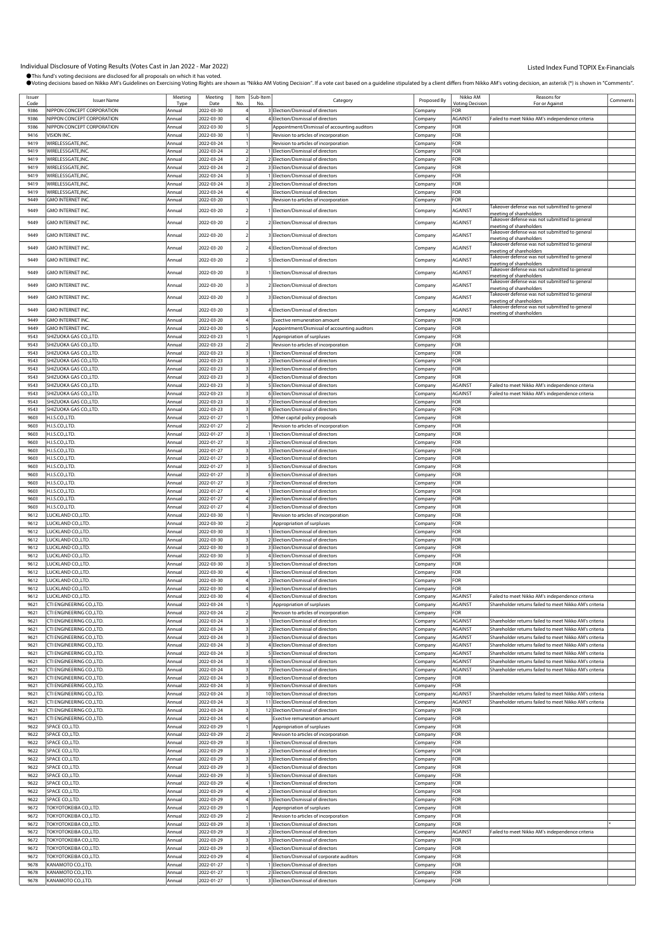Individual Disclosure of Voting Results (Votes Cast in Jan 2022 - Mar 2022)<br>●This fund's voting decisions are disclosed for all proposals on which it has voted. .<br>"wn as "Nikko AM Voting Decision". If a vote cast based on a guideline stipulated by a client differs from Nikko AM's voting decision, an asterisk (\*) is shown in "Comments".

|              |                                                        |                  |                          |   |               | , ouing decisions based on nikko AM S Guidelines on Exercising voting Nghts are shown as "nikko AM Voting Decision". If a vote cast based on a guideline supulated by a client differs nonn nikko AM S voting decision, an ast |                    |                               |                                                                          |          |
|--------------|--------------------------------------------------------|------------------|--------------------------|---|---------------|--------------------------------------------------------------------------------------------------------------------------------------------------------------------------------------------------------------------------------|--------------------|-------------------------------|--------------------------------------------------------------------------|----------|
| Issuer       | <b>Issuer Name</b>                                     | Meeting          | Meeting                  |   | Item Sub-Item | Category                                                                                                                                                                                                                       | Proposed By        | Nikko AM                      | Reasons for<br>For or Against                                            | Comments |
| Code<br>9386 | NIPPON CONCEPT CORPORATION                             | Tvp<br>Annual    | Date<br>2022-03-30       |   |               | 3 Election/Dismissal of directors                                                                                                                                                                                              | Company            | <b>Voting Decision</b><br>FOR |                                                                          |          |
| 9386         | NIPPON CONCEPT CORPORATION                             | Annual           | 2022-03-30               |   |               | 4 Election/Dismissal of directors                                                                                                                                                                                              | Company            | <b>AGAINST</b>                | Failed to meet Nikko AM's independence criteria                          |          |
| 9386         | NIPPON CONCEPT CORPORATION                             | Annual           | 2022-03-30               |   |               | Appointment/Dismissal of accounting auditors                                                                                                                                                                                   | Company            | FOR                           |                                                                          |          |
| 9416         | VISION INC.                                            | Annual           | 2022-03-30               |   |               | Revision to articles of incorporation                                                                                                                                                                                          | Company            | FOR                           |                                                                          |          |
| 9419         | WIRELESSGATE, INC.                                     | Annual           | 2022-03-24               |   |               | Revision to articles of incorporation                                                                                                                                                                                          | Company            | FOR                           |                                                                          |          |
| 9419         | WIRELESSGATE, INC.                                     | Annual           | 2022-03-24               |   |               | I Election/Dismissal of directors                                                                                                                                                                                              | Company            | FOR                           |                                                                          |          |
| 9419         | WIRELESSGATE, INC.                                     | Annual           | 2022-03-24               |   |               | 2 Election/Dismissal of directors                                                                                                                                                                                              | Company            | FOR                           |                                                                          |          |
| 9419         | WIRELESSGATE, INC.                                     | Annual           | 2022-03-24               |   |               | 3 Election/Dismissal of directors                                                                                                                                                                                              | Company            | FOR                           |                                                                          |          |
| 9419         | WIRELESSGATE, INC.                                     | Annual           | 2022-03-24               |   |               | 1 Election/Dismissal of directors                                                                                                                                                                                              | Company            | FOR                           |                                                                          |          |
| 9419         | WIRELESSGATE, INC.                                     | Annual           | 2022-03-24               |   |               | 2 Election/Dismissal of directors                                                                                                                                                                                              | Company            | FOR                           |                                                                          |          |
| 9419         | WIRELESSGATE, INC.                                     | Annual           | 2022-03-24               |   |               | Election/Dismissal of directors                                                                                                                                                                                                | Company            | FOR                           |                                                                          |          |
| 9449         | <b>GMO INTERNET INC</b>                                | Annual           | 2022-03-20               |   |               | Revision to articles of incorporation                                                                                                                                                                                          | Company            | FOR                           | Takeover defense was not submitted to general                            |          |
| 9449         | GMO INTERNET INC.                                      | Annual           | 2022-03-20               |   |               | 1 Election/Dismissal of directors                                                                                                                                                                                              | Company            | AGAINST                       | meeting of shareholders                                                  |          |
| 9449         | GMO INTERNET INC.                                      | Annual           | 2022-03-20               |   |               | 2 Election/Dismissal of directors                                                                                                                                                                                              | Company            | AGAINST                       | Takeover defense was not submitted to general                            |          |
|              |                                                        |                  |                          |   |               |                                                                                                                                                                                                                                |                    |                               | meeting of shareholders<br>Takeover defense was not submitted to general |          |
| 9449         | <b>GMO INTERNET INC.</b>                               | Annual           | 2022-03-20               |   |               | 3 Election/Dismissal of directors                                                                                                                                                                                              | Company            | AGAINST                       | neeting of shareholders                                                  |          |
| 9449         | GMO INTERNET INC.                                      | Annual           | 2022-03-20               |   |               | 4 Election/Dismissal of directors                                                                                                                                                                                              | Company            | AGAINST                       | Takeover defense was not submitted to general<br>meeting of shareholders |          |
|              | GMO INTERNET INC.                                      |                  |                          |   |               |                                                                                                                                                                                                                                |                    |                               | Takeover defense was not submitted to general                            |          |
| 9449         |                                                        | Annual           | 2022-03-20               |   |               | 5 Election/Dismissal of directors                                                                                                                                                                                              | Company            | AGAINST                       | meeting of shareholders                                                  |          |
| 9449         | GMO INTERNET INC.                                      | Annual           | 2022-03-20               |   |               | Election/Dismissal of directors                                                                                                                                                                                                | Company            | AGAINST                       | akeover defense was not submitted to general<br>meeting of shareholders  |          |
| 9449         | GMO INTERNET INC.                                      | Annual           | 2022-03-20               |   |               | 2 Election/Dismissal of directors                                                                                                                                                                                              | Company            | <b>AGAINST</b>                | Takeover defense was not submitted to general                            |          |
|              |                                                        |                  |                          |   |               |                                                                                                                                                                                                                                |                    |                               | meeting of shareholders<br>Takeover defense was not submitted to general |          |
| 9449         | GMO INTERNET INC.                                      | Annual           | 2022-03-20               |   |               | 3 Election/Dismissal of directors                                                                                                                                                                                              | Company            | AGAINST                       | meeting of shareholders                                                  |          |
| 9449         | GMO INTERNET INC.                                      | Annual           | 2022-03-20               |   |               | 4 Election/Dismissal of directors                                                                                                                                                                                              | Company            | AGAINST                       | akeover defense was not submitted to general                             |          |
| 9449         | GMO INTERNET INC.                                      | Annual           | 2022-03-20               |   |               | <b>Exective remuneration amount</b>                                                                                                                                                                                            | Company            | FOR                           | meeting of shareholders                                                  |          |
| 9449         | <b>GMO INTERNET INC</b>                                | Annual           | 2022-03-20               |   |               | Appointment/Dismissal of accounting auditors                                                                                                                                                                                   | Company            | FOR                           |                                                                          |          |
| 9543         | SHIZUOKA GAS CO.,LTD.                                  | Annual           | 2022-03-23               |   |               | Appropriation of surpluses                                                                                                                                                                                                     | Company            | FOR                           |                                                                          |          |
| 9543         | SHIZUOKA GAS CO.,LTD.                                  | Annual           | 2022-03-23               |   |               | Revision to articles of incorporation                                                                                                                                                                                          | Company            | FOR                           |                                                                          |          |
| 9543         | SHIZUOKA GAS CO.,LTD                                   | Annual           | 2022-03-23               |   |               | 1 Election/Dismissal of directors                                                                                                                                                                                              | Company            | FOR                           |                                                                          |          |
| 9543         | SHIZUOKA GAS CO.,LTD.                                  | Annual           | 2022-03-23               |   |               | 2 Election/Dismissal of directors                                                                                                                                                                                              | Company            | FOR                           |                                                                          |          |
| 9543         | SHIZUOKA GAS CO.,LTD                                   | Annual           | 2022-03-23               |   |               | 3 Election/Dismissal of directors                                                                                                                                                                                              | Company            | FOR                           |                                                                          |          |
| 9543         | SHIZUOKA GAS CO.,LTD.                                  | Annual           | 2022-03-23               |   |               | 4 Election/Dismissal of directors                                                                                                                                                                                              | Company            | FOR                           |                                                                          |          |
| 9543         | SHIZUOKA GAS CO.,LTD.                                  | Annual           | 2022-03-23               |   |               | 5 Election/Dismissal of directors                                                                                                                                                                                              | Company            | <b>AGAINST</b>                | Failed to meet Nikko AM's independence criteria                          |          |
| 9543         | SHIZUOKA GAS CO.,LTD.                                  | Annual           | 2022-03-23               |   |               | 6 Election/Dismissal of directors                                                                                                                                                                                              | Company            | <b>AGAINST</b>                | Failed to meet Nikko AM's independence criteria                          |          |
| 9543         | SHIZUOKA GAS CO.,LTD.                                  | Annual           | 2022-03-23               |   |               | 7 Election/Dismissal of directors                                                                                                                                                                                              | Company            | FOR                           |                                                                          |          |
| 9543         | SHIZUOKA GAS CO.,LTD.                                  | Annual           | 2022-03-23               |   |               | 8 Election/Dismissal of directors                                                                                                                                                                                              | Company            | FOR                           |                                                                          |          |
| 9603         | H.I.S.CO.,LTD.                                         | Annual           | 2022-01-27               |   |               | Other capital policy proposals                                                                                                                                                                                                 | :ompany            | FOR                           |                                                                          |          |
| 9603         | H.I.S.CO.,LTD.                                         | Annual           | 2022-01-27               |   |               | Revision to articles of incorporation                                                                                                                                                                                          | Company            | FOR                           |                                                                          |          |
| 9603<br>9603 | H.I.S.CO.,LTD.<br>H.I.S.CO.,LTD.                       | Annual<br>Annual | 2022-01-27<br>2022-01-27 |   |               | 1 Election/Dismissal of directors<br>2 Election/Dismissal of directors                                                                                                                                                         | Company            | FOR<br>FOR                    |                                                                          |          |
| 9603         | H.I.S.CO.,LTD.                                         | Annual           | 2022-01-27               |   |               | 3 Election/Dismissal of directors                                                                                                                                                                                              | Company<br>Company | FOR                           |                                                                          |          |
| 9603         | H.I.S.CO.,LTD.                                         | Annual           | 2022-01-27               |   |               | 4 Election/Dismissal of directors                                                                                                                                                                                              | :ompany            | FOR                           |                                                                          |          |
| 9603         | H.I.S.CO.,LTD.                                         | Annual           | 2022-01-27               |   |               | 5 Election/Dismissal of directors                                                                                                                                                                                              | Company            | FOR                           |                                                                          |          |
| 9603         | H.I.S.CO.,LTD.                                         | Annual           | 2022-01-27               |   |               | 6 Election/Dismissal of directors                                                                                                                                                                                              | Company            | FOR                           |                                                                          |          |
| 9603         | H.I.S.CO.,LTD.                                         | Annual           | 2022-01-27               |   |               | 7 Election/Dismissal of directors                                                                                                                                                                                              | Company            | FOR                           |                                                                          |          |
| 9603         | H.I.S.CO.,LTD.                                         | Annual           | 2022-01-27               |   |               | 1 Election/Dismissal of directors                                                                                                                                                                                              | Company            | FOR                           |                                                                          |          |
| 9603         | H.I.S.CO.,LTD.                                         | Annual           | 2022-01-27               |   |               | 2 Election/Dismissal of directors                                                                                                                                                                                              | Company            | FOR                           |                                                                          |          |
| 9603         | H.I.S.CO.,LTD.                                         | Annual           | 2022-01-27               |   |               | 3 Election/Dismissal of directors                                                                                                                                                                                              | Company            | FOR                           |                                                                          |          |
| 9612         | LUCKLAND CO., LTD.                                     | Annual           | 2022-03-30               |   |               | Revision to articles of incorporation                                                                                                                                                                                          | Company            | FOR                           |                                                                          |          |
| 9612         | LUCKLAND CO.,LTD.                                      | Annual           | 2022-03-30               |   |               | Appropriation of surpluses                                                                                                                                                                                                     | Company            | FOR                           |                                                                          |          |
| 9612         | LUCKLAND CO., LTD.                                     | Annual           | 2022-03-30               |   |               | I Election/Dismissal of directors                                                                                                                                                                                              | Company            | FOR                           |                                                                          |          |
| 9612         | LUCKLAND CO., LTD.                                     | Annual           | 2022-03-30               |   |               | 2 Election/Dismissal of directors                                                                                                                                                                                              | Company            | FOR                           |                                                                          |          |
| 9612         | LUCKLAND CO., LTD.                                     | Annual           | 2022-03-30               |   |               | 3 Election/Dismissal of directors                                                                                                                                                                                              | Company            | FOR                           |                                                                          |          |
| 9612<br>9612 | LUCKLAND CO., LTD.<br>LUCKLAND CO., LTD.               | Annual<br>Annual | 2022-03-30<br>2022-03-30 |   |               | 4 Election/Dismissal of directors<br>5 Election/Dismissal of directors                                                                                                                                                         | Company            | FOR<br>FOR                    |                                                                          |          |
| 9612         | LUCKLAND CO., LTD.                                     | Annual           | 2022-03-30               |   |               | 1 Election/Dismissal of directors                                                                                                                                                                                              | Company<br>Company | FOR                           |                                                                          |          |
| 9612         | LUCKLAND CO., LTD.                                     | Annual           | 2022-03-30               |   |               | 2 Election/Dismissal of directors                                                                                                                                                                                              | Company            | FOR                           |                                                                          |          |
| 9612         | LUCKLAND CO., LTD.                                     | Annual           | 2022-03-30               | 4 |               | 3 Election/Dismissal of directors                                                                                                                                                                                              | Company            | FOR                           |                                                                          |          |
| 9612         | LUCKLAND CO., LTD.                                     | Annual           | 2022-03-30               |   |               | 4 Election/Dismissal of directors                                                                                                                                                                                              | Company            | <b>AGAINST</b>                | Failed to meet Nikko AM's independence criteria                          |          |
| 9621         | CTI ENGINEERING CO., LTD.                              | Annual           | 2022-03-24               |   |               | Appropriation of surpluses                                                                                                                                                                                                     | Company            | AGAINST                       | Shareholder returns failed to meet Nikko AM's criteria                   |          |
| 9621         | CTI ENGINEERING CO.,LTD.                               | Annual           | 2022-03-24               |   |               | Revision to articles of incorporation                                                                                                                                                                                          | Company            | FOR                           |                                                                          |          |
| 9621         | CTI ENGINEERING CO., LTD.                              | Annual           | 2022-03-24               |   |               | 1 Election/Dismissal of directors                                                                                                                                                                                              | Company            | <b>AGAINST</b>                | Shareholder returns failed to meet Nikko AM's criteria                   |          |
| 9621         | CTI ENGINEERING CO., LTD.                              | Annual           | 2022-03-24               |   |               | 2 Election/Dismissal of directors                                                                                                                                                                                              | Company            | <b>AGAINST</b>                | Shareholder returns failed to meet Nikko AM's criteria                   |          |
| 9621         | CTI ENGINEERING CO., LTD.                              | Annual           | 2022-03-24               |   |               | 3 Election/Dismissal of directors                                                                                                                                                                                              | Company            | <b>AGAINST</b>                | Shareholder returns failed to meet Nikko AM's criteria                   |          |
| 9621         | CTI ENGINEERING CO., LTD.                              | Annual           | 2022-03-24               |   |               | 4 Election/Dismissal of directors                                                                                                                                                                                              | Company            | AGAINST                       | Shareholder returns failed to meet Nikko AM's criteria                   |          |
| 9621         | CTI ENGINEERING CO., LTD.                              | Annual           | 2022-03-24               |   |               | 5 Election/Dismissal of directors                                                                                                                                                                                              | Company            | <b>AGAINST</b>                | Shareholder returns failed to meet Nikko AM's criteria                   |          |
| 9621         | CTI ENGINEERING CO., LTD.                              | Annual           | 2022-03-24               |   |               | 6 Election/Dismissal of directors<br>7 Election/Dismissal of directors                                                                                                                                                         | Company            | <b>AGAINST</b>                | Shareholder returns failed to meet Nikko AM's criteria                   |          |
| 9621<br>9621 | CTI ENGINEERING CO., LTD.<br>CTI ENGINEERING CO., LTD. | Annual<br>Annual | 2022-03-24<br>2022-03-24 |   |               | 8 Election/Dismissal of directors                                                                                                                                                                                              | Company<br>Company | <b>AGAINST</b><br>FOR         | Shareholder returns failed to meet Nikko AM's criteria                   |          |
| 9621         | CTI ENGINEERING CO.,LTD.                               | Annual           | 2022-03-24               |   |               | 9 Election/Dismissal of directors                                                                                                                                                                                              | Company            | FOR                           |                                                                          |          |
| 9621         | CTI ENGINEERING CO.,LTD.                               | Annual           | 2022-03-24               |   |               | 10 Election/Dismissal of directors                                                                                                                                                                                             | Company            | <b>AGAINST</b>                | Shareholder returns failed to meet Nikko AM's criteria                   |          |
| 9621         | CTI ENGINEERING CO.,LTD.                               | Annual           | 2022-03-24               |   |               | 11 Election/Dismissal of directors                                                                                                                                                                                             | Company            | <b>AGAINST</b>                | Shareholder returns failed to meet Nikko AM's criteria                   |          |
| 9621         | CTI ENGINEERING CO., LTD.                              | Annual           | 2022-03-24               |   |               | 12 Election/Dismissal of directors                                                                                                                                                                                             | Company            | FOR                           |                                                                          |          |
| 9621         | CTI ENGINEERING CO., LTD.                              | Annual           | 2022-03-24               |   |               | <b>Exective remuneration amount</b>                                                                                                                                                                                            | Company            | FOR                           |                                                                          |          |
| 9622         | SPACE CO.,LTD.                                         | Annual           | 2022-03-29               |   |               | Appropriation of surpluses                                                                                                                                                                                                     | Company            | FOR                           |                                                                          |          |
| 9622         | SPACE CO.,LTD                                          | Annual           | 2022-03-29               |   |               | Revision to articles of incorporation                                                                                                                                                                                          | Company            | FOR                           |                                                                          |          |
| 9622         | SPACE CO., LTD.                                        | Annual           | 2022-03-29               |   |               | 1 Election/Dismissal of directors                                                                                                                                                                                              | :ompany            | FOR                           |                                                                          |          |
| 9622         | SPACE CO., LTD.                                        | Annual           | 2022-03-29               |   |               | 2 Election/Dismissal of directors                                                                                                                                                                                              | .cmpany            | FOR                           |                                                                          |          |
| 9622         | SPACE CO., LTD.                                        | Annual           | 2022-03-29               |   |               | 3 Election/Dismissal of directors                                                                                                                                                                                              | Company            | FOR                           |                                                                          |          |
| 9622         | SPACE CO., LTD.                                        | Annual           | 2022-03-29               |   |               | 4 Election/Dismissal of directors                                                                                                                                                                                              | Company            | FOR                           |                                                                          |          |
| 9622         | SPACE CO., LTD                                         | Annual           | 2022-03-29               |   |               | 5 Election/Dismissal of directors                                                                                                                                                                                              | Company            | FOR                           |                                                                          |          |
| 9622         | SPACE CO., LTD.                                        | Annual           | 2022-03-29               |   |               | 1 Election/Dismissal of directors                                                                                                                                                                                              | Company            | FOR                           |                                                                          |          |
| 9622<br>9622 | SPACE CO., LTD.                                        | Annual<br>Annual | 2022-03-29               |   |               | 2 Election/Dismissal of directors                                                                                                                                                                                              | .cmpany            | FOR<br>FOR                    |                                                                          |          |
| 9672         | SPACE CO., LTD.<br>TOKYOTOKEIBA CO.,LTD.               | Annual           | 2022-03-29<br>2022-03-29 |   |               | 3 Election/Dismissal of directors<br>Appropriation of surpluses                                                                                                                                                                | Company<br>Company | FOR                           |                                                                          |          |
| 9672         | TOKYOTOKEIBA CO.,LTD.                                  | Annual           | 2022-03-29               |   |               | Revision to articles of incorporation                                                                                                                                                                                          | Company            | FOR                           |                                                                          |          |
| 9672         | <b><i>FOKYOTOKEIBA CO.,LTD.</i></b>                    | Annual           | 2022-03-29               |   |               | 1 Election/Dismissal of directors                                                                                                                                                                                              | Company            | FOR                           |                                                                          |          |
| 9672         | TOKYOTOKEIBA CO.,LTD.                                  | Annual           | 2022-03-29               |   |               | 2 Election/Dismissal of directors                                                                                                                                                                                              | Company            | <b>AGAINST</b>                | Failed to meet Nikko AM's independence criteria                          |          |
| 9672         | TOKYOTOKEIBA CO.,LTD.                                  | Annual           | 2022-03-29               |   |               | 3 Election/Dismissal of directors                                                                                                                                                                                              | Company            | FOR                           |                                                                          |          |
| 9672         | TOKYOTOKEIBA CO.,LTD.                                  | Annual           | 2022-03-29               |   |               | 4 Election/Dismissal of directors                                                                                                                                                                                              | Company            | FOR                           |                                                                          |          |
| 9672         | TOKYOTOKEIBA CO.,LTD.                                  | Annual           | 2022-03-29               |   |               | Election/Dismissal of corporate auditors                                                                                                                                                                                       | Company            | FOR                           |                                                                          |          |
| 9678         | (ANAMOTO CO.,LTD.                                      | Annual           | 2022-01-27               |   |               | 1 Election/Dismissal of directors                                                                                                                                                                                              | Company            | FOR                           |                                                                          |          |
| 9678         | KANAMOTO CO.,LTD                                       | Annual           | 2022-01-27               |   |               | 2 Election/Dismissal of directors                                                                                                                                                                                              | Company            | FOR                           |                                                                          |          |
| 9678         | KANAMOTO CO.,LTD                                       | Annual           | 2022-01-27               |   |               | 3 Election/Dismissal of directors                                                                                                                                                                                              | Company            | FOR                           |                                                                          |          |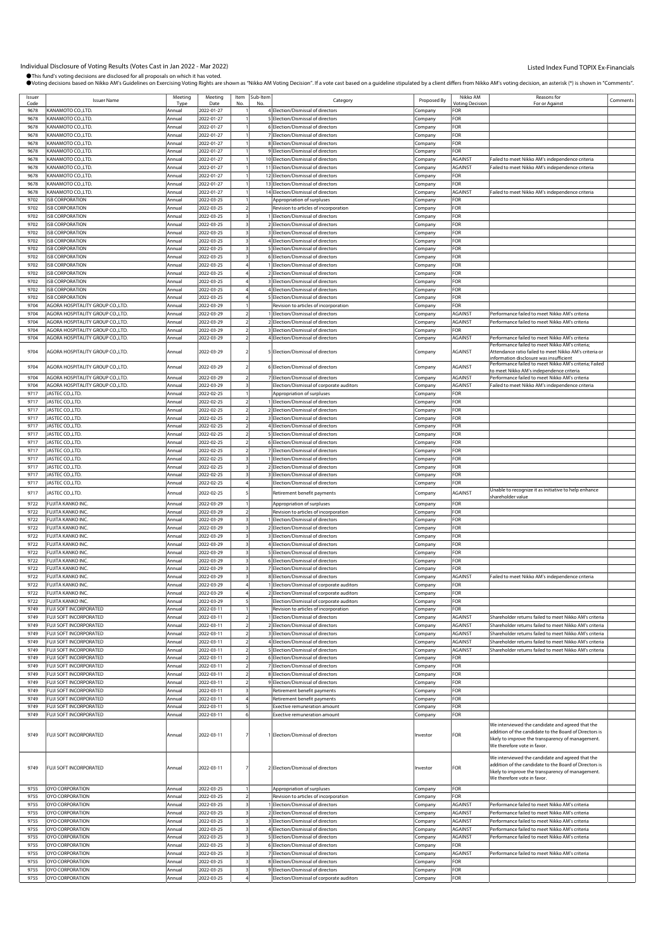| Issuer<br>Code |                                   |         |            |      |          |                                          |             |                 |                                                                                                                                                                                                |          |
|----------------|-----------------------------------|---------|------------|------|----------|------------------------------------------|-------------|-----------------|------------------------------------------------------------------------------------------------------------------------------------------------------------------------------------------------|----------|
|                | <b>Issuer Name</b>                | Meeting | Meeting    | Item | Sub-Item | Category                                 | Proposed By | Nikko AM        | Reasons for                                                                                                                                                                                    | Comments |
|                |                                   | Type    | Date       | No.  | N        |                                          |             | Votina Decision | For or Agains                                                                                                                                                                                  |          |
| 9678           | KANAMOTO CO.,LTD.                 | Annual  | 2022-01-27 |      |          | 4 Election/Dismissal of directors        | Company     | FOR             |                                                                                                                                                                                                |          |
| 9678           | KANAMOTO CO.,LTD                  | Annual  | 2022-01-27 |      |          | 5 Election/Dismissal of directors        | Company     | FOR             |                                                                                                                                                                                                |          |
| 9678           | KANAMOTO CO.,LTD.                 | Annual  | 2022-01-27 |      |          | 6 Election/Dismissal of directors        | Company     | <b>OR</b>       |                                                                                                                                                                                                |          |
| 9678           | KANAMOTO CO.,LTD                  | Annual  | 2022-01-27 |      |          | 7 Election/Dismissal of directors        | .cmpany     | FOR             |                                                                                                                                                                                                |          |
| 9678           | KANAMOTO CO.,LTD                  | Annual  | 2022-01-27 |      |          | 8 Election/Dismissal of directors        |             | FOR             |                                                                                                                                                                                                |          |
|                |                                   |         |            |      |          |                                          | Company     |                 |                                                                                                                                                                                                |          |
| 9678           | KANAMOTO CO.,LTD.                 | Annual  | 2022-01-27 |      |          | 9 Election/Dismissal of directors        | Company     | <b>OR</b>       |                                                                                                                                                                                                |          |
| 9678           | KANAMOTO CO.,LTD                  | Annual  | 2022-01-27 |      |          | 10 Election/Dismissal of directors       | Company     | AGAINST         | Failed to meet Nikko AM's independence criteria                                                                                                                                                |          |
| 9678           | KANAMOTO CO.,LTD.                 | Annual  | 2022-01-27 |      |          | 11 Election/Dismissal of directors       | Company     | AGAINST         | ailed to meet Nikko AM's independence criteria                                                                                                                                                 |          |
| 9678           | KANAMOTO CO.,LTD                  | Annual  | 2022-01-27 |      |          | 12 Election/Dismissal of directors       | Company     | FOR             |                                                                                                                                                                                                |          |
| 9678           | KANAMOTO CO.,LTD                  | Annual  | 2022-01-27 |      |          | 13 Election/Dismissal of directors       | Company     | FOR             |                                                                                                                                                                                                |          |
| 9678           | KANAMOTO CO.,LTD                  | Annual  | 2022-01-27 |      |          | 14 Election/Dismissal of directors       | Company     | AGAINST         | ailed to meet Nikko AM's independence criteria                                                                                                                                                 |          |
|                |                                   |         |            |      |          |                                          |             |                 |                                                                                                                                                                                                |          |
| 9702           | <b>ISB CORPORATION</b>            | Annual  | 2022-03-25 |      |          | Appropriation of surpluses               | Company     | FOR             |                                                                                                                                                                                                |          |
| 9702           | <b>ISB CORPORATION</b>            | Annual  | 2022-03-25 |      |          | Revision to articles of incorporation    | Company     | ЮF              |                                                                                                                                                                                                |          |
| 9702           | <b>ISB CORPORATION</b>            | Annual  | 2022-03-25 |      |          | Election/Dismissal of directors          | .cmpany     | For             |                                                                                                                                                                                                |          |
| 9702           | <b>ISB CORPORATION</b>            | Annual  | 2022-03-25 |      |          | 2 Election/Dismissal of directors        | Company     | FOR             |                                                                                                                                                                                                |          |
| 9702           | <b>ISB CORPORATION</b>            | Annual  | 2022-03-25 |      |          | 3 Election/Dismissal of directors        | Company     | FOR             |                                                                                                                                                                                                |          |
| 9702           | <b>ISB CORPORATION</b>            | Annual  | 2022-03-25 |      |          | 4 Election/Dismissal of directors        | Company     | FOR             |                                                                                                                                                                                                |          |
|                | <b>ISB CORPORATION</b>            |         |            |      |          |                                          |             |                 |                                                                                                                                                                                                |          |
| 9702           |                                   | Annual  | 2022-03-25 |      |          | 5 Election/Dismissal of directors        | Company     | FOR             |                                                                                                                                                                                                |          |
| 9702           | <b>ISB CORPORATION</b>            | Annual  | 2022-03-25 |      |          | 6 Election/Dismissal of directors        | .cmpany     | For             |                                                                                                                                                                                                |          |
| 9702           | <b>ISB CORPORATION</b>            | Annual  | 2022-03-25 |      |          | Election/Dismissal of directors          | Company     | FOR             |                                                                                                                                                                                                |          |
| 9702           | <b>ISB CORPORATION</b>            | Annual  | 2022-03-25 |      |          | 2 Election/Dismissal of directors        | Company     | FOR             |                                                                                                                                                                                                |          |
| 9702           | <b>ISB CORPORATION</b>            | Annual  | 2022-03-25 |      |          | 3 Election/Dismissal of directors        | Company     | FOR             |                                                                                                                                                                                                |          |
| 9702           | <b>ISB CORPORATION</b>            | Annual  | 2022-03-25 |      |          | Election/Dismissal of directors          | Company     | FOR             |                                                                                                                                                                                                |          |
|                | <b>ISB CORPORATION</b>            |         |            |      |          |                                          |             |                 |                                                                                                                                                                                                |          |
| 9702           |                                   | Annual  | 2022-03-25 |      |          | 5 Election/Dismissal of directors        | .cmpany     | FOR             |                                                                                                                                                                                                |          |
| 9704           | AGORA HOSPITALITY GROUP CO., LTD. | Annual  | 2022-03-29 |      |          | Revision to articles of incorporation    | Company     | FOR             |                                                                                                                                                                                                |          |
| 9704           | AGORA HOSPITALITY GROUP CO.,LTD.  | Annual  | 2022-03-29 |      |          | Election/Dismissal of directors          | Company     | AGAINST         | Performance failed to meet Nikko AM's criteria                                                                                                                                                 |          |
| 9704           | AGORA HOSPITALITY GROUP CO.,LTD.  | Annual  | 2022-03-29 |      |          | 2 Election/Dismissal of directors        | Company     | AGAINST         | Performance failed to meet Nikko AM's criteria                                                                                                                                                 |          |
| 9704           | AGORA HOSPITALITY GROUP CO.,LTD.  | Annual  | 2022-03-29 |      |          | 3 Election/Dismissal of directors        | Company     | <b>OR</b>       |                                                                                                                                                                                                |          |
| 9704           | AGORA HOSPITALITY GROUP CO., LTD. | Annual  | 2022-03-29 |      |          | 4 Election/Dismissal of directors        | Company     | AGAINST         | Performance failed to meet Nikko AM's criteria                                                                                                                                                 |          |
|                |                                   |         |            |      |          |                                          |             |                 | Performance failed to meet Nikko AM's criteria;                                                                                                                                                |          |
| 9704           | AGORA HOSPITALITY GROUP CO., LTD. | Annual  | 2022-03-29 |      |          | 5 Election/Dismissal of directors        | Company     | AGAINST         | Attendance ratio failed to meet Nikko AM's criteria or                                                                                                                                         |          |
|                |                                   |         |            |      |          |                                          |             |                 | information disclosure was insufficient                                                                                                                                                        |          |
|                |                                   |         |            |      |          |                                          |             |                 | Performance failed to meet Nikko AM's criteria; Failed                                                                                                                                         |          |
| 9704           | AGORA HOSPITALITY GROUP CO.,LTD.  | Annual  | 2022-03-29 |      |          | 6 Election/Dismissal of directors        | Company     | <b>AGAINST</b>  | o meet Nikko AM's independence criteri                                                                                                                                                         |          |
| 9704           | AGORA HOSPITALITY GROUP CO.,LTD.  | Annual  | 2022-03-29 |      |          | 7 Election/Dismissal of directors        | Company     | AGAINST         | Performance failed to meet Nikko AM's criteria                                                                                                                                                 |          |
| 9704           | AGORA HOSPITALITY GROUP CO., LTD. | Annual  | 2022-03-29 |      |          | Election/Dismissal of corporate auditors | Company     | AGAINST         | Failed to meet Nikko AM's independence criteria                                                                                                                                                |          |
| 9717           | JASTEC CO., LTD.                  | Annual  | 2022-02-25 |      |          | Appropriation of surpluses               | Company     | FOR             |                                                                                                                                                                                                |          |
| 9717           | JASTEC CO.,LTD.                   | Annual  | 2022-02-25 |      |          | 1 Election/Dismissal of directors        |             | FOR             |                                                                                                                                                                                                |          |
|                | JASTEC CO.,LTD.                   |         |            |      |          | 2 Election/Dismissal of directors        | Company     |                 |                                                                                                                                                                                                |          |
| 9717           |                                   | Annual  | 2022-02-25 |      |          |                                          | Company     | FOR             |                                                                                                                                                                                                |          |
| 9717           | JASTEC CO.,LTD.                   | Annual  | 2022-02-25 |      |          | 3 Election/Dismissal of directors        | Company     | FOR             |                                                                                                                                                                                                |          |
| 9717           | JASTEC CO., LTD.                  | Annual  | 2022-02-25 |      |          | 4 Election/Dismissal of directors        | .cmpany     | For             |                                                                                                                                                                                                |          |
| 9717           | JASTEC CO., LTD.                  | Annual  | 2022-02-25 |      |          | 5 Election/Dismissal of directors        | Company     | FOR             |                                                                                                                                                                                                |          |
| 9717           | JASTEC CO.,LTD.                   | Annual  | 2022-02-25 |      |          | 6 Election/Dismissal of directors        | Company     | FOR             |                                                                                                                                                                                                |          |
| 9717           | JASTEC CO.,LTD.                   | Annual  | 2022-02-25 |      |          | 7 Election/Dismissal of directors        | Company     | FOR             |                                                                                                                                                                                                |          |
|                |                                   |         |            |      |          |                                          |             |                 |                                                                                                                                                                                                |          |
| 9717           | JASTEC CO.,LTD.                   | Annual  | 2022-02-25 |      |          | 1 Election/Dismissal of directors        | Company     | FOR             |                                                                                                                                                                                                |          |
| 9717           | JASTEC CO.,LTD.                   | Annual  | 2022-02-25 |      |          | 2 Election/Dismissal of directors        | .cmpany     | For             |                                                                                                                                                                                                |          |
| 9717           | JASTEC CO., LTD.                  | Annual  | 2022-02-25 |      |          | 3 Election/Dismissal of directors        | Company     | FOR             |                                                                                                                                                                                                |          |
| 9717           | JASTEC CO.,LTD.                   | Annual  | 2022-02-25 |      |          | Election/Dismissal of directors          | Company     | FOR             |                                                                                                                                                                                                |          |
| 9717           | JASTEC CO.,LTD.                   | Annual  | 2022-02-25 |      |          |                                          |             | AGAINST         | Unable to recognize it as initiative to help enhance                                                                                                                                           |          |
|                |                                   |         |            |      |          | Retirement benefit payments              | Company     |                 | shareholder value                                                                                                                                                                              |          |
| 9722           | FUJITA KANKO INC.                 | Annual  | 2022-03-29 |      |          | Appropriation of surpluses               | Company     | FOR             |                                                                                                                                                                                                |          |
| 9722           | FUJITA KANKO INC.                 | Annual  | 2022-03-29 |      |          | Revision to articles of incorporation    | Company     | FOR             |                                                                                                                                                                                                |          |
| 9722           | FUJITA KANKO INC.                 | Annual  | 2022-03-29 |      |          | Election/Dismissal of directors          | Company     | FOR             |                                                                                                                                                                                                |          |
|                |                                   |         |            |      |          |                                          |             |                 |                                                                                                                                                                                                |          |
|                |                                   |         |            |      |          |                                          |             |                 |                                                                                                                                                                                                |          |
| 9722           | FUJITA KANKO INC.                 | Annual  | 2022-03-29 |      |          | Election/Dismissal of directors          | Company     | FOR             |                                                                                                                                                                                                |          |
| 9722           | FUJITA KANKO INC.                 | Annual  | 2022-03-29 |      |          | 3 Election/Dismissal of directors        | Company     | FOR             |                                                                                                                                                                                                |          |
| 9722           | FUJITA KANKO INC.                 | Annual  | 2022-03-29 |      |          | 4 Election/Dismissal of directors        | Company     | FOR             |                                                                                                                                                                                                |          |
| 9722           | FUJITA KANKO INC.                 | Annual  | 2022-03-29 |      |          | 5 Election/Dismissal of directors        | Company     | FOR             |                                                                                                                                                                                                |          |
| 9722           | FUJITA KANKO INC.                 | Annual  | 2022-03-29 |      |          | 6 Election/Dismissal of directors        | Company     | FOR             |                                                                                                                                                                                                |          |
| 9722           | FUJITA KANKO INC.                 | Annual  |            |      |          | 7 Election/Dismissal of directors        |             | FOR             |                                                                                                                                                                                                |          |
|                |                                   |         | 2022-03-29 |      |          |                                          | Company     |                 |                                                                                                                                                                                                |          |
| 9722           | FUJITA KANKO INC.                 | Annual  | 2022-03-29 |      |          | 8 Election/Dismissal of directors        | :ompany     | AGAINST         | ailed to meet Nikko AM's independence criteria                                                                                                                                                 |          |
| 9722           | FUJITA KANKO INC.                 | Annual  | 2022-03-29 |      |          | Election/Dismissal of corporate auditors | Company     | <b>FOR</b>      |                                                                                                                                                                                                |          |
| 9722           | <b>FUJITA KANKO ING</b>           |         | 2022-03-29 |      |          | Flection/Dismissal of corporate auditor  |             | FOR             |                                                                                                                                                                                                |          |
| 9722           | FUJITA KANKO INC.                 | Annual  | 2022-03-29 |      |          | Election/Dismissal of corporate auditors | Company     | FOR             |                                                                                                                                                                                                |          |
| 9749           | FUJI SOFT INCORPORATED            | Annual  | 2022-03-11 |      |          | Revision to articles of incorporation    | Company     | FOR             |                                                                                                                                                                                                |          |
| 9749           | FUJI SOFT INCORPORATED            | Annual  | 2022-03-11 |      |          | Election/Dismissal of directors          |             | AGAINST         | Shareholder returns failed to meet Nikko AM's criteria                                                                                                                                         |          |
| 9749           | FUJI SOFT INCORPORATED            | Annual  | 2022-03-11 |      |          | 2 Election/Dismissal of directors        | Company     | AGAINST         | Shareholder returns failed to meet Nikko AM's criteria                                                                                                                                         |          |
|                |                                   |         |            |      |          |                                          | Company     |                 |                                                                                                                                                                                                |          |
| 9749           | FUJI SOFT INCORPORATED            | Annual  | 2022-03-11 |      |          | 3 Election/Dismissal of directors        | Company     | AGAINST         | Shareholder returns failed to meet Nikko AM's criteria                                                                                                                                         |          |
| 9749           | FUJI SOFT INCORPORATED            | Annual  | 2022-03-11 |      |          | 4 Election/Dismissal of directors        | Company     | AGAINST         | Shareholder returns failed to meet Nikko AM's criteria                                                                                                                                         |          |
| 9749           | FUJI SOFT INCORPORATED            | Annual  | 2022-03-11 |      |          | 5 Election/Dismissal of directors        | Company     | AGAINST         | Shareholder returns failed to meet Nikko AM's criteria                                                                                                                                         |          |
| 9749           | FUJI SOFT INCORPORATED            | Annual  | 2022-03-11 |      |          | 6 Election/Dismissal of directors        | Company     | FOR             |                                                                                                                                                                                                |          |
| 9749           | FUJI SOFT INCORPORATED            | Annual  | 2022-03-11 |      |          | 7 Election/Dismissal of directors        | Company     | FOR             |                                                                                                                                                                                                |          |
| 9749           | FUJI SOFT INCORPORATED            | Annual  | 2022-03-11 |      |          | 8 Election/Dismissal of directors        | Company     | FOR             |                                                                                                                                                                                                |          |
|                | FUJI SOFT INCORPORATED            | Annual  |            |      |          |                                          |             |                 |                                                                                                                                                                                                |          |
| 9749           |                                   |         | 2022-03-11 |      |          | 9 Election/Dismissal of directors        | Company     | FOR             |                                                                                                                                                                                                |          |
| 9749           | FUJI SOFT INCORPORATED            | Annual  | 2022-03-11 |      |          | Retirement benefit payments              | Company     | FOR             |                                                                                                                                                                                                |          |
| 9749           | FUJI SOFT INCORPORATED            | Annual  | 2022-03-11 |      |          | Retirement benefit payments              | Company     | FOR             |                                                                                                                                                                                                |          |
| 9749           | FUJI SOFT INCORPORATED            | Annual  | 2022-03-11 |      |          | <b>Exective remuneration amount</b>      | Company     | FOR             |                                                                                                                                                                                                |          |
| 9749           | FUJI SOFT INCORPORATED            | Annual  | 2022-03-11 |      |          | Exective remuneration amount             | Company     | FOR             |                                                                                                                                                                                                |          |
| 9749           | <b>FUJI SOFT INCORPORATED</b>     | Annual  | 2022-03-11 |      |          | 1 Election/Dismissal of directors        | Investor    | <b>FOR</b>      | We interviewed the candidate and agreed that the<br>addition of the candidate to the Board of Directors is<br>likely to improve the transparency of management.<br>We therefore vote in favor. |          |
| 9749           | FUJI SOFT INCORPORATED            | Annual  | 2022-03-11 |      |          | 2 Election/Dismissal of directors        | Investor    | FOR             | We interviewed the candidate and agreed that the<br>addition of the candidate to the Board of Directors is<br>likely to improve the transparency of management.<br>We therefore vote in favor. |          |
| 9755           | OYO CORPORATION                   | Annual  | 2022-03-25 |      |          | Appropriation of surpluses               | Company     | <b>FOR</b>      |                                                                                                                                                                                                |          |
| 9755           | OYO CORPORATION                   | Annual  | 2022-03-25 |      |          | Revision to articles of incorporation    | Company     | FOR             |                                                                                                                                                                                                |          |
| 9755           | OYO CORPORATION                   | Annual  | 2022-03-25 |      |          | Election/Dismissal of directors          | Company     | AGAINST         | Performance failed to meet Nikko AM's criteria                                                                                                                                                 |          |
| 9755           |                                   | Annual  |            |      |          |                                          |             |                 |                                                                                                                                                                                                |          |
|                | OYO CORPORATION                   |         | 2022-03-25 |      |          | 2 Election/Dismissal of directors        | Company     | AGAINST         | Performance failed to meet Nikko AM's criteria                                                                                                                                                 |          |
| 9755           | OYO CORPORATION                   | Annual  | 2022-03-25 |      |          | 3 Election/Dismissal of directors        | Company     | AGAINST         | Performance failed to meet Nikko AM's criteria                                                                                                                                                 |          |
| 9755           | OYO CORPORATION                   | Annual  | 2022-03-25 |      |          | 4 Election/Dismissal of directors        | Company     | AGAINST         | Performance failed to meet Nikko AM's criteria                                                                                                                                                 |          |
| 9755           | OYO CORPORATION                   | Annual  | 2022-03-25 |      |          | 5 Election/Dismissal of directors        | Company     | AGAINST         | Performance failed to meet Nikko AM's criteria                                                                                                                                                 |          |
| 9755           | OYO CORPORATION                   | Annual  | 2022-03-25 |      |          | 6 Election/Dismissal of directors        | Company     | FOR             |                                                                                                                                                                                                |          |
| 9755           | OYO CORPORATION                   | Annual  | 2022-03-25 |      |          | 7 Election/Dismissal of directors        | Company     | AGAINST         | Performance failed to meet Nikko AM's criteria                                                                                                                                                 |          |
| 9755           | OYO CORPORATION                   | Annual  | 2022-03-25 |      |          | 8 Election/Dismissal of directors        | Company     | FOR             |                                                                                                                                                                                                |          |
| 9755           | OYO CORPORATION                   | Annual  | 2022-03-25 |      |          | 9 Election/Dismissal of directors        | Company     | FOR             |                                                                                                                                                                                                |          |
| 9755           | OYO CORPORATION                   | Annual  | 2022-03-25 |      |          | Election/Dismissal of corporate auditors | Company     | <b>FOR</b>      |                                                                                                                                                                                                |          |